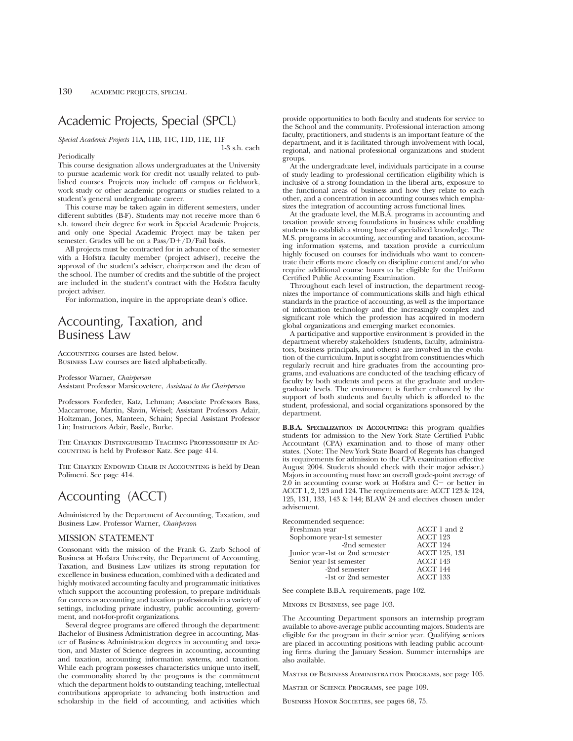# Academic Projects, Special (SPCL)

*Special Academic Projects* 11A, 11B, 11C, 11D, 11E, 11F

#### Periodically

1-3 s.h. each

This course designation allows undergraduates at the University to pursue academic work for credit not usually related to published courses. Projects may include off campus or fieldwork, work study or other academic programs or studies related to a student's general undergraduate career.

This course may be taken again in different semesters, under different subtitles (B-F). Students may not receive more than 6 s.h. toward their degree for work in Special Academic Projects, and only one Special Academic Project may be taken per semester. Grades will be on a  $Pass/D+/D$  Fail basis.

All projects must be contracted for in advance of the semester with a Hofstra faculty member (project adviser), receive the approval of the student's adviser, chairperson and the dean of the school. The number of credits and the subtitle of the project are included in the student's contract with the Hofstra faculty project adviser.

For information, inquire in the appropriate dean's office.

## Accounting, Taxation, and Business Law

Accounting courses are listed below. Business Law courses are listed alphabetically.

Professor Warner, *Chairperson* Assistant Professor Marsicovetere, *Assistant to the Chairperson*

Professors Fonfeder, Katz, Lehman; Associate Professors Bass, Maccarrone, Martin, Slavin, Weisel; Assistant Professors Adair, Holtzman, Jones, Manteen, Schain; Special Assistant Professor Lin; Instructors Adair, Basile, Burke.

The Chaykin Distinguished Teaching Professorship in Accounting is held by Professor Katz. See page 414.

The Chaykin Endowed Chair in Accounting is held by Dean Polimeni. See page 414.

# Accounting (ACCT)

Administered by the Department of Accounting, Taxation, and Business Law. Professor Warner, *Chairperson*

## MISSION STATEMENT

Consonant with the mission of the Frank G. Zarb School of Business at Hofstra University, the Department of Accounting, Taxation, and Business Law utilizes its strong reputation for excellence in business education, combined with a dedicated and highly motivated accounting faculty and programmatic initiatives which support the accounting profession, to prepare individuals for careers as accounting and taxation professionals in a variety of settings, including private industry, public accounting, government, and not-for-profit organizations.

Several degree programs are offered through the department: Bachelor of Business Administration degree in accounting, Master of Business Administration degrees in accounting and taxation, and Master of Science degrees in accounting, accounting and taxation, accounting information systems, and taxation. While each program possesses characteristics unique unto itself, the commonality shared by the programs is the commitment which the department holds to outstanding teaching, intellectual contributions appropriate to advancing both instruction and scholarship in the field of accounting, and activities which provide opportunities to both faculty and students for service to the School and the community. Professional interaction among faculty, practitioners, and students is an important feature of the department, and it is facilitated through involvement with local, regional, and national professional organizations and student groups.

At the undergraduate level, individuals participate in a course of study leading to professional certification eligibility which is inclusive of a strong foundation in the liberal arts, exposure to the functional areas of business and how they relate to each other, and a concentration in accounting courses which emphasizes the integration of accounting across functional lines.

At the graduate level, the M.B.A. programs in accounting and taxation provide strong foundations in business while enabling students to establish a strong base of specialized knowledge. The M.S. programs in accounting, accounting and taxation, accounting information systems, and taxation provide a curriculum highly focused on courses for individuals who want to concentrate their efforts more closely on discipline content and/or who require additional course hours to be eligible for the Uniform Certified Public Accounting Examination.

Throughout each level of instruction, the department recognizes the importance of communications skills and high ethical standards in the practice of accounting, as well as the importance of information technology and the increasingly complex and significant role which the profession has acquired in modern global organizations and emerging market economies.

A participative and supportive environment is provided in the department whereby stakeholders (students, faculty, administrators, business principals, and others) are involved in the evolution of the curriculum. Input is sought from constituencies which regularly recruit and hire graduates from the accounting programs, and evaluations are conducted of the teaching efficacy of faculty by both students and peers at the graduate and undergraduate levels. The environment is further enhanced by the support of both students and faculty which is afforded to the student, professional, and social organizations sponsored by the department.

**B.B.A. SPECIALIZATION IN ACCOUNTING:** this program qualifies students for admission to the New York State Certified Public Accountant (CPA) examination and to those of many other states. (Note: The New York State Board of Regents has changed its requirements for admission to the CPA examination effective August 2004. Students should check with their major adviser.) Majors in accounting must have an overall grade-point average of  $2.0$  in accounting course work at Hofstra and  $\overline{C}$  or better in ACCT 1, 2, 123 and 124. The requirements are: ACCT 123 & 124, 125, 131, 133, 143 & 144; BLAW 24 and electives chosen under advisement.

| Recommended sequence:           |                      |
|---------------------------------|----------------------|
| Freshman year                   | ACCT 1 and 2         |
| Sophomore year-1st semester     | ACCT 123             |
| -2nd semester                   | ACCT 124             |
| Junior year-1st or 2nd semester | <b>ACCT 125, 131</b> |
| Senior year-1st semester        | ACCT 143             |
| -2nd semester                   | ACCT 144             |
| -1st or 2nd semester            | ACCT 133             |
|                                 |                      |

See complete B.B.A. requirements, page 102.

Minors in Business, see page 103.

The Accounting Department sponsors an internship program available to above-average public accounting majors. Students are eligible for the program in their senior year. Qualifying seniors are placed in accounting positions with leading public accounting firms during the January Session. Summer internships are also available.

Master of Business Administration Programs, see page 105.

Master of Science Programs, see page 109.

BUSINESS HONOR SOCIETIES, see pages 68, 75.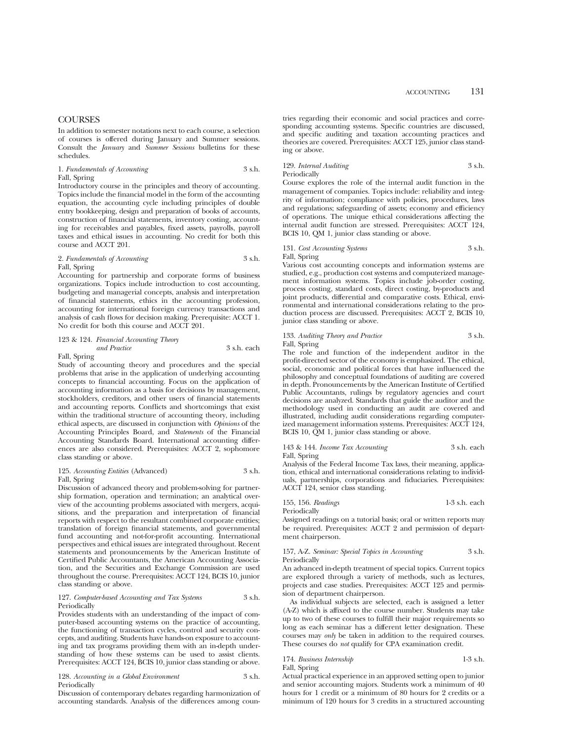## **COURSES**

In addition to semester notations next to each course, a selection of courses is offered during January and Summer sessions. Consult the *January* and *Summer Sessions* bulletins for these schedules.

## 1. *Fundamentals of Accounting* 3 s.h. Fall, Spring

Introductory course in the principles and theory of accounting. Topics include the financial model in the form of the accounting equation, the accounting cycle including principles of double entry bookkeeping, design and preparation of books of accounts, construction of financial statements, inventory costing, accounting for receivables and payables, fixed assets, payrolls, payroll taxes and ethical issues in accounting. No credit for both this course and ACCT 201.

## 2. *Fundamentals of Accounting* 3 s.h. Fall, Spring

Accounting for partnership and corporate forms of business organizations. Topics include introduction to cost accounting, budgeting and managerial concepts, analysis and interpretation of financial statements, ethics in the accounting profession, accounting for international foreign currency transactions and analysis of cash flows for decision making. Prerequisite: ACCT 1. No credit for both this course and ACCT 201.

## 123 & 124. *Financial Accounting Theory*

*and Practice* 3 s.h. each

## Fall, Spring

Study of accounting theory and procedures and the special problems that arise in the application of underlying accounting concepts to financial accounting. Focus on the application of accounting information as a basis for decisions by management, stockholders, creditors, and other users of financial statements and accounting reports. Conflicts and shortcomings that exist within the traditional structure of accounting theory, including ethical aspects, are discussed in conjunction with *Opinions* of the Accounting Principles Board, and *Statements* of the Financial Accounting Standards Board. International accounting differences are also considered. Prerequisites: ACCT 2, sophomore class standing or above.

## 125. *Accounting Entities* (Advanced) 3 s.h. Fall, Spring

Discussion of advanced theory and problem-solving for partnership formation, operation and termination; an analytical overview of the accounting problems associated with mergers, acquisitions, and the preparation and interpretation of financial reports with respect to the resultant combined corporate entities; translation of foreign financial statements, and governmental fund accounting and not-for-profit accounting. International perspectives and ethical issues are integrated throughout. Recent statements and pronouncements by the American Institute of Certified Public Accountants, the American Accounting Association, and the Securities and Exchange Commission are used throughout the course. Prerequisites: ACCT 124, BCIS 10, junior class standing or above.

### 127. *Computer-based Accounting and Tax Systems* 3 s.h. **Periodically**

Provides students with an understanding of the impact of computer-based accounting systems on the practice of accounting, the functioning of transaction cycles, control and security concepts, and auditing. Students have hands-on exposure to accounting and tax programs providing them with an in-depth understanding of how these systems can be used to assist clients. Prerequisites: ACCT 124, BCIS 10, junior class standing or above.

|              | 128. Accounting in a Global Environment | 3 s.h. |
|--------------|-----------------------------------------|--------|
| Periodically |                                         |        |

Discussion of contemporary debates regarding harmonization of accounting standards. Analysis of the differences among countries regarding their economic and social practices and corresponding accounting systems. Specific countries are discussed, and specific auditing and taxation accounting practices and theories are covered. Prerequisites: ACCT 125, junior class standing or above.

## 129. *Internal Auditing* 3 s.h. Periodically

Course explores the role of the internal audit function in the management of companies. Topics include: reliability and integrity of information; compliance with policies, procedures, laws and regulations; safeguarding of assets; economy and efficiency of operations. The unique ethical considerations affecting the internal audit function are stressed. Prerequisites: ACCT 124, BCIS 10, QM 1, junior class standing or above.

## 131. *Cost Accounting Systems* 3 s.h. Fall, Spring

Various cost accounting concepts and information systems are studied, e.g., production cost systems and computerized management information systems. Topics include job-order costing, process costing, standard costs, direct costing, by-products and joint products, differential and comparative costs. Ethical, environmental and international considerations relating to the production process are discussed. Prerequisites: ACCT 2, BCIS 10, junior class standing or above.

### 133. *Auditing Theory and Practice* 3 s.h. Fall, Spring

The role and function of the independent auditor in the profit-directed sector of the economy is emphasized. The ethical, social, economic and political forces that have influenced the philosophy and conceptual foundations of auditing are covered in depth. Pronouncements by the American Institute of Certified Public Accountants, rulings by regulatory agencies and court decisions are analyzed. Standards that guide the auditor and the methodology used in conducting an audit are covered and illustrated, including audit considerations regarding computerized management information systems. Prerequisites: ACCT 124, BCIS 10, QM 1, junior class standing or above.

## 143 & 144. *Income Tax Accounting* 3 s.h. each Fall, Spring

Analysis of the Federal Income Tax laws, their meaning, application, ethical and international considerations relating to individuals, partnerships, corporations and fiduciaries. Prerequisites: ACCT 124, senior class standing.

155, 156. *Readings* 1-3 s.h. each

Periodically

Assigned readings on a tutorial basis; oral or written reports may be required. Prerequisites: ACCT 2 and permission of department chairperson.

## 157, A-Z. *Seminar: Special Topics in Accounting* 3 s.h. Periodically

An advanced in-depth treatment of special topics. Current topics are explored through a variety of methods, such as lectures, projects and case studies. Prerequisites: ACCT 125 and permission of department chairperson.

As individual subjects are selected, each is assigned a letter (A-Z) which is affixed to the course number. Students may take up to two of these courses to fulfill their major requirements so long as each seminar has a different letter designation. These courses may *only* be taken in addition to the required courses. These courses do *not* qualify for CPA examination credit.

## 174. *Business Internship* 1-3 s.h. Fall, Spring

Actual practical experience in an approved setting open to junior and senior accounting majors. Students work a minimum of 40 hours for 1 credit or a minimum of 80 hours for 2 credits or a minimum of 120 hours for 3 credits in a structured accounting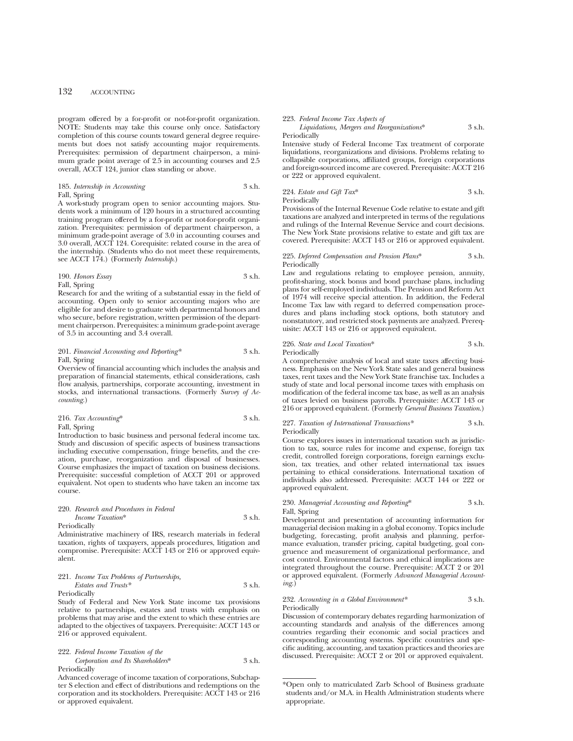program offered by a for-profit or not-for-profit organization. NOTE: Students may take this course only once. Satisfactory completion of this course counts toward general degree requirements but does not satisfy accounting major requirements. Prerequisites: permission of department chairperson, a minimum grade point average of 2.5 in accounting courses and 2.5 overall, ACCT 124, junior class standing or above.

## 185. *Internship in Accounting* 3 s.h. Fall, Spring

A work-study program open to senior accounting majors. Students work a minimum of 120 hours in a structured accounting training program offered by a for-profit or not-for-profit organization. Prerequisites: permission of department chairperson, a minimum grade-point average of 3.0 in accounting courses and 3.0 overall, ACCT 124. Corequisite: related course in the area of the internship. (Students who do not meet these requirements, see ACCT 174.) (Formerly *Internship*.)

## 190. *Honors Essay* 3 s.h. Fall, Spring

Research for and the writing of a substantial essay in the field of accounting. Open only to senior accounting majors who are eligible for and desire to graduate with departmental honors and who secure, before registration, written permission of the department chairperson. Prerequisites: a minimum grade-point average of 3.5 in accounting and 3.4 overall.

## 201. *Financial Accounting and Reporting\** 3 s.h. Fall, Spring

Overview of financial accounting which includes the analysis and preparation of financial statements, ethical considerations, cash flow analysis, partnerships, corporate accounting, investment in stocks, and international transactions. (Formerly *Survey of Accounting.*)

| 216. Tax Accounting* | 3 s.h. |
|----------------------|--------|
| Fall, Spring         |        |

Introduction to basic business and personal federal income tax. Study and discussion of specific aspects of business transactions including executive compensation, fringe benefits, and the creation, purchase, reorganization and disposal of businesses. Course emphasizes the impact of taxation on business decisions. Prerequisite: successful completion of ACCT 201 or approved equivalent. Not open to students who have taken an income tax course.

## 220. *Research and Procedures in Federal Income Taxation*\* 3 s.h.

Periodically

Administrative machinery of IRS, research materials in federal taxation, rights of taxpayers, appeals procedures, litigation and compromise. Prerequisite: ACCT 143 or 216 or approved equivalent.

221. *Income Tax Problems of Partnerships, Estates and Trusts\** 3 s.h. Periodically

Study of Federal and New York State income tax provisions relative to partnerships, estates and trusts with emphasis on problems that may arise and the extent to which these entries are adapted to the objectives of taxpayers. Prerequisite: ACCT 143 or 216 or approved equivalent.

#### 222. *Federal Income Taxation of the Corporation and Its Shareholders*\* 3 s.h. Periodically

Advanced coverage of income taxation of corporations, Subchapter S election and effect of distributions and redemptions on the corporation and its stockholders. Prerequisite: ACCT 143 or 216 or approved equivalent.

#### 223. *Federal Income Tax Aspects of*

*Liquidations, Mergers and Reorganizations*\* 3 s.h.

## Periodically

Intensive study of Federal Income Tax treatment of corporate liquidations, reorganizations and divisions. Problems relating to collapsible corporations, affiliated groups, foreign corporations and foreign-sourced income are covered. Prerequisite: ACCT 216 or 222 or approved equivalent.

## 224. *Estate and Gift Tax*\* 3 s.h. **Periodically**

Provisions of the Internal Revenue Code relative to estate and gift taxations are analyzed and interpreted in terms of the regulations and rulings of the Internal Revenue Service and court decisions. The New York State provisions relative to estate and gift tax are covered. Prerequisite: ACCT 143 or 216 or approved equivalent.

225. *Deferred Compensation and Pension Plans*\* 3 s.h. **Periodically** 

Law and regulations relating to employee pension, annuity, profit-sharing, stock bonus and bond purchase plans, including plans for self-employed individuals. The Pension and Reform Act of 1974 will receive special attention. In addition, the Federal Income Tax law with regard to deferred compensation procedures and plans including stock options, both statutory and nonstatutory, and restricted stock payments are analyzed. Prerequisite: ACCT 143 or 216 or approved equivalent.

## 226. *State and Local Taxation*\* 3 s.h.

Periodically

A comprehensive analysis of local and state taxes affecting business. Emphasis on the New York State sales and general business taxes, rent taxes and the New York State franchise tax. Includes a study of state and local personal income taxes with emphasis on modification of the federal income tax base, as well as an analysis of taxes levied on business payrolls. Prerequisite: ACCT 143 or 216 or approved equivalent. (Formerly *General Business Taxation*.)

#### 227. *Taxation of International Transactions\** 3 s.h. Periodically

Course explores issues in international taxation such as jurisdiction to tax, source rules for income and expense, foreign tax credit, controlled foreign corporations, foreign earnings exclusion, tax treaties, and other related international tax issues pertaining to ethical considerations. International taxation of individuals also addressed. Prerequisite: ACCT 144 or 222 or approved equivalent.

## 230. *Managerial Accounting and Reporting*\* 3 s.h. Fall, Spring

Development and presentation of accounting information for managerial decision making in a global economy. Topics include budgeting, forecasting, profit analysis and planning, performance evaluation, transfer pricing, capital budgeting, goal congruence and measurement of organizational performance, and cost control. Environmental factors and ethical implications are integrated throughout the course. Prerequisite: ACCT 2 or 201 or approved equivalent. (Formerly *Advanced Managerial Accounting.*)

#### 232. *Accounting in a Global Environment\** 3 s.h. Periodically

Discussion of contemporary debates regarding harmonization of accounting standards and analysis of the differences among countries regarding their economic and social practices and corresponding accounting systems. Specific countries and specific auditing, accounting, and taxation practices and theories are discussed. Prerequisite: ACCT 2 or 201 or approved equivalent.

<sup>\*</sup>Open only to matriculated Zarb School of Business graduate students and/or M.A. in Health Administration students where appropriate.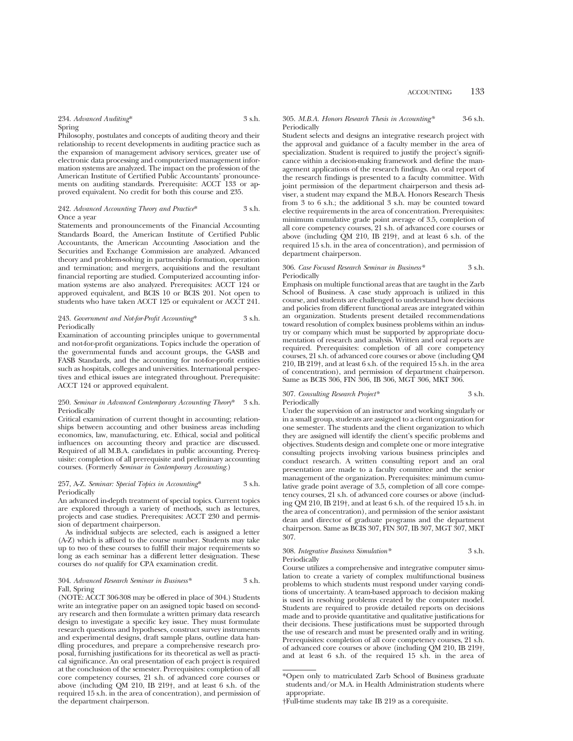234. *Advanced Auditing*\* 3 s.h. Spring

Philosophy, postulates and concepts of auditing theory and their relationship to recent developments in auditing practice such as the expansion of management advisory services, greater use of electronic data processing and computerized management information systems are analyzed. The impact on the profession of the American Institute of Certified Public Accountants' pronouncements on auditing standards. Prerequisite: ACCT 133 or approved equivalent. No credit for both this course and 235.

### 242. *Advanced Accounting Theory and Practice*\* 3 s.h. Once a year

Statements and pronouncements of the Financial Accounting Standards Board, the American Institute of Certified Public Accountants, the American Accounting Association and the Securities and Exchange Commission are analyzed. Advanced theory and problem-solving in partnership formation, operation and termination; and mergers, acquisitions and the resultant financial reporting are studied. Computerized accounting information systems are also analyzed. Prerequisites: ACCT 124 or approved equivalent, and BCIS 10 or BCIS 201. Not open to students who have taken ACCT 125 or equivalent or ACCT 241.

#### 243. *Government and Not-for-Profit Accounting*\* 3 s.h. Periodically

Examination of accounting principles unique to governmental and not-for-profit organizations. Topics include the operation of the governmental funds and account groups, the GASB and FASB Standards, and the accounting for not-for-profit entities such as hospitals, colleges and universities. International perspectives and ethical issues are integrated throughout. Prerequisite: ACCT 124 or approved equivalent.

### 250. *Seminar in Advanced Contemporary Accounting Theory*\* 3 s.h. Periodically

Critical examination of current thought in accounting; relationships between accounting and other business areas including economics, law, manufacturing, etc. Ethical, social and political influences on accounting theory and practice are discussed. Required of all M.B.A. candidates in public accounting. Prerequisite: completion of all prerequisite and preliminary accounting courses. (Formerly *Seminar in Contemporary Accounting*.)

### 257, A-Z. *Seminar: Special Topics in Accounting*\* 3 s.h. Periodically

An advanced in-depth treatment of special topics. Current topics are explored through a variety of methods, such as lectures, projects and case studies. Prerequisites: ACCT 230 and permission of department chairperson.

As individual subjects are selected, each is assigned a letter (A-Z) which is affixed to the course number. Students may take up to two of these courses to fulfill their major requirements so long as each seminar has a different letter designation. These courses do *not* qualify for CPA examination credit.

## 304. *Advanced Research Seminar in Business\** 3 s.h. Fall, Spring

(NOTE: ACCT 306-308 may be offered in place of 304.) Students write an integrative paper on an assigned topic based on secondary research and then formulate a written primary data research design to investigate a specific key issue. They must formulate research questions and hypotheses, construct survey instruments and experimental designs, draft sample plans, outline data handling procedures, and prepare a comprehensive research proposal, furnishing justifications for its theoretical as well as practical significance. An oral presentation of each project is required at the conclusion of the semester. Prerequisites: completion of all core competency courses, 21 s.h. of advanced core courses or above (including QM 210, IB 219†, and at least 6 s.h. of the required 15 s.h. in the area of concentration), and permission of the department chairperson.

## 305. *M.B.A. Honors Research Thesis in Accounting\** 3-6 s.h. Periodically

Student selects and designs an integrative research project with the approval and guidance of a faculty member in the area of specialization. Student is required to justify the project's significance within a decision-making framework and define the management applications of the research findings. An oral report of the research findings is presented to a faculty committee. With joint permission of the department chairperson and thesis adviser, a student may expand the M.B.A. Honors Research Thesis from 3 to 6 s.h.; the additional 3 s.h. may be counted toward elective requirements in the area of concentration. Prerequisites: minimum cumulative grade point average of 3.5, completion of all core competency courses, 21 s.h. of advanced core courses or above (including QM 210, IB 219†, and at least 6 s.h. of the required 15 s.h. in the area of concentration), and permission of department chairperson.

#### 306. *Case Focused Research Seminar in Business\** 3 s.h. Periodically

Emphasis on multiple functional areas that are taught in the Zarb School of Business. A case study approach is utilized in this course, and students are challenged to understand how decisions and policies from different functional areas are integrated within an organization. Students present detailed recommendations toward resolution of complex business problems within an industry or company which must be supported by appropriate documentation of research and analysis. Written and oral reports are required. Prerequisites: completion of all core competency courses, 21 s.h. of advanced core courses or above (including QM 210, IB 219†, and at least 6 s.h. of the required 15 s.h. in the area of concentration), and permission of department chairperson. Same as BCIS 306, FIN 306, IB 306, MGT 306, MKT 306.

## 307. *Consulting Research Project\** 3 s.h. Periodically

Under the supervision of an instructor and working singularly or in a small group, students are assigned to a client organization for one semester. The students and the client organization to which they are assigned will identify the client's specific problems and objectives. Students design and complete one or more integrative consulting projects involving various business principles and conduct research. A written consulting report and an oral presentation are made to a faculty committee and the senior management of the organization. Prerequisites: minimum cumulative grade point average of 3.5, completion of all core competency courses, 21 s.h. of advanced core courses or above (including QM 210, IB 219†, and at least 6 s.h. of the required 15 s.h. in the area of concentration), and permission of the senior assistant dean and director of graduate programs and the department chairperson. Same as BCIS 307, FIN 307, IB 307, MGT 307, MKT 307.

#### 308. *Integrative Business Simulation\** 3 s.h. Periodically

Course utilizes a comprehensive and integrative computer simulation to create a variety of complex multifunctional business problems to which students must respond under varying conditions of uncertainty. A team-based approach to decision making is used in resolving problems created by the computer model. Students are required to provide detailed reports on decisions made and to provide quantitative and qualitative justifications for their decisions. These justifications must be supported through the use of research and must be presented orally and in writing. Prerequisites: completion of all core competency courses, 21 s.h. of advanced core courses or above (including QM 210, IB 219†, and at least 6 s.h. of the required 15 s.h. in the area of

<sup>\*</sup>Open only to matriculated Zarb School of Business graduate students and/or M.A. in Health Administration students where appropriate.

<sup>†</sup>Full-time students may take IB 219 as a corequisite.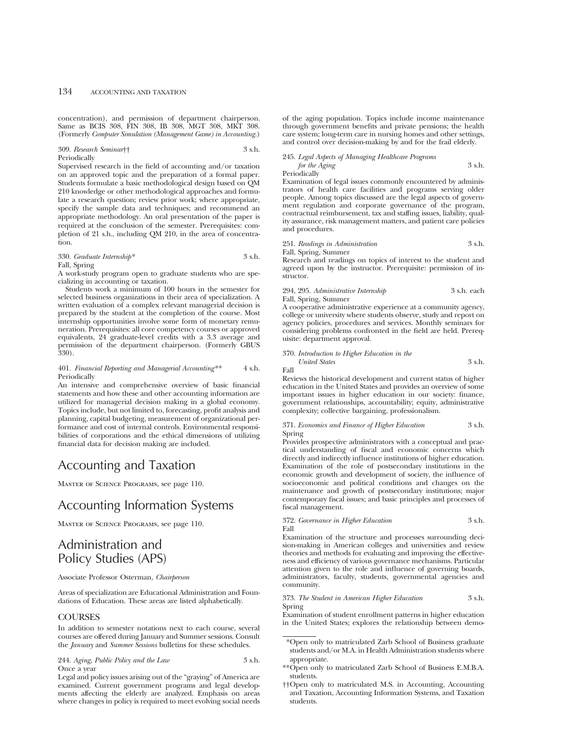concentration), and permission of department chairperson. Same as BCIS 308, FIN 308, IB 308, MGT 308, MKT 308. (Formerly *Computer Simulation (Management Game) in Accounting*.)

#### 309. *Research Seminar*†† 3 s.h. Periodically

Supervised research in the field of accounting and/or taxation on an approved topic and the preparation of a formal paper. Students formulate a basic methodological design based on QM 210 knowledge or other methodological approaches and formulate a research question; review prior work; where appropriate, specify the sample data and techniques; and recommend an appropriate methodology. An oral presentation of the paper is required at the conclusion of the semester. Prerequisites: completion of 21 s.h., including QM 210, in the area of concentration.

## 330. *Graduate Internship\** 3 s.h. Fall, Spring

A work-study program open to graduate students who are specializing in accounting or taxation.

Students work a minimum of 100 hours in the semester for selected business organizations in their area of specialization. A written evaluation of a complex relevant managerial decision is prepared by the student at the completion of the course. Most internship opportunities involve some form of monetary remuneration. Prerequisites: all core competency courses or approved equivalents, 24 graduate-level credits with a 3.3 average and permission of the department chairperson. (Formerly GBUS 330).

## 401. *Financial Reporting and Managerial Accounting\*\** 4 s.h. Periodically

An intensive and comprehensive overview of basic financial statements and how these and other accounting information are utilized for managerial decision making in a global economy. Topics include, but not limited to, forecasting, profit analysis and planning, capital budgeting, measurement of organizational performance and cost of internal controls. Environmental responsibilities of corporations and the ethical dimensions of utilizing financial data for decision making are included.

# Accounting and Taxation

Master of Science Programs, see page 110.

# Accounting Information Systems

Master of Science Programs, see page 110.

## Administration and Policy Studies (APS)

Associate Professor Osterman, *Chairperson*

Areas of specialization are Educational Administration and Foundations of Education. These areas are listed alphabetically.

## COURSES

In addition to semester notations next to each course, several courses are offered during January and Summer sessions. Consult the *January* and *Summer Sessions* bulletins for these schedules.

244. *Aging, Public Policy and the Law* 3 s.h. Once a year

Legal and policy issues arising out of the "graying" of America are examined. Current government programs and legal developments affecting the elderly are analyzed. Emphasis on areas where changes in policy is required to meet evolving social needs of the aging population. Topics include income maintenance through government benefits and private pensions; the health care system; long-term care in nursing homes and other settings, and control over decision-making by and for the frail elderly.

## 245. *Legal Aspects of Managing Healthcare Programs*

*for the Aging* 3 s.h. Periodically

Examination of legal issues commonly encountered by administrators of health care facilities and programs serving older people. Among topics discussed are the legal aspects of government regulation and corporate governance of the program, contractual reimbursement, tax and staffing issues, liability, quality assurance, risk management matters, and patient care policies and procedures.

|  |  | 251. Readings in Administration | 3 s.h. |  |
|--|--|---------------------------------|--------|--|
|--|--|---------------------------------|--------|--|

Fall, Spring, Summer

Research and readings on topics of interest to the student and agreed upon by the instructor. Prerequisite: permission of instructor.

294, 295. *Administrative Internship* 3 s.h. each Fall, Spring, Summer

A cooperative administrative experience at a community agency, college or university where students observe, study and report on agency policies, procedures and services. Monthly seminars for considering problems confronted in the field are held. Prerequisite: department approval.

370. *Introduction to Higher Education in the United States* 3 s.h.

Fall

Reviews the historical development and current status of higher education in the United States and provides an overview of some important issues in higher education in our society: finance, government relationships, accountability; equity, administrative complexity; collective bargaining, professionalism.

371. *Economics and Finance of Higher Education* 3 s.h. Spring

Provides prospective administrators with a conceptual and practical understanding of fiscal and economic concerns which directly and indirectly influence institutions of higher education. Examination of the role of postsecondary institutions in the economic growth and development of society, the influence of socioeconomic and political conditions and changes on the maintenance and growth of postsecondary institutions; major contemporary fiscal issues; and basic principles and processes of fiscal management.

372. *Governance in Higher Education* 3 s.h. Fall

Examination of the structure and processes surrounding decision-making in American colleges and universities and review theories and methods for evaluating and improving the effectiveness and efficiency of various governance mechanisms. Particular attention given to the role and influence of governing boards, administrators, faculty, students, governmental agencies and community.

373. *The Student in American Higher Education* 3 s.h. Spring

Examination of student enrollment patterns in higher education in the United States; explores the relationship between demo-

- \*Open only to matriculated Zarb School of Business graduate students and/or M.A. in Health Administration students where appropriate.
- \*\*Open only to matriculated Zarb School of Business E.M.B.A. students.
- ††Open only to matriculated M.S. in Accounting, Accounting and Taxation, Accounting Information Systems, and Taxation students.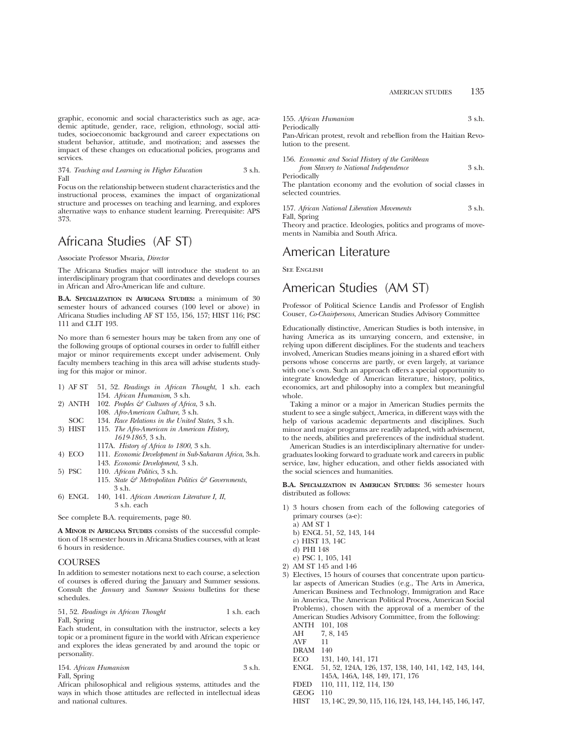graphic, economic and social characteristics such as age, academic aptitude, gender, race, religion, ethnology, social attitudes, socioeconomic background and career expectations on student behavior, attitude, and motivation; and assesses the impact of these changes on educational policies, programs and services.

374. *Teaching and Learning in Higher Education* 3 s.h. Fall

Focus on the relationship between student characteristics and the instructional process, examines the impact of organizational structure and processes on teaching and learning, and explores alternative ways to enhance student learning. Prerequisite: APS 373.

# Africana Studies (AF ST)

Associate Professor Mwaria, *Director*

The Africana Studies major will introduce the student to an interdisciplinary program that coordinates and develops courses in African and Afro-American life and culture.

**B.A. SPECIALIZATION IN AFRICANA STUDIES:** a minimum of 30 semester hours of advanced courses (100 level or above) in Africana Studies including AF ST 155, 156, 157; HIST 116; PSC 111 and CLIT 193.

No more than 6 semester hours may be taken from any one of the following groups of optional courses in order to fulfill either major or minor requirements except under advisement. Only faculty members teaching in this area will advise students studying for this major or minor.

| 154. African Humanism, 3 s.h. |                                                                                                                            |
|-------------------------------|----------------------------------------------------------------------------------------------------------------------------|
| 100 <i>ICI</i> - 01.01        |                                                                                                                            |
|                               | 1) AF ST 51, 52. Readings in African Thought, 1 s.h. each<br>2) ANTH 102. Peoples $\mathcal{C}$ Cultures of Africa, 3 s.h. |

- 108. *Afro-American Culture*, 3 s.h.
- SOC 134. *Race Relations in the United States*, 3 s.h.<br>3) HIST 115. *The Afro-American in American History*, 115. *The Afro-American in American History*, *1619-1865*, 3 s.h.
	- 117A. *History of Africa to 1800*, 3 s.h.
- 4) ECO 111. *Economic Development in Sub-Saharan Africa*, 3s.h. 143. *Economic Development*, 3 s.h.
- 5) PSC 110. *African Politics*, 3 s.h.
	- 115. *State & Metropolitan Politics & Governments*, 3 s.h.
- 6) ENGL 140, 141. *African American Literature I, II*, 3 s.h. each

See complete B.A. requirements, page 80.

**A MINOR IN AFRICANA STUDIES** consists of the successful completion of 18 semester hours in Africana Studies courses, with at least 6 hours in residence.

## **COURSES**

In addition to semester notations next to each course, a selection of courses is offered during the January and Summer sessions. Consult the *January* and *Summer Sessions* bulletins for these schedules.

51, 52. *Readings in African Thought* 1 s.h. each Fall, Spring

Each student, in consultation with the instructor, selects a key topic or a prominent figure in the world with African experience and explores the ideas generated by and around the topic or personality.

|              | 154. African Humanism | 3 s.h. |
|--------------|-----------------------|--------|
| Fall, Spring |                       |        |

African philosophical and religious systems, attitudes and the ways in which those attitudes are reflected in intellectual ideas and national cultures.

| 155. African Humanism | 3 s.h. |
|-----------------------|--------|
| Periodically          |        |

Pan-African protest, revolt and rebellion from the Haitian Revolution to the present.

| 156. Economic and Social History of the Caribbean |        |
|---------------------------------------------------|--------|
| from Slavery to National Independence             | 3 s.h. |
| Periodically                                      |        |

The plantation economy and the evolution of social classes in selected countries.

```
157. African National Liberation Movements 3 s.h.
Fall, Spring
```
Theory and practice. Ideologies, politics and programs of movements in Namibia and South Africa.

## American Literature

**SEE ENGLISH** 

## American Studies (AM ST)

Professor of Political Science Landis and Professor of English Couser, *Co-Chairpersons*, American Studies Advisory Committee

Educationally distinctive, American Studies is both intensive, in having America as its unvarying concern, and extensive, in relying upon different disciplines. For the students and teachers involved, American Studies means joining in a shared effort with persons whose concerns are partly, or even largely, at variance with one's own. Such an approach offers a special opportunity to integrate knowledge of American literature, history, politics, economics, art and philosophy into a complex but meaningful whole.

Taking a minor or a major in American Studies permits the student to see a single subject, America, in different ways with the help of various academic departments and disciplines. Such minor and major programs are readily adapted, with advisement, to the needs, abilities and preferences of the individual student.

American Studies is an interdisciplinary alternative for undergraduates looking forward to graduate work and careers in public service, law, higher education, and other fields associated with the social sciences and humanities.

**B.A. SPECIALIZATION IN AMERICAN STUDIES:** 36 semester hours distributed as follows:

- 1) 3 hours chosen from each of the following categories of primary courses (a-e):
	- a) AM ST 1
	- b) ENGL 51, 52, 143, 144
	- c) HIST 13, 14C
	- d) PHI 148
	- e) PSC 1, 105, 141
- 2) AM ST 145 and 146
- 3) Electives, 15 hours of courses that concentrate upon particular aspects of American Studies (e.g., The Arts in America, American Business and Technology, Immigration and Race in America, The American Political Process, American Social Problems), chosen with the approval of a member of the American Studies Advisory Committee, from the following:
	- ANTH 101, 108
	- AH 7, 8, 145 AVF 11
	- DRAM 140
	- ECO 131, 140, 141, 171
	-
	- ENGL 51, 52, 124A, 126, 137, 138, 140, 141, 142, 143, 144, 145A, 146A, 148, 149, 171, 176
	- FDED 110, 111, 112, 114, 130
	- GEOG 110
	- HIST 13, 14C, 29, 30, 115, 116, 124, 143, 144, 145, 146, 147,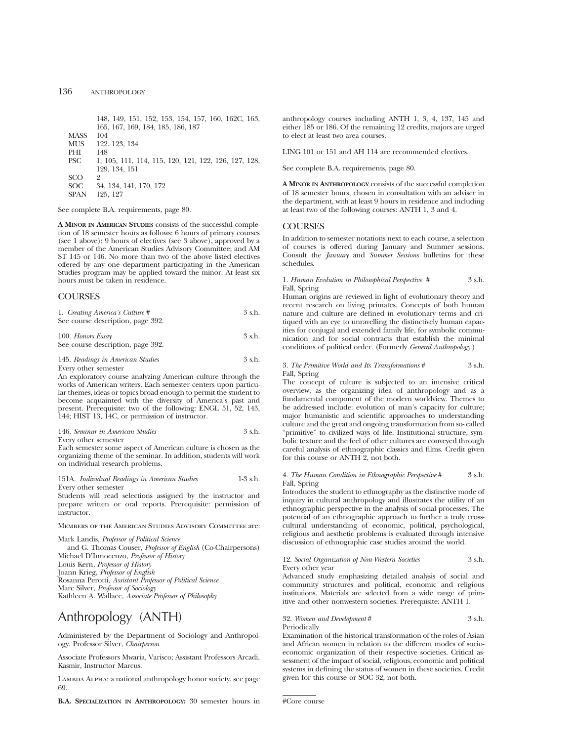148, 149, 151, 152, 153, 154, 157, 160, 162C, 163, 165, 167, 169, 184, 185, 186, 187 MASS 104<br>MUS 122 122, 123, 134<br>148 PHI<br>PSC PSC 1, 105, 111, 114, 115, 120, 121, 122, 126, 127, 128, 129, 134, 151 SCO<br>200 SOC 34, 134, 141, 170, 172<br>SPAN 125, 127 125, 127

See complete B.A. requirements, page 80.

**A MINOR IN AMERICAN STUDIES** consists of the successful completion of 18 semester hours as follows: 6 hours of primary courses (see 1 above); 9 hours of electives (see 3 above), approved by a member of the American Studies Advisory Committee; and AM ST 145 or 146. No more than two of the above listed electives offered by any one department participating in the American Studies program may be applied toward the minor. At least six hours must be taken in residence.

## **COURSES**

| 1. Creating America's Culture #   | 3 s.h. |
|-----------------------------------|--------|
| See course description, page 392. |        |
| 100. Honors Essay                 | 3 s.h. |

See course description, page 392. 145. *Readings in American Studies* 3 s.h.

Every other semester

An exploratory course analyzing American culture through the works of American writers. Each semester centers upon particular themes, ideas or topics broad enough to permit the student to become acquainted with the diversity of America's past and present. Prerequisite: two of the following: ENGL 51, 52, 143, 144; HIST 13, 14C, or permission of instructor.

146. *Seminar in American Studies* 3 s.h. Every other semester

Each semester some aspect of American culture is chosen as the organizing theme of the seminar. In addition, students will work on individual research problems.

151A. *Individual Readings in American Studies* 1-3 s.h. Every other semester

Students will read selections assigned by the instructor and prepare written or oral reports. Prerequisite: permission of instructor.

Members of the American Studies Advisory Committee are:

Mark Landis, *Professor of Political Science* and G. Thomas Couser, *Professor of English* (Co-Chairpersons) Michael D'Innocenzo, *Professor of History* Louis Kern, *Professor of History* Joann Krieg, *Professor of English* Rosanna Perotti, *Assistant Professor of Political Science* Marc Silver, *Professor of Sociology* Kathleen A. Wallace, *Associate Professor of Philosophy*

# Anthropology (ANTH)

Administered by the Department of Sociology and Anthropology. Professor Silver, *Chairperson*

Associate Professors Mwaria, Varisco; Assistant Professors Arcadi, Kasmir, Instructor Marcus.

Lambda Alpha: a national anthropology honor society, see page 69.

**B.A. SPECIALIZATION IN ANTHROPOLOGY:** 30 semester hours in

anthropology courses including ANTH 1, 3, 4, 137, 145 and either 185 or 186. Of the remaining 12 credits, majors are urged to elect at least two area courses.

LING 101 or 151 and AH 114 are recommended electives.

See complete B.A. requirements, page 80.

**A MINOR IN ANTHROPOLOGY** consists of the successful completion of 18 semester hours, chosen in consultation with an adviser in the department, with at least 9 hours in residence and including at least two of the following courses: ANTH 1, 3 and 4.

## **COURSES**

In addition to semester notations next to each course, a selection of courses is offered during January and Summer sessions. Consult the *January* and *Summer Sessions* bulletins for these schedules.

## 1. *Human Evolution in Philosophical Perspective #* 3 s.h. Fall, Spring

Human origins are reviewed in light of evolutionary theory and recent research on living primates. Concepts of both human nature and culture are defined in evolutionary terms and critiqued with an eye to unravelling the distinctively human capacities for conjugal and extended family life, for symbolic communication and for social contracts that establish the minimal conditions of political order. (Formerly *General Anthropology*.)

## 3. *The Primitive World and Its Transformations* # 3 s.h. Fall, Spring

The concept of culture is subjected to an intensive critical overview, as the organizing idea of anthropology and as a fundamental component of the modern worldview. Themes to be addressed include: evolution of man's capacity for culture; major humanistic and scientific approaches to understanding culture and the great and ongoing transformation from so- called "primitive" to civilized ways of life. Institutional structure, symbolic texture and the feel of other cultures are conveyed through careful analysis of ethnographic classics and films. Credit given for this course or ANTH 2, not both.

## 4. *The Human Condition in Ethnographic Perspective* # 3 s.h. Fall, Spring

Introduces the student to ethnography as the distinctive mode of inquiry in cultural anthropology and illustrates the utility of an ethnographic perspective in the analysis of social processes. The potential of an ethnographic approach to further a truly crosscultural understanding of economic, political, psychological, religious and aesthetic problems is evaluated through intensive discussion of ethnographic case studies around the world.

#### 12. *Social Organization of Non-Western Societies* 3 s.h. Every other year

Advanced study emphasizing detailed analysis of social and community structures and political, economic and religious institutions. Materials are selected from a wide range of primitive and other nonwestern societies. Prerequisite: ANTH 1.

## 32. *Women and Development* # 3 s.h. Periodically

Examination of the historical transformation of the roles of Asian and African women in relation to the different modes of socioeconomic organization of their respective societies. Critical assessment of the impact of social, religious, economic and political systems in defining the status of women in these societies. Credit given for this course or SOC 32, not both.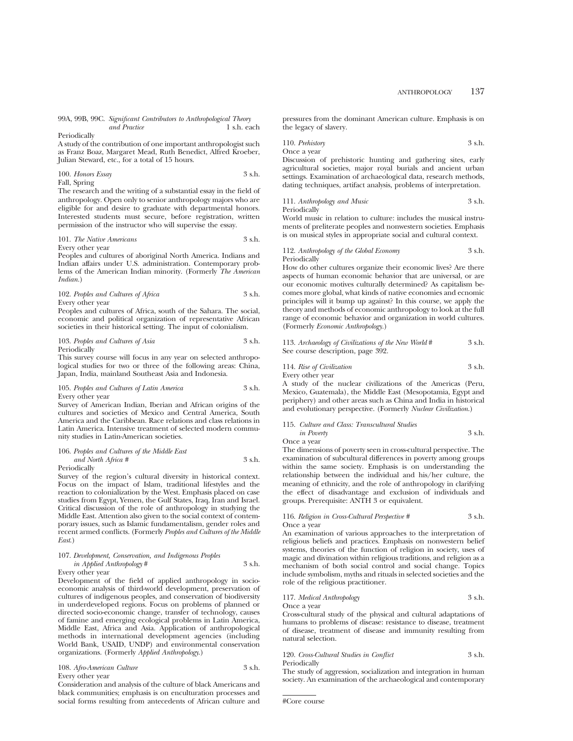99A, 99B, 99C. *Significant Contributors to Anthropological Theory and Practice* 

#### Periodically

A study of the contribution of one important anthropologist such as Franz Boaz, Margaret Mead, Ruth Benedict, Alfred Kroeber, Julian Steward, etc., for a total of 15 hours.

100. *Honors Essay* 3 s.h. Fall, Spring

The research and the writing of a substantial essay in the field of anthropology. Open only to senior anthropology majors who are eligible for and desire to graduate with departmental honors. Interested students must secure, before registration, written permission of the instructor who will supervise the essay.

## 101. *The Native Americans* 3 s.h.

Every other year

Peoples and cultures of aboriginal North America. Indians and Indian affairs under U.S. administration. Contemporary problems of the American Indian minority. (Formerly *The American Indian.*)

102. *Peoples and Cultures of Africa* 3 s.h. Every other year

Peoples and cultures of Africa, south of the Sahara. The social, economic and political organization of representative African societies in their historical setting. The input of colonialism.

## 103. Peoples and Cultures of Asia 3 s.h. Periodically

This survey course will focus in any year on selected anthropological studies for two or three of the following areas: China, Japan, India, mainland Southeast Asia and Indonesia.

### 105. *Peoples and Cultures of Latin America* 3 s.h. Every other year

Survey of American Indian, Iberian and African origins of the cultures and societies of Mexico and Central America, South America and the Caribbean. Race relations and class relations in Latin America. Intensive treatment of selected modern community studies in Latin-American societies.

## 106. *Peoples and Cultures of the Middle East and North Africa #* 3 s.h.

Periodically

Survey of the region's cultural diversity in historical context. Focus on the impact of Islam, traditional lifestyles and the reaction to colonialization by the West. Emphasis placed on case studies from Egypt, Yemen, the Gulf States, Iraq, Iran and Israel. Critical discussion of the role of anthropology in studying the Middle East. Attention also given to the social context of contemporary issues, such as Islamic fundamentalism, gender roles and recent armed conflicts. (Formerly *Peoples and Cultures of the Middle East*.)

## 107. *Development, Conservation, and Indigenous Peoples in Applied Anthropology* # 3 s.h.

Every other year

Development of the field of applied anthropology in socioeconomic analysis of third-world development, preservation of cultures of indigenous peoples, and conservation of biodiversity in underdeveloped regions. Focus on problems of planned or directed socio-economic change, transfer of technology, causes of famine and emerging ecological problems in Latin America, Middle East, Africa and Asia. Application of anthropological methods in international development agencies (including World Bank, USAID, UNDP) and environmental conservation organizations. (Formerly *Applied Anthropology*.)

## 108. *Afro-American Culture* 3 s.h. Every other year

Consideration and analysis of the culture of black Americans and black communities; emphasis is on enculturation processes and social forms resulting from antecedents of African culture and pressures from the dominant American culture. Emphasis is on the legacy of slavery.

110. *Prehistory* 3 s.h. Once a year

Discussion of prehistoric hunting and gathering sites, early agricultural societies, major royal burials and ancient urban settings. Examination of archaeological data, research methods, dating techniques, artifact analysis, problems of interpretation.

## 111. *Anthropology and Music* 3 s.h. Periodically

World music in relation to culture: includes the musical instruments of preliterate peoples and nonwestern societies. Emphasis is on musical styles in appropriate social and cultural context.

### 112. *Anthropology of the Global Economy* 3 s.h. Periodically

How do other cultures organize their economic lives? Are there aspects of human economic behavior that are universal, or are our economic motives culturally determined? As capitalism becomes more global, what kinds of native economies and ecnomic principles will it bump up against? In this course, we apply the theory and methods of economic anthropology to look at the full range of economic behavior and organization in world cultures. (Formerly *Economic Anthropology.*)

113. *Archaeology of Civilizations of the New World* # 3 s.h. See course description, page 392.

114. *Rise of Civilization* 3 s.h. Every other year

A study of the nuclear civilizations of the Americas (Peru, Mexico, Guatemala), the Middle East (Mesopotamia, Egypt and periphery) and other areas such as China and India in historical and evolutionary perspective. (Formerly *Nuclear Civilization*.)

|                   | 115. Culture and Class: Transcultural Studies |        |
|-------------------|-----------------------------------------------|--------|
| <i>in Poverty</i> |                                               | 3 s.h. |

Once a year

The dimensions of poverty seen in cross-cultural perspective. The examination of subcultural differences in poverty among groups within the same society. Emphasis is on understanding the relationship between the individual and his/her culture, the meaning of ethnicity, and the role of anthropology in clarifying the effect of disadvantage and exclusion of individuals and groups. Prerequisite: ANTH 3 or equivalent.

## 116. *Religion in Cross-Cultural Perspective #* 3 s.h.

Once a year

An examination of various approaches to the interpretation of religious beliefs and practices. Emphasis on nonwestern belief systems, theories of the function of religion in society, uses of magic and divination within religious traditions, and religion as a mechanism of both social control and social change. Topics include symbolism, myths and rituals in selected societies and the role of the religious practitioner.

117. *Medical Anthropology* 3 s.h.

Once a year Cross-cultural study of the physical and cultural adaptations of humans to problems of disease: resistance to disease, treatment of disease, treatment of disease and immunity resulting from natural selection.

120. *Cross-Cultural Studies in Conflict* 3 s.h. Periodically

The study of aggression, socialization and integration in human society. An examination of the archaeological and contemporary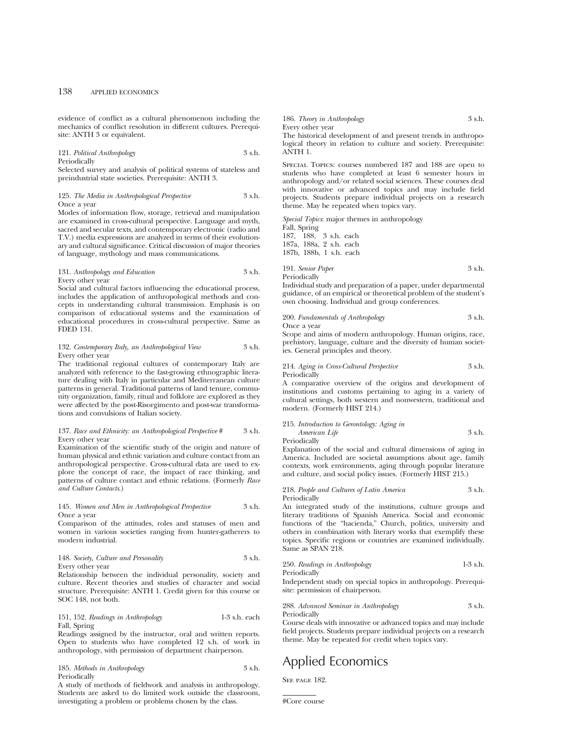evidence of conflict as a cultural phenomenon including the mechanics of conflict resolution in different cultures. Prerequisite: ANTH 3 or equivalent.

## 121. *Political Anthropology* 3 s.h. Periodically

Selected survey and analysis of political systems of stateless and preindustrial state societies. Prerequisite: ANTH 3.

## 125. *The Media in Anthropological Perspective* 3 s.h. Once a year

Modes of information flow, storage, retrieval and manipulation are examined in cross-cultural perspective. Language and myth, sacred and secular texts, and contemporary electronic (radio and T.V.) media expressions are analyzed in terms of their evolutionary and cultural significance. Critical discussion of major theories of language, mythology and mass communications.

## 131. *Anthropology and Education* 3 s.h. Every other year

Social and cultural factors influencing the educational process, includes the application of anthropological methods and concepts in understanding cultural transmission. Emphasis is on comparison of educational systems and the examination of educational procedures in cross-cultural perspective. Same as FDED 131.

### 132. *Contemporary Italy, an Anthropological View* 3 s.h. Every other year

The traditional regional cultures of contemporary Italy are analyzed with reference to the fast-growing ethnographic literature dealing with Italy in particular and Mediterranean culture patterns in general. Traditional patterns of land tenure, community organization, family, ritual and folklore are explored as they were affected by the post-Risorgimento and post-war transformations and convulsions of Italian society.

### 137. *Race and Ethnicity: an Anthropological Perspective* # 3 s.h. Every other year

Examination of the scientific study of the origin and nature of human physical and ethnic variation and culture contact from an anthropological perspective. Cross-cultural data are used to explore the concept of race, the impact of race thinking, and patterns of culture contact and ethnic relations. (Formerly *Race and Culture Contacts*.)

## 145. *Women and Men in Anthropological Perspective* 3 s.h. Once a year

Comparison of the attitudes, roles and statuses of men and women in various societies ranging from hunter-gatherers to modern industrial.

## 148. *Society, Culture and Personality* 3 s.h. Every other year

Relationship between the individual personality, society and culture. Recent theories and studies of character and social structure. Prerequisite: ANTH 1. Credit given for this course or SOC 148, not both.

## 151, 152. *Readings in Anthropology* 1-3 s.h. each Fall, Spring

Readings assigned by the instructor, oral and written reports. Open to students who have completed 12 s.h. of work in anthropology, with permission of department chairperson.

## 185. *Methods in Anthropology* 3 s.h. Periodically

A study of methods of fieldwork and analysis in anthropology. Students are asked to do limited work outside the classroom, investigating a problem or problems chosen by the class.

186. *Theory in Anthropology* 3 s.h. Every other year The historical development of and present trends in anthropo-

logical theory in relation to culture and society. Prerequisite: ANTH 1.

Special Topics: courses numbered 187 and 188 are open to students who have completed at least 6 semester hours in anthropology and/or related social sciences. These courses deal with innovative or advanced topics and may include field projects. Students prepare individual projects on a research theme. May be repeated when topics vary.

*Special Topics*: major themes in anthropology Fall, Spring 187, 188, 3 s.h. each 187a, 188a, 2 s.h. each 187b, 188b, 1 s.h. each

## 191. *Senior Paper* 3 s.h. Periodically

Individual study and preparation of a paper, under departmental guidance, of an empirical or theoretical problem of the student's own choosing. Individual and group conferences.

#### 200. *Fundamentals of Anthropology* 3 s.h. Once a year

Scope and aims of modern anthropology. Human origins, race, prehistory, language, culture and the diversity of human societies. General principles and theory.

214. *Aging in Cross-Cultural Perspective* 3 s.h. Periodically

A comparative overview of the origins and development of institutions and customs pertaining to aging in a variety of cultural settings, both western and nonwestern, traditional and modern. (Formerly HIST 214.)

## 215. *Introduction to Gerontology: Aging in American Life* 3 s.h.

Periodically

Explanation of the social and cultural dimensions of aging in America. Included are societal assumptions about age, family contexts, work environments, aging through popular literature and culture, and social policy issues. (Formerly HIST 215.)

218. *People and Cultures of Latin America* 3 s.h. Periodically

An integrated study of the institutions, culture groups and literary traditions of Spanish America. Social and economic functions of the "hacienda," Church, politics, university and others in combination with literary works that exemplify these topics. Specific regions or countries are examined individually. Same as SPAN 218.

| 250. Readings in Anthropology | $1-3$ s.h. |
|-------------------------------|------------|
| Periodically                  |            |

Independent study on special topics in anthropology. Prerequisite: permission of chairperson.

### 288. *Advanced Seminar in Anthropology* 3 s.h. Periodically

Course deals with innovative or advanced topics and may include field projects. Students prepare individual projects on a research theme. May be repeated for credit when topics vary.

# Applied Economics

SEE PAGE 182.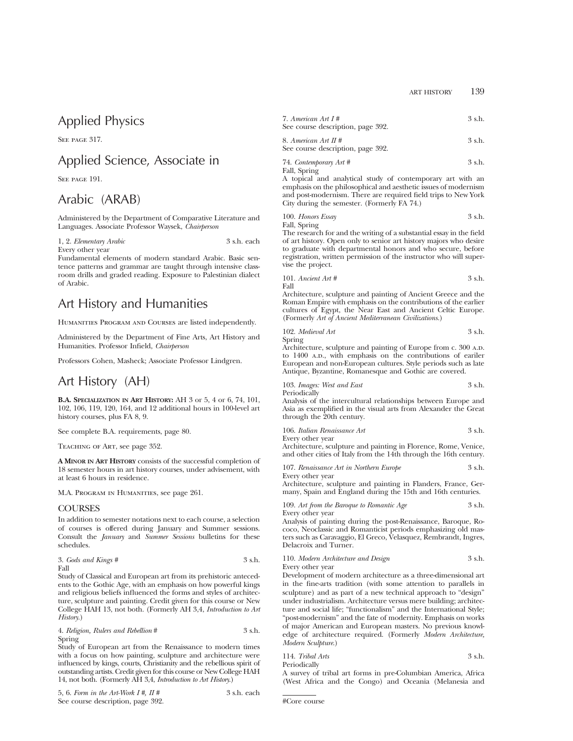# Applied Physics

SEE PAGE 317.

## Applied Science, Associate in

SEE PAGE 191.

# Arabic (ARAB)

Administered by the Department of Comparative Literature and Languages. Associate Professor Waysek, *Chairperson*

1, 2. *Elementary Arabic* 3 s.h. each Every other year

Fundamental elements of modern standard Arabic. Basic sentence patterns and grammar are taught through intensive classroom drills and graded reading. Exposure to Palestinian dialect of Arabic.

# Art History and Humanities

HUMANITIES PROGRAM AND COURSES are listed independently.

Administered by the Department of Fine Arts, Art History and Humanities. Professor Infield, *Chairperson*

Professors Cohen, Masheck; Associate Professor Lindgren.

## Art History (AH)

**B.A. SPECIALIZATION IN ART HISTORY:** AH 3 or 5, 4 or 6, 74, 101, 102, 106, 119, 120, 164, and 12 additional hours in 100-level art history courses, plus FA 8, 9.

See complete B.A. requirements, page 80.

Teaching of Art, see page 352.

**A MINOR IN ART HISTORY** consists of the successful completion of 18 semester hours in art history courses, under advisement, with at least 6 hours in residence.

M.A. Program in Humanities, see page 261.

## **COURSES**

In addition to semester notations next to each course, a selection of courses is offered during January and Summer sessions. Consult the *January* and *Summer Sessions* bulletins for these schedules.

| 3. Gods and Kings # | 3 s.h. |
|---------------------|--------|
| Fall                |        |

Study of Classical and European art from its prehistoric antecedents to the Gothic Age, with an emphasis on how powerful kings and religious beliefs influenced the forms and styles of architecture, sculpture and painting. Credit given for this course or New College HAH 13, not both. (Formerly AH 3,4, *Introduction to Art History*.)

4. *Religion, Rulers and Rebellion* # 3 s.h. Spring

Study of European art from the Renaissance to modern times with a focus on how painting, sculpture and architecture were influenced by kings, courts, Christianity and the rebellious spirit of outstanding artists. Credit given for this course or New College HAH 14, not both. (Formerly AH 3,4, *Introduction to Art History*.)

| 5, 6. Form in the Art-Work $I#$ , $II#$ | 3 s.h. each |  |
|-----------------------------------------|-------------|--|
| See course description, page 392.       |             |  |

| 7. American Art $I#$              | 3 s.h. |
|-----------------------------------|--------|
| See course description, page 392. |        |

8. *American Art II #* 3 s.h. See course description, page 392.

74. *Contemporary Art #* 3 s.h. Fall, Spring

A topical and analytical study of contemporary art with an emphasis on the philosophical and aesthetic issues of modernism and post-modernism. There are required field trips to New York City during the semester. (Formerly FA 74.)

| 100. Honors Essay | 3 s.h. |
|-------------------|--------|
|                   |        |

Fall, Spring

The research for and the writing of a substantial essay in the field of art history. Open only to senior art history majors who desire to graduate with departmental honors and who secure, before registration, written permission of the instructor who will supervise the project.

101. *Ancient Art #* 3 s.h. Fall

Architecture, sculpture and painting of Ancient Greece and the Roman Empire with emphasis on the contributions of the earlier cultures of Egypt, the Near East and Ancient Celtic Europe. (Formerly *Art of Ancient Mediterranean Civilizations*.)

| 102. Medieval Art | 3 s.h. |
|-------------------|--------|
| Spring            |        |

Architecture, sculpture and painting of Europe from c. 300 A.D. to 1400 A.D., with emphasis on the contributions of eariler European and non-European cultures. Style periods such as late Antique, Byzantine, Romanesque and Gothic are covered.

|              | 103. Images: West and East | 3 s.h. |
|--------------|----------------------------|--------|
| Periodically |                            |        |

Analysis of the intercultural relationships between Europe and Asia as exemplified in the visual arts from Alexander the Great through the 20th century.

| 106. Italian Renaissance Art | 3 s.h. |
|------------------------------|--------|
| Every other year             |        |

Architecture, sculpture and painting in Florence, Rome, Venice, and other cities of Italy from the 14th through the 16th century.

| 107. Renaissance Art in Northern Europe | 3 s.h. |
|-----------------------------------------|--------|
| Every other year                        |        |

Architecture, sculpture and painting in Flanders, France, Germany, Spain and England during the 15th and 16th centuries.

109. Art from the Baroque to Romantic Age 3 s.h. Every other year

Analysis of painting during the post-Renaissance, Baroque, Rococo, Neoclassic and Romanticist periods emphasizing old masters such as Caravaggio, El Greco, Velasquez, Rembrandt, Ingres, Delacroix and Turner.

| 110. Modern Architecture and Design | 3 s.h. |
|-------------------------------------|--------|
| Every other year                    |        |

Development of modern architecture as a three-dimensional art in the fine-arts tradition (with some attention to parallels in sculpture) and as part of a new technical approach to "design" under industrialism. Architecture versus mere building; architecture and social life; "functionalism" and the International Style; "post-modernism" and the fate of modernity. Emphasis on works of major American and European masters. No previous knowledge of architecture required. (Formerly *Modern Architecture, Modern Sculpture*.)

114. *Tribal Arts* 3 s.h. Periodically

A survey of tribal art forms in pre-Columbian America, Africa (West Africa and the Congo) and Oceania (Melanesia and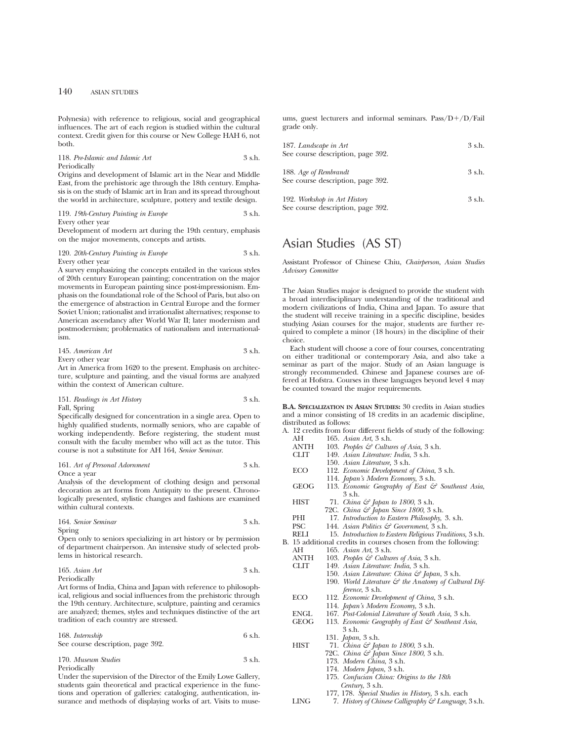Polynesia) with reference to religious, social and geographical influences. The art of each region is studied within the cultural context. Credit given for this course or New College HAH 6, not both.

118. *Pre-Islamic and Islamic Art* 3 s.h. Periodically

Origins and development of Islamic art in the Near and Middle East, from the prehistoric age through the 18th century. Emphasis is on the study of Islamic art in Iran and its spread throughout the world in architecture, sculpture, pottery and textile design.

119. *19th-Century Painting in Europe* 3 s.h. Every other year

Development of modern art during the 19th century, emphasis on the major movements, concepts and artists.

120. *20th-Century Painting in Europe* 3 s.h. Every other year

A survey emphasizing the concepts entailed in the various styles of 20th century European painting; concentration on the major movements in European painting since post-impressionism. Emphasis on the foundational role of the School of Paris, but also on the emergence of abstraction in Central Europe and the former Soviet Union; rationalist and irrationalist alternatives; response to American ascendancy after World War II; later modernism and postmodernism; problematics of nationalism and internationalism.

145. *American Art* 3 s.h. Every other year

Art in America from 1620 to the present. Emphasis on architecture, sculpture and painting, and the visual forms are analyzed within the context of American culture.

## 151. *Readings in Art History* 3 s.h. Fall, Spring

Specifically designed for concentration in a single area. Open to highly qualified students, normally seniors, who are capable of working independently. Before registering, the student must consult with the faculty member who will act as the tutor. This course is not a substitute for AH 164, *Senior Seminar*.

161. *Art of Personal Adornment* 3 s.h. Once a year

Analysis of the development of clothing design and personal decoration as art forms from Antiquity to the present. Chronologically presented, stylistic changes and fashions are examined within cultural contexts.

| 164. Senior Seminar | 3 s.h. |
|---------------------|--------|
| Spring              |        |

Open only to seniors specializing in art history or by permission of department chairperson. An intensive study of selected problems in historical research.

165. *Asian Art* 3 s.h. Periodically

Art forms of India, China and Japan with reference to philosophical, religious and social influences from the prehistoric through the 19th century. Architecture, sculpture, painting and ceramics are analyzed; themes, styles and techniques distinctive of the art tradition of each country are stressed.

| 168. Internship                   | 6 s.h. |
|-----------------------------------|--------|
| See course description, page 392. |        |

170. *Museum Studies* 3 s.h. Periodically

Under the supervision of the Director of the Emily Lowe Gallery, students gain theoretical and practical experience in the functions and operation of galleries: cataloging, authentication, insurance and methods of displaying works of art. Visits to museums, guest lecturers and informal seminars.  $Pass/D+/D/Fail$ grade only.

| 187. Landscape in Art<br>See course description, page 392.        | 3 s.h.   |
|-------------------------------------------------------------------|----------|
| 188. Age of Rembrandt<br>See course description, page 392.        | $3$ s.h. |
| 192. Workshop in Art History<br>See course description, page 392. | $3$ s.h. |

# Asian Studies (AS ST)

Assistant Professor of Chinese Chiu, *Chairperson*, *Asian Studies Advisory Committee*

The Asian Studies major is designed to provide the student with a broad interdisciplinary understanding of the traditional and modern civilizations of India, China and Japan. To assure that the student will receive training in a specific discipline, besides studying Asian courses for the major, students are further required to complete a minor (18 hours) in the discipline of their choice.

Each student will choose a core of four courses, concentrating on either traditional or contemporary Asia, and also take a seminar as part of the major. Study of an Asian language is strongly recommended. Chinese and Japanese courses are offered at Hofstra. Courses in these languages beyond level 4 may be counted toward the major requirements.

**B.A. SPECIALIZATION IN ASIAN STUDIES:** 30 credits in Asian studies and a minor consisting of 18 credits in an academic discipline, distributed as follows: A. 12 credits from four different fields of study of the following:

|             | A. 12 creates from four uncrent fields of study of the following. |
|-------------|-------------------------------------------------------------------|
| AН          | 165. Asian Art, 3 s.h.                                            |
| ANTH        | 103. Peoples $\mathcal{E}$ Cultures of Asia, 3 s.h.               |
| <b>CLIT</b> | 149. Asian Literature: India, 3 s.h.                              |
|             | 150. Asian Literature, 3 s.h.                                     |
| <b>ECO</b>  | 112. Economic Development of China, 3 s.h.                        |
|             | 114. <i>Japan's Modern Economy</i> , 3 s.h.                       |
| GEOG        | 113. Economic Geography of East & Southeast Asia,                 |
|             | 3 s.h.                                                            |
| <b>HIST</b> | 71. China & Japan to 1800, 3 s.h.                                 |
|             | 72C. China & Japan Since 1800, 3 s.h.                             |
| PHI         | 17. Introduction to Eastern Philosophy, 3. s.h.                   |
| PSC         | 144. Asian Politics $\mathcal{C}$ Government, 3 s.h.              |
| RELI        | 15. Introduction to Eastern Religious Traditions, 3 s.h.          |
|             | B. 15 additional credits in courses chosen from the following:    |
| АH          | 165. Asian Art, 3 s.h.                                            |
| ANTH        | 103. Peoples $\mathcal{C}$ Cultures of Asia, 3 s.h.               |
| <b>CLIT</b> | 149. Asian Literature: India, 3 s.h.                              |
|             | 150. Asian Literature: China & Japan, 3 s.h.                      |
|             | 190. World Literature $\mathcal{C}$ the Anatomy of Cultural Dif-  |
|             | ference, 3 s.h.                                                   |
| ECO         | 112. Economic Development of China, 3 s.h.                        |
|             | 114. <i>Japan's Modern Economy</i> , 3 s.h.                       |
| <b>ENGL</b> | 167. Post-Colonial Literature of South Asia, 3 s.h.               |
| <b>GEOG</b> | 113. Economic Geography of East & Southeast Asia,                 |
|             | 3 s.h.                                                            |
|             | 131. <i>Japan</i> , 3 s.h.                                        |
| HIST        | 71. <i>China &amp; Japan to 1800</i> , 3 s.h.                     |
|             | 72C. China & Japan Since 1800, 3 s.h.                             |
|             | 173. Modern China, 3 s.h.                                         |
|             | 174. Modern Japan, 3 s.h.                                         |
|             | 175. Confucian China: Origins to the 18th                         |
|             | Century, 3 s.h.                                                   |
|             |                                                                   |

- 177, 178. *Special Studies in History,* 3 s.h. each
- LING 7. *History of Chinese Calligraphy & Language*, 3 s.h.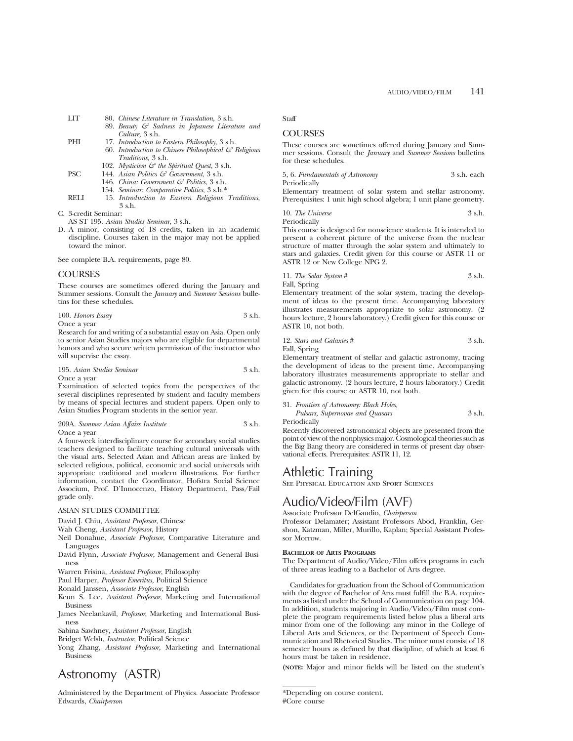- LIT 80. *Chinese Literature in Translation,* 3 s.h.
	- 89. *Beauty & Sadness in Japanese Literature and Culture,* 3 s.h.
- PHI 17. *Introduction to Eastern Philosophy*, 3 s.h.
	- 60. *Introduction to Chinese Philosophical & Religious Traditions,* 3 s.h.
	- 102. *Mysticism*  $\mathcal{C}$  *the Spiritual Quest*, 3 s.h.
- PSC 144. *Asian Politics & Government*, 3 s.h.
	- 146. *China: Government & Politics*, 3 s.h.
	- 154. *Seminar: Comparative Politics*, 3 s.h.\*
- RELI 15. *Introduction to Eastern Religious Traditions*, 3 s.h.

C. 3-credit Seminar:

- AS ST 195. *Asian Studies Seminar*, 3 s.h.
- D. A minor, consisting of 18 credits, taken in an academic discipline. Courses taken in the major may not be applied toward the minor.

See complete B.A. requirements, page 80.

## **COURSES**

These courses are sometimes offered during the January and Summer sessions. Consult the *January* and *Summer Sessions* bulletins for these schedules.

| 100. Honors Essay | 3 s.h. |
|-------------------|--------|
| Once a vear       |        |

Research for and writing of a substantial essay on Asia. Open only to senior Asian Studies majors who are eligible for departmental honors and who secure written permission of the instructor who will supervise the essay.

| 195. Asian Studies Seminar | 3 s.h. |
|----------------------------|--------|
| Once a year                |        |

Examination of selected topics from the perspectives of the several disciplines represented by student and faculty members by means of special lectures and student papers. Open only to Asian Studies Program students in the senior year.

209A. *Summer Asian Affairs Institute* 3 s.h. Once a year

A four-week interdisciplinary course for secondary social studies teachers designed to facilitate teaching cultural universals with the visual arts. Selected Asian and African areas are linked by selected religious, political, economic and social universals with appropriate traditional and modern illustrations. For further information, contact the Coordinator, Hofstra Social Science Associum, Prof. D'Innocenzo, History Department. Pass/Fail grade only.

## ASIAN STUDIES COMMITTEE

David J. Chiu, *Assistant Professor*, Chinese

Wah Cheng, *Assistant Professor*, History

- Neil Donahue, *Associate Professor*, Comparative Literature and **Languages**
- David Flynn, *Associate Professor*, Management and General Business

Warren Frisina, *Assistant Professor*, Philosophy

Paul Harper, *Professor Emeritus,* Political Science

Ronald Janssen, *Associate Professor*, English

- Keun S. Lee, *Assistant Professor*, Marketing and International Business
- James Neelankavil, *Professor*, Marketing and International Business

Sabina Sawhney, *Assistant Professor*, English

Bridget Welsh, *Instructor*, Political Science

Yong Zhang, *Assistant Professor*, Marketing and International Business

# Astronomy (ASTR)

Administered by the Department of Physics. Associate Professor Edwards, *Chairperson*

Staff

## **COURSES**

These courses are sometimes offered during January and Summer sessions. Consult the *January* and *Summer Sessions* bulletins for these schedules.

5, 6. *Fundamentals of Astronomy* 3 s.h. each

Periodically

Elementary treatment of solar system and stellar astronomy. Prerequisites: 1 unit high school algebra; 1 unit plane geometry.

10. *The Universe* 3 s.h.

Periodically

This course is designed for nonscience students. It is intended to present a coherent picture of the universe from the nuclear structure of matter through the solar system and ultimately to stars and galaxies. Credit given for this course or ASTR 11 or ASTR 12 or New College NPG 2.

11. *The Solar System* # 3 s.h.

Fall, Spring

Elementary treatment of the solar system, tracing the development of ideas to the present time. Accompanying laboratory illustrates measurements appropriate to solar astronomy. (2 hours lecture, 2 hours laboratory.) Credit given for this course or ASTR 10, not both.

| 12. Stars and Galaxies # | 3 s.h. |
|--------------------------|--------|
| $E_011$ $E_{min}$        |        |

Fall, Spring

Elementary treatment of stellar and galactic astronomy, tracing the development of ideas to the present time. Accompanying laboratory illustrates measurements appropriate to stellar and galactic astronomy. (2 hours lecture, 2 hours laboratory.) Credit given for this course or ASTR 10, not both.

31. *Frontiers of Astronomy: Black Holes,*

|                   | Pulsars, Supernovae and Quasars |  | 3 s.h. |
|-------------------|---------------------------------|--|--------|
| المطالحة فالمرضان |                                 |  |        |

Periodically

Recently discovered astronomical objects are presented from the point of view of the nonphysics major. Cosmological theories such as the Big Bang theory are considered in terms of present day observational effects. Prerequisites: ASTR 11, 12.

## Athletic Training

See Physical Education and Sport Sciences

## Audio/Video/Film (AVF)

Associate Professor DelGaudio, *Chairperson*

Professor Delamater; Assistant Professors Abod, Franklin, Gershon, Katzman, Miller, Murillo, Kaplan; Special Assistant Professor Morrow.

## **BACHELOR OF ARTS PROGRAMS**

The Department of Audio/Video/Film offers programs in each of three areas leading to a Bachelor of Arts degree.

Candidates for graduation from the School of Communication with the degree of Bachelor of Arts must fulfill the B.A. requirements as listed under the School of Communication on page 104. In addition, students majoring in Audio/Video/Film must complete the program requirements listed below plus a liberal arts minor from one of the following: any minor in the College of Liberal Arts and Sciences, or the Department of Speech Communication and Rhetorical Studies. The minor must consist of 18 semester hours as defined by that discipline, of which at least 6 hours must be taken in residence.

**(NOTE:** Major and minor fields will be listed on the student's

<sup>\*</sup>Depending on course content. #Core course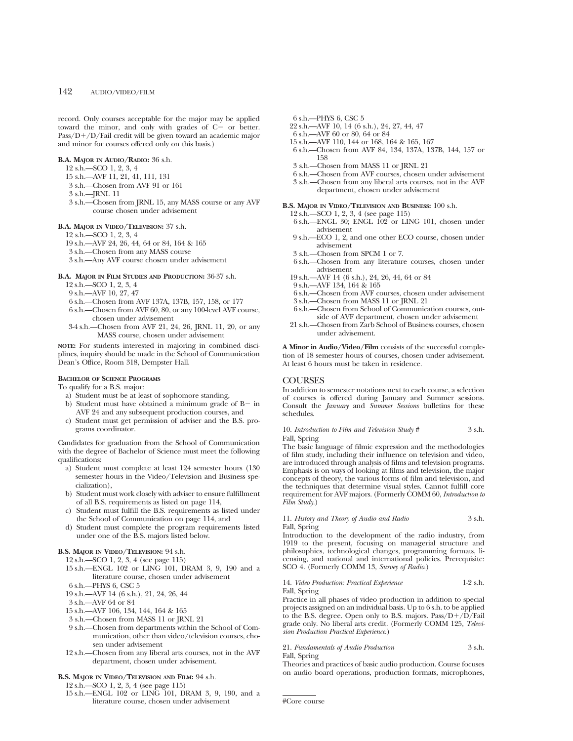record. Only courses acceptable for the major may be applied toward the minor, and only with grades of  $C^{\sim}$  or better.  $Pass/D+/D/Fail credit will be given toward an academic major$ and minor for courses offered only on this basis.)

## **B.A. MAJOR IN AUDIO/RADIO:** 36 s.h.

12 s.h.—SCO 1, 2, 3, 4

- 15 s.h.—AVF 11, 21, 41, 111, 131
- 3 s.h.—Chosen from AVF 91 or 161
- 3 s.h.—JRNL 11
- 3 s.h.—Chosen from JRNL 15, any MASS course or any AVF course chosen under advisement
- **B.A. MAJOR IN VIDEO/TELEVISION:** 37 s.h.

12 s.h.—SCO 1, 2, 3, 4

- 19 s.h.—AVF 24, 26, 44, 64 or 84, 164 & 165
- 3 s.h.—Chosen from any MASS course
- 3 s.h.—Any AVF course chosen under advisement

#### **B.A. MAJOR IN FILM STUDIES AND PRODUCTION:** 36-37 s.h.

- 12 s.h.—SCO 1, 2, 3, 4
- 9 s.h.—AVF 10, 27, 47
- 6 s.h.—Chosen from AVF 137A, 137B, 157, 158, or 177
- 6 s.h.—Chosen from AVF 60, 80, or any 100-level AVF course, chosen under advisement
- 3-4 s.h.—Chosen from AVF 21, 24, 26, JRNL 11, 20, or any MASS course, chosen under advisement

**NOTE:** For students interested in majoring in combined disciplines, inquiry should be made in the School of Communication Dean's Office, Room 318, Dempster Hall.

### **BACHELOR OF SCIENCE PROGRAMS**

To qualify for a B.S. major:

- a) Student must be at least of sophomore standing,
- b) Student must have obtained a minimum grade of  $B-$  in AVF 24 and any subsequent production courses, and
- c) Student must get permission of adviser and the B.S. programs coordinator.

Candidates for graduation from the School of Communication with the degree of Bachelor of Science must meet the following qualifications:

- a) Student must complete at least 124 semester hours (130 semester hours in the Video/Television and Business specialization),
- b) Student must work closely with adviser to ensure fulfillment of all B.S. requirements as listed on page 114,
- c) Student must fulfill the B.S. requirements as listed under the School of Communication on page 114, and
- d) Student must complete the program requirements listed under one of the B.S. majors listed below.

## **B.S. MAJOR IN VIDEO/TELEVISION:** 94 s.h.

12 s.h.—SCO 1, 2, 3, 4 (see page 115)

- 15 s.h.—ENGL 102 or LING 101, DRAM 3, 9, 190 and a literature course, chosen under advisement
- 6 s.h.—PHYS 6, CSC 5

19 s.h.—AVF 14 (6 s.h.), 21, 24, 26, 44

- 3 s.h.—AVF 64 or 84
- 15 s.h.—AVF 106, 134, 144, 164 & 165
- 3 s.h.—Chosen from MASS 11 or JRNL 21
- 9 s.h.—Chosen from departments within the School of Communication, other than video/television courses, chosen under advisement
- 12 s.h.—Chosen from any liberal arts courses, not in the AVF department, chosen under advisement.

## **B.S. MAJOR IN VIDEO/TELEVISION AND FILM:** 94 s.h.

- 12 s.h.—SCO 1, 2, 3, 4 (see page 115)
- 15 s.h.—ENGL 102 or LING 101, DRAM 3, 9, 190, and a literature course, chosen under advisement
- $6$  s.h.—PHYS  $6,$  CSC  $5$
- 22 s.h.—AVF 10, 14 (6 s.h.), 24, 27, 44, 47
- 6 s.h.—AVF 60 or 80, 64 or 84
- 15 s.h.—AVF 110, 144 or 168, 164 & 165, 167
- 6 s.h.—Chosen from AVF 84, 134, 137A, 137B, 144, 157 or 158
- 3 s.h.—Chosen from MASS 11 or JRNL 21
- 6 s.h.—Chosen from AVF courses, chosen under advisement 3 s.h.—Chosen from any liberal arts courses, not in the AVF department, chosen under advisement

**B.S. MAJOR IN VIDEO/TELEVISION AND BUSINESS:** 100 s.h.

- 12 s.h.—SCO 1, 2, 3, 4 (see page 115)
- $6$  s.h.—ENGL  $30$ ; ENGL  $102^\circ$  or LING 101, chosen under advisement
- 9 s.h.—ECO 1, 2, and one other ECO course, chosen under advisement
- 3 s.h.—Chosen from SPCM 1 or 7.
- 6 s.h.—Chosen from any literature courses, chosen under advisement
- 19 s.h.—AVF 14 (6 s.h.), 24, 26, 44, 64 or 84
- 9 s.h.—AVF 134, 164 & 165
- 6 s.h.—Chosen from AVF courses, chosen under advisement
- 3 s.h.—Chosen from MASS 11 or JRNL 21 6 s.h.—Chosen from School of Communication courses, outside of AVF department, chosen under advisement
- 21 s.h.—Chosen from Zarb School of Business courses, chosen under advisement.

**A Minor in Audio/Video/Film** consists of the successful completion of 18 semester hours of courses, chosen under advisement. At least 6 hours must be taken in residence.

## **COURSES**

In addition to semester notations next to each course, a selection of courses is offered during January and Summer sessions. Consult the *January* and *Summer Sessions* bulletins for these schedules.

10. *Introduction to Film and Television Study* # 3 s.h. Fall, Spring

The basic language of filmic expression and the methodologies of film study, including their influence on television and video, are introduced through analysis of films and television programs. Emphasis is on ways of looking at films and television, the major concepts of theory, the various forms of film and television, and the techniques that determine visual styles. Cannot fulfill core requirement for AVF majors. (Formerly COMM 60, *Introduction to Film Study*.)

#### 11. *History and Theory of Audio and Radio* 3 s.h. Fall, Spring

Introduction to the development of the radio industry, from 1919 to the present, focusing on managerial structure and philosophies, technological changes, programming formats, licensing, and national and international policies. Prerequisite: SCO 4. (Formerly COMM 13, *Survey of Radio*.)

## 14. *Video Production: Practical Experience* 1-2 s.h. Fall, Spring

Practice in all phases of video production in addition to special projects assigned on an individual basis. Up to 6 s.h. to be applied to the B.S. degree. Open only to B.S. majors.  $Pass/D+/D/Fall$ grade only. No liberal arts credit. (Formerly COMM 125, *Television Production Practical Experience*.)

## 21. *Fundamentals of Audio Production* 3 s.h.

Fall, Spring

Theories and practices of basic audio production. Course focuses on audio board operations, production formats, microphones,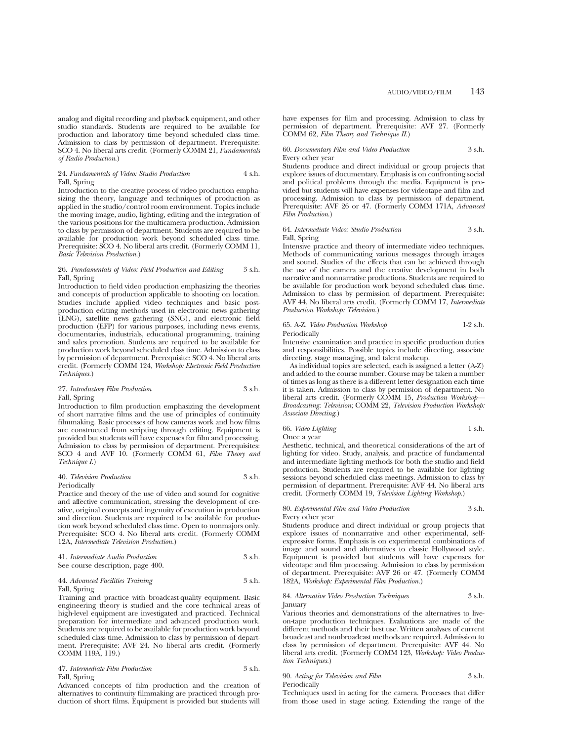analog and digital recording and playback equipment, and other studio standards. Students are required to be available for production and laboratory time beyond scheduled class time. Admission to class by permission of department. Prerequisite: SCO 4. No liberal arts credit. (Formerly COMM 21, *Fundamentals of Radio Production*.)

### 24. *Fundamentals of Video: Studio Production* 4 s.h. Fall, Spring

Introduction to the creative process of video production emphasizing the theory, language and techniques of production as applied in the studio/control room environment. Topics include the moving image, audio, lighting, editing and the integration of the various positions for the multicamera production. Admission to class by permission of department. Students are required to be available for production work beyond scheduled class time. Prerequisite: SCO 4. No liberal arts credit. (Formerly COMM 11, *Basic Television Production*.)

## 26. *Fundamentals of Video: Field Production and Editing* 3 s.h. Fall, Spring

Introduction to field video production emphasizing the theories and concepts of production applicable to shooting on location. Studies include applied video techniques and basic postproduction editing methods used in electronic news gathering (ENG), satellite news gathering (SNG), and electronic field production (EFP) for various purposes, including news events, documentaries, industrials, educational programming, training and sales promotion. Students are required to be available for production work beyond scheduled class time. Admission to class by permission of department. Prerequisite: SCO 4. No liberal arts credit. (Formerly COMM 124, *Workshop: Electronic Field Production Techniques*.)

## 27. *Introductory Film Production* 3 s.h. Fall, Spring

Introduction to film production emphasizing the development of short narrative films and the use of principles of continuity filmmaking. Basic processes of how cameras work and how films are constructed from scripting through editing. Equipment is provided but students will have expenses for film and processing. Admission to class by permission of department. Prerequisites: SCO 4 and AVF 10. (Formerly COMM 61, *Film Theory and Technique I.*)

### 40. *Television Production* 3 s.h. Periodically

Practice and theory of the use of video and sound for cognitive and affective communication, stressing the development of creative, original concepts and ingenuity of execution in production and direction. Students are required to be available for production work beyond scheduled class time. Open to nonmajors only. Prerequisite: SCO 4. No liberal arts credit. (Formerly COMM 12A, *Intermediate Television Production*.)

## 41. *Intermediate Audio Production* 3 s.h. See course description, page 400.

## 44. *Advanced Facilities Training* 3 s.h. Fall, Spring

Training and practice with broadcast-quality equipment. Basic engineering theory is studied and the core technical areas of high-level equipment are investigated and practiced. Technical preparation for intermediate and advanced production work. Students are required to be available for production work beyond scheduled class time. Admission to class by permission of department. Prerequisite: AVF 24. No liberal arts credit. (Formerly COMM 119A, 119.)

## 47. *Intermediate Film Production* 3 s.h. Fall, Spring

Advanced concepts of film production and the creation of alternatives to continuity filmmaking are practiced through production of short films. Equipment is provided but students will

have expenses for film and processing. Admission to class by permission of department. Prerequisite: AVF 27. (Formerly COMM 62, *Film Theory and Technique II*.)

60. *Documentary Film and Video Production* 3 s.h. Every other year

Students produce and direct individual or group projects that explore issues of documentary. Emphasis is on confronting social and political problems through the media. Equipment is provided but students will have expenses for videotape and film and processing. Admission to class by permission of department. Prerequisite: AVF 26 or 47. (Formerly COMM 171A, *Advanced Film Production*.)

### 64. *Intermediate Video: Studio Production* 3 s.h. Fall, Spring

Intensive practice and theory of intermediate video techniques. Methods of communicating various messages through images and sound. Studies of the effects that can be achieved through the use of the camera and the creative development in both narrative and nonnarrative productions. Students are required to be available for production work beyond scheduled class time. Admission to class by permission of department. Prerequisite: AVF 44. No liberal arts credit. (Formerly COMM 17, *Intermediate Production Workshop: Television*.)

## 65. A-Z. *Video Production Workshop* 1-2 s.h. Periodically

Intensive examination and practice in specific production duties and responsibilities. Possible topics include directing, associate directing, stage managing, and talent makeup.

As individual topics are selected, each is assigned a letter (A-Z) and added to the course number. Course may be taken a number of times as long as there is a different letter designation each time it is taken. Admission to class by permission of department. No liberal arts credit. (Formerly COMM 15, *Production Workshop— Broadcasting: Television*; COMM 22, *Television Production Workshop: Associate Directing*.)

## 66. *Video Lighting* 1 s.h. Once a year

Aesthetic, technical, and theoretical considerations of the art of lighting for video. Study, analysis, and practice of fundamental and intermediate lighting methods for both the studio and field production. Students are required to be available for lighting sessions beyond scheduled class meetings. Admission to class by permission of department. Prerequisite: AVF 44. No liberal arts credit. (Formerly COMM 19, *Television Lighting Workshop*.)

## 80. *Experimental Film and Video Production* 3 s.h.

Every other year

Students produce and direct individual or group projects that explore issues of nonnarrative and other experimental, selfexpressive forms. Emphasis is on experimental combinations of image and sound and alternatives to classic Hollywood style. Equipment is provided but students will have expenses for videotape and film processing. Admission to class by permission of department. Prerequisite: AVF 26 or 47. (Formerly COMM 182A, *Workshop: Experimental Film Production*.)

#### 84. *Alternative Video Production Techniques* 3 s.h. January

Various theories and demonstrations of the alternatives to liveon-tape production techniques. Evaluations are made of the different methods and their best use. Written analyses of current broadcast and nonbroadcast methods are required. Admission to class by permission of department. Prerequisite: AVF 44. No liberal arts credit. (Formerly COMM 123, *Workshop: Video Production Techniques*.)

## 90. *Acting for Television and Film* 3 s.h. Periodically

Techniques used in acting for the camera. Processes that differ from those used in stage acting. Extending the range of the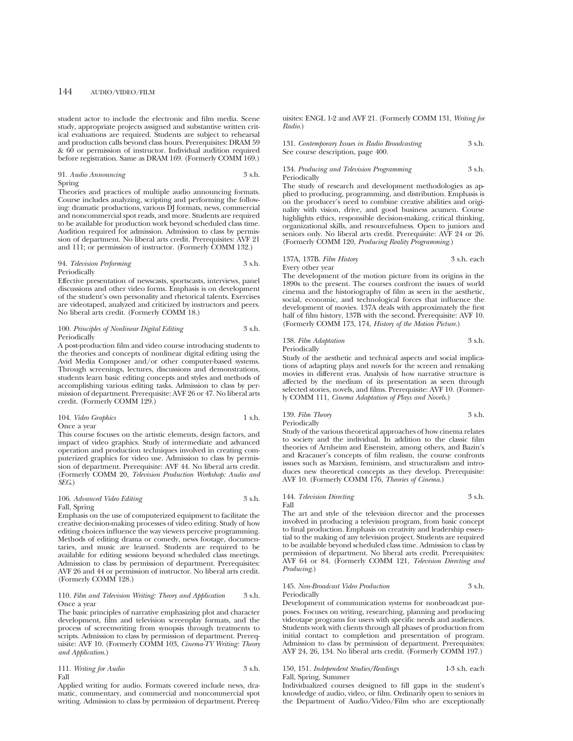student actor to include the electronic and film media. Scene study, appropriate projects assigned and substantive written critical evaluations are required. Students are subject to rehearsal and production calls beyond class hours. Prerequisites: DRAM 59 & 60 or permission of instructor. Individual audition required before registration. Same as DRAM 169. (Formerly COMM 169.)

### 91. *Audio Announcing* 3 s.h. Spring

Theories and practices of multiple audio announcing formats. Course includes analyzing, scripting and performing the following: dramatic productions, various DJ formats, news, commercial and noncommercial spot reads, and more. Students are required to be available for production work beyond scheduled class time. Audition required for admission. Admission to class by permission of department. No liberal arts credit. Prerequisites: AVF 21 and 111; or permission of instructor. (Formerly COMM 132.)

#### 94. *Television Performing* 3 s.h. Periodically

Effective presentation of newscasts, sportscasts, interviews, panel discussions and other video forms. Emphasis is on development of the student's own personality and rhetorical talents. Exercises are videotaped, analyzed and criticized by instructors and peers. No liberal arts credit. (Formerly COMM 18.)

## 100. *Principles of Nonlinear Digital Editing* 3 s.h. Periodically

A post-production film and video course introducing students to the theories and concepts of nonlinear digital editing using the Avid Media Composer and/or other computer-based systems. Through screenings, lectures, discussions and demonstrations, students learn basic editing concepts and styles and methods of accomplishing various editing tasks. Admission to class by permission of department. Prerequisite: AVF 26 or 47. No liberal arts credit. (Formerly COMM 129.)

| 104. Video Graphics | 1 s.h. |
|---------------------|--------|
| Once a year         |        |

This course focuses on the artistic elements, design factors, and impact of video graphics. Study of intermediate and advanced operation and production techniques involved in creating computerized graphics for video use. Admission to class by permission of department. Prerequisite: AVF 44. No liberal arts credit. (Formerly COMM 20, *Television Production Workshop: Audio and SEG*.)

## 106. *Advanced Video Editing* 3 s.h. Fall, Spring

Emphasis on the use of computerized equipment to facilitate the creative decision-making processes of video editing. Study of how editing choices influence the way viewers perceive programming. Methods of editing drama or comedy, news footage, documentaries, and music are learned. Students are required to be available for editing sessions beyond scheduled class meetings. Admission to class by permission of department. Prerequisites: AVF 26 and 44 or permission of instructor. No liberal arts credit. (Formerly COMM 128.)

## 110. *Film and Television Writing: Theory and Application* 3 s.h. Once a year

The basic principles of narrative emphasizing plot and character development, film and television screenplay formats, and the process of screenwriting from synopsis through treatments to scripts. Admission to class by permission of department. Prerequisite: AVF 10. (Formerly COMM 103, *Cinema-TV Writing: Theory and Application*.)

|      | 111. Writing for Audio | 3 s.h. |
|------|------------------------|--------|
| Fall |                        |        |

Applied writing for audio. Formats covered include news, dramatic, commentary, and commercial and noncommercial spot writing. Admission to class by permission of department. Prerequisites: ENGL 1-2 and AVF 21. (Formerly COMM 131, *Writing for Radio*.)

131. *Contemporary Issues in Radio Broadcasting* 3 s.h. See course description, page 400.

## 134. *Producing and Television Programming* 3 s.h. Periodically

The study of research and development methodologies as applied to producing, programming, and distribution. Emphasis is on the producer's need to combine creative abilities and originality with vision, drive, and good business acumen. Course highlights ethics, responsible decision-making, critical thinking, organizational skills, and resourcefulness. Open to juniors and seniors only. No liberal arts credit. Prerequisite: AVF 24 or 26. (Formerly COMM 120, *Producing Reality Programming*.)

### 137A, 137B. *Film History* 3 s.h. each Every other year

The development of the motion picture from its origins in the 1890s to the present. The courses confront the issues of world cinema and the historiography of film as seen in the aesthetic, social, economic, and technological forces that influence the development of movies. 137A deals with approximately the first half of film history, 137B with the second. Prerequisite: AVF 10. (Formerly COMM 173, 174, *History of the Motion Picture*.)

## 138. *Film Adaptation* 3 s.h. Periodically

Study of the aesthetic and technical aspects and social implications of adapting plays and novels for the screen and remaking movies in different eras. Analysis of how narrative structure is affected by the medium of its presentation as seen through selected stories, novels, and films. Prerequisite: AVF 10. (Formerly COMM 111, *Cinema Adaptation of Plays and Novels*.)

## 139. *Film Theory* 3 s.h. Periodically

Study of the various theoretical approaches of how cinema relates to society and the individual. In addition to the classic film theories of Arnheim and Eisenstein, among others, and Bazin's and Kracauer's concepts of film realism, the course confronts issues such as Marxism, feminism, and structuralism and introduces new theoretical concepts as they develop. Prerequisite: AVF 10. (Formerly COMM 176, *Theories of Cinema*.)

## 144. *Television Directing* 3 s.h. Fall

The art and style of the television director and the processes involved in producing a television program, from basic concept to final production. Emphasis on creativity and leadership essential to the making of any television project. Students are required to be available beyond scheduled class time. Admission to class by permission of department. No liberal arts credit. Prerequisites: AVF 64 or 84. (Formerly COMM 121, *Television Directing and Producing*.)

## 145. *Non-Broadcast Video Production* 3 s.h. Periodically

Development of communication systems for nonbroadcast purposes. Focuses on writing, researching, planning and producing videotape programs for users with specific needs and audiences. Students work with clients through all phases of production from initial contact to completion and presentation of program. Admission to class by permission of department. Prerequisites: AVF 24, 26, 134. No liberal arts credit. (Formerly COMM 197.)

### 150, 151. *Independent Studies/Readings* 1-3 s.h. each Fall, Spring, Summer

Individualized courses designed to fill gaps in the student's knowledge of audio, video, or film. Ordinarily open to seniors in the Department of Audio/Video/Film who are exceptionally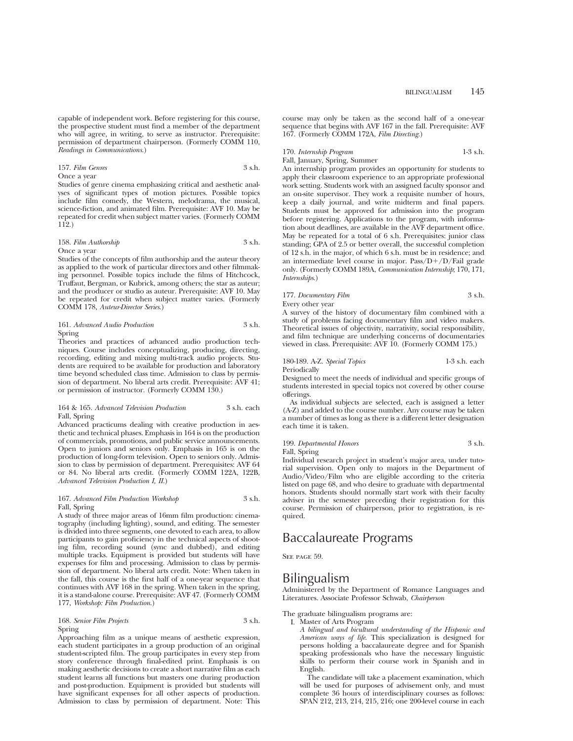capable of independent work. Before registering for this course, the prospective student must find a member of the department who will agree, in writing, to serve as instructor. Prerequisite: permission of department chairperson. (Formerly COMM 110, *Readings in Communications*.)

## 157. *Film Genres* 3 s.h. Once a year

Studies of genre cinema emphasizing critical and aesthetic analyses of significant types of motion pictures. Possible topics include film comedy, the Western, melodrama, the musical, science-fiction, and animated film. Prerequisite: AVF 10. May be repeated for credit when subject matter varies. (Formerly COMM 112.)

### 158. *Film Authorship* 3 s.h. Once a year

Studies of the concepts of film authorship and the auteur theory as applied to the work of particular directors and other filmmaking personnel. Possible topics include the films of Hitchcock, Truffaut, Bergman, or Kubrick, among others; the star as auteur; and the producer or studio as auteur. Prerequisite: AVF 10. May be repeated for credit when subject matter varies. (Formerly COMM 178, *Auteur-Director Series*.)

## 161. *Advanced Audio Production* 3 s.h. Spring

Theories and practices of advanced audio production techniques. Course includes conceptualizing, producing, directing, recording, editing and mixing multi-track audio projects. Students are required to be available for production and laboratory time beyond scheduled class time. Admission to class by permission of department. No liberal arts credit. Prerequisite: AVF 41; or permission of instructor. (Formerly COMM 130.)

### 164 & 165. *Advanced Television Production* 3 s.h. each Fall, Spring

Advanced practicums dealing with creative production in aesthetic and technical phases. Emphasis in 164 is on the production of commercials, promotions, and public service announcements. Open to juniors and seniors only. Emphasis in 165 is on the production of long-form television. Open to seniors only. Admission to class by permission of department. Prerequisites: AVF 64 or 84. No liberal arts credit. (Formerly COMM 122A, 122B, *Advanced Television Production I, II*.)

### 167. *Advanced Film Production Workshop* 3 s.h. Fall, Spring

A study of three major areas of 16mm film production: cinematography (including lighting), sound, and editing. The semester is divided into three segments, one devoted to each area, to allow participants to gain proficiency in the technical aspects of shooting film, recording sound (sync and dubbed), and editing multiple tracks. Equipment is provided but students will have expenses for film and processing. Admission to class by permission of department. No liberal arts credit. Note: When taken in the fall, this course is the first half of a one-year sequence that continues with AVF 168 in the spring. When taken in the spring, it is a stand-alone course. Prerequisite: AVF 47. (Formerly COMM 177, *Workshop: Film Production*.)

## 168. *Senior Film Projects* 3 s.h. Spring

Approaching film as a unique means of aesthetic expression, each student participates in a group production of an original student-scripted film. The group participates in every step from story conference through final-edited print. Emphasis is on making aesthetic decisions to create a short narrative film as each student learns all functions but masters one during production and post-production. Equipment is provided but students will have significant expenses for all other aspects of production. Admission to class by permission of department. Note: This course may only be taken as the second half of a one-year sequence that begins with AVF 167 in the fall. Prerequisite: AVF 167. (Formerly COMM 172A, *Film Directing*.)

170. *Internship Program* 1-3 s.h.

## Fall, January, Spring, Summer

An internship program provides an opportunity for students to apply their classroom experience to an appropriate professional work setting. Students work with an assigned faculty sponsor and an on-site supervisor. They work a requisite number of hours, keep a daily journal, and write midterm and final papers. Students must be approved for admission into the program before registering. Applications to the program, with information about deadlines, are available in the AVF department office. May be repeated for a total of 6 s.h. Prerequisites: junior class standing; GPA of 2.5 or better overall, the successful completion of 12 s.h. in the major, of which 6 s.h. must be in residence; and an intermediate level course in major.  $Pass/D+/D/Fall$  grade only. (Formerly COMM 189A, *Communication Internship*; 170, 171, *Internships*.)

## 177. *Documentary Film* 3 s.h. Every other year

A survey of the history of documentary film combined with a study of problems facing documentary film and video makers. Theoretical issues of objectivity, narrativity, social responsibility, and film technique are underlying concerns of documentaries viewed in class. Prerequisite: AVF 10. (Formerly COMM 175.)

## 180-189. A-Z. *Special Topics* 1-3 s.h. each

Periodically

Designed to meet the needs of individual and specific groups of students interested in special topics not covered by other course offerings.

As individual subjects are selected, each is assigned a letter (A-Z) and added to the course number. Any course may be taken a number of times as long as there is a different letter designation each time it is taken.

## 199. *Departmental Honors* 3 s.h. Fall, Spring

Individual research project in student's major area, under tutorial supervision. Open only to majors in the Department of Audio/Video/Film who are eligible according to the criteria listed on page 68, and who desire to graduate with departmental honors. Students should normally start work with their faculty adviser in the semester preceding their registration for this course. Permission of chairperson, prior to registration, is re-

# Baccalaureate Programs

SEE PAGE 59.

quired.

# Bilingualism

Administered by the Department of Romance Languages and Literatures. Associate Professor Schwab, *Chairperson*

The graduate bilingualism programs are:

I. Master of Arts Program

*A bilingual and bicultural understanding of the Hispanic and American ways of life*. This specialization is designed for persons holding a baccalaureate degree and for Spanish speaking professionals who have the necessary linguistic skills to perform their course work in Spanish and in English.

The candidate will take a placement examination, which will be used for purposes of advisement only, and must complete 36 hours of interdisciplinary courses as follows: SPAN 212, 213, 214, 215, 216; one 200-level course in each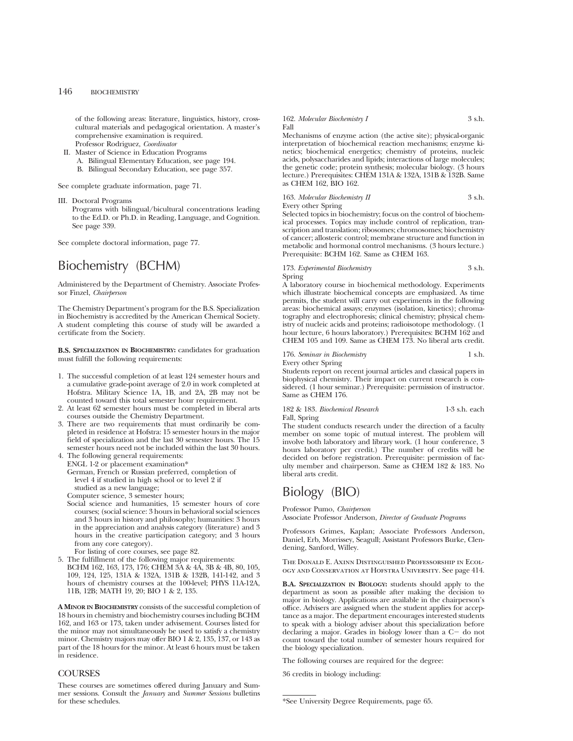of the following areas: literature, linguistics, history, crosscultural materials and pedagogical orientation. A master's comprehensive examination is required. Professor Rodriguez, *Coordinator*

II. Master of Science in Education Programs A. Bilingual Elementary Education, see page 194. B. Bilingual Secondary Education, see page 357.

See complete graduate information, page 71.

III. Doctoral Programs

Programs with bilingual/bicultural concentrations leading to the Ed.D. or Ph.D. in Reading, Language, and Cognition. See page 339.

See complete doctoral information, page 77.

## Biochemistry (BCHM)

Administered by the Department of Chemistry. Associate Professor Finzel, *Chairperson*

The Chemistry Department's program for the B.S. Specialization in Biochemistry is accredited by the American Chemical Society. A student completing this course of study will be awarded a certificate from the Society.

**B.S. SPECIALIZATION IN BIOCHEMISTRY:** candidates for graduation must fulfill the following requirements:

- 1. The successful completion of at least 124 semester hours and a cumulative grade-point average of 2.0 in work completed at Hofstra. Military Science 1A, 1B, and 2A, 2B may not be counted toward this total semester hour requirement.
- 2. At least 62 semester hours must be completed in liberal arts courses outside the Chemistry Department.
- 3. There are two requirements that must ordinarily be completed in residence at Hofstra: 15 semester hours in the major field of specialization and the last 30 semester hours. The 15 semester hours need not be included within the last 30 hours.
- 4. The following general requirements: ENGL 1-2 or placement examination\* German, French or Russian preferred, completion of level 4 if studied in high school or to level 2 if studied as a new language;

Computer science, 3 semester hours;

Social science and humanities, 15 semester hours of core courses; (social science: 3 hours in behavioral social sciences and 3 hours in history and philosophy; humanities: 3 hours in the appreciation and analysis category (literature) and 3 hours in the creative participation category; and 3 hours from any core category).

For listing of core courses, see page 82.

5. The fulfillment of the following major requirements: BCHM 162, 163, 173, 176; CHEM 3A & 4A, 3B & 4B, 80, 105, 109, 124, 125, 131A & 132A, 131B & 132B, 141-142, and 3 hours of chemistry courses at the 100-level; PHYS 11A-12A, 11B, 12B; MATH 19, 20; BIO 1 & 2, 135.

**A MINOR IN BIOCHEMISTRY** consists of the successful completion of 18 hours in chemistry and biochemistry courses including BCHM 162, and 163 or 173, taken under advisement. Courses listed for the minor may not simultaneously be used to satisfy a chemistry minor. Chemistry majors may offer BIO 1 & 2, 135, 137, or 143 as part of the 18 hours for the minor. At least 6 hours must be taken in residence.

## **COURSES**

These courses are sometimes offered during January and Summer sessions. Consult the *January* and *Summer Sessions* bulletins for these schedules.

#### 162. *Molecular Biochemistry I* 3 s.h. Fall

Mechanisms of enzyme action (the active site); physical-organic interpretation of biochemical reaction mechanisms; enzyme kinetics; biochemical energetics; chemistry of proteins, nucleic acids, polysaccharides and lipids; interactions of large molecules; the genetic code; protein synthesis; molecular biology. (3 hours lecture.) Prerequisites: CHÉM 131A & 132A, 131B & 132B. Same as CHEM 162, BIO 162.

## 163. *Molecular Biochemistry II* 3 s.h. Every other Spring

Selected topics in biochemistry; focus on the control of biochemical processes. Topics may include control of replication, transcription and translation; ribosomes; chromosomes; biochemistry of cancer; allosteric control; membrane structure and function in metabolic and hormonal control mechanisms. (3 hours lecture.) Prerequisite: BCHM 162. Same as CHEM 163.

## 173. *Experimental Biochemistry* 3 s.h. Spring

A laboratory course in biochemical methodology. Experiments which illustrate biochemical concepts are emphasized. As time permits, the student will carry out experiments in the following areas: biochemical assays; enzymes (isolation, kinetics); chromatography and electrophoresis; clinical chemistry; physical chemistry of nucleic acids and proteins; radioisotope methodology. (1 hour lecture, 6 hours laboratory.) Prerequisites: BCHM 162 and CHEM 105 and 109. Same as CHEM 173. No liberal arts credit.

## 176. *Seminar in Biochemistry* 1 s.h. Every other Spring

Students report on recent journal articles and classical papers in biophysical chemistry. Their impact on current research is considered. (1 hour seminar.) Prerequisite: permission of instructor. Same as CHEM 176.

182 & 183. *Biochemical Research* 1-3 s.h. each Fall, Spring

The student conducts research under the direction of a faculty member on some topic of mutual interest. The problem will involve both laboratory and library work. (1 hour conference, 3 hours laboratory per credit.) The number of credits will be decided on before registration. Prerequisite: permission of faculty member and chairperson. Same as CHEM 182 & 183. No liberal arts credit.

# Biology (BIO)

## Professor Pumo, *Chairperson*

Associate Professor Anderson, *Director of Graduate Programs*

Professors Grimes, Kaplan; Associate Professors Anderson, Daniel, Erb, Morrissey, Seagull; Assistant Professors Burke, Clendening, Sanford, Willey.

The Donald E. Axinn Distinguished Professorship in Ecology and Conservation at Hofstra University. See page 414.

**B.A. SPECIALIZATION IN BIOLOGY:** students should apply to the department as soon as possible after making the decision to major in biology. Applications are available in the chairperson's office. Advisers are assigned when the student applies for acceptance as a major. The department encourages interested students to speak with a biology adviser about this specialization before declaring a major. Grades in biology lower than a  $C-$  do not count toward the total number of semester hours required for the biology specialization.

The following courses are required for the degree:

36 credits in biology including:

<sup>\*</sup>See University Degree Requirements, page 65.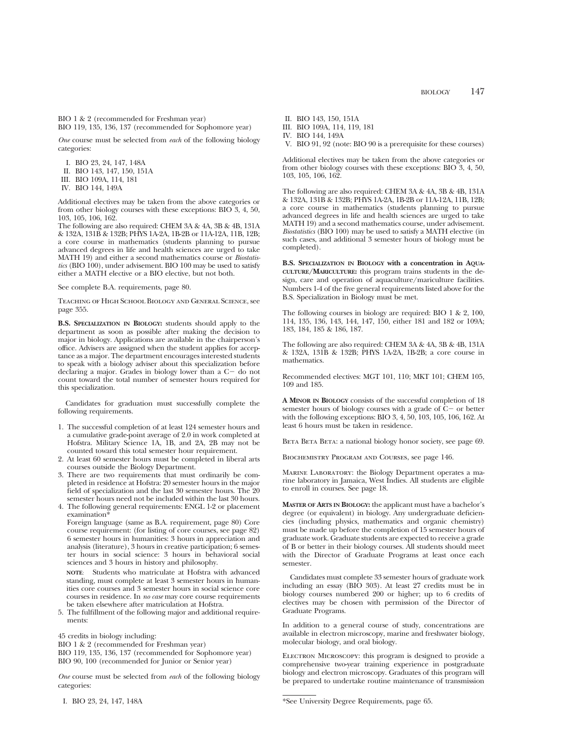BIO 1 & 2 (recommended for Freshman year) BIO 119, 135, 136, 137 (recommended for Sophomore year)

*One* course must be selected from *each* of the following biology categories:

I. BIO 23, 24, 147, 148A

II. BIO 143, 147, 150, 151A

III. BIO 109A, 114, 181

IV. BIO 144, 149A

Additional electives may be taken from the above categories or from other biology courses with these exceptions: BIO 3, 4, 50, 103, 105, 106, 162.

The following are also required: CHEM 3A & 4A, 3B & 4B, 131A & 132A, 131B & 132B; PHYS 1A-2A, 1B-2B or 11A-12A, 11B, 12B; a core course in mathematics (students planning to pursue advanced degrees in life and health sciences are urged to take MATH 19) and either a second mathematics course or *Biostatistics* (BIO 100), under advisement. BIO 100 may be used to satisfy either a MATH elective or a BIO elective, but not both.

See complete B.A. requirements, page 80.

Teaching of High School Biology and General Science, see page 355.

**B.S. SPECIALIZATION IN BIOLOGY:** students should apply to the department as soon as possible after making the decision to major in biology. Applications are available in the chairperson's office. Advisers are assigned when the student applies for acceptance as a major. The department encourages interested students to speak with a biology adviser about this specialization before declaring a major. Grades in biology lower than a  $C-$  do not count toward the total number of semester hours required for this specialization.

Candidates for graduation must successfully complete the following requirements.

- 1. The successful completion of at least 124 semester hours and a cumulative grade-point average of 2.0 in work completed at Hofstra. Military Science 1A, 1B, and 2A, 2B may not be counted toward this total semester hour requirement.
- 2. At least 60 semester hours must be completed in liberal arts courses outside the Biology Department.
- 3. There are two requirements that must ordinarily be completed in residence at Hofstra: 20 semester hours in the major field of specialization and the last 30 semester hours. The 20 semester hours need not be included within the last 30 hours.
- 4. The following general requirements: ENGL 1-2 or placement examination<sup>\*</sup>

Foreign language (same as B.A. requirement, page 80) Core course requirement: (for listing of core courses, see page 82) 6 semester hours in humanities: 3 hours in appreciation and analysis (literature), 3 hours in creative participation; 6 semester hours in social science: 3 hours in behavioral social sciences and 3 hours in history and philosophy.

**NOTE**: Students who matriculate at Hofstra with advanced standing, must complete at least 3 semester hours in humanities core courses and 3 semester hours in social science core courses in residence. In *no case* may core course requirements be taken elsewhere after matriculation at Hofstra.

5. The fulfillment of the following major and additional requirements:

45 credits in biology including:

BIO 1 & 2 (recommended for Freshman year)

BIO 119, 135, 136, 137 (recommended for Sophomore year) BIO 90, 100 (recommended for Junior or Senior year)

*One* course must be selected from *each* of the following biology categories:

I. BIO 23, 24, 147, 148A

- II. BIO 143, 150, 151A
- III. BIO 109A, 114, 119, 181
- IV. BIO 144, 149A

V. BIO 91, 92 (note: BIO 90 is a prerequisite for these courses)

Additional electives may be taken from the above categories or from other biology courses with these exceptions: BIO 3, 4, 50, 103, 105, 106, 162.

The following are also required: CHEM 3A & 4A, 3B & 4B, 131A & 132A, 131B & 132B; PHYS 1A-2A, 1B-2B or 11A-12A, 11B, 12B; a core course in mathematics (students planning to pursue advanced degrees in life and health sciences are urged to take MATH 19) and a second mathematics course, under advisement. *Biostatistics* (BIO 100) may be used to satisfy a MATH elective (in such cases, and additional 3 semester hours of biology must be completed).

**B.S. SPECIALIZATION IN BIOLOGY with a concentration in AQUA-CULTURE/MARICULTURE:** this program trains students in the design, care and operation of aquaculture/mariculture facilities. Numbers 1-4 of the five general requirements listed above for the B.S. Specialization in Biology must be met.

The following courses in biology are required: BIO 1 & 2, 100, 114, 135, 136, 143, 144, 147, 150, either 181 and 182 or 109A; 183, 184, 185 & 186, 187.

The following are also required: CHEM 3A & 4A, 3B & 4B, 131A & 132A, 131B & 132B; PHYS 1A-2A, 1B-2B; a core course in mathematics.

Recommended electives: MGT 101, 110; MKT 101; CHEM 105, 109 and 185.

**A MINOR IN BIOLOGY** consists of the successful completion of 18 semester hours of biology courses with a grade of  $C<sub>-</sub>$  or better with the following exceptions: BIO 3, 4, 50, 103, 105, 106, 162. At least 6 hours must be taken in residence.

BETA BETA: a national biology honor society, see page 69.

Biochemistry Program and Courses, see page 146.

Marine Laboratory: the Biology Department operates a marine laboratory in Jamaica, West Indies. All students are eligible to enroll in courses. See page 18.

**MASTER OF ARTS IN BIOLOGY:** the applicant must have a bachelor's degree (or equivalent) in biology. Any undergraduate deficiencies (including physics, mathematics and organic chemistry) must be made up before the completion of 15 semester hours of graduate work. Graduate students are expected to receive a grade of B or better in their biology courses. All students should meet with the Director of Graduate Programs at least once each semester.

Candidates must complete 33 semester hours of graduate work including an essay (BIO 303). At least 27 credits must be in biology courses numbered 200 or higher; up to 6 credits of electives may be chosen with permission of the Director of Graduate Programs.

In addition to a general course of study, concentrations are available in electron microscopy, marine and freshwater biology, molecular biology, and oral biology.

ELECTRON MICROSCOPY: this program is designed to provide a comprehensive two-year training experience in postgraduate biology and electron microscopy. Graduates of this program will be prepared to undertake routine maintenance of transmission

\*See University Degree Requirements, page 65.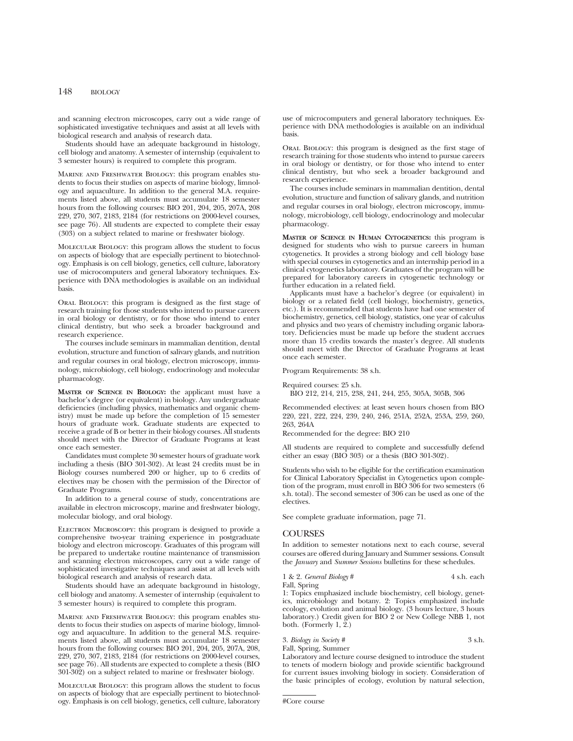and scanning electron microscopes, carry out a wide range of sophisticated investigative techniques and assist at all levels with biological research and analysis of research data.

Students should have an adequate background in histology, cell biology and anatomy. A semester of internship (equivalent to 3 semester hours) is required to complete this program.

Marine and Freshwater Biology: this program enables students to focus their studies on aspects of marine biology, limnology and aquaculture. In addition to the general M.A. requirements listed above, all students must accumulate 18 semester hours from the following courses: BIO 201, 204, 205, 207A, 208 229, 270, 307, 2183, 2184 (for restrictions on 2000-level courses, see page 76). All students are expected to complete their essay (303) on a subject related to marine or freshwater biology.

Molecular Biology: this program allows the student to focus on aspects of biology that are especially pertinent to biotechnology. Emphasis is on cell biology, genetics, cell culture, laboratory use of microcomputers and general laboratory techniques. Experience with DNA methodologies is available on an individual basis.

Oral Biology: this program is designed as the first stage of research training for those students who intend to pursue careers in oral biology or dentistry, or for those who intend to enter clinical dentistry, but who seek a broader background and research experience.

The courses include seminars in mammalian dentition, dental evolution, structure and function of salivary glands, and nutrition and regular courses in oral biology, electron microscopy, immunology, microbiology, cell biology, endocrinology and molecular pharmacology.

**MASTER OF SCIENCE IN BIOLOGY:** the applicant must have a bachelor's degree (or equivalent) in biology. Any undergraduate deficiencies (including physics, mathematics and organic chemistry) must be made up before the completion of 15 semester hours of graduate work. Graduate students are expected to receive a grade of B or better in their biology courses. All students should meet with the Director of Graduate Programs at least once each semester.

Candidates must complete 30 semester hours of graduate work including a thesis (BIO 301-302). At least 24 credits must be in Biology courses numbered 200 or higher, up to 6 credits of electives may be chosen with the permission of the Director of Graduate Programs.

In addition to a general course of study, concentrations are available in electron microscopy, marine and freshwater biology, molecular biology, and oral biology.

ELECTRON MICROSCOPY: this program is designed to provide a comprehensive two-year training experience in postgraduate biology and electron microscopy. Graduates of this program will be prepared to undertake routine maintenance of transmission and scanning electron microscopes, carry out a wide range of sophisticated investigative techniques and assist at all levels with biological research and analysis of research data.

Students should have an adequate background in histology, cell biology and anatomy. A semester of internship (equivalent to 3 semester hours) is required to complete this program.

Marine and Freshwater Biology: this program enables students to focus their studies on aspects of marine biology, limnology and aquaculture. In addition to the general M.S. requirements listed above, all students must accumulate 18 semester hours from the following courses: BIO 201, 204, 205, 207A, 208, 229, 270, 307, 2183, 2184 (for restrictions on 2000-level courses, see page 76). All students are expected to complete a thesis (BIO 301-302) on a subject related to marine or freshwater biology.

Molecular Biology: this program allows the student to focus on aspects of biology that are especially pertinent to biotechnology. Emphasis is on cell biology, genetics, cell culture, laboratory use of microcomputers and general laboratory techniques. Experience with DNA methodologies is available on an individual basis.

Oral Biology: this program is designed as the first stage of research training for those students who intend to pursue careers in oral biology or dentistry, or for those who intend to enter clinical dentistry, but who seek a broader background and research experience.

The courses include seminars in mammalian dentition, dental evolution, structure and function of salivary glands, and nutrition and regular courses in oral biology, electron microscopy, immunology, microbiology, cell biology, endocrinology and molecular pharmacology.

**MASTER OF SCIENCE IN HUMAN CYTOGENETICS:** this program is designed for students who wish to pursue careers in human cytogenetics. It provides a strong biology and cell biology base with special courses in cytogenetics and an internship period in a clinical cytogenetics laboratory. Graduates of the program will be prepared for laboratory careers in cytogenetic technology or further education in a related field.

Applicants must have a bachelor's degree (or equivalent) in biology or a related field (cell biology, biochemistry, genetics, etc.). It is recommended that students have had one semester of biochemistry, genetics, cell biology, statistics, one year of calculus and physics and two years of chemistry including organic laboratory. Deficiencies must be made up before the student accrues more than 15 credits towards the master's degree. All students should meet with the Director of Graduate Programs at least once each semester.

Program Requirements: 38 s.h.

Required courses: 25 s.h. BIO 212, 214, 215, 238, 241, 244, 255, 305A, 305B, 306

Recommended electives: at least seven hours chosen from BIO 220, 221, 222, 224, 239, 240, 246, 251A, 252A, 253A, 259, 260, 263, 264A

Recommended for the degree: BIO 210

All students are required to complete and successfully defend either an essay (BIO 303) or a thesis (BIO 301-302).

Students who wish to be eligible for the certification examination for Clinical Laboratory Specialist in Cytogenetics upon completion of the program, must enroll in BIO 306 for two semesters (6 s.h. total). The second semester of 306 can be used as one of the electives.

See complete graduate information, page 71.

## COURSES

In addition to semester notations next to each course, several courses are offered during January and Summer sessions. Consult the *January* and *Summer Sessions* bulletins for these schedules.

1 & 2. *General Biology* # 4 s.h. each Fall, Spring

1: Topics emphasized include biochemistry, cell biology, genetics, microbiology and botany. 2: Topics emphasized include ecology, evolution and animal biology. (3 hours lecture, 3 hours laboratory.) Credit given for BIO 2 or New College NBB 1, not both. (Formerly 1,  $\overline{2}$ .)

3. *Biology in Society #* 3 s.h. Fall, Spring, Summer

Laboratory and lecture course designed to introduce the student to tenets of modern biology and provide scientific background for current issues involving biology in society. Consideration of the basic principles of ecology, evolution by natural selection,

```
#Core course
```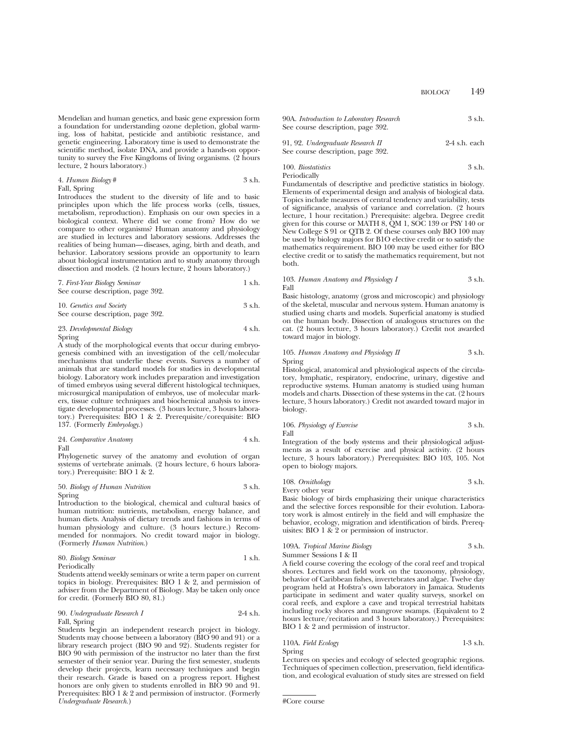Mendelian and human genetics, and basic gene expression form a foundation for understanding ozone depletion, global warming, loss of habitat, pesticide and antibiotic resistance, and genetic engineering. Laboratory time is used to demonstrate the scientific method, isolate DNA, and provide a hands-on opportunity to survey the Five Kingdoms of living organisms. (2 hours lecture, 2 hours laboratory.)

### 4. *Human Biology* # 3 s.h. Fall, Spring

Introduces the student to the diversity of life and to basic principles upon which the life process works (cells, tissues, metabolism, reproduction). Emphasis on our own species in a biological context. Where did we come from? How do we compare to other organisms? Human anatomy and physiology are studied in lectures and laboratory sessions. Addresses the realities of being human—diseases, aging, birth and death, and behavior. Laboratory sessions provide an opportunity to learn about biological instrumentation and to study anatomy through dissection and models. (2 hours lecture, 2 hours laboratory.)

7. *First-Year Biology Seminar* 1 s.h. See course description, page 392.

10. *Genetics and Society* 3 s.h. See course description, page 392.

## 23. *Developmental Biology* 4 s.h.

Spring

A study of the morphological events that occur during embryogenesis combined with an investigation of the cell/molecular mechanisms that underlie these events. Surveys a number of animals that are standard models for studies in developmental biology. Laboratory work includes preparation and investigation of timed embryos using several different histological techniques, microsurgical manipulation of embryos, use of molecular markers, tissue culture techniques and biochemical analysis to investigate developmental processes. (3 hours lecture, 3 hours laboratory.) Prerequisites: BIO 1 & 2. Prerequisite/corequisite: BIO 137. (Formerly *Embryology*.)

24. *Comparative Anatomy* 4 s.h. Fall

Phylogenetic survey of the anatomy and evolution of organ systems of vertebrate animals. (2 hours lecture, 6 hours laboratory.) Prerequisite: BIO 1 & 2.

## 50. *Biology of Human Nutrition* 3 s.h.

Spring Introduction to the biological, chemical and cultural basics of human nutrition: nutrients, metabolism, energy balance, and human diets. Analysis of dietary trends and fashions in terms of human physiology and culture. (3 hours lecture.) Recommended for nonmajors. No credit toward major in biology. (Formerly *Human Nutrition*.)

## 80. *Biology Seminar* 1 s.h.

Periodically

Students attend weekly seminars or write a term paper on current topics in biology. Prerequisites: BIO 1 & 2, and permission of adviser from the Department of Biology. May be taken only once for credit. (Formerly BIO 80, 81.)

## 90. *Undergraduate Research I* 2-4 s.h. Fall, Spring

Students begin an independent research project in biology. Students may choose between a laboratory (BIO 90 and 91) or a library research project (BIO 90 and 92). Students register for BIO 90 with permission of the instructor no later than the first semester of their senior year. During the first semester, students develop their projects, learn necessary techniques and begin their research. Grade is based on a progress report. Highest honors are only given to students enrolled in BIO 90 and 91. Prerequisites: BIO 1 & 2 and permission of instructor. (Formerly *Undergraduate Research.*)

| 90A. Introduction to Laboratory Research<br>See course description, page 392. | 3 s.h.          |
|-------------------------------------------------------------------------------|-----------------|
| 91, 92. Undergraduate Research II                                             | $2-4$ s.h. each |

| $51, 52.$ Chaoighaman rascaich $\pi$ |  | $-1$ $rac{1}{2}$ |
|--------------------------------------|--|------------------|
| See course description, page 392.    |  |                  |
|                                      |  |                  |

100. *Biostatistics* 3 s.h. Periodically

Fundamentals of descriptive and predictive statistics in biology. Elements of experimental design and analysis of biological data. Topics include measures of central tendency and variability, tests of significance, analysis of variance and correlation. (2 hours lecture, 1 hour recitation.) Prerequisite: algebra. Degree credit given for this course or MATH 8, QM 1, SOC 139 or PSY 140 or New College S 91 or QTB 2. Of these courses only BIO 100 may be used by biology majors for B1O elective credit or to satisfy the mathematics requirement. BIO 100 may be used either for BIO elective credit or to satisfy the mathematics requirement, but not both.

### 103. *Human Anatomy and Physiology I* 3 s.h. Fall

Basic histology, anatomy (gross and microscopic) and physiology of the skeletal, muscular and nervous system. Human anatomy is studied using charts and models. Superficial anatomy is studied on the human body. Dissection of analogous structures on the cat. (2 hours lecture, 3 hours laboratory.) Credit not awarded toward major in biology.

## 105. *Human Anatomy and Physiology II* 3 s.h. Spring

Histological, anatomical and physiological aspects of the circulatory, lymphatic, respiratory, endocrine, urinary, digestive and reproductive systems. Human anatomy is studied using human models and charts. Dissection of these systems in the cat. (2 hours lecture, 3 hours laboratory.) Credit not awarded toward major in biology.

|      | 106. Physiology of Exercise | 3 s.h. |
|------|-----------------------------|--------|
| Fall |                             |        |

Integration of the body systems and their physiological adjustments as a result of exercise and physical activity. (2 hours lecture, 3 hours laboratory.) Prerequisites: BIO 103, 105. Not open to biology majors.

108. *Ornithology* 3 s.h. Every other year

Basic biology of birds emphasizing their unique characteristics and the selective forces responsible for their evolution. Laboratory work is almost entirely in the field and will emphasize the behavior, ecology, migration and identification of birds. Prerequisites: BIO 1 & 2 or permission of instructor.

## 109A. *Tropical Marine Biology* 3 s.h. Summer Sessions I & II

A field course covering the ecology of the coral reef and tropical shores. Lectures and field work on the taxonomy, physiology, behavior of Caribbean fishes, invertebrates and algae. Twelve day program held at Hofstra's own laboratory in Jamaica. Students participate in sediment and water quality surveys, snorkel on coral reefs, and explore a cave and tropical terrestrial habitats including rocky shores and mangrove swamps. (Equivalent to 2 hours lecture/recitation and 3 hours laboratory.) Prerequisites: BIO 1 & 2 and permission of instructor.

110A. *Field Ecology* 1-3 s.h. Spring

Lectures on species and ecology of selected geographic regions. Techniques of specimen collection, preservation, field identification, and ecological evaluation of study sites are stressed on field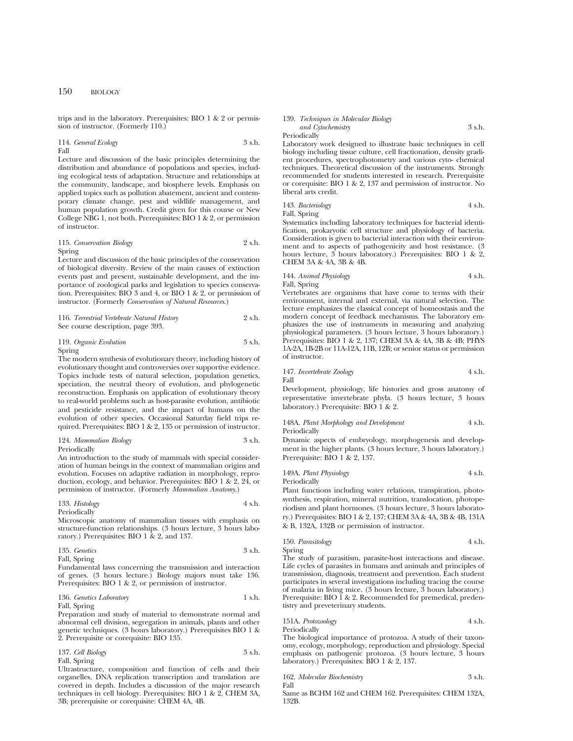trips and in the laboratory. Prerequisites: BIO 1 & 2 or permission of instructor. (Formerly 110.)

114. *General Ecology* 3 s.h. Fall

Lecture and discussion of the basic principles determining the distribution and abundance of populations and species, including ecological tests of adaptation. Structure and relationships at the community, landscape, and biosphere levels. Emphasis on applied topics such as pollution abatement, ancient and contemporary climate change, pest and wildlife management, and human population growth. Credit given for this course or New College NBG 1, not both. Prerequisites: BIO 1 & 2, or permission of instructor.

115. *Conservation Biology* 2 s.h. Spring

Lecture and discussion of the basic principles of the conservation of biological diversity. Review of the main causes of extinction events past and present, sustainable development, and the importance of zoological parks and legislation to species conservation. Prerequisites: BIO 3 and 4, or BIO 1 & 2, or permission of instructor. (Formerly *Conservation of Natural Resources*.)

116. *Terrestrial Vertebrate Natural History* 2 s.h. See course description, page 393.

119. *Organic Evolution* 3 s.h.

### Spring

The modern synthesis of evolutionary theory, including history of evolutionary thought and controversies over supportive evidence. Topics include tests of natural selection, population genetics, speciation, the neutral theory of evolution, and phylogenetic reconstruction. Emphasis on application of evolutionary theory to real-world problems such as host-parasite evolution, antibiotic and pesticide resistance, and the impact of humans on the evolution of other species. Occasional Saturday field trips required. Prerequisites: BIO 1 & 2, 135 or permission of instructor.

124. *Mammalian Biology* 3 s.h. Periodically

An introduction to the study of mammals with special consideration of human beings in the context of mammalian origins and evolution. Focuses on adaptive radiation in morphology, reproduction, ecology, and behavior. Prerequisites: BIO 1 & 2, 24, or permission of instructor. (Formerly *Mammalian Anatomy*.)

### 133. *Histology* 4 s.h. Periodically

Microscopic anatomy of mammalian tissues with emphasis on structure-function relationships. (3 hours lecture, 3 hours laboratory.) Prerequisites: BIO 1 & 2, and 137.

135. *Genetics* 3 s.h. Fall, Spring

Fundamental laws concerning the transmission and interaction of genes. (3 hours lecture.) Biology majors must take 136. Prerequisites: BIO 1 & 2, or permission of instructor.

136. *Genetics Laboratory* 1 s.h. Fall, Spring

Preparation and study of material to demonstrate normal and abnormal cell division, segregation in animals, plants and other genetic techniques. (3 hours laboratory.) Prerequisites BIO 1 & 2. Prerequisite or corequisite: BIO 135.

137. *Cell Biology* 3 s.h. Fall, Spring

Ultrastructure, composition and function of cells and their organelles, DNA replication transcription and translation are covered in depth. Includes a discussion of the major research techniques in cell biology. Prerequisites: BIO 1 & 2, CHEM 3A, 3B; prerequisite or corequisite: CHEM 4A, 4B.

139. *Techniques in Molecular Biology and Cytochemistry* 3 s.h. Periodically

Laboratory work designed to illustrate basic techniques in cell biology including tissue culture, cell fractionation, density gradient procedures, spectrophotometry and various cyto- chemical techniques. Theoretical discussion of the instruments. Strongly recommended for students interested in research. Prerequisite or corequisite: BIO 1 & 2, 137 and permission of instructor. No liberal arts credit.

143. *Bacteriology* 4 s.h. Fall, Spring

Systematics including laboratory techniques for bacterial identification, prokaryotic cell structure and physiology of bacteria. Consideration is given to bacterial interaction with their environment and to aspects of pathogenicity and host resistance. (3 hours lecture, 3 hours laboratory.) Prerequisites: BIO 1 & 2, CHEM 3A & 4A, 3B & 4B.

144. *Animal Physiology* 4 s.h. Fall, Spring

Vertebrates are organisms that have come to terms with their environment, internal and external, via natural selection. The lecture emphasizes the classical concept of homeostasis and the modern concept of feedback mechanisms. The laboratory emphasizes the use of instruments in measuring and analyzing physiological parameters. (3 hours lecture, 3 hours laboratory.) Prerequisites: BIO 1 & 2, 137; CHEM 3A & 4A, 3B & 4B; PHYS 1A-2A, 1B-2B or 11A-12A, 11B, 12B; or senior status or permission of instructor.

147. *Invertebrate Zoology* 4 s.h. Fall

Development, physiology, life histories and gross anatomy of representative invertebrate phyla. (3 hours lecture, 3 hours laboratory.) Prerequisite: BIO 1 & 2.

148A. *Plant Morphology and Development* 4 s.h. Periodically

Dynamic aspects of embryology, morphogenesis and development in the higher plants. (3 hours lecture, 3 hours laboratory.) Prerequisite: BIO 1 & 2, 137.

149A. *Plant Physiology* 4 s.h.

Periodically

Plant functions including water relations, transpiration, photosynthesis, respiration, mineral nutrition, translocation, photoperiodism and plant hormones. (3 hours lecture, 3 hours laboratory.) Prerequisites: BIO 1 & 2, 137; CHEM 3A & 4A, 3B & 4B, 131A & B, 132A, 132B or permission of instructor.

150. *Parasitology* 4 s.h. Spring

The study of parasitism, parasite-host interactions and disease. Life cycles of parasites in humans and animals and principles of transmission, diagnosis, treatment and prevention. Each student participates in several investigations including tracing the course of malaria in living mice. (3 hours lecture, 3 hours laboratory.) Prerequisite: BIO I & 2. Recommended for premedical, predentistry and preveterinary students.

151A. *Protozoology* 4 s.h.

Periodically

The biological importance of protozoa. A study of their taxonomy, ecology, morphology, reproduction and physiology. Special emphasis on pathogenic protozoa. (3 hours lecture, 3 hours laboratory.) Prerequisites: BIO 1 & 2, 137.

| 162. Molecular Biochemistry | 3 s.h. |
|-----------------------------|--------|
| Fall                        |        |

Same as BCHM 162 and CHEM 162. Prerequisites: CHEM 132A, 132B.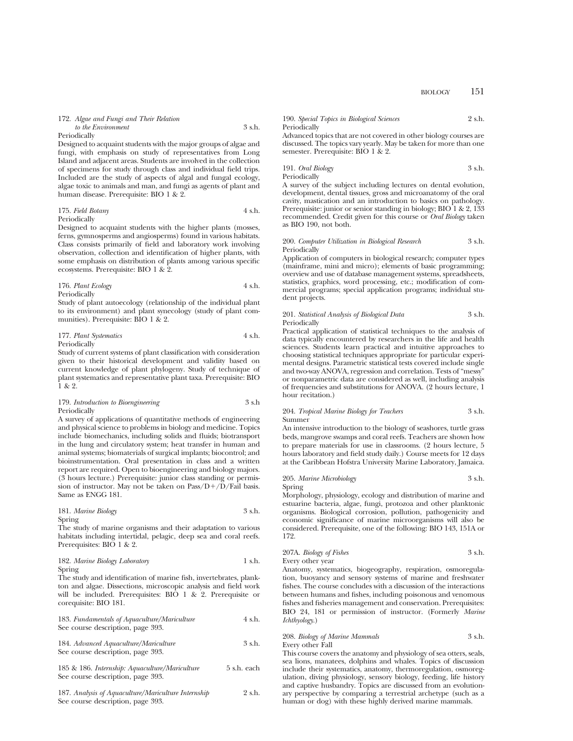#### 172. *Algae and Fungi and Their Relation to the Environment* 3 s.h.

#### Periodically

Designed to acquaint students with the major groups of algae and fungi, with emphasis on study of representatives from Long Island and adjacent areas. Students are involved in the collection of specimens for study through class and individual field trips. Included are the study of aspects of algal and fungal ecology, algae toxic to animals and man, and fungi as agents of plant and human disease. Prerequisite: BIO 1 & 2.

175. *Field Botany* 4 s.h. Periodically

Designed to acquaint students with the higher plants (mosses, ferns, gymnosperms and angiosperms) found in various habitats. Class consists primarily of field and laboratory work involving observation, collection and identification of higher plants, with some emphasis on distribution of plants among various specific ecosystems. Prerequisite: BIO 1 & 2.

### 176. *Plant Ecology* 4 s.h. Periodically

Study of plant autoecology (relationship of the individual plant to its environment) and plant synecology (study of plant communities). Prerequisite: BIO 1 & 2.

177. *Plant Systematics* 4 s.h. Periodically

Study of current systems of plant classification with consideration given to their historical development and validity based on current knowledge of plant phylogeny. Study of technique of plant systematics and representative plant taxa. Prerequisite: BIO 1 & 2.

## 179. *Introduction to Bioengineering* 3 s.h Periodically

A survey of applications of quantitative methods of engineering and physical science to problems in biology and medicine. Topics include biomechanics, including solids and fluids; biotransport in the lung and circulatory system; heat transfer in human and animal systems; biomaterials of surgical implants; biocontrol; and bioinstrumentation. Oral presentation in class and a written report are required. Open to bioengineering and biology majors. (3 hours lecture.) Prerequisite: junior class standing or permission of instructor. May not be taken on  $Pass/D+/D/Fall$  basis. Same as ENGG 181.

181. *Marine Biology* 3 s.h. Spring

The study of marine organisms and their adaptation to various habitats including intertidal, pelagic, deep sea and coral reefs. Prerequisites: BIO 1 & 2.

182. *Marine Biology Laboratory* 1 s.h. Spring

The study and identification of marine fish, invertebrates, plankton and algae. Dissections, microscopic analysis and field work will be included. Prerequisites: BIO 1 & 2. Prerequisite or corequisite: BIO 181.

183. *Fundamentals of Aquaculture/Mariculture* 4 s.h. See course description, page 393.

184. *Advanced Aquaculture/Mariculture* 3 s.h. See course description, page 393.

185 & 186. *Internship: Aquaculture/Mariculture* 5 s.h. each See course description, page 393.

187. *Analysis of Aquaculture/Mariculture Internship* 2 s.h. See course description, page 393.

| 190. Special Topics in Biological Sciences | 2 s.h. |
|--------------------------------------------|--------|
| Periodically                               |        |

Advanced topics that are not covered in other biology courses are discussed. The topics vary yearly. May be taken for more than one semester. Prerequisite: BIO 1 & 2.

191. *Oral Biology* 3 s.h. Periodically

A survey of the subject including lectures on dental evolution, development, dental tissues, gross and microanatomy of the oral cavity, mastication and an introduction to basics on pathology. Prerequisite: junior or senior standing in biology; BIO 1 & 2, 133 recommended. Credit given for this course or *Oral Biology* taken as BIO 190, not both.

#### 200. *Computer Utilization in Biological Research* 3 s.h. Periodically

Application of computers in biological research; computer types (mainframe, mini and micro); elements of basic programming; overview and use of database management systems, spreadsheets, statistics, graphics, word processing, etc.; modification of commercial programs; special application programs; individual student projects.

## 201. *Statistical Analysis of Biological Data* 3 s.h. Periodically

Practical application of statistical techniques to the analysis of data typically encountered by researchers in the life and health sciences. Students learn practical and intuitive approaches to choosing statistical techniques appropriate for particular experimental designs. Parametric statistical tests covered include single and two-way ANOVA, regression and correlation. Tests of "messy" or nonparametric data are considered as well, including analysis of frequencies and substitutions for ANOVA. (2 hours lecture, 1 hour recitation.)

#### 204. *Tropical Marine Biology for Teachers* 3 s.h. Summer

An intensive introduction to the biology of seashores, turtle grass beds, mangrove swamps and coral reefs. Teachers are shown how to prepare materials for use in classrooms. (2 hours lecture, 5 hours laboratory and field study daily.) Course meets for 12 days at the Caribbean Hofstra University Marine Laboratory, Jamaica.

### 205. *Marine Microbiology* 3 s.h. Spring

Morphology, physiology, ecology and distribution of marine and estuarine bacteria, algae, fungi, protozoa and other planktonic organisms. Biological corrosion, pollution, pathogenicity and economic significance of marine microorganisms will also be considered. Prerequisite, one of the following: BIO 143, 151A or 172.

207A. *Biology of Fishes* 3 s.h. Every other year

Anatomy, systematics, biogeography, respiration, osmoregulation, buoyancy and sensory systems of marine and freshwater fishes. The course concludes with a discussion of the interactions between humans and fishes, including poisonous and venomous fishes and fisheries management and conservation. Prerequisites: BIO 24, 181 or permission of instructor. (Formerly *Marine Ichthyology*.)

## 208. *Biology of Marine Mammals* 3 s.h. Every other Fall

This course covers the anatomy and physiology of sea otters, seals, sea lions, manatees, dolphins and whales. Topics of discussion include their systematics, anatomy, thermoregulation, osmoregulation, diving physiology, sensory biology, feeding, life history and captive husbandry. Topics are discussed from an evolutionary perspective by comparing a terrestrial archetype (such as a human or dog) with these highly derived marine mammals.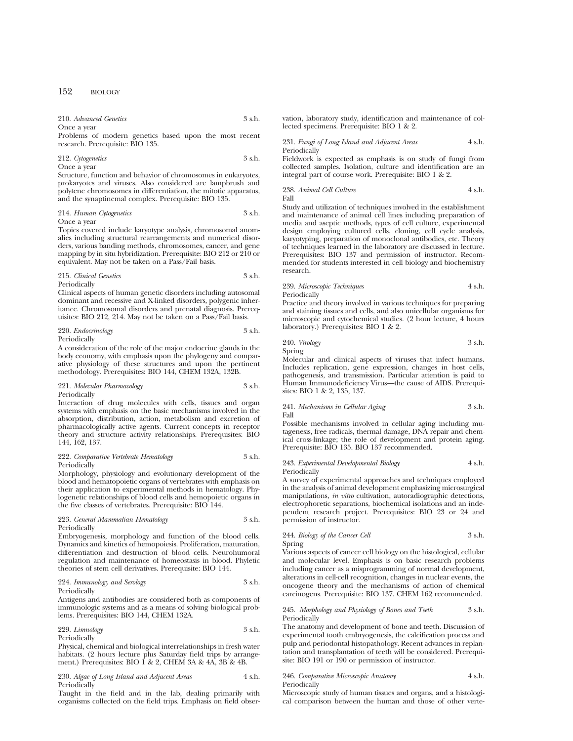| 210. Advanced Genetics | 3 s.h. |
|------------------------|--------|
| Once a year            |        |

Problems of modern genetics based upon the most recent research. Prerequisite: BIO 135.

212. *Cytogenetics* 3 s.h. Once a year

Structure, function and behavior of chromosomes in eukaryotes, prokaryotes and viruses. Also considered are lampbrush and polytene chromosomes in differentiation, the mitotic apparatus, and the synaptinemal complex. Prerequisite: BIO 135.

214. *Human Cytogenetics* 3 s.h.

Once a year

Topics covered include karyotype analysis, chromosomal anomalies including structural rearrangements and numerical disorders, various banding methods, chromosomes, cancer, and gene mapping by in situ hybridization. Prerequisite: BIO 212 or 210 or equivalent. May not be taken on a Pass/Fail basis.

215. *Clinical Genetics* 3 s.h. Periodically

Clinical aspects of human genetic disorders including autosomal dominant and recessive and X-linked disorders, polygenic inheritance. Chromosomal disorders and prenatal diagnosis. Prerequisites: BIO 212, 214. May not be taken on a Pass/Fail basis.

220. *Endocrinology* 3 s.h. Periodically

A consideration of the role of the major endocrine glands in the body economy, with emphasis upon the phylogeny and comparative physiology of these structures and upon the pertinent methodology. Prerequisites: BIO 144, CHEM 132A, 132B.

## 221. *Molecular Pharmacology* 3 s.h. **Periodically**

Interaction of drug molecules with cells, tissues and organ systems with emphasis on the basic mechanisms involved in the absorption, distribution, action, metabolism and excretion of pharmacologically active agents. Current concepts in receptor theory and structure activity relationships. Prerequisites: BIO 144, 162, 137.

### 222. *Comparative Vertebrate Hematology* 3 s.h. Periodically

Morphology, physiology and evolutionary development of the blood and hematopoietic organs of vertebrates with emphasis on their application to experimental methods in hematology. Phylogenetic relationships of blood cells and hemopoietic organs in the five classes of vertebrates. Prerequisite: BIO 144.

## 223. *General Mammalian Hematology* 3 s.h. **Periodically**

Embryogenesis, morphology and function of the blood cells. Dynamics and kinetics of hemopoiesis. Proliferation, maturation, differentiation and destruction of blood cells. Neurohumoral regulation and maintenance of homeostasis in blood. Phyletic theories of stem cell derivatives. Prerequisite: BIO 144.

### 224. *Immunology and Serology* 3 s.h. Periodically

Antigens and antibodies are considered both as components of immunologic systems and as a means of solving biological problems. Prerequisites: BIO 144, CHEM 132A.

## 229. *Limnology* 3 s.h. Periodically

Physical, chemical and biological interrelationships in fresh water habitats. (2 hours lecture plus Saturday field trips by arrangement.) Prerequisites: BIO 1 & 2, CHEM 3A & 4A, 3B & 4B.

## 230. *Algae of Long Island and Adjacent Areas* 4 s.h. Periodically

Taught in the field and in the lab, dealing primarily with organisms collected on the field trips. Emphasis on field observation, laboratory study, identification and maintenance of collected specimens. Prerequisite: BIO 1 & 2.

231. *Fungi of Long Island and Adjacent Areas* 4 s.h. **Periodically** 

Fieldwork is expected as emphasis is on study of fungi from collected samples. Isolation, culture and identification are an integral part of course work. Prerequisite: BIO 1 & 2.

$$
\mbox{238. Animal Cell Culture} \qquad \qquad \mbox{4 s.h.}
$$
 Fall

Study and utilization of techniques involved in the establishment and maintenance of animal cell lines including preparation of media and aseptic methods, types of cell culture, experimental design employing cultured cells, cloning, cell cycle analysis, karyotyping, preparation of monoclonal antibodies, etc. Theory of techniques learned in the laboratory are discussed in lecture. Prerequisites: BIO 137 and permission of instructor. Recommended for students interested in cell biology and biochemistry research.

## 239. *Microscopic Techniques* 4 s.h.

Periodically

Practice and theory involved in various techniques for preparing and staining tissues and cells, and also unicellular organisms for microscopic and cytochemical studies. (2 hour lecture, 4 hours laboratory.) Prerequisites: BIO 1 & 2.

240. *Virology* 3 s.h.

Spring

Molecular and clinical aspects of viruses that infect humans. Includes replication, gene expression, changes in host cells, pathogenesis, and transmission. Particular attention is paid to Human Immunodeficiency Virus—the cause of AIDS. Prerequisites: BIO 1 & 2, 135, 137.

### 241. *Mechanisms in Cellular Aging* 3 s.h. Fall

Possible mechanisms involved in cellular aging including mutagenesis, free radicals, thermal damage, DNA repair and chemical cross-linkage; the role of development and protein aging. Prerequisite: BIO 135. BIO 137 recommended.

### 243. *Experimental Developmental Biology* 4 s.h. Periodically

A survey of experimental approaches and techniques employed in the analysis of animal development emphasizing microsurgical manipulations, *in vitro* cultivation, autoradiographic detections, electrophoretic separations, biochemical isolations and an independent research project. Prerequisites: BIO 23 or 24 and permission of instructor.

## 244. *Biology of the Cancer Cell* 3 s.h. Spring

Various aspects of cancer cell biology on the histological, cellular and molecular level. Emphasis is on basic research problems including cancer as a misprogramming of normal development, alterations in cell-cell recognition, changes in nuclear events, the oncogene theory and the mechanisms of action of chemical carcinogens. Prerequisite: BIO 137. CHEM 162 recommended.

## 245. *Morphology and Physiology of Bones and Teeth* 3 s.h. Periodically

The anatomy and development of bone and teeth. Discussion of experimental tooth embryogenesis, the calcification process and pulp and periodontal histopathology. Recent advances in replantation and transplantation of teeth will be considered. Prerequisite: BIO 191 or 190 or permission of instructor.

## 246. *Comparative Microscopic Anatomy* 4 s.h. Periodically

Microscopic study of human tissues and organs, and a histological comparison between the human and those of other verte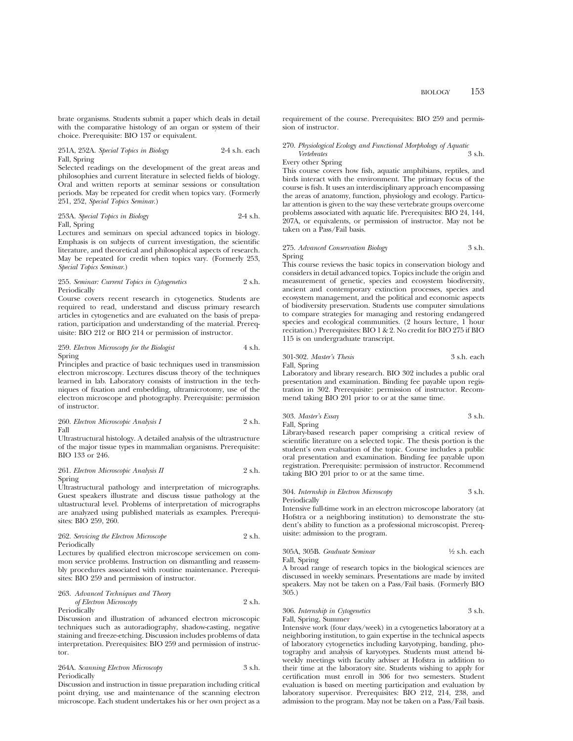brate organisms. Students submit a paper which deals in detail with the comparative histology of an organ or system of their choice. Prerequisite: BIO 137 or equivalent.

## 251A, 252A. *Special Topics in Biology* 2-4 s.h. each Fall, Spring

Selected readings on the development of the great areas and philosophies and current literature in selected fields of biology. Oral and written reports at seminar sessions or consultation periods. May be repeated for credit when topics vary. (Formerly 251, 252, *Special Topics Seminar*.)

253A. *Special Topics in Biology* 2-4 s.h. Fall, Spring

Lectures and seminars on special advanced topics in biology. Emphasis is on subjects of current investigation, the scientific literature, and theoretical and philosophical aspects of research. May be repeated for credit when topics vary. (Formerly 253, *Special Topics Seminar*.)

## 255. *Seminar: Current Topics in Cytogenetics* 2 s.h. Periodically

Course covers recent research in cytogenetics. Students are required to read, understand and discuss primary research articles in cytogenetics and are evaluated on the basis of preparation, participation and understanding of the material. Prerequisite: BIO 212 or BIO 214 or permission of instructor.

259. *Electron Microscopy for the Biologist* 4 s.h. Spring

Principles and practice of basic techniques used in transmission electron microscopy. Lectures discuss theory of the techniques learned in lab. Laboratory consists of instruction in the techniques of fixation and embedding, ultramicrotomy, use of the electron microscope and photography. Prerequisite: permission of instructor.

260. *Electron Microsoft Analysis I* 
$$
2 \text{ s.h.}
$$
 Fall

Ultrastructural histology. A detailed analysis of the ultrastructure of the major tissue types in mammalian organisms. Prerequisite: BIO 133 or 246.

261. *Electron Microscopic Analysis II* 2 s.h. Spring

Ultrastructural pathology and interpretation of micrographs. Guest speakers illustrate and discuss tissue pathology at the ultastructural level. Problems of interpretation of micrographs are analyzed using published materials as examples. Prerequisites: BIO 259, 260.

262. *Servicing the Electron Microscope* 2 s.h. Periodically

Lectures by qualified electron microscope servicemen on common service problems. Instruction on dismantling and reassembly procedures associated with routine maintenance. Prerequisites: BIO 259 and permission of instructor.

## 263. *Advanced Techniques and Theory of Electron Microscopy* 2 s.h. Periodically

Discussion and illustration of advanced electron microscopic techniques such as autoradiography, shadow-casting, negative staining and freeze-etching. Discussion includes problems of data interpretation. Prerequisites: BIO 259 and permission of instructor.

## 264A. *Scanning Electron Microscopy* 3 s.h. Periodically

Discussion and instruction in tissue preparation including critical point drying, use and maintenance of the scanning electron microscope. Each student undertakes his or her own project as a requirement of the course. Prerequisites: BIO 259 and permission of instructor.

## 270. *Physiological Ecology and Functional Morphology of Aquatic Vertebrates* 3 s.h.

## Every other Spring

This course covers how fish, aquatic amphibians, reptiles, and birds interact with the environment. The primary focus of the course is fish. It uses an interdisciplinary approach encompassing the areas of anatomy, function, physiology and ecology. Particular attention is given to the way these vertebrate groups overcome problems associated with aquatic life. Prerequisites: BIO 24, 144, 207A, or equivalents, or permission of instructor. May not be taken on a Pass/Fail basis.

## 275. *Advanced Conservation Biology* 3 s.h. Spring

This course reviews the basic topics in conservation biology and considers in detail advanced topics. Topics include the origin and measurement of genetic, species and ecosystem biodiversity, ancient and contemporary extinction processes, species and ecosystem management, and the political and economic aspects of biodiversity preservation. Students use computer simulations to compare strategies for managing and restoring endangered species and ecological communities. (2 hours lecture, 1 hour recitation.) Prerequisites: BIO 1 & 2. No credit for BIO 275 if BIO 115 is on undergraduate transcript.

## 301-302. *Master's Thesis* 3 s.h. each

Fall, Spring

Laboratory and library research. BIO 302 includes a public oral presentation and examination. Binding fee payable upon registration in 302. Prerequisite: permission of instructor. Recommend taking BIO 201 prior to or at the same time.

303. *Master's Essay* 3 s.h. Fall, Spring

Library-based research paper comprising a critical review of scientific literature on a selected topic. The thesis portion is the student's own evaluation of the topic. Course includes a public oral presentation and examination. Binding fee payable upon registration. Prerequisite: permission of instructor. Recommend taking BIO 201 prior to or at the same time.

### 304. *Internship in Electron Microscopy* 3 s.h. Periodically

Intensive full-time work in an electron microscope laboratory (at Hofstra or a neighboring institution) to demonstrate the student's ability to function as a professional microscopist. Prerequisite: admission to the program.

### 305A, 305B. *Graduate Seminar* 1⁄2 s.h. each Fall, Spring

A broad range of research topics in the biological sciences are discussed in weekly seminars. Presentations are made by invited speakers. May not be taken on a Pass/Fail basis. (Formerly BIO 305.)

## 306. *Internship in Cytogenetics* 3 s.h. Fall, Spring, Summer

Intensive work (four days/week) in a cytogenetics laboratory at a neighboring institution, to gain expertise in the technical aspects of laboratory cytogenetics including karyotyping, banding, photography and analysis of karyotypes. Students must attend biweekly meetings with faculty adviser at Hofstra in addition to their time at the laboratory site. Students wishing to apply for certification must enroll in 306 for two semesters. Student evaluation is based on meeting participation and evaluation by laboratory supervisor. Prerequisites: BIO 212, 214, 238, and admission to the program. May not be taken on a Pass/Fail basis.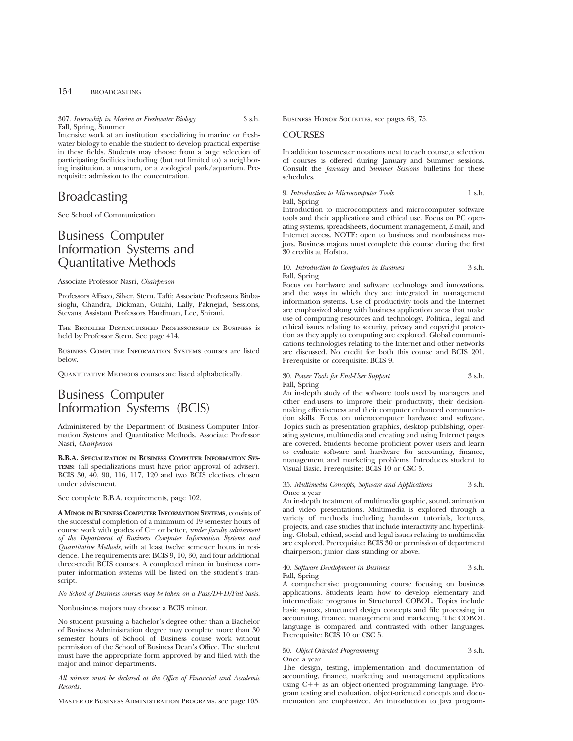307. *Internship in Marine or Freshwater Biology* 3 s.h. Fall, Spring, Summer

Intensive work at an institution specializing in marine or freshwater biology to enable the student to develop practical expertise in these fields. Students may choose from a large selection of participating facilities including (but not limited to) a neighboring institution, a museum, or a zoological park/aquarium. Prerequisite: admission to the concentration.

# Broadcasting

See School of Communication

## Business Computer Information Systems and Quantitative Methods

Associate Professor Nasri, *Chairperson*

Professors Affisco, Silver, Stern, Tafti; Associate Professors Binbasioglu, Chandra, Dickman, Guiahi, Lally, Paknejad, Sessions, Stevans; Assistant Professors Hardiman, Lee, Shirani.

The Brodlieb Distinguished Professorship in Business is held by Professor Stern. See page 414.

Business Computer Information Systems courses are listed below.

QUANTITATIVE METHODS courses are listed alphabetically.

# Business Computer Information Systems (BCIS)

Administered by the Department of Business Computer Information Systems and Quantitative Methods. Associate Professor Nasri, *Chairperson*

**B.B.A. SPECIALIZATION IN BUSINESS COMPUTER INFORMATION SYS-TEMS:** (all specializations must have prior approval of adviser). BCIS 30, 40, 90, 116, 117, 120 and two BCIS electives chosen under advisement.

See complete B.B.A. requirements, page 102.

**A MINOR IN BUSINESS COMPUTER INFORMATION SYSTEMS**, consists of the successful completion of a minimum of 19 semester hours of course work with grades of C- or better, *under faculty advisement of the Department of Business Computer Information Systems and Quantitative Methods*, with at least twelve semester hours in residence. The requirements are: BCIS 9, 10, 30, and four additional three-credit BCIS courses. A completed minor in business computer information systems will be listed on the student's transcript.

*No School of Business courses may be taken on a Pass/D+D/Fail basis.* 

Nonbusiness majors may choose a BCIS minor.

No student pursuing a bachelor's degree other than a Bachelor of Business Administration degree may complete more than 30 semester hours of School of Business course work without permission of the School of Business Dean's Office. The student must have the appropriate form approved by and filed with the major and minor departments.

*All minors must be declared at the Office of Financial and Academic Records.*

Master of Business Administration Programs, see page 105.

BUSINESS HONOR SOCIETIES, see pages 68, 75.

## **COURSES**

In addition to semester notations next to each course, a selection of courses is offered during January and Summer sessions. Consult the *January* and *Summer Sessions* bulletins for these schedules.

9. *Introduction to Microcomputer Tools* 1 s.h. Fall, Spring

Introduction to microcomputers and microcomputer software tools and their applications and ethical use. Focus on PC operating systems, spreadsheets, document management, E-mail, and Internet access. NOTE: open to business and nonbusiness majors. Business majors must complete this course during the first 30 credits at Hofstra.

## 10. *Introduction to Computers in Business* 3 s.h. Fall, Spring

Focus on hardware and software technology and innovations, and the ways in which they are integrated in management information systems. Use of productivity tools and the Internet are emphasized along with business application areas that make use of computing resources and technology. Political, legal and ethical issues relating to security, privacy and copyright protection as they apply to computing are explored. Global communications technologies relating to the Internet and other networks are discussed. No credit for both this course and BCIS 201. Prerequisite or corequisite: BCIS 9.

## 30. *Power Tools for End-User Support* 3 s.h. Fall, Spring

An in-depth study of the software tools used by managers and other end-users to improve their productivity, their decisionmaking effectiveness and their computer enhanced communication skills. Focus on microcomputer hardware and software. Topics such as presentation graphics, desktop publishing, operating systems, multimedia and creating and using Internet pages are covered. Students become proficient power users and learn to evaluate software and hardware for accounting, finance, management and marketing problems. Introduces student to Visual Basic. Prerequisite: BCIS 10 or CSC 5.

## 35. *Multimedia Concepts, Software and Applications* 3 s.h. Once a year

An in-depth treatment of multimedia graphic, sound, animation and video presentations. Multimedia is explored through a variety of methods including hands-on tutorials, lectures, projects, and case studies that include interactivity and hyperlinking. Global, ethical, social and legal issues relating to multimedia are explored. Prerequisite: BCIS 30 or permission of department chairperson; junior class standing or above.

## 40. *Software Development in Business* 3 s.h. Fall, Spring

A comprehensive programming course focusing on business applications. Students learn how to develop elementary and intermediate programs in Structured COBOL. Topics include basic syntax, structured design concepts and file processing in accounting, finance, management and marketing. The COBOL language is compared and contrasted with other languages. Prerequisite: BCIS 10 or CSC 5.

## 50. *Object-Oriented Programming* 3 s.h. Once a year

The design, testing, implementation and documentation of accounting, finance, marketing and management applications using  $C++$  as an object-oriented programming language. Program testing and evaluation, object-oriented concepts and documentation are emphasized. An introduction to Java program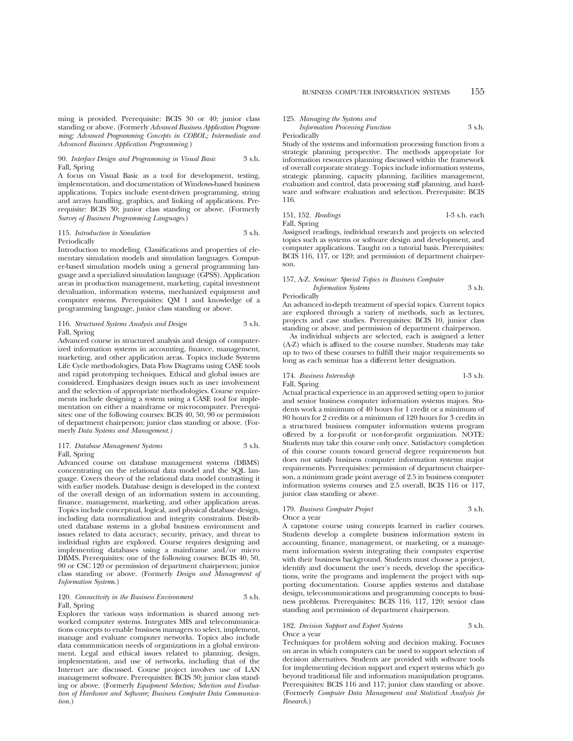ming is provided. Prerequisite: BCIS 30 or 40; junior class standing or above. (Formerly *Advanced Business Application Programming; Advanced Programming Concepts in COBOL; Intermediate and Advanced Business Application Programming.*)

## 90. *Interface Design and Programming in Visual Basic* 3 s.h. Fall, Spring

A focus on Visual Basic as a tool for development, testing, implementation, and documentation of Windows-based business applications. Topics include event-driven programming, string and arrays handling, graphics, and linking of applications. Prerequisite: BCIS 30; junior class standing or above. (Formerly *Survey of Business Programming Languages*.)

### 115. *Introduction to Simulation* 3 s.h. Periodically

Introduction to modeling. Classifications and properties of elementary simulation models and simulation languages. Computer-based simulation models using a general programming language and a specialized simulation language (GPSS). Application areas in production management, marketing, capital investment devaluation, information systems, mechanized equipment and computer systems. Prerequisites: QM 1 and knowledge of a programming language, junior class standing or above.

## 116. *Structured Systems Analysis and Design* 3 s.h. Fall, Spring

Advanced course in structured analysis and design of computerized information systems in accounting, finance, management, marketing, and other application areas. Topics include Systems Life Cycle methodologies, Data Flow Diagrams using CASE tools and rapid prototyping techniques. Ethical and global issues are considered. Emphasizes design issues such as user involvement and the selection of appropriate methodologies. Course requirements include designing a system using a CASE tool for implementation on either a mainframe or microcomputer. Prerequisites: one of the following courses: BCIS 40, 50, 90 or permission of department chairperson; junior class standing or above. (Formerly *Data Systems and Management.)*

### 117. *Database Management Systems* 3 s.h. Fall, Spring

Advanced course on database management systems (DBMS) concentrating on the relational data model and the SQL language. Covers theory of the relational data model contrasting it with earlier models. Database design is developed in the context of the overall design of an information system in accounting, finance, management, marketing, and other application areas. Topics include conceptual, logical, and physical database design, including data normalization and integrity constraints. Distributed database systems in a global business environment and issues related to data accuracy, security, privacy, and threat to individual rights are explored. Course requires designing and implementing databases using a mainframe and/or micro DBMS. Prerequisites: one of the following courses: BCIS 40, 50, 90 or CSC 120 or permission of department chairperson; junior class standing or above. (Formerly *Design and Management of Information System*s.)

### 120. *Connectivity in the Business Environment* 3 s.h. Fall, Spring

Explores the various ways information is shared among networked computer systems. Integrates MIS and telecommunications concepts to enable business managers to select, implement, manage and evaluate computer networks. Topics also include data communication needs of organizations in a global environment. Legal and ethical issues related to planning, design, implementation, and use of networks, including that of the Internet are discussed. Course project involves use of LAN management software. Prerequisites: BCIS 30; junior class standing or above. (Formerly *Equipment Selection; Selection and Evaluation of Hardware and Software; Business Computer Data Communication.*)

## 125. *Managing the Systems and Information Processing Function* 3 s.h.

## Periodically

Study of the systems and information processing function from a strategic planning perspective. The methods appropriate for information resources planning discussed within the framework of overall corporate strategy. Topics include information systems, strategic planning, capacity planning, facilities management, evaluation and control, data processing staff planning, and hardware and software evaluation and selection. Prerequisite: BCIS 116.

### 151, 152. *Readings* 1-3 s.h. each Fall, Spring

Assigned readings, individual research and projects on selected topics such as systems or software design and development, and computer applications. Taught on a tutorial basis. Prerequisites: BCIS 116, 117, or 120; and permission of department chairperson.

## 157, A-Z. *Seminar: Special Topics in Business Computer Information Systems* 3 s.h.

Periodically

An advanced in-depth treatment of special topics. Current topics are explored through a variety of methods, such as lectures, projects and case studies. Prerequisites: BCIS 10, junior class standing or above, and permission of department chairperson.

As individual subjects are selected, each is assigned a letter (A-Z) which is affixed to the course number. Students may take up to two of these courses to fulfill their major requirements so long as each seminar has a different letter designation.

## 174. *Business Internship* 1-3 s.h. Fall, Spring

Actual practical experience in an approved setting open to junior and senior business computer information systems majors. Students work a minimum of 40 hours for 1 credit or a minimum of 80 hours for 2 credits or a minimum of 120 hours for 3 credits in a structured business computer information systems program offered by a for-profit or not-for-profit organization. NOTE: Students may take this course only once. Satisfactory completion of this course counts toward general degree requirements but does not satisfy business computer information systems major requirements. Prerequisites: permission of department chairperson, a minimum grade point average of 2.5 in business computer information systems courses and 2.5 overall, BCIS 116 or 117, junior class standing or above.

## 179. *Business Computer Project* 3 s.h.

Once a year

A capstone course using concepts learned in earlier courses. Students develop a complete business information system in accounting, finance, management, or marketing, or a management information system integrating their computer expertise with their business background. Students must choose a project, identify and document the user's needs, develop the specifications, write the programs and implement the project with supporting documentation. Course applies systems and database design, telecommunications and programming concepts to business problems. Prerequisites: BCIS 116, 117, 120; senior class standing and permission of department chairperson.

#### 182. *Decision Support and Expert Systems* 3 s.h. Once a year

Techniques for problem solving and decision making. Focuses on areas in which computers can be used to support selection of decision alternatives. Students are provided with software tools for implementing decision support and expert systems which go beyond traditional file and information manipulation programs. Prerequisites: BCIS 116 and 117; junior class standing or above. (Formerly *Computer Data Management and Statistical Analysis for Research*.)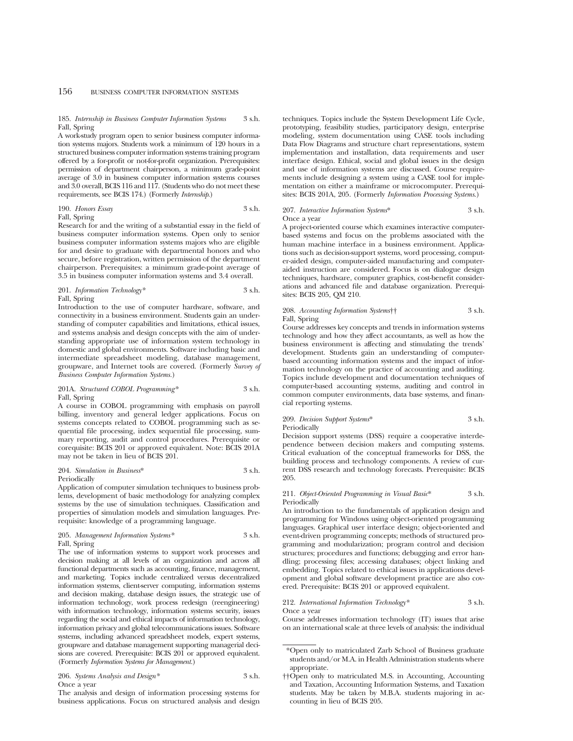## 185. *Internship in Business Computer Information Systems* 3 s.h. Fall, Spring

A work-study program open to senior business computer information systems majors. Students work a minimum of 120 hours in a structured business computer information systems training program offered by a for-profit or not-for-profit organization. Prerequisites: permission of department chairperson, a minimum grade-point average of 3.0 in business computer information systems courses and 3.0 overall, BCIS 116 and 117. (Students who do not meet these requirements, see BCIS 174.) (Formerly *Internship*.)

190. *Honors Essay* 3 s.h. Fall, Spring

Research for and the writing of a substantial essay in the field of business computer information systems. Open only to senior business computer information systems majors who are eligible for and desire to graduate with departmental honors and who secure, before registration, written permission of the department chairperson. Prerequisites: a minimum grade-point average of 3.5 in business computer information systems and 3.4 overall.

### 201. *Information Technology*\* 3 s.h. Fall, Spring

Introduction to the use of computer hardware, software, and connectivity in a business environment. Students gain an understanding of computer capabilities and limitations, ethical issues, and systems analysis and design concepts with the aim of understanding appropriate use of information system technology in domestic and global environments. Software including basic and intermediate spreadsheet modeling, database management, groupware, and Internet tools are covered. (Formerly *Survey of Business Computer Information Systems.*)

## 201A. *Structured COBOL Programming\** 3 s.h. Fall, Spring

A course in COBOL programming with emphasis on payroll billing, inventory and general ledger applications. Focus on systems concepts related to COBOL programming such as sequential file processing, index sequential file processing, summary reporting, audit and control procedures. Prerequisite or corequisite: BCIS 201 or approved equivalent. Note: BCIS 201A may not be taken in lieu of BCIS 201.

#### 204. *Simulation in Business*\* 3 s.h. Periodically

Application of computer simulation techniques to business problems, development of basic methodology for analyzing complex systems by the use of simulation techniques. Classification and properties of simulation models and simulation languages. Prerequisite: knowledge of a programming language.

## 205. *Management Information Systems\** 3 s.h. Fall, Spring

The use of information systems to support work processes and decision making at all levels of an organization and across all functional departments such as accounting, finance, management, and marketing. Topics include centralized versus decentralized information systems, client-server computing, information systems and decision making, database design issues, the strategic use of information technology, work process redesign (reengineering) with information technology, information systems security, issues regarding the social and ethical impacts of information technology, information privacy and global telecommunications issues. Software systems, including advanced spreadsheet models, expert systems, groupware and database management supporting managerial decisions are covered. Prerequisite: BCIS 201 or approved equivalent. (Formerly *Information Systems for Management.*)

206. *Systems Analysis and Design\** 3 s.h. Once a year

The analysis and design of information processing systems for business applications. Focus on structured analysis and design techniques. Topics include the System Development Life Cycle, prototyping, feasibility studies, participatory design, enterprise modeling, system documentation using CASE tools including Data Flow Diagrams and structure chart representations, system implementation and installation, data requirements and user interface design. Ethical, social and global issues in the design and use of information systems are discussed. Course requirements include designing a system using a CASE tool for implementation on either a mainframe or microcomputer. Prerequisites: BCIS 201A, 205. (Formerly *Information Processing Systems*.)

#### 207. *Interactive Information Systems*\* 3 s.h. Once a year

A project-oriented course which examines interactive computerbased systems and focus on the problems associated with the human machine interface in a business environment. Applications such as decision-support systems, word processing, computer-aided design, computer-aided manufacturing and computeraided instruction are considered. Focus is on dialogue design techniques, hardware, computer graphics, cost-benefit considerations and advanced file and database organization. Prerequisites: BCIS 205, QM 210.

#### 208. *Accounting Information Systems*†† 3 s.h. Fall, Spring

Course addresses key concepts and trends in information systems technology and how they affect accountants, as well as how the business environment is affecting and stimulating the trends' development. Students gain an understanding of computerbased accounting information systems and the impact of information technology on the practice of accounting and auditing. Topics include development and documentation techniques of computer-based accounting systems, auditing and control in common computer environments, data base systems, and financial reporting systems.

## 209. *Decision Support Systems*\* 3 s.h. Periodically

Decision support systems (DSS) require a cooperative interdependence between decision makers and computing systems. Critical evaluation of the conceptual frameworks for DSS, the building process and technology components. A review of current DSS research and technology forecasts. Prerequisite: BCIS 205.

### 211. *Object-Oriented Programming in Visual Basic*\* 3 s.h. Periodically

An introduction to the fundamentals of application design and programming for Windows using object-oriented programming languages. Graphical user interface design; object-oriented and event-driven programming concepts; methods of structured programming and modularization; program control and decision structures; procedures and functions; debugging and error handling; processing files; accessing databases; object linking and embedding. Topics related to ethical issues in applications development and global software development practice are also covered. Prerequisite: BCIS 201 or approved equivalent.

## 212. *International Information Technology\** 3 s.h. Once a year

Course addresses information technology (IT) issues that arise on an international scale at three levels of analysis: the individual

<sup>\*</sup>Open only to matriculated Zarb School of Business graduate students and/or M.A. in Health Administration students where appropriate.

<sup>††</sup>Open only to matriculated M.S. in Accounting, Accounting and Taxation, Accounting Information Systems, and Taxation students. May be taken by M.B.A. students majoring in accounting in lieu of BCIS 205.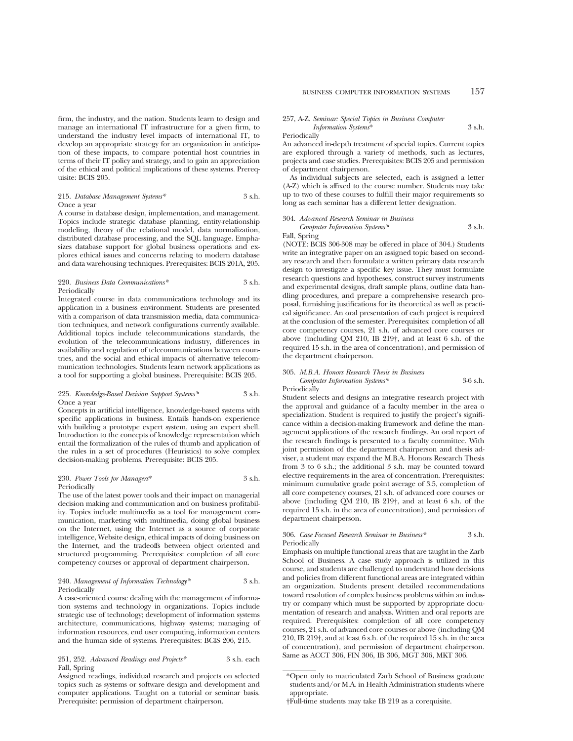firm, the industry, and the nation. Students learn to design and manage an international IT infrastructure for a given firm, to understand the industry level impacts of international IT, to develop an appropriate strategy for an organization in anticipation of these impacts, to compare potential host countries in terms of their IT policy and strategy, and to gain an appreciation of the ethical and political implications of these systems. Prerequisite: BCIS 205.

### 215. *Database Management Systems\** 3 s.h. Once a year

A course in database design, implementation, and management. Topics include strategic database planning, entity-relationship modeling, theory of the relational model, data normalization, distributed database processing, and the SQL language. Emphasizes database support for global business operations and explores ethical issues and concerns relating to modern database and data warehousing techniques. Prerequisites: BCIS 201A, 205.

## 220. *Business Data Communications\** 3 s.h. Periodically

Integrated course in data communications technology and its application in a business environment. Students are presented with a comparison of data transmission media, data communication techniques, and network configurations currently available. Additional topics include telecommunications standards, the evolution of the telecommunications industry, differences in availability and regulation of telecommunications between countries, and the social and ethical impacts of alternative telecommunication technologies. Students learn network applications as a tool for supporting a global business. Prerequisite: BCIS 205.

## 225. *Knowledge-Based Decision Support Systems\** 3 s.h. Once a year

Concepts in artificial intelligence, knowledge-based systems with specific applications in business. Entails hands-on experience with building a prototype expert system, using an expert shell. Introduction to the concepts of knowledge representation which entail the formalization of the rules of thumb and application of the rules in a set of procedures (Heuristics) to solve complex decision-making problems. Prerequisite: BCIS 205.

## 230. *Power Tools for Managers*\* 3 s.h. Periodically

The use of the latest power tools and their impact on managerial decision making and communication and on business profitability. Topics include multimedia as a tool for management communication, marketing with multimedia, doing global business on the Internet, using the Internet as a source of corporate intelligence, Website design, ethical impacts of doing business on the Internet, and the tradeoffs between object oriented and structured programming. Prerequisites: completion of all core competency courses or approval of department chairperson.

## 240. *Management of Information Technology\** 3 s.h. Periodically

A case-oriented course dealing with the management of information systems and technology in organizations. Topics include strategic use of technology; development of information systems architecture, communications, highway systems; managing of information resources, end user computing, information centers and the human side of systems. Prerequisites: BCIS 206, 215.

## 251, 252. *Advanced Readings and Projects\** 3 s.h. each Fall, Spring

Assigned readings, individual research and projects on selected topics such as systems or software design and development and computer applications. Taught on a tutorial or seminar basis. Prerequisite: permission of department chairperson.

### 257, A-Z. *Seminar: Special Topics in Business Computer Information Systems*\* 3 s.h.

Periodically

An advanced in-depth treatment of special topics. Current topics are explored through a variety of methods, such as lectures, projects and case studies. Prerequisites: BCIS 205 and permission of department chairperson.

As individual subjects are selected, each is assigned a letter (A-Z) which is affixed to the course number. Students may take up to two of these courses to fulfill their major requirements so long as each seminar has a different letter designation.

## 304. *Advanced Research Seminar in Business Computer Information Systems\** 3 s.h.

Fall, Spring

(NOTE: BCIS 306-308 may be offered in place of 304.) Students write an integrative paper on an assigned topic based on secondary research and then formulate a written primary data research design to investigate a specific key issue. They must formulate research questions and hypotheses, construct survey instruments and experimental designs, draft sample plans, outline data handling procedures, and prepare a comprehensive research proposal, furnishing justifications for its theoretical as well as practical significance. An oral presentation of each project is required at the conclusion of the semester. Prerequisites: completion of all core competency courses, 21 s.h. of advanced core courses or above (including QM 210, IB 219†, and at least 6 s.h. of the required 15 s.h. in the area of concentration), and permission of the department chairperson.

| 305. M.B.A. Honors Research Thesis in Business |            |
|------------------------------------------------|------------|
| Computer Information Systems*                  | $3-6$ s.h. |
| Periodically                                   |            |

Student selects and designs an integrative research project with the approval and guidance of a faculty member in the area o specialization. Student is required to justify the project's significance within a decision-making framework and define the management applications of the research findings. An oral report of the research findings is presented to a faculty committee. With joint permission of the department chairperson and thesis adviser, a student may expand the M.B.A. Honors Research Thesis from 3 to 6 s.h.; the additional 3 s.h. may be counted toward elective requirements in the area of concentration. Prerequisites: minimum cumulative grade point average of 3.5, completion of all core competency courses, 21 s.h. of advanced core courses or above (including QM 210, IB 219†, and at least 6 s.h. of the required 15 s.h. in the area of concentration), and permission of department chairperson.

## 306. *Case Focused Research Seminar in Business\** 3 s.h. Periodically

Emphasis on multiple functional areas that are taught in the Zarb School of Business. A case study approach is utilized in this course, and students are challenged to understand how decisions and policies from different functional areas are integrated within an organization. Students present detailed recommendations toward resolution of complex business problems within an industry or company which must be supported by appropriate documentation of research and analysis. Written and oral reports are required. Prerequisites: completion of all core competency courses, 21 s.h. of advanced core courses or above (including QM 210, IB 219†, and at least 6 s.h. of the required 15 s.h. in the area of concentration), and permission of department chairperson. Same as ACCT 306, FIN 306, IB 306, MGT 306, MKT 306.

<sup>\*</sup>Open only to matriculated Zarb School of Business graduate students and/or M.A. in Health Administration students where appropriate.

<sup>†</sup>Full-time students may take IB 219 as a corequisite.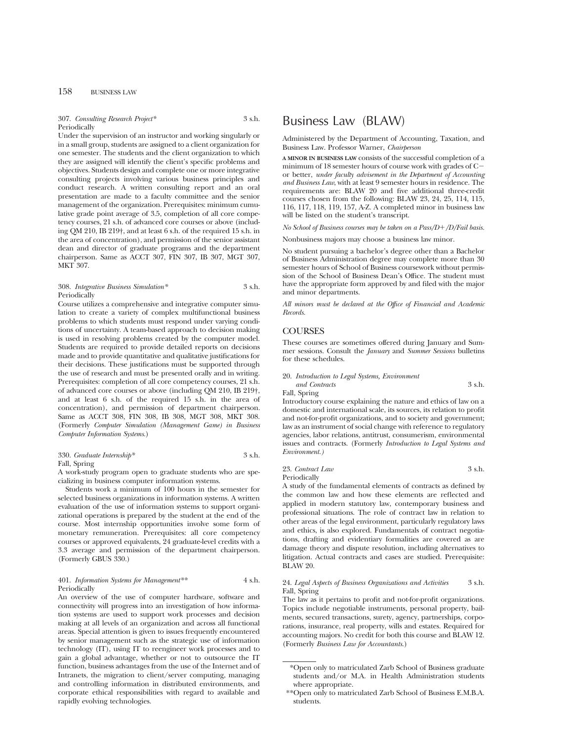### 307. *Consulting Research Project\** 3 s.h. Periodically

Under the supervision of an instructor and working singularly or in a small group, students are assigned to a client organization for one semester. The students and the client organization to which they are assigned will identify the client's specific problems and objectives. Students design and complete one or more integrative consulting projects involving various business principles and conduct research. A written consulting report and an oral presentation are made to a faculty committee and the senior management of the organization. Prerequisites: minimum cumulative grade point average of 3.5, completion of all core competency courses, 21 s.h. of advanced core courses or above (including QM 210, IB 219†, and at least 6 s.h. of the required 15 s.h. in the area of concentration), and permission of the senior assistant dean and director of graduate programs and the department chairperson. Same as ACCT 307, FIN 307, IB 307, MGT 307, MKT 307.

## 308. *Integrative Business Simulation\** 3 s.h. Periodically

Course utilizes a comprehensive and integrative computer simulation to create a variety of complex multifunctional business problems to which students must respond under varying conditions of uncertainty. A team-based approach to decision making is used in resolving problems created by the computer model. Students are required to provide detailed reports on decisions made and to provide quantitative and qualitative justifications for their decisions. These justifications must be supported through the use of research and must be presented orally and in writing. Prerequisites: completion of all core competency courses, 21 s.h. of advanced core courses or above (including QM 210, IB 219†, and at least 6 s.h. of the required 15 s.h. in the area of concentration), and permission of department chairperson. Same as ACCT 308, FIN 308, IB 308, MGT 308, MKT 308. (Formerly *Computer Simulation (Management Game) in Business Computer Information Systems*.)

## 330. *Graduate Internship\** 3 s.h.

### Fall, Spring

A work-study program open to graduate students who are specializing in business computer information systems.

Students work a minimum of 100 hours in the semester for selected business organizations in information systems. A written evaluation of the use of information systems to support organizational operations is prepared by the student at the end of the course. Most internship opportunities involve some form of monetary remuneration. Prerequisites: all core competency courses or approved equivalents, 24 graduate-level credits with a 3.3 average and permission of the department chairperson. (Formerly GBUS 330.)

## 401. *Information Systems for Management\*\** 4 s.h. Periodically

An overview of the use of computer hardware, software and connectivity will progress into an investigation of how information systems are used to support work processes and decision making at all levels of an organization and across all functional areas. Special attention is given to issues frequently encountered by senior management such as the strategic use of information technology (IT), using IT to reengineer work processes and to gain a global advantage, whether or not to outsource the IT function, business advantages from the use of the Internet and of Intranets, the migration to client/server computing, managing and controlling information in distributed environments, and corporate ethical responsibilities with regard to available and rapidly evolving technologies.

## Business Law (BLAW)

Administered by the Department of Accounting, Taxation, and Business Law. Professor Warner, *Chairperson*

**A MINOR IN BUSINESS LAW** consists of the successful completion of a minimum of 18 semester hours of course work with grades of  $C$ or better, *under faculty advisement in the Department of Accounting and Business Law*, with at least 9 semester hours in residence. The requirements are: BLAW 20 and five additional three-credit courses chosen from the following: BLAW 23, 24, 25, 114, 115, 116, 117, 118, 119, 157, A-Z. A completed minor in business law will be listed on the student's transcript.

*No School of Business courses may be taken on a Pass/D+/D/Fail basis.* 

Nonbusiness majors may choose a business law minor.

No student pursuing a bachelor's degree other than a Bachelor of Business Administration degree may complete more than 30 semester hours of School of Business coursework without permission of the School of Business Dean's Office. The student must have the appropriate form approved by and filed with the major and minor departments.

*All minors must be declared at the Office of Financial and Academic Records.*

## **COURSES**

These courses are sometimes offered during January and Summer sessions. Consult the *January* and *Summer Sessions* bulletins for these schedules.

20. *Introduction to Legal Systems, Environment and Contracts* 3 s.h. Fall, Spring

Introductory course explaining the nature and ethics of law on a domestic and international scale, its sources, its relation to profit and not-for-profit organizations, and to society and government; law as an instrument of social change with reference to regulatory agencies, labor relations, antitrust, consumerism, environmental issues and contracts. (Formerly *Introduction to Legal Systems and Environment.)*

## 23. *Contract Law* 3 s.h. Periodically

A study of the fundamental elements of contracts as defined by the common law and how these elements are reflected and applied in modern statutory law, contemporary business and professional situations. The role of contract law in relation to other areas of the legal environment, particularly regulatory laws and ethics, is also explored. Fundamentals of contract negotiations, drafting and evidentiary formalities are covered as are damage theory and dispute resolution, including alternatives to litigation. Actual contracts and cases are studied. Prerequisite: BLAW 20.

### 24. *Legal Aspects of Business Organizations and Activities* 3 s.h. Fall, Spring

The law as it pertains to profit and not-for-profit organizations. Topics include negotiable instruments, personal property, bailments, secured transactions, surety, agency, partnerships, corporations, insurance, real property, wills and estates. Required for accounting majors. No credit for both this course and BLAW 12. (Formerly *Business Law for Accountants*.)

<sup>\*</sup>Open only to matriculated Zarb School of Business graduate students and/or M.A. in Health Administration students where appropriate.

<sup>\*\*</sup>Open only to matriculated Zarb School of Business E.M.B.A. students.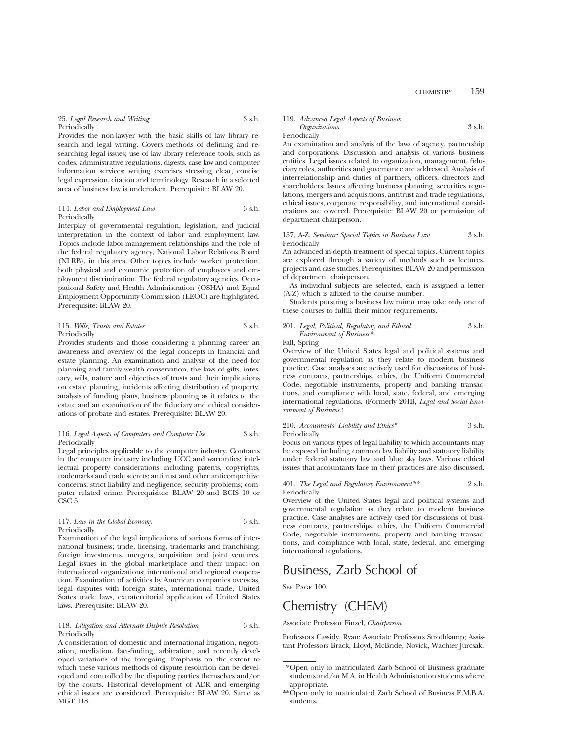25. *Legal Research and Writing* 3 s.h. **Periodically** 

Provides the non-lawyer with the basic skills of law library research and legal writing. Covers methods of defining and researching legal issues; use of law library reference tools, such as codes, administrative regulations, digests, case law and computer information services; writing exercises stressing clear, concise legal expression, citation and terminology. Research in a selected area of business law is undertaken. Prerequisite: BLAW 20.

### 114. *Labor and Employment Law* 3 s.h. Periodically

Interplay of governmental regulation, legislation, and judicial interpretation in the context of labor and employment law. Topics include labor-management relationships and the role of the federal regulatory agency, National Labor Relations Board (NLRB), in this area. Other topics include worker protection, both physical and economic protection of employees and employment discrimination. The federal regulatory agencies, Occupational Safety and Health Administration (OSHA) and Equal Employment Opportunity Commission (EEOC) are highlighted. Prerequisite: BLAW 20.

## 115. *Wills, Trusts and Estates* 3 s.h. Periodically

Provides students and those considering a planning career an awareness and overview of the legal concepts in financial and estate planning. An examination and analysis of the need for planning and family wealth conservation, the laws of gifts, intestacy, wills, nature and objectives of trusts and their implications on estate planning, incidents affecting distribution of property, analysis of funding plans, business planning as it relates to the estate and an examination of the fiduciary and ethical considerations of probate and estates. Prerequisite: BLAW 20.

### 116. *Legal Aspects of Computers and Computer Use* 3 s.h. Periodically

Legal principles applicable to the computer industry. Contracts in the computer industry including UCC and warranties; intellectual property considerations including patents, copyrights, trademarks and trade secrets; antitrust and other anticompetitive concerns; strict liability and negligence; security problems; computer related crime. Prerequisites: BLAW 20 and BCIS 10 or CSC<sub>5</sub>.

## 117. *Law in the Global Economy* 3 s.h. Periodically

Examination of the legal implications of various forms of international business; trade, licensing, trademarks and franchising, foreign investments, mergers, acquisition and joint ventures. Legal issues in the global marketplace and their impact on international organizations; international and regional cooperation. Examination of activities by American companies overseas, legal disputes with foreign states, international trade, United States trade laws, extraterritorial application of United States laws. Prerequisite: BLAW 20.

### 118. *Litigation and Alternate Dispute Resolution* 3 s.h. Periodically

A consideration of domestic and international litigation, negotiation, mediation, fact-finding, arbitration, and recently developed variations of the foregoing. Emphasis on the extent to which these various methods of dispute resolution can be developed and controlled by the disputing parties themselves and/or by the courts. Historical development of ADR and emerging ethical issues are considered. Prerequisite: BLAW 20. Same as MGT 118.

## 119. *Advanced Legal Aspects of Business*

*Organizations* 3 s.h.

Periodically

An examination and analysis of the laws of agency, partnership and corporations. Discussion and analysis of various business entities. Legal issues related to organization, management, fiduciary roles, authorities and governance are addressed. Analysis of interrelationship and duties of partners, officers, directors and shareholders. Issues affecting business planning, securities regulations, mergers and acquisitions, antitrust and trade regulations, ethical issues, corporate responsibility, and international considerations are covered. Prerequisite: BLAW 20 or permission of department chairperson.

### 157, A-Z. *Seminar: Special Topics in Business Law* 3 s.h. Periodically

An advanced in-depth treatment of special topics. Current topics are explored through a variety of methods such as lectures, projects and case studies. Prerequisites: BLAW 20 and permission of department chairperson.

As individual subjects are selected, each is assigned a letter (A-Z) which is affixed to the course number.

Students pursuing a business law minor may take only one of these courses to fulfill their minor requirements.

## 201. *Legal, Political, Regulatory and Ethical* 3 s.h. *Environment of Business\**

Fall, Spring

Overview of the United States legal and political systems and governmental regulation as they relate to modern business practice. Case analyses are actively used for discussions of business contracts, partnerships, ethics, the Uniform Commercial Code, negotiable instruments, property and banking transactions, and compliance with local, state, federal, and emerging international regulations. (Formerly 201B, *Legal and Social Environment of Business.*)

210. *Accountants' Liability and Ethics\** 3 s.h. Periodically

Focus on various types of legal liability to which accountants may be exposed including common law liability and statutory liability under federal statutory law and blue sky laws. Various ethical issues that accountants face in their practices are also discussed.

401. *The Legal and Regulatory Environment\*\** 2 s.h. Periodically

Overview of the United States legal and political systems and governmental regulation as they relate to modern business practice. Case analyses are actively used for discussions of business contracts, partnerships, ethics, the Uniform Commercial Code, negotiable instruments, property and banking transactions, and compliance with local, state, federal, and emerging international regulations.

## Business, Zarb School of

SEE PAGE 100.

# Chemistry (CHEM)

Associate Professor Finzel, *Chairperson*

Professors Cassidy, Ryan; Associate Professors Strothkamp; Assistant Professors Brack, Lloyd, McBride, Novick, Wachter-Jurcsak.

<sup>\*</sup>Open only to matriculated Zarb School of Business graduate students and/or M.A. in Health Administration students where appropriate.

<sup>\*\*</sup>Open only to matriculated Zarb School of Business E.M.B.A. students.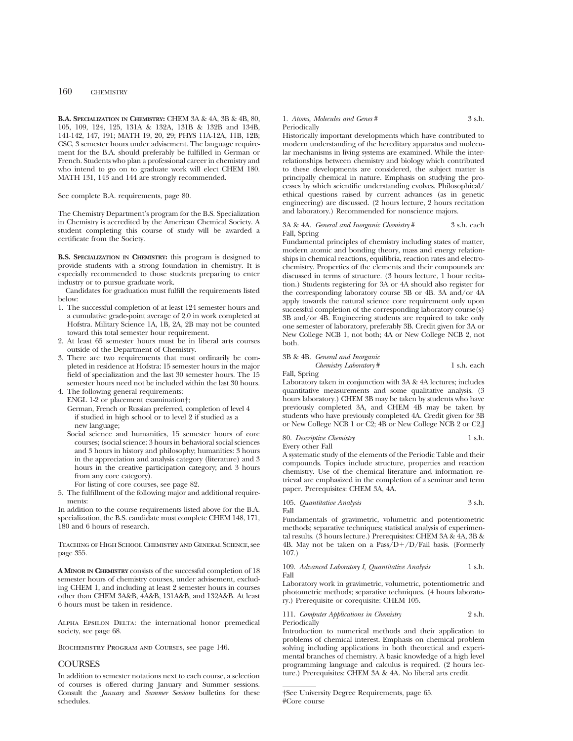**B.A. SPECIALIZATION IN CHEMISTRY:** CHEM 3A & 4A, 3B & 4B, 80, 105, 109, 124, 125, 131A & 132A, 131B & 132B and 134B, 141-142, 147, 191; MATH 19, 20, 29; PHYS 11A-12A, 11B, 12B; CSC, 3 semester hours under advisement. The language requirement for the B.A. should preferably be fulfilled in German or French. Students who plan a professional career in chemistry and who intend to go on to graduate work will elect CHEM 180. MATH 131, 143 and 144 are strongly recommended.

See complete B.A. requirements, page 80.

The Chemistry Department's program for the B.S. Specialization in Chemistry is accredited by the American Chemical Society. A student completing this course of study will be awarded a certificate from the Society.

**B.S. SPECIALIZATION IN CHEMISTRY:** this program is designed to provide students with a strong foundation in chemistry. It is especially recommended to those students preparing to enter industry or to pursue graduate work.

Candidates for graduation must fulfill the requirements listed below:

- 1. The successful completion of at least 124 semester hours and a cumulative grade-point average of 2.0 in work completed at Hofstra. Military Science 1A, 1B, 2A, 2B may not be counted toward this total semester hour requirement.
- 2. At least 65 semester hours must be in liberal arts courses outside of the Department of Chemistry.
- 3. There are two requirements that must ordinarily be completed in residence at Hofstra: 15 semester hours in the major field of specialization and the last 30 semester hours. The 15 semester hours need not be included within the last 30 hours.
- 4. The following general requirements:
- ENGL 1-2 or placement examination†;
- German, French or Russian preferred, completion of level 4 if studied in high school or to level 2 if studied as a new language;
- Social science and humanities, 15 semester hours of core courses; (social science: 3 hours in behavioral social sciences and 3 hours in history and philosophy; humanities: 3 hours in the appreciation and analysis category (literature) and 3 hours in the creative participation category; and 3 hours from any core category).
	- For listing of core courses, see page 82.
- 5. The fulfillment of the following major and additional requirements:

In addition to the course requirements listed above for the B.A. specialization, the B.S. candidate must complete CHEM 148, 171, 180 and 6 hours of research.

Teaching of High School Chemistry and General Science, see page 355.

**A MINOR IN CHEMISTRY** consists of the successful completion of 18 semester hours of chemistry courses, under advisement, excluding CHEM 1, and including at least 2 semester hours in courses other than CHEM 3A&B, 4A&B, 131A&B, and 132A&B. At least 6 hours must be taken in residence.

Alpha Epsilon Delta: the international honor premedical society, see page 68.

Biochemistry Program and Courses, see page 146.

## **COURSES**

In addition to semester notations next to each course, a selection of courses is offered during January and Summer sessions. Consult the *January* and *Summer Sessions* bulletins for these schedules.

## 1. *Atoms, Molecules and Genes* # 3 s.h.

## Periodically

Historically important developments which have contributed to modern understanding of the hereditary apparatus and molecular mechanisms in living systems are examined. While the interrelationships between chemistry and biology which contributed to these developments are considered, the subject matter is principally chemical in nature. Emphasis on studying the processes by which scientific understanding evolves. Philosophical/ ethical questions raised by current advances (as in genetic engineering) are discussed. (2 hours lecture, 2 hours recitation and laboratory.) Recommended for nonscience majors.

## 3A & 4A. *General and Inorganic Chemistry* # 3 s.h. each Fall, Spring

Fundamental principles of chemistry including states of matter, modern atomic and bonding theory, mass and energy relationships in chemical reactions, equilibria, reaction rates and electrochemistry. Properties of the elements and their compounds are discussed in terms of structure. (3 hours lecture, 1 hour recitation.) Students registering for 3A or 4A should also register for the corresponding laboratory course 3B or 4B. 3A and/or 4A apply towards the natural science core requirement only upon successful completion of the corresponding laboratory course(s) 3B and/or 4B. Engineering students are required to take only one semester of laboratory, preferably 3B. Credit given for 3A or New College NCB 1, not both; 4A or New College NCB 2, not both.

3B & 4B. *General and Inorganic Chemistry Laboratory* # 1 s.h. each Fall, Spring

Laboratory taken in conjunction with 3A & 4A lectures; includes quantitative measurements and some qualitative analysis. (3 hours laboratory.) CHEM 3B may be taken by students who have previously completed 3A, and CHEM 4B may be taken by students who have previously completed 4A. Credit given for 3B or New College NCB 1 or C2; 4B or New College NCB 2 or C2.J

80. *Descriptive Chemistry* 1 s.h. Every other Fall

A systematic study of the elements of the Periodic Table and their compounds. Topics include structure, properties and reaction chemistry. Use of the chemical literature and information retrieval are emphasized in the completion of a seminar and term paper. Prerequisites: CHEM 3A, 4A.

|                | 105. Quantitative Analysis | 3 s.h. |
|----------------|----------------------------|--------|
| $_{\rm{Fall}}$ |                            |        |

Fundamentals of gravimetric, volumetric and potentiometric methods; separative techniques; statistical analysis of experimental results. (3 hours lecture.) Prerequisites: CHEM 3A & 4A, 3B & 4B. May not be taken on a  $Pass/D+/D/Fall$  basis. (Formerly 107.)

## 109. *Advanced Laboratory I, Quantitative Analysis* 1 s.h. Fall

Laboratory work in gravimetric, volumetric, potentiometric and photometric methods; separative techniques. (4 hours laboratory.) Prerequisite or corequisite: CHEM 105.

111. *Computer Applications in Chemistry* 2 s.h. Periodically

Introduction to numerical methods and their application to problems of chemical interest. Emphasis on chemical problem solving including applications in both theoretical and experimental branches of chemistry. A basic knowledge of a high level programming language and calculus is required. (2 hours lecture.) Prerequisites: CHEM 3A & 4A. No liberal arts credit.

<sup>†</sup>See University Degree Requirements, page 65. #Core course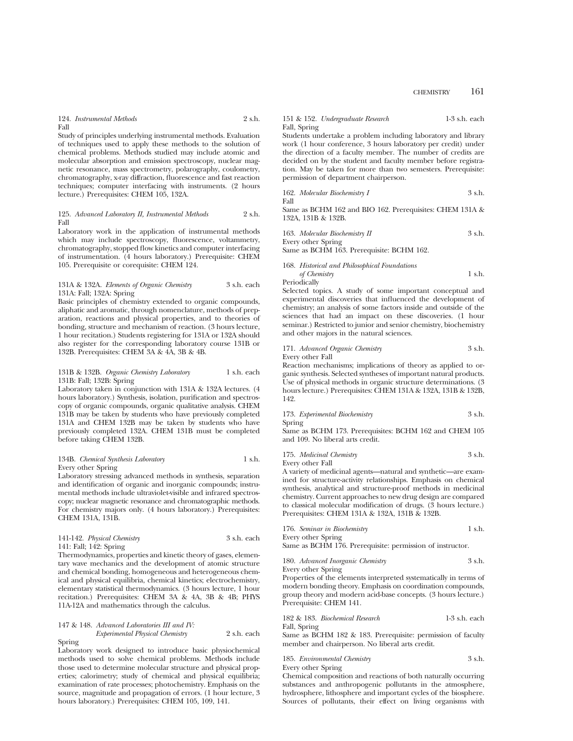124. *Instrumental Methods* 2 s.h. Fall

Study of principles underlying instrumental methods. Evaluation of techniques used to apply these methods to the solution of chemical problems. Methods studied may include atomic and molecular absorption and emission spectroscopy, nuclear magnetic resonance, mass spectrometry, polarography, coulometry, chromatography, x-ray diffraction, fluorescence and fast reaction techniques; computer interfacing with instruments. (2 hours lecture.) Prerequisites: CHEM 105, 132A.

## 125. *Advanced Laboratory II, Instrumental Methods* 2 s.h. Fall

Laboratory work in the application of instrumental methods which may include spectroscopy, fluorescence, voltammetry, chromatography, stopped flow kinetics and computer interfacing of instrumentation. (4 hours laboratory.) Prerequisite: CHEM 105. Prerequisite or corequisite: CHEM 124.

### 131A & 132A. *Elements of Organic Chemistry* 3 s.h. each 131A: Fall; 132A: Spring

Basic principles of chemistry extended to organic compounds, aliphatic and aromatic, through nomenclature, methods of preparation, reactions and physical properties, and to theories of bonding, structure and mechanism of reaction. (3 hours lecture, 1 hour recitation.) Students registering for 131A or 132A should also register for the corresponding laboratory course 131B or 132B. Prerequisites: CHEM 3A & 4A, 3B & 4B.

### 131B & 132B. Organic Chemistry Laboratory 1 s.h. each 131B: Fall; 132B: Spring

Laboratory taken in conjunction with 131A & 132A lectures. (4 hours laboratory.) Synthesis, isolation, purification and spectroscopy of organic compounds, organic qualitative analysis. CHEM 131B may be taken by students who have previously completed 131A and CHEM 132B may be taken by students who have previously completed 132A. CHEM 131B must be completed before taking CHEM 132B.

## 134B. *Chemical Synthesis Laboratory* 1 s.h. Every other Spring

Laboratory stressing advanced methods in synthesis, separation and identification of organic and inorganic compounds; instrumental methods include ultraviolet-visible and infrared spectroscopy; nuclear magnetic resonance and chromatographic methods. For chemistry majors only. (4 hours laboratory.) Prerequisites: CHEM 131A, 131B.

## 141-142. *Physical Chemistry* 3 s.h. each 141: Fall; 142: Spring

Thermodynamics, properties and kinetic theory of gases, elementary wave mechanics and the development of atomic structure and chemical bonding, homogeneous and heterogeneous chemical and physical equilibria, chemical kinetics; electrochemistry, elementary statistical thermodynamics. (3 hours lecture, 1 hour recitation.) Prerequisites: CHEM 3A & 4A, 3B & 4B; PHYS 11A-12A and mathematics through the calculus.

## 147 & 148. *Advanced Laboratories III and IV: Experimental Physical Chemistry* 2 s.h. each Spring

Laboratory work designed to introduce basic physiochemical methods used to solve chemical problems. Methods include those used to determine molecular structure and physical properties; calorimetry; study of chemical and physical equilibria; examination of rate processes; photochemistry. Emphasis on the source, magnitude and propagation of errors. (1 hour lecture, 3 hours laboratory.) Prerequisites: CHEM 105, 109, 141.

## 151 & 152. *Undergraduate Research* 1-3 s.h. each Fall, Spring

Students undertake a problem including laboratory and library work (1 hour conference, 3 hours laboratory per credit) under the direction of a faculty member. The number of credits are decided on by the student and faculty member before registration. May be taken for more than two semesters. Prerequisite: permission of department chairperson.

162. *Molecular Biochemistry I* 3 s.h. Fall

Same as BCHM 162 and BIO 162. Prerequisites: CHEM 131A & 132A, 131B & 132B.

163. *Molecular Biochemistry II* 3 s.h. Every other Spring

Same as BCHM 163. Prerequisite: BCHM 162.

| 168. Historical and Philosophical Foundations |        |
|-----------------------------------------------|--------|
| of Chemistry                                  | 1 s.h. |
| Periodically                                  |        |

Selected topics. A study of some important conceptual and experimental discoveries that influenced the development of chemistry; an analysis of some factors inside and outside of the sciences that had an impact on these discoveries. (1 hour seminar.) Restricted to junior and senior chemistry, biochemistry and other majors in the natural sciences.

## 171. *Advanced Organic Chemistry* 3 s.h. Every other Fall

Reaction mechanisms; implications of theory as applied to organic synthesis. Selected syntheses of important natural products. Use of physical methods in organic structure determinations. (3 hours lecture.) Prerequisites: CHEM 131A & 132A, 131B & 132B, 142.

## 173. *Experimental Biochemistry* 3 s.h. Spring

Same as BCHM 173. Prerequisites: BCHM 162 and CHEM 105 and 109. No liberal arts credit.

| 175. Medicinal Chemistry | 3 s.h. |
|--------------------------|--------|
| Every other Fall         |        |

A variety of medicinal agents—natural and synthetic—are examined for structure-activity relationships. Emphasis on chemical synthesis, analytical and structure-proof methods in medicinal chemistry. Current approaches to new drug design are compared to classical molecular modification of drugs. (3 hours lecture.) Prerequisites: CHEM 131A & 132A, 131B & 132B.

| 176. Seminar in Biochemistry | 1 s.h. |
|------------------------------|--------|
| Every other Spring           |        |

Same as BCHM 176. Prerequisite: permission of instructor.

180. *Advanced Inorganic Chemistry* 3 s.h.

Every other Spring Properties of the elements interpreted systematically in terms of modern bonding theory. Emphasis on coordination compounds, group theory and modern acid-base concepts. (3 hours lecture.) Prerequisite: CHEM 141.

|              | 182 & 183. Biochemical Research | 1-3 s.h. each |
|--------------|---------------------------------|---------------|
| Fall, Spring |                                 |               |

Same as BCHM 182 & 183. Prerequisite: permission of faculty member and chairperson. No liberal arts credit.

## 185. *Environmental Chemistry* 3 s.h.

Every other Spring

Chemical composition and reactions of both naturally occurring substances and anthropogenic pollutants in the atmosphere, hydrosphere, lithosphere and important cycles of the biosphere. Sources of pollutants, their effect on living organisms with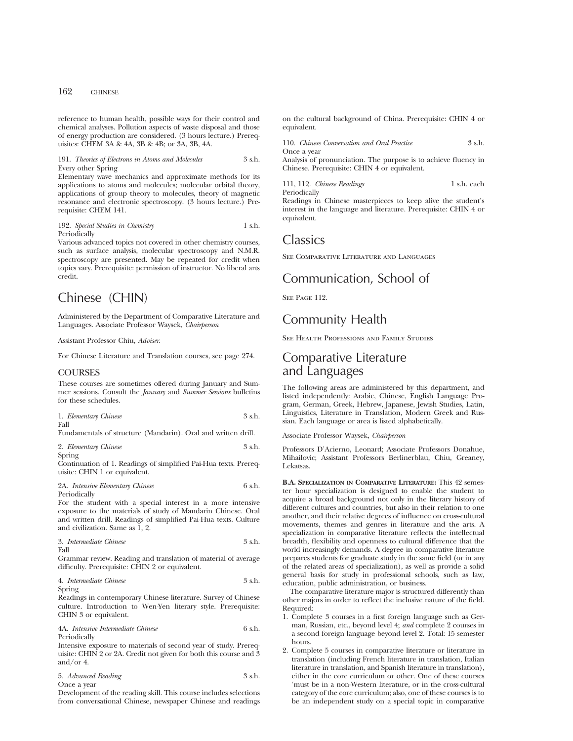reference to human health, possible ways for their control and chemical analyses. Pollution aspects of waste disposal and those of energy production are considered. (3 hours lecture.) Prerequisites: CHEM 3A & 4A, 3B & 4B; or 3A, 3B, 4A.

## 191. *Theories of Electrons in Atoms and Molecules* 3 s.h. Every other Spring

Elementary wave mechanics and approximate methods for its applications to atoms and molecules; molecular orbital theory, applications of group theory to molecules, theory of magnetic resonance and electronic spectroscopy. (3 hours lecture.) Prerequisite: CHEM 141.

#### 192. *Special Studies in Chemistry* 1 s.h. Periodically

Various advanced topics not covered in other chemistry courses, such as surface analysis, molecular spectroscopy and N.M.R. spectroscopy are presented. May be repeated for credit when topics vary. Prerequisite: permission of instructor. No liberal arts credit.

# Chinese (CHIN)

Administered by the Department of Comparative Literature and Languages. Associate Professor Waysek, *Chairperson*

Assistant Professor Chiu, *Adviser*.

For Chinese Literature and Translation courses, see page 274.

## **COURSES**

These courses are sometimes offered during January and Summer sessions. Consult the *January* and *Summer Sessions* bulletins for these schedules.

| 1. Elementary Chinese | 3 s.h. |
|-----------------------|--------|
| Fall                  |        |

Fundamentals of structure (Mandarin). Oral and written drill.

| 2. Elementary Chinese | 3 s.h. |
|-----------------------|--------|
| Spring                |        |

Continuation of 1. Readings of simplified Pai-Hua texts. Prerequisite: CHIN 1 or equivalent.

#### 2A. *Intensive Elementary Chinese* 6 s.h. Periodically

For the student with a special interest in a more intensive exposure to the materials of study of Mandarin Chinese. Oral and written drill. Readings of simplified Pai-Hua texts. Culture and civilization. Same as 1, 2.

$$
3. \ In terms dia te Chinese
$$
 
$$
3 s.h.
$$
 Fall

Grammar review. Reading and translation of material of average difficulty. Prerequisite: CHIN 2 or equivalent.

4. *Intermediate Chinese* 3 s.h. Spring

Readings in contemporary Chinese literature. Survey of Chinese culture. Introduction to Wen-Yen literary style. Prerequisite: CHIN 3 or equivalent.

### 4A. *Intensive Intermediate Chinese* 6 s.h. Periodically

Intensive exposure to materials of second year of study. Prerequisite: CHIN 2 or 2A. Credit not given for both this course and 3 and/or 4.

5. *Advanced Reading* 3 s.h. Once a year

Development of the reading skill. This course includes selections from conversational Chinese, newspaper Chinese and readings on the cultural background of China. Prerequisite: CHIN 4 or equivalent.

110. *Chinese Conversation and Oral Practice* 3 s.h. Once a year

Analysis of pronunciation. The purpose is to achieve fluency in Chinese. Prerequisite: CHIN 4 or equivalent.

111, 112. *Chinese Readings* 1 s.h. each

Periodically

Readings in Chinese masterpieces to keep alive the student's interest in the language and literature. Prerequisite: CHIN 4 or equivalent.

## Classics

See Comparative Literature and Languages

## Communication, School of

SEE PAGE 112.

# Community Health

See Health Professions and Family Studies

## Comparative Literature and Languages

The following areas are administered by this department, and listed independently: Arabic, Chinese, English Language Program, German, Greek, Hebrew, Japanese, Jewish Studies, Latin, Linguistics, Literature in Translation, Modern Greek and Russian. Each language or area is listed alphabetically.

Associate Professor Waysek, *Chairperson*

Professors D'Acierno, Leonard; Associate Professors Donahue, Mihailovic; Assistant Professors Berlinerblau, Chiu, Greaney, Lekatsas.

**B.A. SPECIALIZATION IN COMPARATIVE LITERATURE:** This 42 semester hour specialization is designed to enable the student to acquire a broad background not only in the literary history of different cultures and countries, but also in their relation to one another, and their relative degrees of influence on cross-cultural movements, themes and genres in literature and the arts. A specialization in comparative literature reflects the intellectual breadth, flexibility and openness to cultural difference that the world increasingly demands. A degree in comparative literature prepares students for graduate study in the same field (or in any of the related areas of specialization), as well as provide a solid general basis for study in professional schools, such as law, education, public administration, or business.

The comparative literature major is structured differently than other majors in order to reflect the inclusive nature of the field. Required:

- 1. Complete 3 courses in a first foreign language such as German, Russian, etc., beyond level 4; *and* complete 2 courses in a second foreign language beyond level 2. Total: 15 semester hours.
- 2. Complete 5 courses in comparative literature or literature in translation (including French literature in translation, Italian literature in translation, and Spanish literature in translation), either in the core curriculum or other. One of these courses 'must be in a non-Western literature, or in the cross-cultural category of the core curriculum; also, one of these courses is to be an independent study on a special topic in comparative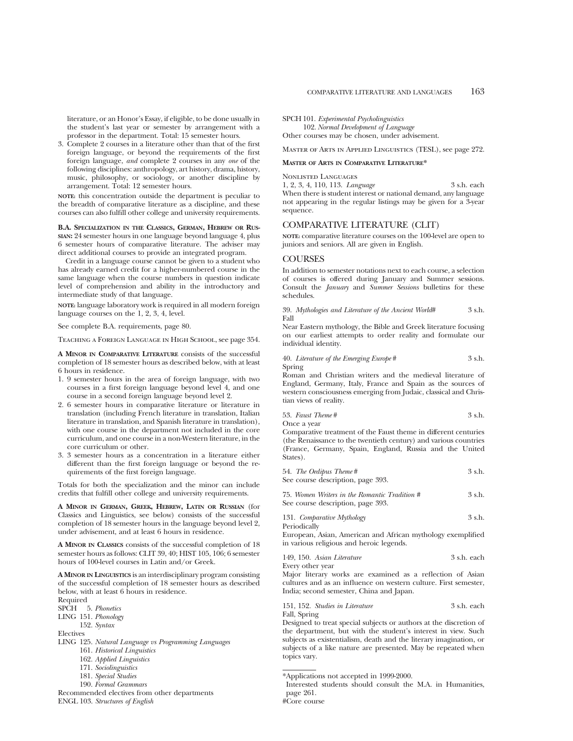literature, or an Honor's Essay, if eligible, to be done usually in the student's last year or semester by arrangement with a professor in the department. Total: 15 semester hours.

3. Complete 2 courses in a literature other than that of the first foreign language, or beyond the requirements of the first foreign language, *and* complete 2 courses in any *one* of the following disciplines: anthropology, art history, drama, history, music, philosophy, or sociology, or another discipline by arrangement. Total: 12 semester hours.

**NOTE:** this concentration outside the department is peculiar to the breadth of comparative literature as a discipline, and these courses can also fulfill other college and university requirements.

**B.A. SPECIALIZATION IN THE CLASSICS, GERMAN, HEBREW OR RUS-SIAN:** 24 semester hours in one language beyond language 4, plus 6 semester hours of comparative literature. The adviser may direct additional courses to provide an integrated program.

Credit in a language course cannot be given to a student who has already earned credit for a higher-numbered course in the same language when the course numbers in question indicate level of comprehension and ability in the introductory and intermediate study of that language.

**NOTE:** language laboratory work is required in all modern foreign language courses on the 1, 2, 3, 4, level.

See complete B.A. requirements, page 80.

Teaching a Foreign Language in High School, see page 354.

**A MINOR IN COMPARATIVE LITERATURE** consists of the successful completion of 18 semester hours as described below, with at least 6 hours in residence.

- 1. 9 semester hours in the area of foreign language, with two courses in a first foreign language beyond level 4, and one course in a second foreign language beyond level 2.
- 2. 6 semester hours in comparative literature or literature in translation (including French literature in translation, Italian literature in translation, and Spanish literature in translation), with one course in the department not included in the core curriculum, and one course in a non-Western literature, in the core curriculum or other.
- 3. 3 semester hours as a concentration in a literature either different than the first foreign language or beyond the requirements of the first foreign language.

Totals for both the specialization and the minor can include credits that fulfill other college and university requirements.

**A MINOR IN GERMAN, GREEK, HEBREW, LATIN OR RUSSIAN** (for Classics and Linguistics, see below) consists of the successful completion of 18 semester hours in the language beyond level 2, under advisement, and at least 6 hours in residence.

**A MINOR IN CLASSICS** consists of the successful completion of 18 semester hours as follows: CLIT 39, 40; HIST 105, 106; 6 semester hours of 100-level courses in Latin and/or Greek.

**A MINOR IN LINGUISTICS** is an interdisciplinary program consisting of the successful completion of 18 semester hours as described below, with at least 6 hours in residence.

Required SPCH 5. *Phonetics*

LING 151. *Phonology*

152. *Syntax*

Electives

- LING 125. *Natural Language vs Programming Languages*
	- 161. *Historical Linguistics*
	- 162. *Applied Linguistics*
	- 171. *Sociolinguistics*
	- 181. *Special Studies*
	- 190. *Formal Grammars*

Recommended electives from other departments ENGL 103. *Structures of English*

SPCH 101. *Experimental Psycholinguistics*

102. *Normal Development of Language*

Other courses may be chosen, under advisement.

Master of Arts in Applied Linguistics (TESL), see page 272.

## **MASTER OF ARTS IN COMPARATIVE LITERATURE\***

## Nonlisted Languages

1, 2, 3, 4, 110, 113. *Language* 3 s.h. each When there is student interest or national demand, any language not appearing in the regular listings may be given for a 3-year sequence.

## COMPARATIVE LITERATURE (CLIT)

**NOTE:** comparative literature courses on the 100-level are open to juniors and seniors. All are given in English.

## **COURSES**

In addition to semester notations next to each course, a selection of courses is offered during January and Summer sessions. Consult the *January* and *Summer Sessions* bulletins for these schedules.

39. *Mythologies and Literature of the Ancient World*# 3 s.h. Fall

Near Eastern mythology, the Bible and Greek literature focusing on our earliest attempts to order reality and formulate our individual identity.

40. *Literature of the Emerging Europe* # 3 s.h. Spring

Roman and Christian writers and the medieval literature of England, Germany, Italy, France and Spain as the sources of western consciousness emerging from Judaic, classical and Christian views of reality.

53. *Fast There* 
$$
\#
$$
 3 s.h.

Once a year

Comparative treatment of the Faust theme in different centuries (the Renaissance to the twentieth century) and various countries (France, Germany, Spain, England, Russia and the United States).

| 54. The Oedipus Theme#            | 3 s.h. |
|-----------------------------------|--------|
| See course description, page 393. |        |

75. *Women Writers in the Romantic Tradition #* 3 s.h. See course description, page 393.

131. *Comparative Mythology* 3 s.h. Periodically

European, Asian, American and African mythology exemplified in various religious and heroic legends.

| 149, 150. Asian Literature | 3 s.h. each |
|----------------------------|-------------|
| Every other year           |             |

Major literary works are examined as a reflection of Asian cultures and as an influence on western culture. First semester, India; second semester, China and Japan.

151, 152. *Studies in Literature* 3 s.h. each Fall, Spring

Designed to treat special subjects or authors at the discretion of the department, but with the student's interest in view. Such subjects as existentialism, death and the literary imagination, or subjects of a like nature are presented. May be repeated when topics vary.

<sup>\*</sup>Applications not accepted in 1999-2000.

Interested students should consult the M.A. in Humanities, page 261.

<sup>#</sup>Core course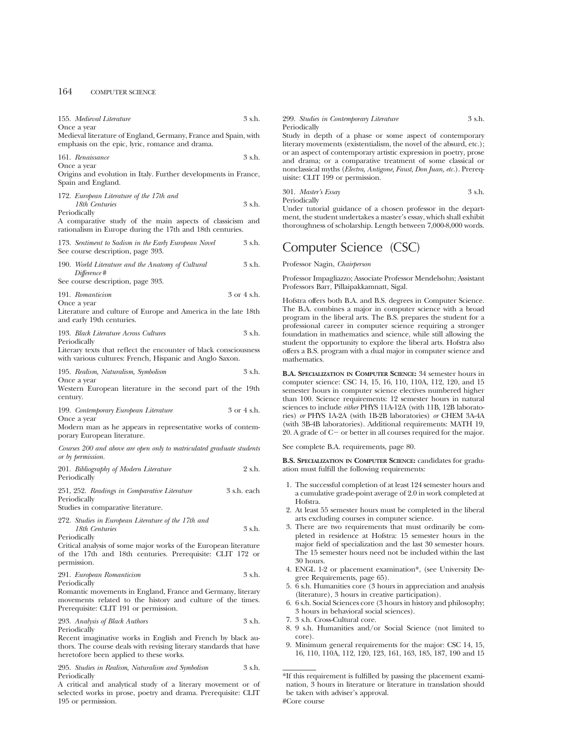155. *Medieval Literature* 3 s.h. Once a year

Medieval literature of England, Germany, France and Spain, with emphasis on the epic, lyric, romance and drama.

161. *Renaissance* 3 s.h.

Once a year

Origins and evolution in Italy. Further developments in France, Spain and England.

| 172. European Literature of the 17th and |        |
|------------------------------------------|--------|
| 18th Centuries                           | 3 s.h. |
| Periodically                             |        |

A comparative study of the main aspects of classicism and rationalism in Europe during the 17th and 18th centuries.

| 173. Sentiment to Sadism in the Early European Novel |  |  | 3 s.h. |
|------------------------------------------------------|--|--|--------|
| See course description, page 393.                    |  |  |        |

190. *World Literature and the Anatomy of Cultural* 3 s.h. *Difference* #

See course description, page 393.

191. *Romanticism* 3 or 4 s.h. Once a year

Literature and culture of Europe and America in the late 18th and early 19th centuries.

193. *Black Literature Across Cultures* 3 s.h. Periodically

Literary texts that reflect the encounter of black consciousness with various cultures: French, Hispanic and Anglo Saxon.

195. *Realism, Naturalism, Symbolism* 3 s.h. Once a year

Western European literature in the second part of the 19th century.

199. *Contemporary European Literature* 3 or 4 s.h. Once a year

Modern man as he appears in representative works of contemporary European literature.

*Courses 200 and above are open only to matriculated graduate students or by permission.*

| 201. Bibliography of Modern Literature       | 2 s.h.      |
|----------------------------------------------|-------------|
| Periodically                                 |             |
| 251, 252. Readings in Comparative Literature | 3 s.h. each |

Periodically

Studies in comparative literature.

272. *Studies in European Literature of the 17th and 18th Centuries* 3 s.h. Periodically

Critical analysis of some major works of the European literature of the 17th and 18th centuries. Prerequisite: CLIT 172 or permission.

## 291. *European Romanticism* 3 s.h. Periodically

Romantic movements in England, France and Germany, literary movements related to the history and culture of the times. Prerequisite: CLIT 191 or permission.

293. *Analysis of Black Authors* 3 s.h. Periodically

Recent imaginative works in English and French by black authors. The course deals with revising literary standards that have heretofore been applied to these works.

295. *Studies in Realism, Naturalism and Symbolism* 3 s.h. Periodically

A critical and analytical study of a literary movement or of selected works in prose, poetry and drama. Prerequisite: CLIT 195 or permission.

299. *Studies in Contemporary Literature* 3 s.h. Periodically

Study in depth of a phase or some aspect of contemporary literary movements (existentialism, the novel of the absurd, etc.); or an aspect of contemporary artistic expression in poetry, prose and drama; or a comparative treatment of some classical or nonclassical myths (*Electra, Antigone, Faust, Don Juan, etc.*). Prerequisite: CLIT 199 or permission.

301. *Master's Essay* 3 s.h. Periodically

Under tutorial guidance of a chosen professor in the department, the student undertakes a master's essay, which shall exhibit thoroughness of scholarship. Length between 7,000-8,000 words.

# Computer Science (CSC)

Professor Nagin, *Chairperson*

Professor Impagliazzo; Associate Professor Mendelsohn; Assistant Professors Barr, Pillaipakkamnatt, Sigal.

Hofstra offers both B.A. and B.S. degrees in Computer Science. The B.A. combines a major in computer science with a broad program in the liberal arts. The B.S. prepares the student for a professional career in computer science requiring a stronger foundation in mathematics and science, while still allowing the student the opportunity to explore the liberal arts. Hofstra also offers a B.S. program with a dual major in computer science and mathematics.

**B.A. SPECIALIZATION IN COMPUTER SCIENCE:** 34 semester hours in computer science: CSC 14, 15, 16, 110, 110A, 112, 120, and 15 semester hours in computer science electives numbered higher than 100. Science requirements: 12 semester hours in natural sciences to include *either* PHYS 11A-12A (with 11B, 12B laboratories) *or* PHYS 1A-2A (with 1B-2B laboratories) *or* CHEM 3A-4A (with 3B-4B laboratories). Additional requirements: MATH 19, 20. A grade of  $C-$  or better in all courses required for the major.

See complete B.A. requirements, page 80.

**B.S. SPECIALIZATION IN COMPUTER SCIENCE:** candidates for graduation must fulfill the following requirements:

- 1. The successful completion of at least 124 semester hours and a cumulative grade-point average of 2.0 in work completed at Hofstra.
- 2. At least 55 semester hours must be completed in the liberal arts excluding courses in computer science.
- 3. There are two requirements that must ordinarily be completed in residence at Hofstra: 15 semester hours in the major field of specialization and the last 30 semester hours. The 15 semester hours need not be included within the last 30 hours.
- 4. ENGL 1-2 or placement examination\*, (see University Degree Requirements, page 65).
- 5. 6 s.h. Humanities core (3 hours in appreciation and analysis (literature), 3 hours in creative participation).
- 6. 6 s.h. Social Sciences core (3 hours in history and philosophy; 3 hours in behavioral social sciences).
- 7. 3 s.h. Cross-Cultural core.
- 8. 9 s.h. Humanities and/or Social Science (not limited to core).
- 9. Minimum general requirements for the major: CSC 14, 15, 16, 110, 110A, 112, 120, 123, 161, 163, 185, 187, 190 and 15

<sup>\*</sup>If this requirement is fulfilled by passing the placement examination, 3 hours in literature or literature in translation should be taken with adviser's approval. #Core course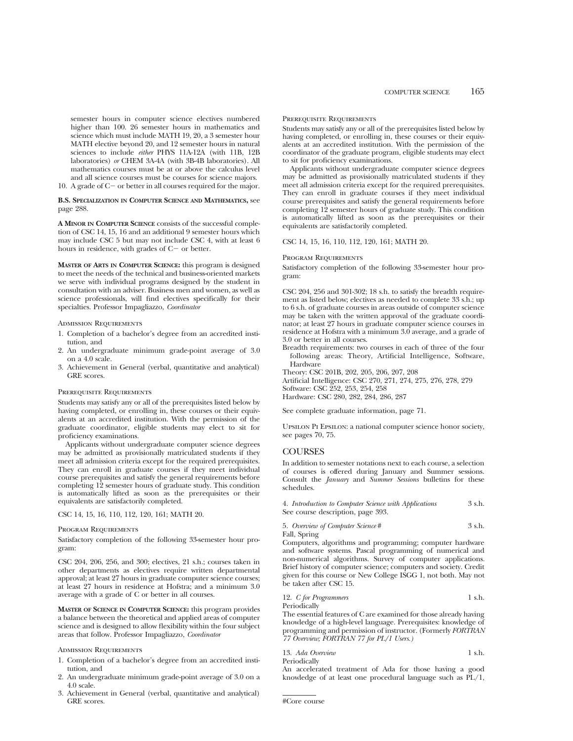semester hours in computer science electives numbered higher than 100. 26 semester hours in mathematics and science which must include MATH 19, 20, a 3 semester hour MATH elective beyond 20, and 12 semester hours in natural sciences to include *either* PHYS 11A-12A (with 11B, 12B laboratories) *or* CHEM 3A-4A (with 3B-4B laboratories). All mathematics courses must be at or above the calculus level and all science courses must be courses for science majors.

10. A grade of  $C-$  or better in all courses required for the major.

## **B.S. SPECIALIZATION IN COMPUTER SCIENCE AND MATHEMATICS,** see page 288.

**A MINOR IN COMPUTER SCIENCE** consists of the successful completion of CSC 14, 15, 16 and an additional 9 semester hours which may include CSC 5 but may not include CSC 4, with at least 6 hours in residence, with grades of  $C-$  or better.

**MASTER OF ARTS IN COMPUTER SCIENCE:** this program is designed to meet the needs of the technical and business-oriented markets we serve with individual programs designed by the student in consultation with an adviser. Business men and women, as well as science professionals, will find electives specifically for their specialties. Professor Impagliazzo, *Coordinator*

Admission Requirements

- 1. Completion of a bachelor's degree from an accredited institution, and
- 2. An undergraduate minimum grade-point average of 3.0 on a 4.0 scale.
- 3. Achievement in General (verbal, quantitative and analytical) GRE scores.

## Prerequisite Requirements

Students may satisfy any or all of the prerequisites listed below by having completed, or enrolling in, these courses or their equivalents at an accredited institution. With the permission of the graduate coordinator, eligible students may elect to sit for proficiency examinations.

Applicants without undergraduate computer science degrees may be admitted as provisionally matriculated students if they meet all admission criteria except for the required prerequisites. They can enroll in graduate courses if they meet individual course prerequisites and satisfy the general requirements before completing 12 semester hours of graduate study. This condition is automatically lifted as soon as the prerequisites or their equivalents are satisfactorily completed.

CSC 14, 15, 16, 110, 112, 120, 161; MATH 20.

### Program Requirements

Satisfactory completion of the following 33-semester hour program:

CSC 204, 206, 256, and 300; electives, 21 s.h.; courses taken in other departments as electives require written departmental approval; at least 27 hours in graduate computer science courses; at least 27 hours in residence at Hofstra; and a minimum 3.0 average with a grade of C or better in all courses.

**MASTER OF SCIENCE IN COMPUTER SCIENCE:** this program provides a balance between the theoretical and applied areas of computer science and is designed to allow flexibility within the four subject areas that follow. Professor Impagliazzo, *Coordinator*

### Admission Requirements

- 1. Completion of a bachelor's degree from an accredited institution, and
- 2. An undergraduate minimum grade-point average of 3.0 on a 4.0 scale.
- 3. Achievement in General (verbal, quantitative and analytical) GRE scores.

#### Prerequisite Requirements

Students may satisfy any or all of the prerequisites listed below by having completed, or enrolling in, these courses or their equivalents at an accredited institution. With the permission of the coordinator of the graduate program, eligible students may elect to sit for proficiency examinations.

Applicants without undergraduate computer science degrees may be admitted as provisionally matriculated students if they meet all admission criteria except for the required prerequisites. They can enroll in graduate courses if they meet individual course prerequisites and satisfy the general requirements before completing 12 semester hours of graduate study. This condition is automatically lifted as soon as the prerequisites or their equivalents are satisfactorily completed.

CSC 14, 15, 16, 110, 112, 120, 161; MATH 20.

#### Program Requirements

Satisfactory completion of the following 33-semester hour program:

CSC 204, 256 and 301-302; 18 s.h. to satisfy the breadth requirement as listed below; electives as needed to complete 33 s.h.; up to 6 s.h. of graduate courses in areas outside of computer science may be taken with the written approval of the graduate coordinator; at least 27 hours in graduate computer science courses in residence at Hofstra with a minimum 3.0 average, and a grade of 3.0 or better in all courses.

- Breadth requirements: two courses in each of three of the four following areas: Theory, Artificial Intelligence, Software, **Hardware**
- Theory: CSC 201B, 202, 205, 206, 207, 208

Artificial Intelligence: CSC 270, 271, 274, 275, 276, 278, 279 Software: CSC 252, 253, 254, 258 Hardware: CSC 280, 282, 284, 286, 287

See complete graduate information, page 71.

Upsilon Pi Epsilon: a national computer science honor society, see pages 70, 75.

## **COURSES**

In addition to semester notations next to each course, a selection of courses is offered during January and Summer sessions. Consult the *January* and *Summer Sessions* bulletins for these schedules.

| 4. Introduction to Computer Science with Applications | 3 s.h. |
|-------------------------------------------------------|--------|
| See course description, page 393.                     |        |

| 5. Overview of Computer Science # | 3 s.h. |
|-----------------------------------|--------|
| Fall, Spring                      |        |

Computers, algorithms and programming; computer hardware and software systems. Pascal programming of numerical and non-numerical algorithms. Survey of computer applications. Brief history of computer science; computers and society. Credit given for this course or New College ISGG 1, not both. May not be taken after CSC 15.

12. *C for Programmers* 1 s.h. Periodically

The essential features of C are examined for those already having knowledge of a high-level language. Prerequisites: knowledge of programming and permission of instructor. (Formerly *FORTRAN 77 Overview; FORTRAN 77 for PL/1 Users.)*

13. *Ada Overview* 1 s.h.

An accelerated treatment of Ada for those having a good knowledge of at least one procedural language such as PL/1,

Periodically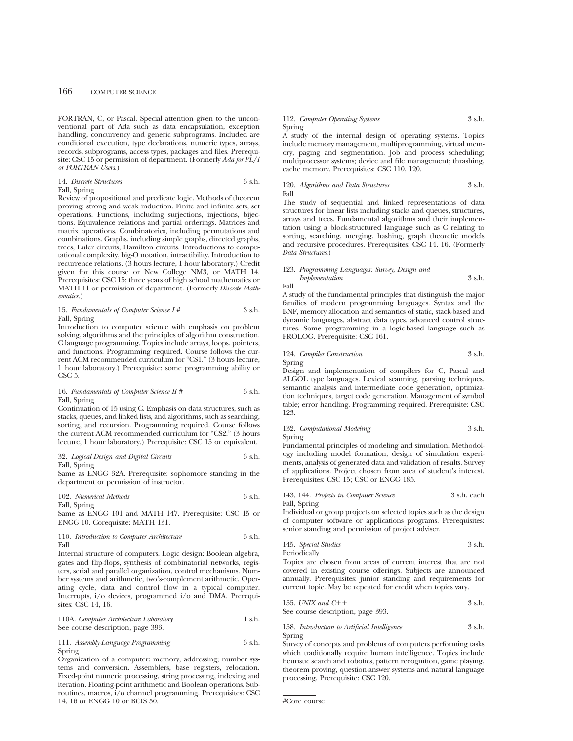FORTRAN, C, or Pascal. Special attention given to the unconventional part of Ada such as data encapsulation, exception handling, concurrency and generic subprograms. Included are conditional execution, type declarations, numeric types, arrays, records, subprograms, access types, packages and files. Prerequisite: CSC 15 or permission of department. (Formerly *Ada for PL/1 or FORTRAN Users*.)

### 14. *Discrete Structures* 3 s.h. Fall, Spring

Review of propositional and predicate logic. Methods of theorem proving; strong and weak induction. Finite and infinite sets, set operations. Functions, including surjections, injections, bijections. Equivalence relations and partial orderings. Matrices and matrix operations. Combinatorics, including permutations and combinations. Graphs, including simple graphs, directed graphs, trees, Euler circuits, Hamilton circuits. Introductions to computational complexity, big-O notation, intractibility. Introduction to recurrence relations. (3 hours lecture, 1 hour laboratory.) Credit given for this course or New College NM3, or MATH 14. Prerequisites: CSC 15; three years of high school mathematics or MATH 11 or permission of department. (Formerly *Discrete Mathematics.*)

### 15. *Fundamentals of Computer Science I #* 3 s.h. Fall, Spring

Introduction to computer science with emphasis on problem solving, algorithms and the principles of algorithm construction. C language programming. Topics include arrays, loops, pointers, and functions. Programming required. Course follows the current ACM recommended curriculum for "CS1." (3 hours lecture, 1 hour laboratory.) Prerequisite: some programming ability or CSC<sub>5</sub>.

### 16. *Fundamentals of Computer Science II* # 3 s.h. Fall, Spring

Continuation of 15 using C. Emphasis on data structures, such as stacks, queues, and linked lists, and algorithms, such as searching, sorting, and recursion. Programming required. Course follows the current ACM recommended curriculum for "CS2." (3 hours lecture, 1 hour laboratory.) Prerequisite: CSC 15 or equivalent.

### 32. *Logical Design and Digital Circuits* 3 s.h. Fall, Spring

Same as ENGG 32A. Prerequisite: sophomore standing in the department or permission of instructor.

102. *Numerical Methods* 3 s.h. Fall, Spring

Same as ENGG 101 and MATH 147. Prerequisite: CSC 15 or ENGG 10. Corequisite: MATH 131.

### 110. *Introduction to Computer Architecture* 3 s.h. Fall

Internal structure of computers. Logic design: Boolean algebra, gates and flip-flops, synthesis of combinatorial networks, registers, serial and parallel organization, control mechanisms. Number systems and arithmetic, two's-complement arithmetic. Operating cycle, data and control flow in a typical computer. Interrupts, i/o devices, programmed i/o and DMA. Prerequisites: CSC 14, 16.

110A. *Computer Architecture Laboratory* 1 s.h. See course description, page 393.

111. *Assembly-Language Programming* 3 s.h. Spring

Organization of a computer: memory, addressing; number systems and conversion. Assemblers, base registers, relocation. Fixed-point numeric processing, string processing, indexing and iteration. Floating-point arithmetic and Boolean operations. Subroutines, macros, i/o channel programming. Prerequisites: CSC 14, 16 or ENGG 10 or BCIS 50.

### 112. *Computer Operating Systems* 3 s.h. Spring

A study of the internal design of operating systems. Topics include memory management, multiprogramming, virtual memory, paging and segmentation. Job and process scheduling; multiprocessor systems; device and file management; thrashing, cache memory. Prerequisites: CSC 110, 120.

### 120. *Algorithms and Data Structures* 3 s.h. Fall

The study of sequential and linked representations of data structures for linear lists including stacks and queues, structures, arrays and trees. Fundamental algorithms and their implementation using a block-structured language such as C relating to sorting, searching, merging, hashing, graph theoretic models and recursive procedures. Prerequisites: CSC 14, 16. (Formerly *Data Structures*.)

### 123. *Programming Languages: Survey, Design and Implementation* 3 s.h.

Fall

A study of the fundamental principles that distinguish the major families of modern programming languages. Syntax and the BNF, memory allocation and semantics of static, stack-based and dynamic languages, abstract data types, advanced control structures. Some programming in a logic-based language such as PROLOG. Prerequisite: CSC 161.

### 124. *Compiler Construction* 3 s.h. Spring

Design and implementation of compilers for C, Pascal and ALGOL type languages. Lexical scanning, parsing techniques, semantic analysis and intermediate code generation, optimization techniques, target code generation. Management of symbol table; error handling. Programming required. Prerequisite: CSC 123.

### 132. *Computational Modeling* 3 s.h. Spring

Fundamental principles of modeling and simulation. Methodology including model formation, design of simulation experiments, analysis of generated data and validation of results. Survey of applications. Project chosen from area of student's interest. Prerequisites: CSC 15; CSC or ENGG 185.

### 143, 144. *Projects in Computer Science* 3 s.h. each Fall, Spring

Individual or group projects on selected topics such as the design of computer software or applications programs. Prerequisites: senior standing and permission of project adviser.

### 145. *Special Studies* 3 s.h. Periodically

Topics are chosen from areas of current interest that are not covered in existing course offerings. Subjects are announced annually. Prerequisites: junior standing and requirements for current topic. May be repeated for credit when topics vary.

155. *UNIX and* 
$$
C++
$$
 3 s.h.

See course description, page 393.

### 158. *Introduction to Artificial Intelligence* 3 s.h. Spring

Survey of concepts and problems of computers performing tasks which traditionally require human intelligence. Topics include heuristic search and robotics, pattern recognition, game playing, theorem proving, question-answer systems and natural language processing. Prerequisite: CSC 120.

<sup>#</sup>Core course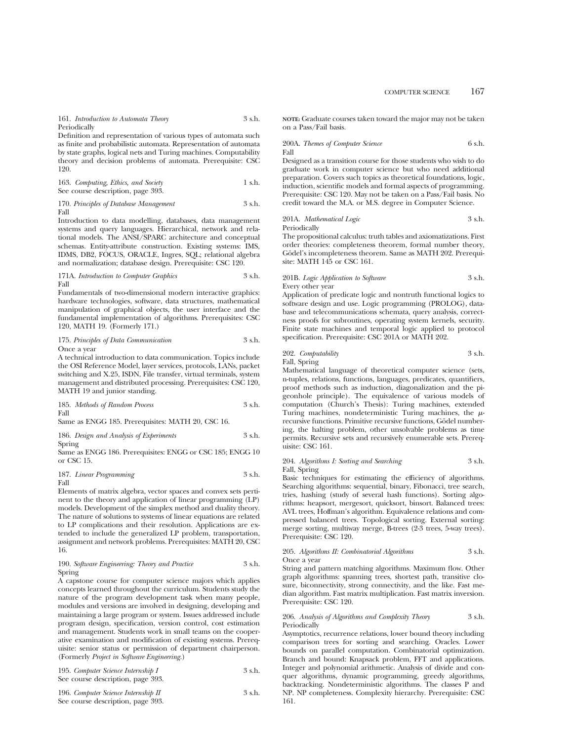161. *Introduction to Automata Theory* 3 s.h. Periodically

Definition and representation of various types of automata such as finite and probabilistic automata. Representation of automata by state graphs, logical nets and Turing machines. Computability theory and decision problems of automata. Prerequisite: CSC 120.

| 163. Computing, Ethics, and Society | 1 s.h. |
|-------------------------------------|--------|
| See course description, page 393.   |        |

170. *Principles of Database Management* 3 s.h. Fall

Introduction to data modelling, databases, data management systems and query languages. Hierarchical, network and relational models. The ANSI/SPARC architecture and conceptual schemas. Entity-attribute construction. Existing systems: IMS, IDMS, DB2, FOCUS, ORACLE, Ingres, SQL; relational algebra and normalization; database design. Prerequisite: CSC 120.

#### 171A. *Introduction to Computer Graphics* 3 s.h. Fall

Fundamentals of two-dimensional modern interactive graphics: hardware technologies, software, data structures, mathematical manipulation of graphical objects, the user interface and the fundamental implementation of algorithms. Prerequisites: CSC 120, MATH 19. (Formerly 171.)

175. *Principles of Data Communication* 3 s.h. Once a year

A technical introduction to data communication. Topics include the OSI Reference Model, layer services, protocols, LANs, packet switching and X.25, ISDN, File transfer, virtual terminals, system management and distributed processing. Prerequisites: CSC 120, MATH 19 and junior standing.

185. *Methods of Random Process* 3 s.h. Fall

Same as ENGG 185. Prerequisites: MATH 20, CSC 16.

186. *Design and Analysis of Experiments* 3 s.h. Spring

Same as ENGG 186. Prerequisites: ENGG or CSC 185; ENGG 10 or CSC 15.

### 187. *Linear Programming* 3 s.h. Fall

Elements of matrix algebra, vector spaces and convex sets pertinent to the theory and application of linear programming (LP) models. Development of the simplex method and duality theory. The nature of solutions to systems of linear equations are related to LP complications and their resolution. Applications are extended to include the generalized LP problem, transportation, assignment and network problems. Prerequisites: MATH 20, CSC 16.

### 190. *Software Engineering: Theory and Practice* 3 s.h. Spring

A capstone course for computer science majors which applies concepts learned throughout the curriculum. Students study the nature of the program development task when many people, modules and versions are involved in designing, developing and maintaining a large program or system. Issues addressed include program design, specification, version control, cost estimation and management. Students work in small teams on the cooperative examination and modification of existing systems. Prerequisite: senior status or permission of department chairperson. (Formerly *Project in Software Engineering*.)

| 195. Computer Science Internship I | 3 s.h. |
|------------------------------------|--------|
| See course description, page 393.  |        |

| 196. Computer Science Internship II | 3 s.h. |
|-------------------------------------|--------|
| See course description, page 393.   |        |

**NOTE:** Graduate courses taken toward the major may not be taken on a Pass/Fail basis.

200A. *Themes of Computer Science* 6 s.h. Fall

Designed as a transition course for those students who wish to do graduate work in computer science but who need additional preparation. Covers such topics as theoretical foundations, logic, induction, scientific models and formal aspects of programming. Prerequisite: CSC 120. May not be taken on a Pass/Fail basis. No credit toward the M.A. or M.S. degree in Computer Science.

201A. *Mathematical Logic* 3 s.h. Periodically

The propositional calculus: truth tables and axiomatizations. First order theories: completeness theorem, formal number theory, Gödel's incompleteness theorem. Same as MATH 202. Prerequisite: MATH 145 or CSC 161.

### 201B. *Logic Application to Software* 3 s.h. Every other year

Application of predicate logic and nontruth functional logics to software design and use. Logic programming (PROLOG), database and telecommunications schemata, query analysis, correctness proofs for subroutines, operating system kernels, security. Finite state machines and temporal logic applied to protocol specification. Prerequisite: CSC 201A or MATH 202.

### 202. *Computability* 3 s.h. Fall, Spring

Mathematical language of theoretical computer science (sets, n-tuples, relations, functions, languages, predicates, quantifiers, proof methods such as induction, diagonalization and the pigeonhole principle). The equivalence of various models of computation (Church's Thesis): Turing machines, extended Turing machines, nondeterministic Turing machines, the  $\mu$ recursive functions. Primitive recursive functions, Gödel numbering, the halting problem, other unsolvable problems as time permits. Recursive sets and recursively enumerable sets. Prerequisite: CSC 161.

204. *Algorithms I: Sorting and Searching* 3 s.h. Fall, Spring

Basic techniques for estimating the efficiency of algorithms. Searching algorithms: sequential, binary, Fibonacci, tree search, tries, hashing (study of several hash functions). Sorting algorithms: heapsort, mergesort, quicksort, binsort. Balanced trees: AVL trees, Hoffman's algorithm. Equivalence relations and compressed balanced trees. Topological sorting. External sorting: merge sorting, multiway merge, B-trees (2-3 trees, 5-way trees). Prerequisite: CSC 120.

205. *Algorithms II: Combinatorial Algorithms* 3 s.h. Once a year

String and pattern matching algorithms. Maximum flow. Other graph algorithms: spanning trees, shortest path, transitive closure, biconnectivity, strong connectivity, and the like. Fast median algorithm. Fast matrix multiplication. Fast matrix inversion. Prerequisite: CSC 120.

### 206. *Analysis of Algorithms and Complexity Theory* 3 s.h. Periodically

Asymptotics, recurrence relations, lower bound theory including comparison trees for sorting and searching. Oracles. Lower bounds on parallel computation. Combinatorial optimization. Branch and bound: Knapsack problem, FFT and applications. Integer and polynomial arithmetic. Analysis of divide and conquer algorithms, dynamic programming, greedy algorithms, backtracking. Nondeterministic algorithms. The classes P and NP. NP completeness. Complexity hierarchy. Prerequisite: CSC 161.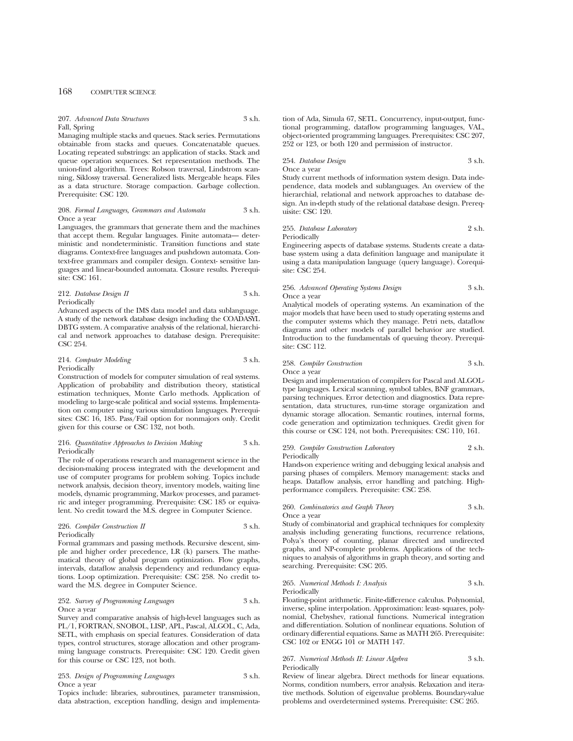207. *Advanced Data Structures* 3 s.h. Fall, Spring

Managing multiple stacks and queues. Stack series. Permutations obtainable from stacks and queues. Concatenatable queues. Locating repeated substrings: an application of stacks. Stack and queue operation sequences. Set representation methods. The union-find algorithm. Trees: Robson traversal, Lindstrom scanning, Siklossy traversal. Generalized lists. Mergeable heaps. Files as a data structure. Storage compaction. Garbage collection. Prerequisite: CSC 120.

### 208. *Formal Languages, Grammars and Automata* 3 s.h. Once a year

Languages, the grammars that generate them and the machines that accept them. Regular languages. Finite automata— deterministic and nondeterministic. Transition functions and state diagrams. Context-free languages and pushdown automata. Context-free grammars and compiler design. Context- sensitive languages and linear-bounded automata. Closure results. Prerequisite: CSC 161.

212. *Database Design II* 3 s.h. Periodically

Advanced aspects of the IMS data model and data sublanguage. A study of the network database design including the COADASYL DBTG system. A comparative analysis of the relational, hierarchical and network approaches to database design. Prerequisite: CSC 254.

### 214. *Computer Modeling* 3 s.h. Periodically

Construction of models for computer simulation of real systems. Application of probability and distribution theory, statistical estimation techniques, Monte Carlo methods. Application of modeling to large-scale political and social systems. Implementation on computer using various simulation languages. Prerequisites: CSC 16, 185. Pass/Fail option for nonmajors only. Credit given for this course or CSC 132, not both.

### 216. *Quantitative Approaches to Decision Making* 3 s.h. Periodically

The role of operations research and management science in the decision-making process integrated with the development and use of computer programs for problem solving. Topics include network analysis, decision theory, inventory models, waiting line models, dynamic programming, Markov processes, and parametric and integer programming. Prerequisite: CSC 185 or equivalent. No credit toward the M.S. degree in Computer Science.

### 226. *Compiler Construction II* 3 s.h. Periodically

Formal grammars and passing methods. Recursive descent, simple and higher order precedence, LR (k) parsers. The mathematical theory of global program optimization. Flow graphs, intervals, dataflow analysis dependency and redundancy equations. Loop optimization. Prerequisite: CSC 258. No credit toward the M.S. degree in Computer Science.

### 252. *Survey of Programming Languages* 3 s.h. Once a year

Survey and comparative analysis of high-level languages such as PL/1, FORTRAN, SNOBOL, LISP, APL, Pascal, ALGOL, C, Ada, SETL, with emphasis on special features. Consideration of data types, control structures, storage allocation and other programming language constructs. Prerequisite: CSC 120. Credit given for this course or CSC 123, not both.

### 253. *Design of Programming Languages* 3 s.h. Once a year

Topics include: libraries, subroutines, parameter transmission, data abstraction, exception handling, design and implementa-

tion of Ada, Simula 67, SETL. Concurrency, input-output, functional programming, dataflow programming languages, VAL, object-oriented programming languages. Prerequisites: CSC 207, 252 or 123, or both 120 and permission of instructor.

### 254. *Database Design* 3 s.h. Once a year

Study current methods of information system design. Data independence, data models and sublanguages. An overview of the hierarchial, relational and network approaches to database design. An in-depth study of the relational database design. Prerequisite: CSC 120.

## 255. *Database Laboratory* 2 s.h.

Periodically

Engineering aspects of database systems. Students create a database system using a data definition language and manipulate it using a data manipulation language (query language). Corequisite: CSC 254.

### 256. *Advanced Operating Systems Design* 3 s.h. Once a year

Analytical models of operating systems. An examination of the major models that have been used to study operating systems and the computer systems which they manage. Petri nets, dataflow diagrams and other models of parallel behavior are studied. Introduction to the fundamentals of queuing theory. Prerequisite: CSC 112.

## 258. *Compiler Construction* 3 s.h.

Once a year

Design and implementation of compilers for Pascal and ALGOLtype languages. Lexical scanning, symbol tables, BNF grammars, parsing techniques. Error detection and diagnostics. Data representation, data structures, run-time storage organization and dynamic storage allocation. Semantic routines, internal forms, code generation and optimization techniques. Credit given for this course or CSC 124, not both. Prerequisites: CSC 110, 161.

### 259. *Compiler Construction Laboratory* 2 s.h. Periodically

Hands-on experience writing and debugging lexical analysis and parsing phases of compilers. Memory management: stacks and heaps. Dataflow analysis, error handling and patching. Highperformance compilers. Prerequisite: CSC 258.

## 260. *Combinatorics and Graph Theory* 3 s.h.

Once a year Study of combinatorial and graphical techniques for complexity

analysis including generating functions, recurrence relations, Polya's theory of counting, planar directed and undirected graphs, and NP-complete problems. Applications of the techniques to analysis of algorithms in graph theory, and sorting and searching. Prerequisite: CSC 205.

### 265. *Numerical Methods I: Analysis* 3 s.h. Periodically

Floating-point arithmetic. Finite-difference calculus. Polynomial, inverse, spline interpolation. Approximation: least- squares, polynomial, Chebyshev, rational functions. Numerical integration and differentiation. Solution of nonlinear equations. Solution of ordinary differential equations. Same as MATH 265. Prerequisite: CSC 102 or ENGG 101 or MATH 147.

### 267. *Numerical Methods II: Linear Algebra* 3 s.h. Periodically

Review of linear algebra. Direct methods for linear equations. Norms, condition numbers, error analysis. Relaxation and iterative methods. Solution of eigenvalue problems. Boundary-value problems and overdetermined systems. Prerequisite: CSC 265.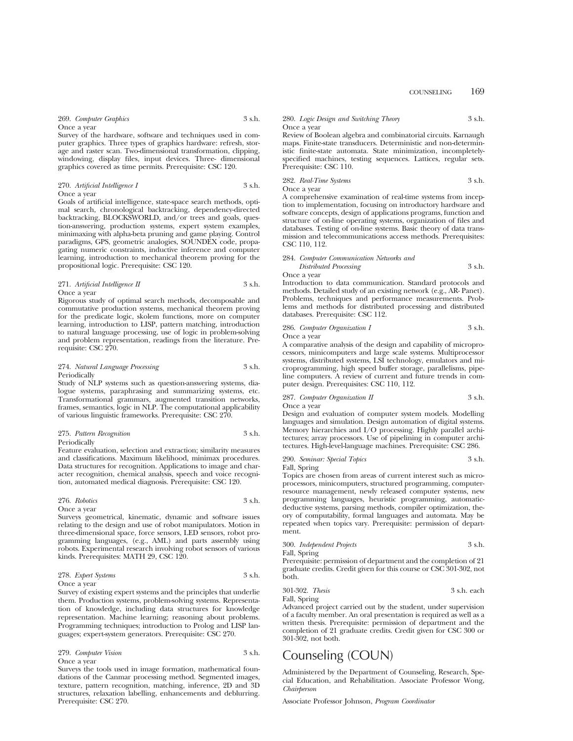Survey of the hardware, software and techniques used in computer graphics. Three types of graphics hardware: refresh, storage and raster scan. Two-dimensional transformation, clipping, windowing, display files, input devices. Three- dimensional graphics covered as time permits. Prerequisite: CSC 120.

### 270. *Artificial Intelligence I* 3 s.h. Once a year

Goals of artificial intelligence, state-space search methods, optimal search, chronological backtracking, dependency-directed backtracking, BLOCKSWORLD, and/or trees and goals, question-answering, production systems, expert system examples, minimaxing with alpha-beta pruning and game playing. Control paradigms, GPS, geometric analogies, SOUNDEX code, propagating numeric constraints, inductive inference and computer learning, introduction to mechanical theorem proving for the propositional logic. Prerequisite: CSC 120.

### 271. *Artificial Intelligence II* 3 s.h. Once a year

Rigorous study of optimal search methods, decomposable and commutative production systems, mechanical theorem proving for the predicate logic, skolem functions, more on computer learning, introduction to LISP, pattern matching, introduction to natural language processing, use of logic in problem-solving and problem representation, readings from the literature. Prerequisite: CSC 270.

### 274. *Natural Language Processing* 3 s.h. **Periodically**

Study of NLP systems such as question-answering systems, dialogue systems, paraphrasing and summarizing systems, etc. Transformational grammars, augmented transition networks, frames, semantics, logic in NLP. The computational applicability of various linguistic frameworks. Prerequisite: CSC 270.

### 275. *Pattern Recognition* 3 s.h. Periodically

Feature evaluation, selection and extraction; similarity measures and classifications. Maximum likelihood, minimax procedures. Data structures for recognition. Applications to image and character recognition, chemical analysis, speech and voice recognition, automated medical diagnosis. Prerequisite: CSC 120.

## 276. *Robotics* 3 s.h.

Once a year Surveys geometrical, kinematic, dynamic and software issues relating to the design and use of robot manipulators. Motion in three-dimensional space, force sensors, LED sensors, robot programming languages, (e.g., AML) and parts assembly using robots. Experimental research involving robot sensors of various kinds. Prerequisites: MATH 29, CSC 120.

### 278. *Expert Systems* 3 s.h. Once a year

Survey of existing expert systems and the principles that underlie them. Production systems, problem-solving systems. Representation of knowledge, including data structures for knowledge representation. Machine learning; reasoning about problems. Programming techniques; introduction to Prolog and LISP languages; expert-system generators. Prerequisite: CSC 270.

| 279. Computer Vision | 3 s.h. |
|----------------------|--------|
| Once a year          |        |

Surveys the tools used in image formation, mathematical foundations of the Canmar processing method. Segmented images, texture, pattern recognition, matching, inference, 2D and 3D structures, relaxation labelling, enhancements and deblurring. Prerequisite: CSC 270.

### 280. *Logic Design and Switching Theory* 3 s.h. Once a year

Review of Boolean algebra and combinatorial circuits. Karnaugh maps. Finite-state transducers. Deterministic and non-deterministic finite-state automata. State minimization, incompletelyspecified machines, testing sequences. Lattices, regular sets. Prerequisite: CSC 110.

### 282. *Real-Time Systems* 3 s.h. Once a year

A comprehensive examination of real-time systems from inception to implementation, focusing on introductory hardware and software concepts, design of applications programs, function and structure of on-line operating systems, organization of files and databases. Testing of on-line systems. Basic theory of data transmission and telecommunications access methods. Prerequisites: CSC 110, 112.

### 284. *Computer Communication Networks and Distributed Processing* 3 s.h.

Once a year

Introduction to data communication. Standard protocols and methods. Detailed study of an existing network (e.g., AR- Panet). Problems, techniques and performance measurements. Problems and methods for distributed processing and distributed databases. Prerequisite: CSC 112.

286. *Computer Organization I* 3 s.h.

Once a year

A comparative analysis of the design and capability of microprocessors, minicomputers and large scale systems. Multiprocessor systems, distributed systems, LSI technology, emulators and microprogramming, high speed buffer storage, parallelisms, pipeline computers. A review of current and future trends in computer design. Prerequisites: CSC 110, 112.

### 287. *Computer Organization II* 3 s.h. Once a year

Design and evaluation of computer system models. Modelling languages and simulation. Design automation of digital systems. Memory hierarchies and I/O processing. Highly parallel architectures; array processors. Use of pipelining in computer architectures. High-level-language machines. Prerequisite: CSC 286.

290. *Seminar: Special Topics* 3 s.h.

Fall, Spring

Topics are chosen from areas of current interest such as microprocessors, minicomputers, structured programming, computerresource management, newly released computer systems, new programming languages, heuristic programming, automaticdeductive systems, parsing methods, compiler optimization, theory of computability, formal languages and automata. May be repeated when topics vary. Prerequisite: permission of department.

|     | 300. Independent Projects | 3 s.h. |
|-----|---------------------------|--------|
| - - |                           |        |

Fall, Spring

Prerequisite: permission of department and the completion of 21 graduate credits. Credit given for this course or CSC 301-302, not both.

301-302. *Thesis* 3 s.h. each

Fall, Spring

Advanced project carried out by the student, under supervision

of a faculty member. An oral presentation is required as well as a written thesis. Prerequisite: permission of department and the completion of 21 graduate credits. Credit given for CSC 300 or 301-302, not both.

# Counseling (COUN)

Administered by the Department of Counseling, Research, Special Education, and Rehabilitation. Associate Professor Wong, *Chairperson*

Associate Professor Johnson, *Program Coordinator*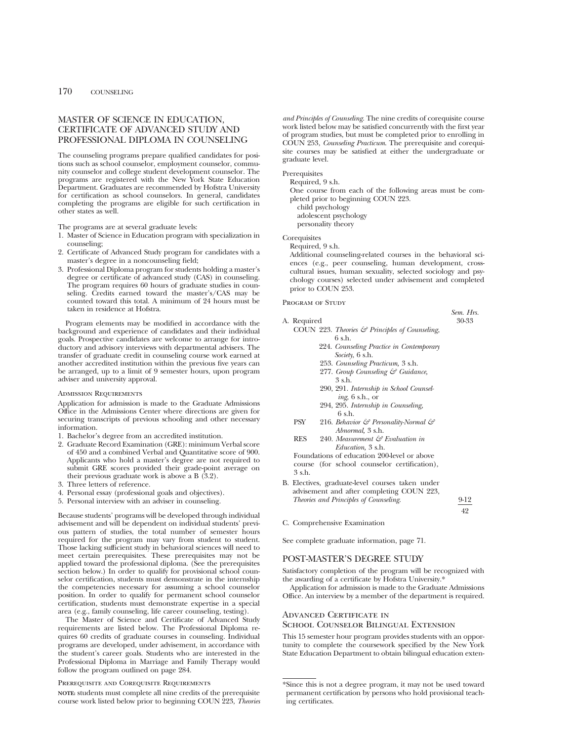## MASTER OF SCIENCE IN EDUCATION, CERTIFICATE OF ADVANCED STUDY AND PROFESSIONAL DIPLOMA IN COUNSELING

The counseling programs prepare qualified candidates for positions such as school counselor, employment counselor, community counselor and college student development counselor. The programs are registered with the New York State Education Department. Graduates are recommended by Hofstra University for certification as school counselors. In general, candidates completing the programs are eligible for such certification in other states as well.

The programs are at several graduate levels:

- 1. Master of Science in Education program with specialization in counseling;
- 2. Certificate of Advanced Study program for candidates with a master's degree in a noncounseling field;
- 3. Professional Diploma program for students holding a master's degree or certificate of advanced study (CAS) in counseling. The program requires 60 hours of graduate studies in counseling. Credits earned toward the master's/CAS may be counted toward this total. A minimum of 24 hours must be taken in residence at Hofstra.

Program elements may be modified in accordance with the background and experience of candidates and their individual goals. Prospective candidates are welcome to arrange for introductory and advisory interviews with departmental advisers. The transfer of graduate credit in counseling course work earned at another accredited institution within the previous five years can be arranged, up to a limit of 9 semester hours, upon program adviser and university approval.

### Admission Requirements

Application for admission is made to the Graduate Admissions Office in the Admissions Center where directions are given for securing transcripts of previous schooling and other necessary information.

- 1. Bachelor's degree from an accredited institution.
- 2. Graduate Record Examination (GRE): minimum Verbal score of 450 and a combined Verbal and Quantitative score of 900. Applicants who hold a master's degree are not required to submit GRE scores provided their grade-point average on their previous graduate work is above a B (3.2).
- 3. Three letters of reference.
- 4. Personal essay (professional goals and objectives).
- 5. Personal interview with an adviser in counseling.

Because students' programs will be developed through individual advisement and will be dependent on individual students' previous pattern of studies, the total number of semester hours required for the program may vary from student to student. Those lacking sufficient study in behavioral sciences will need to meet certain prerequisites. These prerequisites may not be applied toward the professional diploma. (See the prerequisites section below.) In order to qualify for provisional school counselor certification, students must demonstrate in the internship the competencies necessary for assuming a school counselor position. In order to qualify for permanent school counselor certification, students must demonstrate expertise in a special area (e.g., family counseling, life career counseling, testing).

The Master of Science and Certificate of Advanced Study requirements are listed below. The Professional Diploma requires 60 credits of graduate courses in counseling. Individual programs are developed, under advisement, in accordance with the student's career goals. Students who are interested in the Professional Diploma in Marriage and Family Therapy would follow the program outlined on page 284.

### Prerequisite and Corequisite Requirements

**NOTE:** students must complete all nine credits of the prerequisite course work listed below prior to beginning COUN 223, *Theories* *and Principles of Counseling*. The nine credits of corequisite course work listed below may be satisfied concurrently with the first year of program studies, but must be completed prior to enrolling in COUN 253, *Counseling Practicum*. The prerequisite and corequisite courses may be satisfied at either the undergraduate or graduate level.

**Prerequisites** 

Required, 9 s.h.

One course from each of the following areas must be completed prior to beginning COUN 223.

child psychology adolescent psychology personality theory

**Corequisites** 

Required, 9 s.h.

Additional counseling-related courses in the behavioral sciences (e.g., peer counseling, human development, crosscultural issues, human sexuality, selected sociology and psychology courses) selected under advisement and completed prior to COUN 253.

PROGRAM OF STUDY

- A. Required 30-33 COUN 223. *Theories & Principles of Counseling*, 6 s.h.
	- 224. *Counseling Practice in Contemporary Society*, 6 s.h.
	- 253. *Counseling Practicum,* 3 s.h.
	- 277. *Group Counseling & Guidance,* 3 s.h.
	- 290, 291. *Internship in School Counseling,* 6 s.h., or
	- 294, 295. *Internship in Counseling,* 6 s.h.
	- PSY 216. *Behavior & Personality-Normal & Abnormal,* 3 s.h.
	- RES 240. *Measurement & Evaluation in Education,* 3 s.h.

Foundations of education 200-level or above course (for school counselor certification), 3 s.h.

B. Electives, graduate-level courses taken under advisement and after completing COUN 223, *Theories and Principles of Counseling*. 9-12

42

*Sem. Hrs.*

C. Comprehensive Examination

See complete graduate information, page 71.

## POST-MASTER'S DEGREE STUDY

Satisfactory completion of the program will be recognized with the awarding of a certificate by Hofstra University.\*

Application for admission is made to the Graduate Admissions Office. An interview by a member of the department is required.

### ADVANCED CERTIFICATE IN

### School Counselor Bilingual Extension

This 15 semester hour program provides students with an opportunity to complete the coursework specified by the New York State Education Department to obtain bilingual education exten-

<sup>\*</sup>Since this is not a degree program, it may not be used toward permanent certification by persons who hold provisional teaching certificates.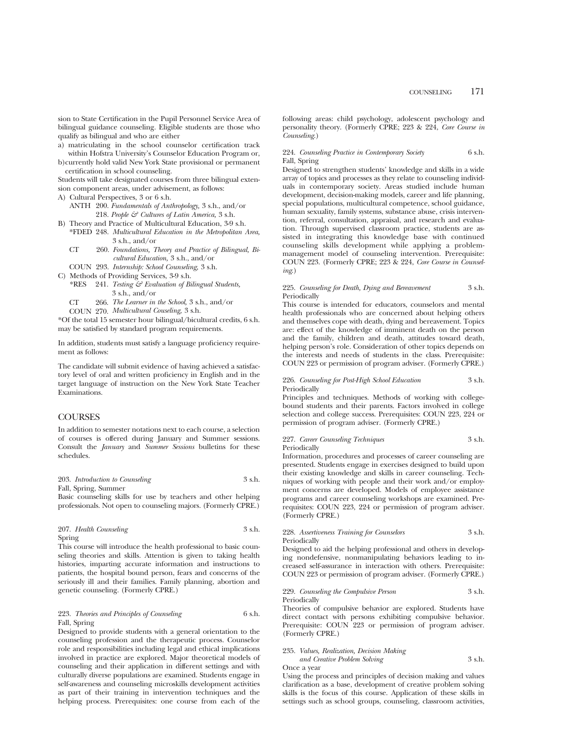sion to State Certification in the Pupil Personnel Service Area of bilingual guidance counseling. Eligible students are those who qualify as bilingual and who are either

- a) matriculating in the school counselor certification track within Hofstra University's Counselor Education Program or,
- b)currently hold valid New York State provisional or permanent certification in school counseling.

Students will take designated courses from three bilingual extension component areas, under advisement, as follows:

- A) Cultural Perspectives, 3 or 6 s.h.
	- ANTH 200. *Fundamentals of Anthropology,* 3 s.h., and/or 218. *People & Cultures of Latin America,* 3 s.h.
- B) Theory and Practice of Multicultural Education, 3-9 s.h.
- \*FDED 248. *Multicultural Education in the Metropolitan Area,* 3 s.h., and/or
	- CT 260. *Foundations, Theory and Practice of Bilingual, Bicultural Education,* 3 s.h., and/or

COUN 293. *Internship: School Counseling,* 3 s.h.

- C) Methods of Providing Services, 3-9 s.h.
	- \*RES 241. *Testing & Evaluation of Bilingual Students,* 3 s.h., and/or
	- *The Learner in the School,* 3 s.h., and/or CT 266.
	- *Multicultural Couseling,* 3 s.h. COUN 270.

\*Of the total 15 semester hour bilingual/bicultural credits, 6 s.h. may be satisfied by standard program requirements.

In addition, students must satisfy a language proficiency requirement as follows:

The candidate will submit evidence of having achieved a satisfactory level of oral and written proficiency in English and in the target language of instruction on the New York State Teacher Examinations.

## **COURSES**

In addition to semester notations next to each course, a selection of courses is offered during January and Summer sessions. Consult the *January* and *Summer Sessions* bulletins for these schedules.

203. *Introduction to Counseling* 3 s.h. Fall, Spring, Summer

Basic counseling skills for use by teachers and other helping professionals. Not open to counseling majors. (Formerly CPRE.)

|        | 207. Health Counseling | - 3 s.h. |
|--------|------------------------|----------|
| Spring |                        |          |

This course will introduce the health professional to basic counseling theories and skills. Attention is given to taking health histories, imparting accurate information and instructions to patients, the hospital bound person, fears and concerns of the seriously ill and their families. Family planning, abortion and genetic counseling. (Formerly CPRE.)

### 223. *Theories and Principles of Counseling* 6 s.h. Fall, Spring

Designed to provide students with a general orientation to the counseling profession and the therapeutic process. Counselor role and responsibilities including legal and ethical implications involved in practice are explored. Major theoretical models of counseling and their application in different settings and with culturally diverse populations are examined. Students engage in self-awareness and counseling microskills development activities as part of their training in intervention techniques and the helping process. Prerequisites: one course from each of the following areas: child psychology, adolescent psychology and personality theory. (Formerly CPRE; 223 & 224, *Core Course in Counseling*.)

### 224. *Counseling Practice in Contemporary Society* 6 s.h. Fall, Spring

Designed to strengthen students' knowledge and skills in a wide array of topics and processes as they relate to counseling individuals in contemporary society. Areas studied include human development, decision-making models, career and life planning, special populations, multicultural competence, school guidance, human sexuality, family systems, substance abuse, crisis intervention, referral, consultation, appraisal, and research and evaluation. Through supervised classroom practice, students are assisted in integrating this knowledge base with continued counseling skills development while applying a problemmanagement model of counseling intervention. Prerequisite: COUN 223. (Formerly CPRE; 223 & 224, *Core Course in Counseling*.)

### 225. *Counseling for Death, Dying and Bereavement* 3 s.h. Periodically

This course is intended for educators, counselors and mental health professionals who are concerned about helping others and themselves cope with death, dying and bereavement. Topics are: effect of the knowledge of imminent death on the person and the family, children and death, attitudes toward death, helping person's role. Consideration of other topics depends on the interests and needs of students in the class. Prerequisite: COUN 223 or permission of program adviser. (Formerly CPRE.)

### 226. *Counseling for Post-High School Education* 3 s.h. Periodically

Principles and techniques. Methods of working with collegebound students and their parents. Factors involved in college selection and college success. Prerequisites: COUN 223, 224 or permission of program adviser. (Formerly CPRE.)

### 227. *Career Counseling Techniques* 3 s.h. Periodically

Information, procedures and processes of career counseling are presented. Students engage in exercises designed to build upon their existing knowledge and skills in career counseling. Techniques of working with people and their work and/or employment concerns are developed. Models of employee assistance programs and career counseling workshops are examined. Prerequisites: COUN 223, 224 or permission of program adviser. (Formerly CPRE.)

### 228. *Assertiveness Training for Counselors* 3 s.h. Periodically

Designed to aid the helping professional and others in developing nondefensive, nonmanipulating behaviors leading to increased self-assurance in interaction with others. Prerequisite: COUN 223 or permission of program adviser. (Formerly CPRE.)

### 229. *Counseling the Compulsive Person* 3 s.h. Periodically

Theories of compulsive behavior are explored. Students have direct contact with persons exhibiting compulsive behavior. Prerequisite: COUN 223 or permission of program adviser. (Formerly CPRE.)

### 235. *Values, Realization, Decision Making and Creative Problem Solving* 3 s.h.

Once a year

Using the process and principles of decision making and values clarification as a base, development of creative problem solving skills is the focus of this course. Application of these skills in settings such as school groups, counseling, classroom activities,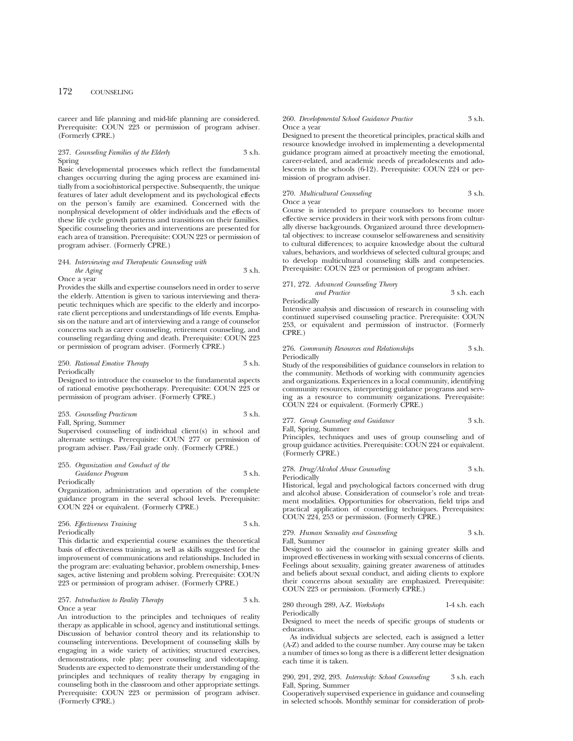career and life planning and mid-life planning are considered. Prerequisite: COUN 223 or permission of program adviser. (Formerly CPRE.)

### 237. *Counseling Families of the Elderly* 3 s.h. Spring

Basic developmental processes which reflect the fundamental changes occurring during the aging process are examined initially from a sociohistorical perspective. Subsequently, the unique features of later adult development and its psychological effects on the person's family are examined. Concerned with the nonphysical development of older individuals and the effects of these life cycle growth patterns and transitions on their families. Specific counseling theories and interventions are presented for each area of transition. Prerequisite: COUN 223 or permission of program adviser. (Formerly CPRE.)

### 244. *Interviewing and Therapeutic Counseling with the Aging* 3 s.h. Once a year

Provides the skills and expertise counselors need in order to serve the elderly. Attention is given to various interviewing and therapeutic techniques which are specific to the elderly and incorporate client perceptions and understandings of life events. Emphasis on the nature and art of interviewing and a range of counselor concerns such as career counseling, retirement counseling, and

or permission of program adviser. (Formerly CPRE.)

### 250. *Rational Emotive Therapy* 3 s.h. Periodically

counseling regarding dying and death. Prerequisite: COUN 223

Designed to introduce the counselor to the fundamental aspects of rational emotive psychotherapy. Prerequisite: COUN 223 or permission of program adviser. (Formerly CPRE.)

253. *Counseling Practicum* 3 s.h. Fall, Spring, Summer

Supervised counseling of individual client(s) in school and alternate settings. Prerequisite: COUN 277 or permission of program adviser. Pass/Fail grade only. (Formerly CPRE.)

### 255. *Organization and Conduct of the Guidance Program* 3 s.h. Periodically

Organization, administration and operation of the complete guidance program in the several school levels. Prerequisite: COUN 224 or equivalent. (Formerly CPRE.)

### 256. *Effectiveness Training* 3 s.h. **Periodically**

This didactic and experiential course examines the theoretical basis of effectiveness training, as well as skills suggested for the improvement of communications and relationships. Included in the program are: evaluating behavior, problem ownership, I-messages, active listening and problem solving. Prerequisite: COUN 223 or permission of program adviser. (Formerly CPRE.)

### 257. *Introduction to Reality Therapy* 3 s.h. Once a year

An introduction to the principles and techniques of reality therapy as applicable in school, agency and institutional settings. Discussion of behavior control theory and its relationship to counseling interventions. Development of counseling skills by engaging in a wide variety of activities; structured exercises, demonstrations, role play; peer counseling and videotaping. Students are expected to demonstrate their understanding of the principles and techniques of reality therapy by engaging in counseling both in the classroom and other appropriate settings. Prerequisite: COUN 223 or permission of program adviser. (Formerly CPRE.)

### 260. *Developmental School Guidance Practice* 3 s.h. Once a year

Designed to present the theoretical principles, practical skills and resource knowledge involved in implementing a developmental guidance program aimed at proactively meeting the emotional, career-related, and academic needs of preadolescents and adolescents in the schools (6-12). Prerequisite: COUN 224 or permission of program adviser.

270. *Multicultural Counseling* 3 s.h. Once a year

Course is intended to prepare counselors to become more effective service providers in their work with persons from culturally diverse backgrounds. Organized around three developmental objectives: to increase counselor self-awareness and sensitivity to cultural differences; to acquire knowledge about the cultural values, behaviors, and worldviews of selected cultural groups; and to develop multicultural counseling skills and competencies. Prerequisite: COUN 223 or permission of program adviser.

### 271, 272. *Advanced Counseling Theory*

*and Practice* 3 s.h. each Periodically Intensive analysis and discussion of research in counseling with

continued supervised counseling practice. Prerequisite: COUN 253, or equivalent and permission of instructor. (Formerly CPRE.)

### 276. *Community Resources and Relationships* 3 s.h. Periodically

Study of the responsibilities of guidance counselors in relation to the community. Methods of working with community agencies and organizations. Experiences in a local community, identifying community resources, interpreting guidance programs and serving as a resource to community organizations. Prerequisite: COUN 224 or equivalent. (Formerly CPRE.)

277. *Group Counseling and Guidance* 3 s.h.

Fall, Spring, Summer

Principles, techniques and uses of group counseling and of group guidance activities. Prerequisite: COUN 224 or equivalent. (Formerly CPRE.)

### 278. *Drug/Alcohol Abuse Counseling* 3 s.h. Periodically

Historical, legal and psychological factors concerned with drug and alcohol abuse. Consideration of counselor's role and treatment modalities. Opportunities for observation, field trips and practical application of counseling techniques. Prerequisites: COUN 224, 253 or permission. (Formerly CPRE.)

279. *Human Sexuality and Counseling* 3 s.h.

Fall, Summer Designed to aid the counselor in gaining greater skills and improved effectiveness in working with sexual concerns of clients. Feelings about sexuality, gaining greater awareness of attitudes and beliefs about sexual conduct, and aiding clients to explore

COUN 223 or permission. (Formerly CPRE.) 280 through 289, A-Z. *Workshops* 1-4 s.h. each Periodically

their concerns about sexuality are emphasized. Prerequisite:

Designed to meet the needs of specific groups of students or educators.

As individual subjects are selected, each is assigned a letter (A-Z) and added to the course number. Any course may be taken a number of times so long as there is a different letter designation each time it is taken.

290, 291, 292, 293. *Internship: School Counseling* 3 s.h. each Fall, Spring, Summer

Cooperatively supervised experience in guidance and counseling in selected schools. Monthly seminar for consideration of prob-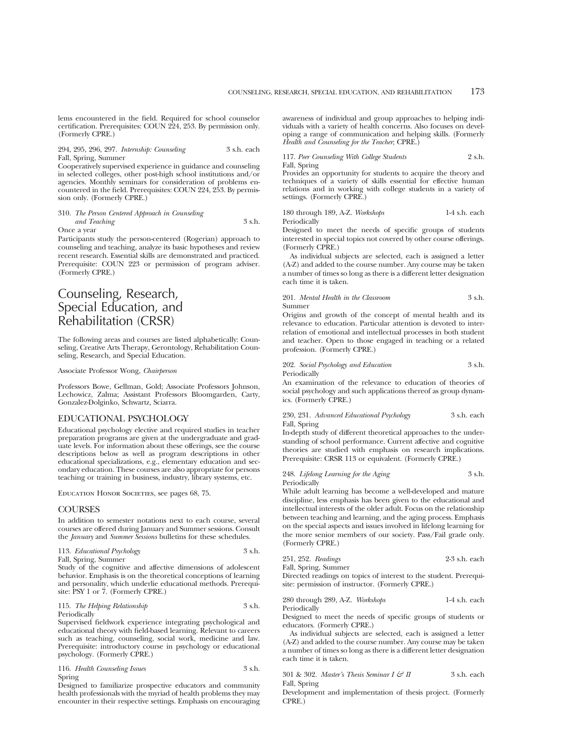lems encountered in the field. Required for school counselor certification. Prerequisites: COUN 224, 253. By permission only. (Formerly CPRE.)

### 294, 295, 296, 297. *Internship: Counseling* 3 s.h. each Fall, Spring, Summer

Cooperatively supervised experience in guidance and counseling in selected colleges, other post-high school institutions and/or agencies. Monthly seminars for consideration of problems encountered in the field. Prerequisites: COUN 224, 253. By permission only. (Formerly CPRE.)

### 310. *The Person Centered Approach in Counseling and Teaching*  $\frac{1}{2}$  3 s.h. Once a year

Participants study the person-centered (Rogerian) approach to counseling and teaching, analyze its basic hypotheses and review recent research. Essential skills are demonstrated and practiced. Prerequisite: COUN 223 or permission of program adviser. (Formerly CPRE.)

## Counseling, Research, Special Education, and Rehabilitation (CRSR)

The following areas and courses are listed alphabetically: Counseling, Creative Arts Therapy, Gerontology, Rehabilitation Counseling, Research, and Special Education.

### Associate Professor Wong, *Chairperson*

Professors Bowe, Gellman, Gold; Associate Professors Johnson, Lechowicz, Zalma; Assistant Professors Bloomgarden, Carty, Gonzalez-Dolginko, Schwartz, Sciarra.

### EDUCATIONAL PSYCHOLOGY

Educational psychology elective and required studies in teacher preparation programs are given at the undergraduate and graduate levels. For information about these offerings, see the course descriptions below as well as program descriptions in other educational specializations, e.g., elementary education and secondary education. These courses are also appropriate for persons teaching or training in business, industry, library systems, etc.

Education Honor Societies, see pages 68, 75.

### **COURSES**

In addition to semester notations next to each course, several courses are offered during January and Summer sessions. Consult the *January* and *Summer Sessions* bulletins for these schedules.

| 113. Educational Psychology | 3 s.h. |
|-----------------------------|--------|
| Fall, Spring, Summer        |        |

Study of the cognitive and affective dimensions of adolescent behavior. Emphasis is on the theoretical conceptions of learning and personality, which underlie educational methods. Prerequisite: PSY 1 or 7. (Formerly CPRE.)

### 115. *The Helping Relationship* 3 s.h. Periodically

Supervised fieldwork experience integrating psychological and educational theory with field-based learning. Relevant to careers such as teaching, counseling, social work, medicine and law. Prerequisite: introductory course in psychology or educational psychology. (Formerly CPRE.)

116. *Health Counseling Issues* 3 s.h. Spring

Designed to familiarize prospective educators and community health professionals with the myriad of health problems they may encounter in their respective settings. Emphasis on encouraging

awareness of individual and group approaches to helping individuals with a variety of health concerns. Also focuses on developing a range of communication and helping skills. (Formerly *Health and Counseling for the Teacher*; CPRE.)

| 117. Peer Counseling With College Students | 2 s.h. |
|--------------------------------------------|--------|
| Fall, Spring                               |        |

Provides an opportunity for students to acquire the theory and techniques of a variety of skills essential for effective human relations and in working with college students in a variety of settings. (Formerly CPRE.)

| 180 through 189, A-Z. Workshops | 1-4 s.h. each |  |
|---------------------------------|---------------|--|
| Periodically                    |               |  |

Designed to meet the needs of specific groups of students interested in special topics not covered by other course offerings. (Formerly CPRE.)

As individual subjects are selected, each is assigned a letter (A-Z) and added to the course number. Any course may be taken a number of times so long as there is a different letter designation each time it is taken.

### 201. *Mental Health in the Classroom* 3 s.h. Summer

Origins and growth of the concept of mental health and its relevance to education. Particular attention is devoted to interrelation of emotional and intellectual processes in both student and teacher. Open to those engaged in teaching or a related profession. (Formerly CPRE.)

202. *Social Psychology and Education* 3 s.h. Periodically

An examination of the relevance to education of theories of social psychology and such applications thereof as group dynamics. (Formerly CPRE.)

### 230, 231. *Advanced Educational Psychology* 3 s.h. each Fall, Spring

In-depth study of different theoretical approaches to the understanding of school performance. Current affective and cognitive theories are studied with emphasis on research implications. Prerequisite: CRSR 113 or equivalent. (Formerly CPRE.)

248. *Lifelong Learning for the Aging* 3 s.h. Periodically

While adult learning has become a well-developed and mature discipline, less emphasis has been given to the educational and intellectual interests of the older adult. Focus on the relationship between teaching and learning, and the aging process. Emphasis on the special aspects and issues involved in lifelong learning for the more senior members of our society. Pass/Fail grade only. (Formerly CPRE.)

| 251, 252. Readings   | $2-3$ s.h. each |
|----------------------|-----------------|
| Fall, Spring, Summer |                 |

Directed readings on topics of interest to the student. Prerequisite: permission of instructor. (Formerly CPRE.)

280 through 289, A-Z. *Workshops* 1-4 s.h. each Periodically

Designed to meet the needs of specific groups of students or educators. (Formerly CPRE.)

As individual subjects are selected, each is assigned a letter (A-Z) and added to the course number. Any course may be taken a number of times so long as there is a different letter designation each time it is taken.

301 & 302. *Master's Thesis Seminar I & II* 3 s.h. each Fall, Spring

Development and implementation of thesis project. (Formerly CPRE.)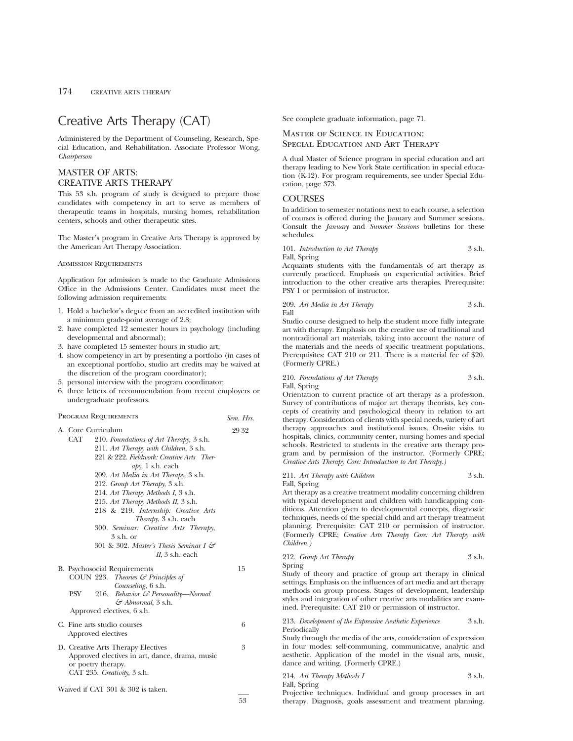## Creative Arts Therapy (CAT)

Administered by the Department of Counseling, Research, Special Education, and Rehabilitation. Associate Professor Wong, *Chairperson*

## MASTER OF ARTS: CREATIVE ARTS THERAPY

This 53 s.h. program of study is designed to prepare those candidates with competency in art to serve as members of therapeutic teams in hospitals, nursing homes, rehabilitation centers, schools and other therapeutic sites.

The Master's program in Creative Arts Therapy is approved by the American Art Therapy Association.

Admission Requirements

Application for admission is made to the Graduate Admissions Office in the Admissions Center. Candidates must meet the following admission requirements:

- 1. Hold a bachelor's degree from an accredited institution with a minimum grade-point average of 2.8;
- 2. have completed 12 semester hours in psychology (including developmental and abnormal);
- 3. have completed 15 semester hours in studio art;
- 4. show competency in art by presenting a portfolio (in cases of an exceptional portfolio, studio art credits may be waived at the discretion of the program coordinator);
- 5. personal interview with the program coordinator;
- 6. three letters of recommendation from recent employers or undergraduate professors.

### PROGRAM REQUIREMENTS *Sem. Hrs.*

| A. Core Curriculum                                                                                                                                                                                                                                                                                                                                                                                                                                                                                                                 | 29-32 |
|------------------------------------------------------------------------------------------------------------------------------------------------------------------------------------------------------------------------------------------------------------------------------------------------------------------------------------------------------------------------------------------------------------------------------------------------------------------------------------------------------------------------------------|-------|
| <b>CAT</b><br>210. Foundations of Art Therapy, 3 s.h.<br>211. Art Therapy with Children, 3 s.h.<br>221 & 222. Fieldwork: Creative Arts Ther-<br>$a\gamma$ , 1 s.h. each<br>209. Art Media in Art Therapy, 3 s.h.<br>212. Group Art Therapy, 3 s.h.<br>214. Art Therapy Methods I, 3 s.h.<br>215. Art Therapy Methods II, 3 s.h.<br>218 & 219. Internship: Creative Arts<br>Therapy, 3 s.h. each<br>300. Seminar: Creative Arts Therapy,<br>$3$ s.h. or<br>301 & 302. Master's Thesis Seminar I $\mathcal{C}$<br>$II$ , 3 s.h. each |       |
| B. Psychosocial Requirements<br>COUN 223. Theories $\mathcal G$ Principles of<br>Counseling, 6 s.h.<br>PSY<br>216.<br>Behavior $\mathcal{F}$ Personality—Normal<br>$\mathcal{F}$ Abnormal, 3 s.h.<br>Approved electives, 6 s.h.                                                                                                                                                                                                                                                                                                    | 15    |
| C. Fine arts studio courses<br>Approved electives                                                                                                                                                                                                                                                                                                                                                                                                                                                                                  | 6     |
| D. Creative Arts Therapy Electives<br>Approved electives in art, dance, drama, music<br>or poetry therapy.<br>CAT 235. Creativity, 3 s.h.                                                                                                                                                                                                                                                                                                                                                                                          | 3     |

Waived if CAT 301 & 302 is taken.

See complete graduate information, page 71.

## Master of Science in Education: Special Education and Art Therapy

A dual Master of Science program in special education and art therapy leading to New York State certification in special education (K-12). For program requirements, see under Special Education, page 373.

### **COURSES**

In addition to semester notations next to each course, a selection of courses is offered during the January and Summer sessions. Consult the *January* and *Summer Sessions* bulletins for these schedules.

101. *Introduction to Art Therapy* 3 s.h. Fall, Spring

Acquaints students with the fundamentals of art therapy as currently practiced. Emphasis on experiential activities. Brief introduction to the other creative arts therapies. Prerequisite: PSY 1 or permission of instructor.

209. *Art Media in Art Therapy* 3 s.h. Fall

Studio course designed to help the student more fully integrate art with therapy. Emphasis on the creative use of traditional and nontraditional art materials, taking into account the nature of the materials and the needs of specific treatment populations. Prerequisites: CAT 210 or 211. There is a material fee of \$20. (Formerly CPRE.)

| 210. Foundations of Art Therapy | 3 s.h. |
|---------------------------------|--------|
| Fall, Spring                    |        |

Orientation to current practice of art therapy as a profession. Survey of contributions of major art therapy theorists, key concepts of creativity and psychological theory in relation to art therapy. Consideration of clients with special needs, variety of art therapy approaches and institutional issues. On-site visits to hospitals, clinics, community center, nursing homes and special schools. Restricted to students in the creative arts therapy program and by permission of the instructor. (Formerly CPRE; *Creative Arts Therapy Core: Introduction to Art Therapy.)*

## 211. *Art Therapy with Children* 3 s.h.

Fall, Spring

 $53$ 

Art therapy as a creative treatment modality concerning children with typical development and children with handicapping conditions. Attention given to developmental concepts, diagnostic techniques, needs of the special child and art therapy treatment planning. Prerequisite: CAT 210 or permission of instructor. (Formerly CPRE; *Creative Arts Therapy Core: Art Therapy with Children.)*

|        | 212. Group Art Therapy | 3 s.h. |
|--------|------------------------|--------|
| Spring |                        |        |

Study of theory and practice of group art therapy in clinical settings. Emphasis on the influences of art media and art therapy methods on group process. Stages of development, leadership styles and integration of other creative arts modalities are examined. Prerequisite: CAT 210 or permission of instructor.

### 213. *Development of the Expressive Aesthetic Experience* 3 s.h. Periodically

Study through the media of the arts, consideration of expression in four modes: self-communing, communicative, analytic and aesthetic. Application of the model in the visual arts, music, dance and writing. (Formerly CPRE.)

|              | 214. Art Therapy Methods I                                   |  |  | 3 s.h. |
|--------------|--------------------------------------------------------------|--|--|--------|
| Fall, Spring |                                                              |  |  |        |
|              | Projective techniques. Individual and group processes in art |  |  |        |

therapy. Diagnosis, goals assessment and treatment planning.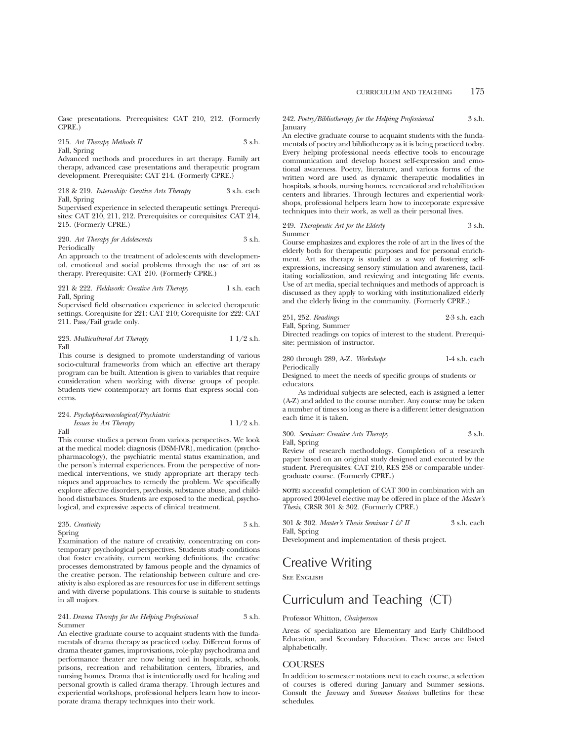Case presentations. Prerequisites: CAT 210, 212. (Formerly CPRE.)

215. Art Therapy Methods II 3 s.h. Fall, Spring

Advanced methods and procedures in art therapy. Family art therapy, advanced case presentations and therapeutic program development. Prerequisite: CAT 214. (Formerly CPRE.)

218 & 219. *Internship: Creative Arts Therapy* 3 s.h. each Fall, Spring

Supervised experience in selected therapeutic settings. Prerequisites: CAT 210, 211, 212. Prerequisites or corequisites: CAT 214, 215. (Formerly CPRE.)

#### 220. *Art Therapy for Adolescents* 3 s.h. Periodically

An approach to the treatment of adolescents with developmental, emotional and social problems through the use of art as therapy. Prerequisite: CAT 210. (Formerly CPRE.)

### 221 & 222. *Fieldwork: Creative Arts Therapy* 1 s.h. each Fall, Spring

Supervised field observation experience in selected therapeutic settings. Corequisite for 221: CAT 210; Corequisite for 222: CAT 211. Pass/Fail grade only.

### 223. *Multicultural Art Therapy* 1 1/2 s.h. Fall

This course is designed to promote understanding of various socio-cultural frameworks from which an effective art therapy program can be built. Attention is given to variables that require consideration when working with diverse groups of people. Students view contemporary art forms that express social concerns.

## 224. *Psychopharmacological/Psychiatric*

*Issues in Art Therapy* 1 1/2 s.h. Fall

This course studies a person from various perspectives. We look at the medical model: diagnosis (DSM-IVR), medication (psychopharmacology), the psychiatric mental status examination, and the person's internal experiences. From the perspective of nonmedical interventions, we study appropriate art therapy techniques and approaches to remedy the problem. We specifically explore affective disorders, psychosis, substance abuse, and childhood disturbances. Students are exposed to the medical, psychological, and expressive aspects of clinical treatment.

### 235. *Creativity* 3 s.h. Spring

Examination of the nature of creativity, concentrating on contemporary psychological perspectives. Students study conditions that foster creativity, current working definitions, the creative processes demonstrated by famous people and the dynamics of the creative person. The relationship between culture and creativity is also explored as are resources for use in different settings and with diverse populations. This course is suitable to students in all majors.

### 241. *Drama Therapy for the Helping Professional* 3 s.h. Summer

An elective graduate course to acquaint students with the fundamentals of drama therapy as practiced today. Different forms of drama theater games, improvisations, role-play psychodrama and performance theater are now being ued in hospitals, schools, prisons, recreation and rehabilitation centers, libraries, and nursing homes. Drama that is intentionally used for healing and personal growth is called drama therapy. Through lectures and experiential workshops, professional helpers learn how to incorporate drama therapy techniques into their work.

### 242. *Poetry/Bibliotherapy for the Helping Professional* 3 s.h. January

An elective graduate course to acquaint students with the fundamentals of poetry and bibliotherapy as it is being practiced today. Every helping professional needs effective tools to encourage communication and develop honest self-expression and emotional awareness. Poetry, literature, and various forms of the written word are used as dynamic therapeutic modalities in hospitals, schools, nursing homes, recreational and rehabilitation centers and libraries. Through lectures and experiential workshops, professional helpers learn how to incorporate expressive techniques into their work, as well as their personal lives.

### 249. *Therapeutic Art for the Elderly* 3 s.h. Summer

Course emphasizes and explores the role of art in the lives of the elderly both for therapeutic purposes and for personal enrichment. Art as therapy is studied as a way of fostering selfexpressions, increasing sensory stimulation and awareness, facilitating socialization, and reviewing and integrating life events. Use of art media, special techniques and methods of approach is discussed as they apply to working with institutionalized elderly and the elderly living in the community. (Formerly CPRE.)

|  | 251, 252. Readings | $2-3$ s.h. each |  |
|--|--------------------|-----------------|--|
|  |                    |                 |  |

Fall, Spring, Summer

Directed readings on topics of interest to the student. Prerequisite: permission of instructor.

### 280 through 289, A-Z. *Workshops* 1-4 s.h. each **Periodically**

Designed to meet the needs of specific groups of students or educators.

As individual subjects are selected, each is assigned a letter (A-Z) and added to the course number. Any course may be taken a number of times so long as there is a different letter designation each time it is taken.

### 300. *Seminar: Creative Arts Therapy* 3 s.h. Fall, Spring

Review of research methodology. Completion of a research paper based on an original study designed and executed by the student. Prerequisites: CAT 210, RES 258 or comparable undergraduate course. (Formerly CPRE.)

**NOTE:** successful completion of CAT 300 in combination with an approved 200-level elective may be offered in place of the *Master's Thesis*, CRSR 301 & 302. (Formerly CPRE.)

301 & 302. *Master's Thesis Seminar I & II* 3 s.h. each Fall, Spring

Development and implementation of thesis project.

## Creative Writing

**SEE ENGLISH** 

## Curriculum and Teaching (CT)

### Professor Whitton, *Chairperson*

Areas of specialization are Elementary and Early Childhood Education, and Secondary Education. These areas are listed alphabetically.

## **COURSES**

In addition to semester notations next to each course, a selection of courses is offered during January and Summer sessions. Consult the *January* and *Summer Sessions* bulletins for these schedules.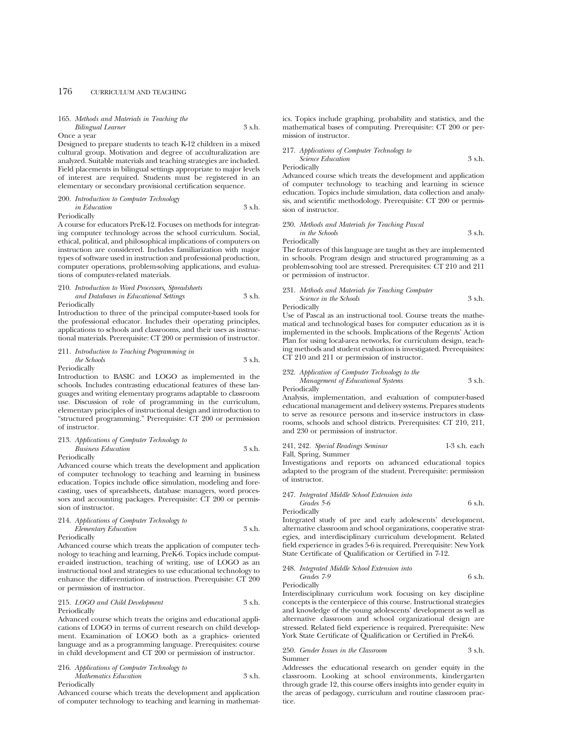### 165. *Methods and Materials in Teaching the Bilingual Learner* 3 s.h.

Once a year

Designed to prepare students to teach K-12 children in a mixed cultural group. Motivation and degree of acculturalization are analyzed. Suitable materials and teaching strategies are included. Field placements in bilingual settings appropriate to major levels of interest are required. Students must be registered in an elementary or secondary provisional certification sequence.

### 200. *Introduction to Computer Technology in Education* 3 s.h. Periodically

A course for educators PreK-12. Focuses on methods for integrating computer technology across the school curriculum. Social, ethical, political, and philosophical implications of computers on instruction are considered. Includes familiarization with major types of software used in instruction and professional production, computer operations, problem-solving applications, and evaluations of computer-related materials.

## 210. *Introduction to Word Processors, Spreadsheets and Databases in Educational Settings* 3 s.h.

Periodically

Introduction to three of the principal computer-based tools for the professional educator. Includes their operating principles, applications to schools and classrooms, and their uses as instructional materials. Prerequisite: CT 200 or permission of instructor.

211. *Introduction to Teaching Programming in the Schools* 3 s.h.

**Periodically** 

Introduction to BASIC and LOGO as implemented in the schools. Includes contrasting educational features of these languages and writing elementary programs adaptable to classroom use. Discussion of role of programming in the curriculum, elementary principles of instructional design and introduction to "structured programming." Prerequisite: CT 200 or permission of instructor.

### 213. *Applications of Computer Technology to Business Education* 3 s.h. Periodically

Advanced course which treats the development and application of computer technology to teaching and learning in business education. Topics include office simulation, modeling and forecasting, uses of spreadsheets, database managers, word processors and accounting packages. Prerequisite: CT 200 or permission of instructor.

### 214. *Applications of Computer Technology to Elementary Education* 3 s.h. Periodically

Advanced course which treats the application of computer technology to teaching and learning, PreK-6. Topics include computer-aided instruction, teaching of writing, use of LOGO as an instructional tool and strategies to use educational technology to enhance the differentiation of instruction. Prerequisite: CT 200 or permission of instructor.

### 215. *LOGO and Child Development* 3 s.h. Periodically

Advanced course which treats the origins and educational applications of LOGO in terms of current research on child development. Examination of LOGO both as a graphics- oriented language and as a programming language. Prerequisites: course in child development and CT 200 or permission of instructor.

216. *Applications of Computer Technology to Mathematics Education* 3 s.h. Periodically

Advanced course which treats the development and application of computer technology to teaching and learning in mathematics. Topics include graphing, probability and statistics, and the mathematical bases of computing. Prerequisite: CT 200 or permission of instructor.

217. *Applications of Computer Technology to Science Education* 3 s.h.

Periodically

Advanced course which treats the development and application of computer technology to teaching and learning in science education. Topics include simulation, data collection and analysis, and scientific methodology. Prerequisite: CT 200 or permission of instructor.

230. *Methods and Materials for Teaching Pascal in the Schools* 3 s.h. Periodically

The features of this language are taught as they are implemented in schools. Program design and structured programming as a problem-solving tool are stressed. Prerequisites: CT 210 and 211 or permission of instructor.

### 231. *Methods and Materials for Teaching Computer Science in the Schools* 3 s.h.

Periodically

Use of Pascal as an instructional tool. Course treats the mathematical and technological bases for computer education as it is implemented in the schools. Implications of the Regents' Action Plan for using local-area networks, for curriculum design, teaching methods and student evaluation is investigated. Prerequisites: CT 210 and 211 or permission of instructor.

232. *Application of Computer Technology to the Management of Educational Systems* 3 s.h. Periodically

Analysis, implementation, and evaluation of computer-based educational management and delivery systems. Prepares students to serve as resource persons and in-service instructors in classrooms, schools and school districts. Prerequisites: CT 210, 211, and 230 or permission of instructor.

## 241, 242. *Special Readings Seminar* 1-3 s.h. each

Fall, Spring, Summer

Investigations and reports on advanced educational topics adapted to the program of the student. Prerequisite: permission of instructor.

247. *Integrated Middle School Extension into Grades 5-6* 6 s.h. Periodically

Integrated study of pre and early adolescents' development, alternative classroom and school organizations, cooperative strategies, and interdisciplinary curriculum development. Related field experience in grades 5-6 is required. Prerequisite: New York State Certificate of Qualification or Certified in 7-12.

248. *Integrated Middle School Extension into Grades 7-9* 6 s.h.

Periodically

Interdisciplinary curriculum work focusing on key discipline concepts is the centerpiece of this course. Instructional strategies and knowledge of the young adolescents' development as well as alternative classroom and school organizational design are stressed. Related field experience is required. Prerequisite: New York State Certificate of Qualification or Certified in PreK-6.

### 250. *Gender Issues in the Classroom* 3 s.h. Summer

Addresses the educational research on gender equity in the classroom. Looking at school environments, kindergarten through grade 12, this course offers insights into gender equity in the areas of pedagogy, curriculum and routine classroom practice.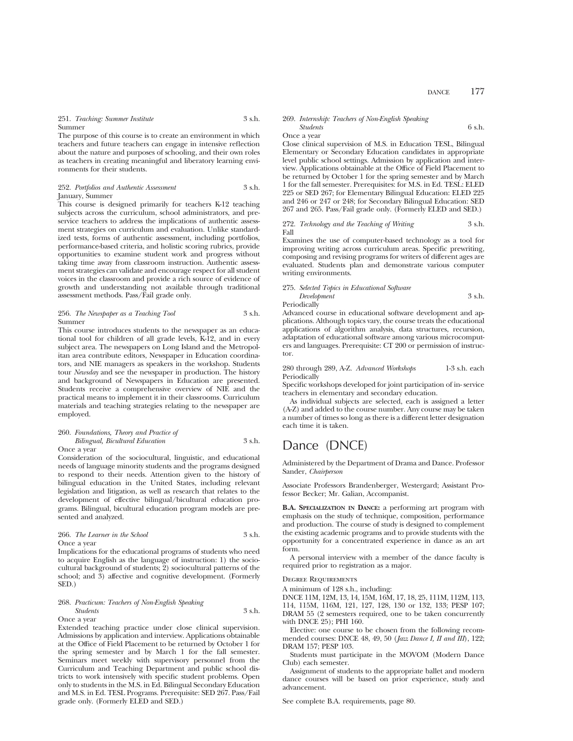251. *Teaching: Summer Institute* 3 s.h. Summer

The purpose of this course is to create an environment in which teachers and future teachers can engage in intensive reflection about the nature and purposes of schooling, and their own roles as teachers in creating meaningful and liberatory learning environments for their students.

### 252. *Portfolios and Authentic Assessment* 3 s.h. January, Summer

This course is designed primarily for teachers K-12 teaching subjects across the curriculum, school administrators, and preservice teachers to address the implications of authentic assessment strategies on curriculum and evaluation. Unlike standardized tests, forms of authentic assessment, including portfolios, performance-based criteria, and holistic scoring rubrics, provide opportunities to examine student work and progress without taking time away from classroom instruction. Authentic assessment strategies can validate and encourage respect for all student voices in the classroom and provide a rich source of evidence of growth and understanding not available through traditional assessment methods. Pass/Fail grade only.

### 256. *The Newspaper as a Teaching Tool* 3 s.h. Summer

This course introduces students to the newspaper as an educational tool for children of all grade levels, K-12, and in every subject area. The newspapers on Long Island and the Metropolitan area contribute editors, Newspaper in Education coordinators, and NIE managers as speakers in the workshop. Students tour *Newsday* and see the newspaper in production. The history and background of Newspapers in Education are presented. Students receive a comprehensive overview of NIE and the practical means to implement it in their classrooms. Curriculum materials and teaching strategies relating to the newspaper are employed.

### 260. *Foundations, Theory and Practice of Bilingual, Bicultural Education* 3 s.h. Once a year

Consideration of the sociocultural, linguistic, and educational needs of language minority students and the programs designed to respond to their needs. Attention given to the history of bilingual education in the United States, including relevant legislation and litigation, as well as research that relates to the development of effective bilingual/bicultural education programs. Bilingual, bicultural education program models are presented and analyzed.

### 266. *The Learner in the School* 3 s.h. Once a year

Implications for the educational programs of students who need to acquire English as the language of instruction: 1) the sociocultural background of students; 2) sociocultural patterns of the school; and 3) affective and cognitive development. (Formerly SED.)

### 268. *Practicum: Teachers of Non-English Speaking Students* 3 s.h. Once a year

Extended teaching practice under close clinical supervision. Admissions by application and interview. Applications obtainable at the Office of Field Placement to be returned by October 1 for the spring semester and by March 1 for the fall semester. Seminars meet weekly with supervisory personnel from the Curriculum and Teaching Department and public school districts to work intensively with specific student problems. Open only to students in the M.S. in Ed. Bilingual Secondary Education and M.S. in Ed. TESL Programs. Prerequisite: SED 267. Pass/Fail grade only. (Formerly ELED and SED.)

## 269. *Internship: Teachers of Non-English Speaking*

*Students* 6 s.h. Once a year

Close clinical supervision of M.S. in Education TESL, Bilingual Elementary or Secondary Education candidates in appropriate level public school settings. Admission by application and interview. Applications obtainable at the Office of Field Placement to be returned by October 1 for the spring semester and by March 1 for the fall semester. Prerequisites: for M.S. in Ed. TESL: ELED 225 or SED 267; for Elementary Bilingual Education: ELED 225 and 246 or 247 or 248; for Secondary Bilingual Education: SED 267 and 265. Pass/Fail grade only. (Formerly ELED and SED.)

### 272. *Technology and the Teaching of Writing* 3 s.h. Fall

Examines the use of computer-based technology as a tool for improving writing across curriculum areas. Specific prewriting, composing and revising programs for writers of different ages are evaluated. Students plan and demonstrate various computer writing environments.

### 275. *Selected Topics in Educational Software*

*Development* 3 s.h. Periodically

Advanced course in educational software development and applications. Although topics vary, the course treats the educational applications of algorithm analysis, data structures, recursion, adaptation of educational software among various microcomputers and languages. Prerequisite: CT 200 or permission of instructor.

```
280 through 289, A-Z. Advanced Workshops 1-3 s.h. each
Periodically
```
Specific workshops developed for joint participation of in- service teachers in elementary and secondary education.

As individual subjects are selected, each is assigned a letter (A-Z) and added to the course number. Any course may be taken a number of times so long as there is a different letter designation each time it is taken.

## Dance (DNCE)

Administered by the Department of Drama and Dance. Professor Sander, *Chairperson*

Associate Professors Brandenberger, Westergard; Assistant Professor Becker; Mr. Galian, Accompanist.

**B.A. SPECIALIZATION IN DANCE:** a performing art program with emphasis on the study of technique, composition, performance and production. The course of study is designed to complement the existing academic programs and to provide students with the opportunity for a concentrated experience in dance as an art form.

A personal interview with a member of the dance faculty is required prior to registration as a major.

### Degree Requirements

A minimum of 128 s.h., including:

DNCE 11M, 12M, 13, 14, 15M, 16M, 17, 18, 25, 111M, 112M, 113, 114, 115M, 116M, 121, 127, 128, 130 or 132, 133; PESP 107; DRAM 55 (2 semesters required, one to be taken concurrently with DNCE 25); PHI 160.

Elective: one course to be chosen from the following recommended courses: DNCE 48, 49, 50 (*Jazz Dance I, II and III*), 122; DRAM 157; PESP 103.

Students must participate in the MOVOM (Modern Dance Club) each semester.

Assignment of students to the appropriate ballet and modern dance courses will be based on prior experience, study and advancement.

See complete B.A. requirements, page 80.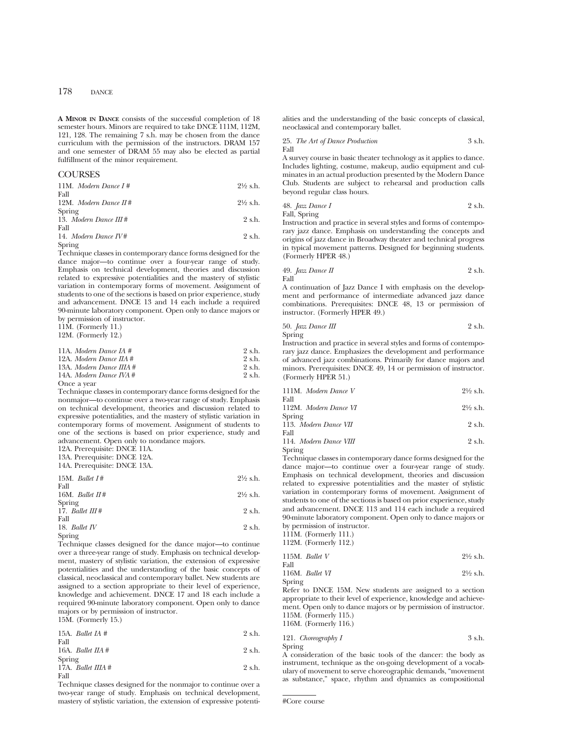**A MINOR IN DANCE** consists of the successful completion of 18 semester hours. Minors are required to take DNCE 111M, 112M, 121, 128. The remaining 7 s.h. may be chosen from the dance curriculum with the permission of the instructors. DRAM 157 and one semester of DRAM 55 may also be elected as partial fulfillment of the minor requirement.

### **COURSES**

| 11M. Modern Dance $I#$          | $2\frac{1}{2}$ s.h. |
|---------------------------------|---------------------|
| Fall<br>12M. Modern Dance $H#$  | $2\frac{1}{2}$ s.h. |
| Spring                          |                     |
| 13. Modern Dance $III#$<br>Fall | $2 \text{ s.h.}$    |
| 14. Modern Dance $I V#$         | $9$ s.h.            |

Spring

Technique classes in contemporary dance forms designed for the dance major—to continue over a four-year range of study. Emphasis on technical development, theories and discussion related to expressive potentialities and the mastery of stylistic variation in contemporary forms of movement. Assignment of students to one of the sections is based on prior experience, study and advancement. DNCE 13 and 14 each include a required 90-minute laboratory component. Open only to dance majors or by permission of instructor.

11M. (Formerly 11.)

12M. (Formerly 12.)

| 11A. Modern Dance IA $#$             | 2 s.h. |
|--------------------------------------|--------|
| 12A. Modern Dance $\overline{I}A \#$ | 2 s.h. |
| 13A. Modern Dance IIIA $#$           | 2 s.h. |
| 14A. Modern Dance IVA $#$            | 2 s.h. |
| $0$ ngo o roor                       |        |

Once a year

Technique classes in contemporary dance forms designed for the nonmajor—to continue over a two-year range of study. Emphasis on technical development, theories and discussion related to expressive potentialities, and the mastery of stylistic variation in contemporary forms of movement. Assignment of students to one of the sections is based on prior experience, study and advancement. Open only to nondance majors.

12A. Prerequisite: DNCE 11A.

13A. Prerequisite: DNCE 12A.

14A. Prerequisite: DNCE 13A.

| 15M. Ballet $I#$            | $2\frac{1}{2}$ s.h. |
|-----------------------------|---------------------|
| Fall<br>16M. Ballet $\pi$ # | $2\frac{1}{2}$ s.h. |
| Spring<br>1.7.777           | $\Omega$ 1          |

| 17. Ballet $III#$ | 2 s.h. |
|-------------------|--------|
| Fall              |        |
| 18. Ballet $IV$   | 2 s.h. |
| Spring            |        |

Technique classes designed for the dance major—to continue over a three-year range of study. Emphasis on technical development, mastery of stylistic variation, the extension of expressive potentialities and the understanding of the basic concepts of classical, neoclassical and contemporary ballet. New students are assigned to a section appropriate to their level of experience, knowledge and achievement. DNCE 17 and 18 each include a required 90-minute laboratory component. Open only to dance majors or by permission of instructor. 15M. (Formerly 15.)

15A. *Ballet IA* # 2 s.h. Fall 16A. *Ballet IIA* # 2 s.h. Spring 17A. *Ballet IIIA* # 2 s.h. Fall

Technique classes designed for the nonmajor to continue over a two-year range of study. Emphasis on technical development, mastery of stylistic variation, the extension of expressive potentialities and the understanding of the basic concepts of classical, neoclassical and contemporary ballet.

25. *The Art of Dance Production* 3 s.h. Fall

A survey course in basic theater technology as it applies to dance. Includes lighting, costume, makeup, audio equipment and culminates in an actual production presented by the Modern Dance Club. Students are subject to rehearsal and production calls beyond regular class hours.

48. *Jazz Dance I* 2 s.h. Fall, Spring

Instruction and practice in several styles and forms of contemporary jazz dance. Emphasis on understanding the concepts and origins of jazz dance in Broadway theater and technical progress in typical movement patterns. Designed for beginning students. (Formerly HPER 48.)

49. 
$$
Jazz
$$
 *Dance II* 2 s.h. Fall

A continuation of Jazz Dance I with emphasis on the development and performance of intermediate advanced jazz dance combinations. Prerequisites: DNCE 48, 13 or permission of instructor. (Formerly HPER 49.)

50. 
$$
Jazz
$$
 *Dance III* 2 s.h.

Spring

Instruction and practice in several styles and forms of contemporary jazz dance. Emphasizes the development and performance of advanced jazz combinations. Primarily for dance majors and minors. Prerequisites: DNCE 49, 14 or permission of instructor. (Formerly HPER 51.)

| 111M. Modern Dance V  | $2\frac{1}{2}$ s.h. |
|-----------------------|---------------------|
| Fall                  |                     |
| 112M. Modern Dance VI | $2\frac{1}{2}$ s.h. |
| Spring                |                     |
| $110 \tM1 \tN1$       |                     |

113. *Modern Dance VII* 2 s.h. Fall

114. *Modern Dance VIII* 2 s.h. Spring

Technique classes in contemporary dance forms designed for the dance major—to continue over a four-year range of study. Emphasis on technical development, theories and discussion related to expressive potentialities and the master of stylistic variation in contemporary forms of movement. Assignment of students to one of the sections is based on prior experience, study and advancement. DNCE 113 and 114 each include a required 90-minute laboratory component. Open only to dance majors or by permission of instructor.

111M. (Formerly 111.)

112M. (Formerly 112.)

|        | 115M. Ballet $V$ | $2\frac{1}{2}$ s.h. |
|--------|------------------|---------------------|
| Fall   |                  |                     |
|        | 116M. Ballet VI  | $2\frac{1}{2}$ s.h. |
| Spring |                  |                     |

Refer to DNCE 15M. New students are assigned to a section appropriate to their level of experience, knowledge and achievement. Open only to dance majors or by permission of instructor. 115M. (Formerly 115.) 116M. (Formerly 116.)

121. *Choreography I* 3 s.h. Spring

A consideration of the basic tools of the dancer: the body as instrument, technique as the on-going development of a vocabulary of movement to serve choreographic demands, "movement as substance," space, rhythm and dynamics as compositional

<sup>#</sup>Core course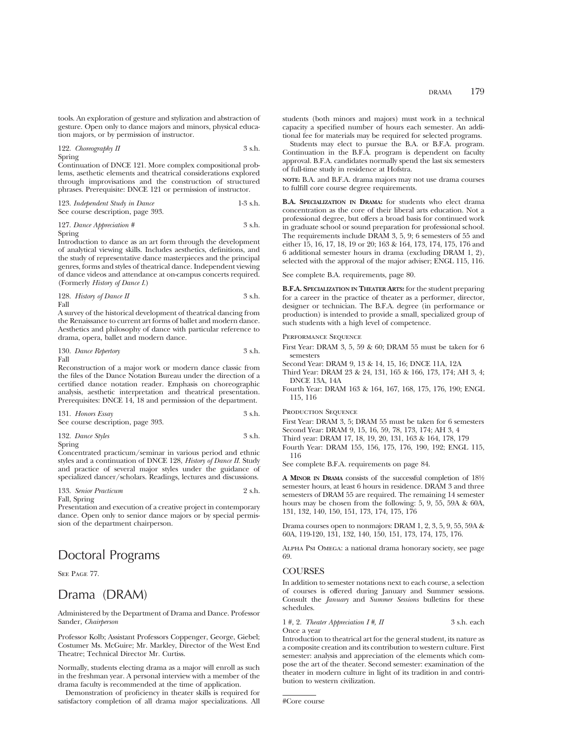tools. An exploration of gesture and stylization and abstraction of gesture. Open only to dance majors and minors, physical education majors, or by permission of instructor.

122. *Choreography II* 3 s.h. Spring

Continuation of DNCE 121. More complex compositional problems, asethetic elements and theatrical considerations explored through improvisations and the construction of structured phrases. Prerequisite: DNCE 121 or permission of instructor.

| 123. Independent Study in Dance   | $1-3$ s.h. |
|-----------------------------------|------------|
| See course description, page 393. |            |

127. *Dance Appreciation #* 3 s.h.

Spring

Introduction to dance as an art form through the development of analytical viewing skills. Includes aesthetics, definitions, and the study of representative dance masterpieces and the principal genres, forms and styles of theatrical dance. Independent viewing of dance videos and attendance at on-campus concerts required. (Formerly *History of Dance I*.)

128. *History of Dance II* 
$$
3 \text{ s.h.}
$$

A survey of the historical development of theatrical dancing from the Renaissance to current art forms of ballet and modern dance. Aesthetics and philosophy of dance with particular reference to drama, opera, ballet and modern dance.

130. *Dance Repertory* 3 s.h. Fall

Reconstruction of a major work or modern dance classic from the files of the Dance Notation Bureau under the direction of a certified dance notation reader. Emphasis on choreographic analysis, aesthetic interpretation and theatrical presentation. Prerequisites: DNCE 14, 18 and permission of the department.

| 131. Honors Essay |                                   | 3 s.h. |
|-------------------|-----------------------------------|--------|
|                   | See course description, page 393. |        |

132. *Dance Styles* 3 s.h. Spring

Concentrated practicum/seminar in various period and ethnic styles and a continuation of DNCE 128, *History of Dance II.* Study and practice of several major styles under the guidance of specialized dancer/scholars. Readings, lectures and discussions.

133. *Senior Practicum* 2 s.h. Fall, Spring

Presentation and execution of a creative project in contemporary dance. Open only to senior dance majors or by special permission of the department chairperson.

## Doctoral Programs

SEE PAGE 77.

## Drama (DRAM)

Administered by the Department of Drama and Dance. Professor Sander, *Chairperson*

Professor Kolb; Assistant Professors Coppenger, George, Giebel; Costumer Ms. McGuire; Mr. Markley, Director of the West End Theatre; Technical Director Mr. Curtiss.

Normally, students electing drama as a major will enroll as such in the freshman year. A personal interview with a member of the drama faculty is recommended at the time of application.

Demonstration of proficiency in theater skills is required for satisfactory completion of all drama major specializations. All students (both minors and majors) must work in a technical capacity a specified number of hours each semester. An additional fee for materials may be required for selected programs.

Students may elect to pursue the B.A. or B.F.A. program. Continuation in the B.F.A. program is dependent on faculty approval. B.F.A. candidates normally spend the last six semesters of full-time study in residence at Hofstra.

**NOTE:** B.A. and B.F.A. drama majors may not use drama courses to fulfill core course degree requirements.

**B.A. SPECIALIZATION IN DRAMA:** for students who elect drama concentration as the core of their liberal arts education. Not a professional degree, but offers a broad basis for continued work in graduate school or sound preparation for professional school. The requirements include DRAM 3, 5, 9; 6 semesters of 55 and either 15, 16, 17, 18, 19 or 20; 163 & 164, 173, 174, 175, 176 and 6 additional semester hours in drama (excluding DRAM 1, 2), selected with the approval of the major adviser; ENGL 115, 116.

See complete B.A. requirements, page 80.

**B.F.A. SPECIALIZATION IN THEATER ARTS:** for the student preparing for a career in the practice of theater as a performer, director, designer or technician. The B.F.A. degree (in performance or production) is intended to provide a small, specialized group of such students with a high level of competence.

Performance Sequence

- First Year: DRAM 3, 5, 59 & 60; DRAM 55 must be taken for 6 semesters
- Second Year: DRAM 9, 13 & 14, 15, 16; DNCE 11A, 12A
- Third Year: DRAM 23 & 24, 131, 165 & 166, 173, 174; AH 3, 4; DNCE 13A, 14A
- Fourth Year: DRAM 163 & 164, 167, 168, 175, 176, 190; ENGL 115, 116

PRODUCTION SEQUENCE

First Year: DRAM 3, 5; DRAM 55 must be taken for 6 semesters Second Year: DRAM 9, 15, 16, 59, 78, 173, 174; AH 3, 4

Third year: DRAM 17, 18, 19, 20, 131, 163 & 164, 178, 179

Fourth Year: DRAM 155, 156, 175, 176, 190, 192; ENGL 115, 116

See complete B.F.A. requirements on page 84.

**A MINOR IN DRAMA** consists of the successful completion of 181⁄2 semester hours, at least 6 hours in residence. DRAM 3 and three semesters of DRAM 55 are required. The remaining 14 semester hours may be chosen from the following: 5, 9, 55, 59A & 60A, 131, 132, 140, 150, 151, 173, 174, 175, 176

Drama courses open to nonmajors: DRAM 1, 2, 3, 5, 9, 55, 59A & 60A, 119-120, 131, 132, 140, 150, 151, 173, 174, 175, 176.

Alpha Psi Omega: a national drama honorary society, see page 69.

### COURSES

In addition to semester notations next to each course, a selection of courses is offered during January and Summer sessions. Consult the *January* and *Summer Sessions* bulletins for these schedules.

1 #, 2. *Theater Appreciation I* #, *II* 3 s.h. each Once a year

Introduction to theatrical art for the general student, its nature as a composite creation and its contribution to western culture. First semester: analysis and appreciation of the elements which compose the art of the theater. Second semester: examination of the theater in modern culture in light of its tradition in and contribution to western civilization.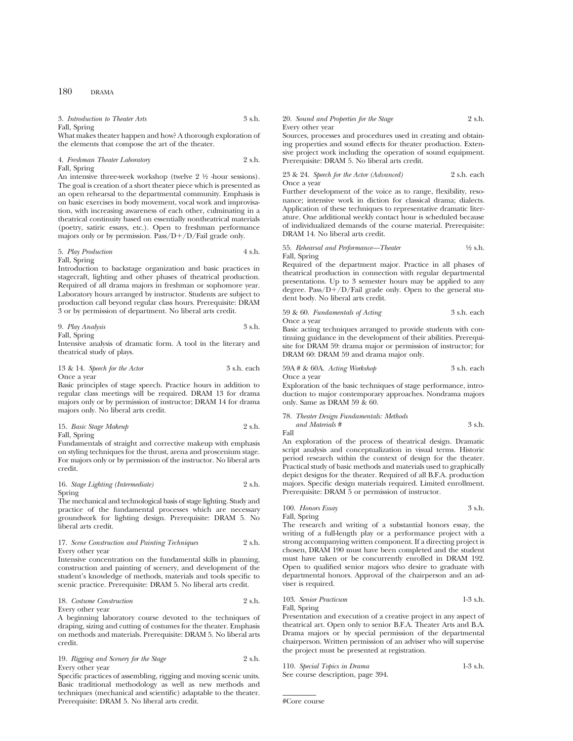3. *Introduction to Theater Arts* 3 s.h. Fall, Spring

What makes theater happen and how? A thorough exploration of the elements that compose the art of the theater.

### 4. *Freshman Theater Laboratory* 2 s.h. Fall, Spring

An intensive three-week workshop (twelve  $2 \frac{1}{2}$  -hour sessions). The goal is creation of a short theater piece which is presented as an open rehearsal to the departmental community. Emphasis is on basic exercises in body movement, vocal work and improvisation, with increasing awareness of each other, culminating in a theatrical continuity based on essentially nontheatrical materials (poetry, satiric essays, etc.). Open to freshman performance majors only or by permission. Pass/ $D+/D$ /Fail grade only.

5. *Play Production* 4 s.h. Fall, Spring

Introduction to backstage organization and basic practices in stagecraft, lighting and other phases of theatrical production. Required of all drama majors in freshman or sophomore year. Laboratory hours arranged by instructor. Students are subject to production call beyond regular class hours. Prerequisite: DRAM

3 or by permission of department. No liberal arts credit.

9. *Play Analysis* 3 s.h.

Fall, Spring

Intensive analysis of dramatic form. A tool in the literary and theatrical study of plays.

13 & 14. *Speech for the Actor* 3 s.h. each Once a year

Basic principles of stage speech. Practice hours in addition to regular class meetings will be required. DRAM 13 for drama majors only or by permission of instructor; DRAM 14 for drama majors only. No liberal arts credit.

15. *Basic Stage Makeup* 2 s.h. Fall, Spring

Fundamentals of straight and corrective makeup with emphasis on styling techniques for the thrust, arena and proscenium stage. For majors only or by permission of the instructor. No liberal arts credit.

16. *Stage Lighting (Intermediate)* 2 s.h. Spring

The mechanical and technological basis of stage lighting. Study and practice of the fundamental processes which are necessary groundwork for lighting design. Prerequisite: DRAM 5. No liberal arts credit.

### 17. *Scene Construction and Painting Techniques* 2 s.h. Every other year

Intensive concentration on the fundamental skills in planning, construction and painting of scenery, and development of the student's knowledge of methods, materials and tools specific to scenic practice. Prerequisite: DRAM 5. No liberal arts credit.

### 18. *Costume Construction* 2 s.h. Every other year

A beginning laboratory course devoted to the techniques of draping, sizing and cutting of costumes for the theater. Emphasis on methods and materials. Prerequisite: DRAM 5. No liberal arts credit.

19. *Rigging and Scenery for the Stage* 2 s.h. Every other year

Specific practices of assembling, rigging and moving scenic units. Basic traditional methodology as well as new methods and techniques (mechanical and scientific) adaptable to the theater. Prerequisite: DRAM 5. No liberal arts credit.

### 20. *Sound and Properties for the Stage* 2 s.h. Every other year

Sources, processes and procedures used in creating and obtaining properties and sound effects for theater production. Extensive project work including the operation of sound equipment. Prerequisite: DRAM 5. No liberal arts credit.

23 & 24. *Speech for the Actor (Advanced)* 2 s.h. each Once a year

Further development of the voice as to range, flexibility, resonance; intensive work in diction for classical drama; dialects. Application of these techniques to representative dramatic literature. One additional weekly contact hour is scheduled because of individualized demands of the course material. Prerequisite: DRAM 14. No liberal arts credit.

### 55. *Rehearsal and Performance—Theater* 1/2 s.h. Fall, Spring

Required of the department major. Practice in all phases of theatrical production in connection with regular departmental presentations. Up to 3 semester hours may be applied to any degree. Pass/ $D+/D$ /Fail grade only. Open to the general student body. No liberal arts credit.

### 59 & 60. *Fundamentals of Acting* 3 s.h. each Once a year

Basic acting techniques arranged to provide students with continuing guidance in the development of their abilities. Prerequisite for DRAM 59: drama major or permission of instructor; for DRAM 60: DRAM 59 and drama major only.

59A # & 60A. *Acting Workshop* 3 s.h. each Once a year

Exploration of the basic techniques of stage performance, introduction to major contemporary approaches. Nondrama majors only. Same as DRAM 59 & 60.

### 78. *Theater Design Fundamentals: Methods*

*and Materials #* 3 s.h. Fall

An exploration of the process of theatrical design. Dramatic script analysis and conceptualization in visual terms. Historic period research within the context of design for the theater. Practical study of basic methods and materials used to graphically depict designs for the theater. Required of all B.F.A. production majors. Specific design materials required. Limited enrollment. Prerequisite: DRAM 5 or permission of instructor.

### 100. *Honors Essay* 3 s.h. Fall, Spring

The research and writing of a substantial honors essay, the writing of a full-length play or a performance project with a strong accompanying written component. If a directing project is chosen, DRAM 190 must have been completed and the student must have taken or be concurrently enrolled in DRAM 192. Open to qualified senior majors who desire to graduate with departmental honors. Approval of the chairperson and an adviser is required.

103. *Senior Practicum* 1-3 s.h. Fall, Spring

Presentation and execution of a creative project in any aspect of theatrical art. Open only to senior B.F.A. Theater Arts and B.A. Drama majors or by special permission of the departmental chairperson. Written permission of an adviser who will supervise the project must be presented at registration.

110. *Special Topics in Drama* 1-3 s.h. See course description, page 394.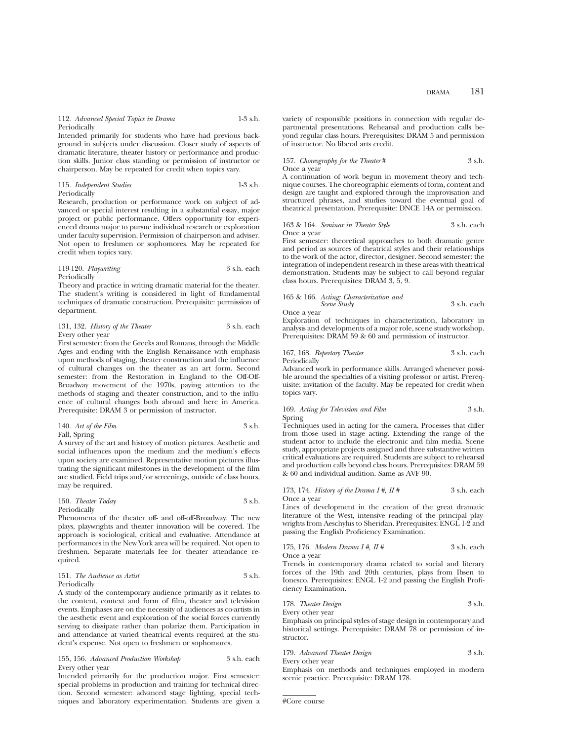112. *Advanced Special Topics in Drama* 1-3 s.h. **Periodically** 

Intended primarily for students who have had previous background in subjects under discussion. Closer study of aspects of dramatic literature, theater history or performance and production skills. Junior class standing or permission of instructor or chairperson. May be repeated for credit when topics vary.

### 115. *Independent Studies* 1-3 s.h. Periodically

Research, production or performance work on subject of advanced or special interest resulting in a substantial essay, major project or public performance. Offers opportunity for experienced drama major to pursue individual research or exploration under faculty supervision. Permission of chairperson and adviser. Not open to freshmen or sophomores. May be repeated for credit when topics vary.

### 119-120. *Playwriting* 3 s.h. each Periodically

Theory and practice in writing dramatic material for the theater. The student's writing is considered in light of fundamental techniques of dramatic construction. Prerequisite: permission of department.

131, 132. *History of the Theater* 3 s.h. each Every other year

First semester: from the Greeks and Romans, through the Middle Ages and ending with the English Renaissance with emphasis upon methods of staging, theater construction and the influence of cultural changes on the theater as an art form. Second semester: from the Restoration in England to the Off-Off-Broadway movement of the 1970s, paying attention to the methods of staging and theater construction, and to the influence of cultural changes both abroad and here in America. Prerequisite: DRAM 3 or permission of instructor.

### 140. *Art of the Film* 3 s.h. Fall, Spring

A survey of the art and history of motion pictures. Aesthetic and social influences upon the medium and the medium's effects upon society are examined. Representative motion pictures illustrating the significant milestones in the development of the film are studied. Field trips and/or screenings, outside of class hours, may be required.

### 150. *Theater Today* 3 s.h. Periodically

Phenomena of the theater off- and off-off-Broadway. The new plays, playwrights and theater innovation will be covered. The approach is sociological, critical and evaluative. Attendance at performances in the New York area will be required. Not open to freshmen. Separate materials fee for theater attendance required.

### 151. *The Audience as Artist* 3 s.h. Periodically

A study of the contemporary audience primarily as it relates to the content, context and form of film, theater and television events. Emphases are on the necessity of audiences as co-artists in the aesthetic event and exploration of the social forces currently serving to dissipate rather than polarize them. Participation in and attendance at varied theatrical events required at the student's expense. Not open to freshmen or sophomores.

### 155, 156. *Advanced Production Workshop* 3 s.h. each Every other year

Intended primarily for the production major. First semester: special problems in production and training for technical direction. Second semester: advanced stage lighting, special techniques and laboratory experimentation. Students are given a variety of responsible positions in connection with regular departmental presentations. Rehearsal and production calls beyond regular class hours. Prerequisites: DRAM 5 and permission of instructor. No liberal arts credit.

157. *Choreography for the Theater* # 3 s.h. Once a year

A continuation of work begun in movement theory and technique courses. The choreographic elements of form, content and design are taught and explored through the improvisation and structured phrases, and studies toward the eventual goal of theatrical presentation. Prerequisite: DNCE 14A or permission.

### 163 & 164. *Seminar in Theater Style* 3 s.h. each Once a year

First semester: theoretical approaches to both dramatic genre and period as sources of theatrical styles and their relationships to the work of the actor, director, designer. Second semester: the integration of independent research in these areas with theatrical demonstration. Students may be subject to call beyond regular class hours. Prerequisites: DRAM 3, 5, 9.

### 165 & 166. *Acting: Characterization and Scene Study* 3 s.h. each

Once a year

Exploration of techniques in characterization, laboratory in analysis and developments of a major role, scene study workshop. Prerequisites: DRAM 59 & 60 and permission of instructor.

### 167, 168. *Repertory Theater* 3 s.h. each Periodically

Advanced work in performance skills. Arranged whenever possible around the specialties of a visiting professor or artist. Prerequisite: invitation of the faculty. May be repeated for credit when topics vary.

### 169. *Acting for Television and Film* 3 s.h. Spring

Techniques used in acting for the camera. Processes that differ from those used in stage acting. Extending the range of the student actor to include the electronic and film media. Scene study, appropriate projects assigned and three substantive written critical evaluations are required. Students are subject to rehearsal and production calls beyond class hours. Prerequisites: DRAM 59 & 60 and individual audition. Same as AVF 90.

### 173, 174. *History of the Drama I #, II #* 3 s.h. each Once a year

Lines of development in the creation of the great dramatic literature of the West, intensive reading of the principal playwrights from Aeschylus to Sheridan. Prerequisites: ENGL 1-2 and passing the English Proficiency Examination.

### 175, 176. *Modern Drama I #, II #* 3 s.h. each Once a year

Trends in contemporary drama related to social and literary forces of the 19th and 20th centuries, plays from Ibsen to Ionesco. Prerequisites: ENGL 1-2 and passing the English Proficiency Examination.

178. *Theater Design* 3 s.h.

Every other year Emphasis on principal styles of stage design in contemporary and historical settings. Prerequisite: DRAM 78 or permission of instructor.

179. *Advanced Theater Design* 3 s.h.

Every other year Emphasis on methods and techniques employed in modern scenic practice. Prerequisite: DRAM 178.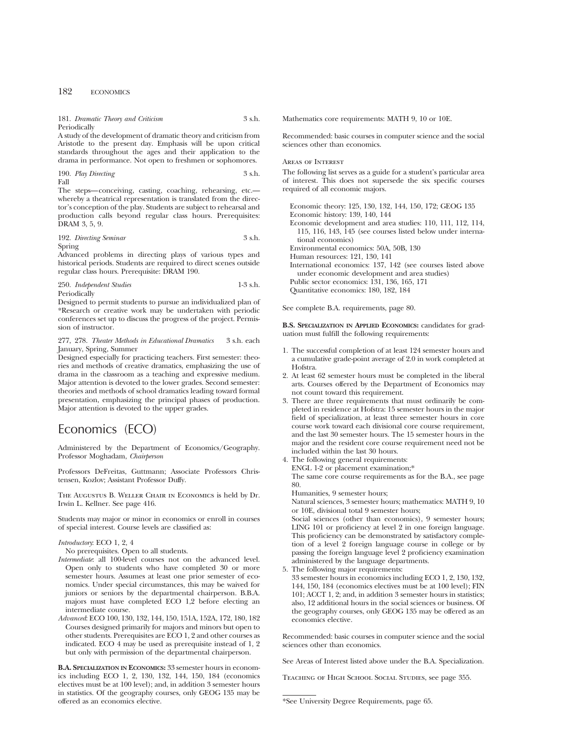181. *Dramatic Theory and Criticism* 3 s.h. Periodically

A study of the development of dramatic theory and criticism from Aristotle to the present day. Emphasis will be upon critical standards throughout the ages and their application to the drama in performance. Not open to freshmen or sophomores.

190. *Play Directing* 3 s.h. Fall

The steps—conceiving, casting, coaching, rehearsing, etc. whereby a theatrical representation is translated from the director's conception of the play. Students are subject to rehearsal and production calls beyond regular class hours. Prerequisites: DRAM 3, 5, 9.

192. *Directing Seminar* 3 s.h. Spring

Advanced problems in directing plays of various types and historical periods. Students are required to direct scenes outside regular class hours. Prerequisite: DRAM 190.

250. *Independent Studies* 1-3 s.h. Periodically

Designed to permit students to pursue an individualized plan of \*Research or creative work may be undertaken with periodic conferences set up to discuss the progress of the project. Permission of instructor.

### 277, 278. *Theater Methods in Educational Dramatics* 3 s.h. each January, Spring, Summer

Designed especially for practicing teachers. First semester: theories and methods of creative dramatics, emphasizing the use of drama in the classroom as a teaching and expressive medium. Major attention is devoted to the lower grades. Second semester: theories and methods of school dramatics leading toward formal presentation, emphasizing the principal phases of production. Major attention is devoted to the upper grades.

## Economics (ECO)

Administered by the Department of Economics/Geography. Professor Moghadam, *Chairperson*

Professors DeFreitas, Guttmann; Associate Professors Christensen, Kozlov; Assistant Professor Duffy.

The Augustus B. Weller Chair in Economics is held by Dr. Irwin L. Kellner. See page 416.

Students may major or minor in economics or enroll in courses of special interest. Course levels are classified as:

### *Introductory*: ECO 1, 2, 4

No prerequisites. Open to all students.

- *Intermediate*: all 100-level courses not on the advanced level. Open only to students who have completed 30 or more semester hours. Assumes at least one prior semester of economics. Under special circumstances, this may be waived for juniors or seniors by the departmental chairperson. B.B.A. majors must have completed ECO 1,2 before electing an intermediate course.
- *Advanced*: ECO 100, 130, 132, 144, 150, 151A, 152A, 172, 180, 182 Courses designed primarily for majors and minors but open to other students. Prerequisites are ECO 1, 2 and other courses as indicated. ECO 4 may be used as prerequisite instead of 1, 2 but only with permission of the departmental chairperson.

**B.A. SPECIALIZATION IN ECONOMICS:** 33 semester hours in economics including ECO 1, 2, 130, 132, 144, 150, 184 (economics electives must be at 100 level); and, in addition 3 semester hours in statistics. Of the geography courses, only GEOG 135 may be offered as an economics elective.

Mathematics core requirements: MATH 9, 10 or 10E.

Recommended: basic courses in computer science and the social sciences other than economics.

### Areas of Interest

The following list serves as a guide for a student's particular area of interest. This does not supersede the six specific courses required of all economic majors.

Economic theory: 125, 130, 132, 144, 150, 172; GEOG 135 Economic history: 139, 140, 144 Economic development and area studies: 110, 111, 112, 114, 115, 116, 143, 145 (see courses listed below under international economics) Environmental economics: 50A, 50B, 130 Human resources: 121, 130, 141 International economics: 137, 142 (see courses listed above under economic development and area studies) Public sector economics: 131, 136, 165, 171 Quantitative economics: 180, 182, 184

See complete B.A. requirements, page 80.

**B.S. SPECIALIZATION IN APPLIED ECONOMICS:** candidates for graduation must fulfill the following requirements:

- 1. The successful completion of at least 124 semester hours and a cumulative grade-point average of 2.0 in work completed at Hofstra.
- 2. At least 62 semester hours must be completed in the liberal arts. Courses offered by the Department of Economics may not count toward this requirement.
- 3. There are three requirements that must ordinarily be completed in residence at Hofstra: 15 semester hours in the major field of specialization, at least three semester hours in core course work toward each divisional core course requirement, and the last 30 semester hours. The 15 semester hours in the major and the resident core course requirement need not be included within the last 30 hours.

4. The following general requirements: ENGL 1-2 or placement examination;\*

The same core course requirements as for the B.A., see page 80.

Humanities, 9 semester hours;

Natural sciences, 3 semester hours; mathematics: MATH 9, 10 or 10E, divisional total 9 semester hours;

Social sciences (other than economics), 9 semester hours; LING 101 or proficiency at level 2 in one foreign language. This proficiency can be demonstrated by satisfactory completion of a level 2 foreign language course in college or by passing the foreign language level 2 proficiency examination administered by the language departments.

5. The following major requirements:

33 semester hours in economics including ECO 1, 2, 130, 132, 144, 150, 184 (economics electives must be at 100 level); FIN 101; ACCT 1, 2; and, in addition 3 semester hours in statistics; also, 12 additional hours in the social sciences or business. Of the geography courses, only GEOG 135 may be offered as an economics elective.

Recommended: basic courses in computer science and the social sciences other than economics.

See Areas of Interest listed above under the B.A. Specialization.

Teaching of High School Social Studies, see page 355.

<sup>\*</sup>See University Degree Requirements, page 65.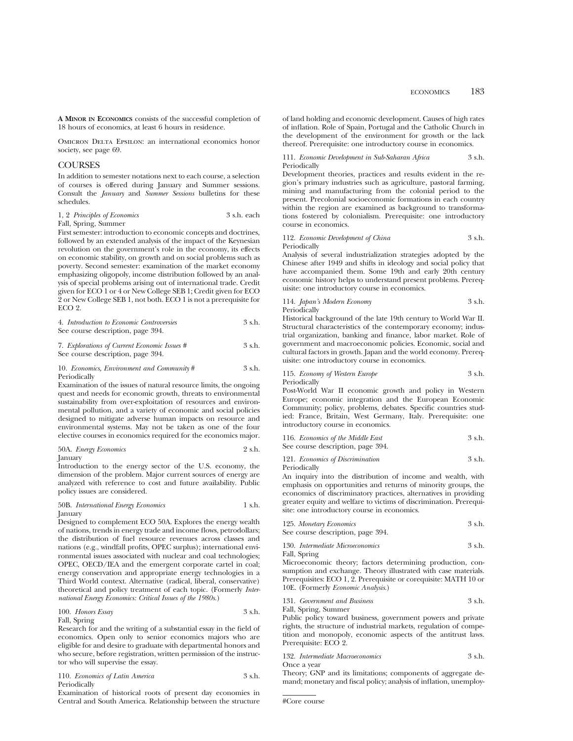**A MINOR IN ECONOMICS** consists of the successful completion of 18 hours of economics, at least 6 hours in residence.

OMICRON DELTA EPSILON: an international economics honor society, see page 69.

### COURSES

In addition to semester notations next to each course, a selection of courses is offered during January and Summer sessions. Consult the *January* and *Summer Sessions* bulletins for these schedules.

|       | 1, 2 Principles of Economics | 3 s.h. each |  |
|-------|------------------------------|-------------|--|
| T1101 |                              |             |  |

Fall, Spring, Summer

First semester: introduction to economic concepts and doctrines, followed by an extended analysis of the impact of the Keynesian revolution on the government's role in the economy, its effects on economic stability, on growth and on social problems such as poverty. Second semester: examination of the market economy emphasizing oligopoly, income distribution followed by an analysis of special problems arising out of international trade. Credit given for ECO 1 or 4 or New College SEB 1; Credit given for ECO 2 or New College SEB 1, not both. ECO 1 is not a prerequisite for ECO 2.

| 4. Introduction to Economic Controversies | $3$ s.h. |
|-------------------------------------------|----------|
| See course description, page 394.         |          |

7. *Explorations of Current Economic Issues #* 3 s.h. See course description, page 394.

### 10. *Economics, Environment and Community* # 3 s.h. Periodically

Examination of the issues of natural resource limits, the ongoing quest and needs for economic growth, threats to environmental sustainability from over-exploitation of resources and environmental pollution, and a variety of economic and social policies designed to mitigate adverse human impacts on resource and environmental systems. May not be taken as one of the four elective courses in economics required for the economics major.

50A. *Energy Economics* 2 s.h. January

Introduction to the energy sector of the U.S. economy, the dimension of the problem. Major current sources of energy are analyzed with reference to cost and future availability. Public policy issues are considered.

### 50B. *International Energy Economics* 1 s.h. **January**

Designed to complement ECO 50A. Explores the energy wealth of nations, trends in energy trade and income flows, petrodollars; the distribution of fuel resource revenues across classes and nations (e.g., windfall profits, OPEC surplus); international environmental issues associated with nuclear and coal technologies; OPEC, OECD/IEA and the emergent corporate cartel in coal; energy conservation and appropriate energy technologies in a Third World context. Alternative (radical, liberal, conservative) theoretical and policy treatment of each topic. (Formerly *International Energy Economics: Critical Issues of the 1980s.*)

### 100. *Honors Essay* 3 s.h. Fall, Spring

Research for and the writing of a substantial essay in the field of economics. Open only to senior economics majors who are eligible for and desire to graduate with departmental honors and who secure, before registration, written permission of the instructor who will supervise the essay.

110. *Economics of Latin America* 3 s.h. Periodically

Examination of historical roots of present day economies in Central and South America. Relationship between the structure of land holding and economic development. Causes of high rates of inflation. Role of Spain, Portugal and the Catholic Church in the development of the environment for growth or the lack thereof. Prerequisite: one introductory course in economics.

111. *Economic Development in Sub-Saharan Africa* 3 s.h. Periodically

Development theories, practices and results evident in the region's primary industries such as agriculture, pastoral farming, mining and manufacturing from the colonial period to the present. Precolonial socioeconomic formations in each country within the region are examined as background to transformations fostered by colonialism. Prerequisite: one introductory course in economics.

### 112. *Economic Development of China* 3 s.h. Periodically

Analysis of several industrialization strategies adopted by the Chinese after 1949 and shifts in ideology and social policy that have accompanied them. Some 19th and early 20th century economic history helps to understand present problems. Prerequisite: one introductory course in economics.

## 114. *Japan's Modern Economy* 3 s.h.

Periodically

Historical background of the late 19th century to World War II. Structural characteristics of the contemporary economy; industrial organization, banking and finance, labor market. Role of government and macroeconomic policies. Economic, social and cultural factors in growth. Japan and the world economy. Prerequisite: one introductory course in economics.

### 115. *Economy of Western Europe* 3 s.h. Periodically

Post-World War II economic growth and policy in Western Europe; economic integration and the European Economic Community; policy, problems, debates. Specific countries studied: France, Britain, West Germany, Italy. Prerequisite: one introductory course in economics.

| 116. Economics of the Middle East | 3 s.h. |
|-----------------------------------|--------|
| See course description, page 394. |        |

121. *Economics of Discrimination* 3 s.h.

Periodically

An inquiry into the distribution of income and wealth, with emphasis on opportunities and returns of minority groups, the economics of discriminatory practices, alternatives in providing greater equity and welfare to victims of discrimination. Prerequisite: one introductory course in economics.

| 125. Monetary Economics           | 3 s.h. |
|-----------------------------------|--------|
| See course description, page 394. |        |

## 130. *Intermediate Microeconomics* 3 s.h.

Fall, Spring

Microeconomic theory; factors determining production, consumption and exchange. Theory illustrated with case materials. Prerequisites: ECO 1, 2. Prerequisite or corequisite: MATH 10 or 10E. (Formerly *Economic Analysis*.)

131. *Government and Business* 3 s.h. Fall, Spring, Summer

Public policy toward business, government powers and private rights, the structure of industrial markets, regulation of competition and monopoly, economic aspects of the antitrust laws. Prerequisite: ECO 2.

132. *Intermediate Macroeconomics* 3 s.h. Once a year

Theory; GNP and its limitations; components of aggregate demand; monetary and fiscal policy; analysis of inflation, unemploy-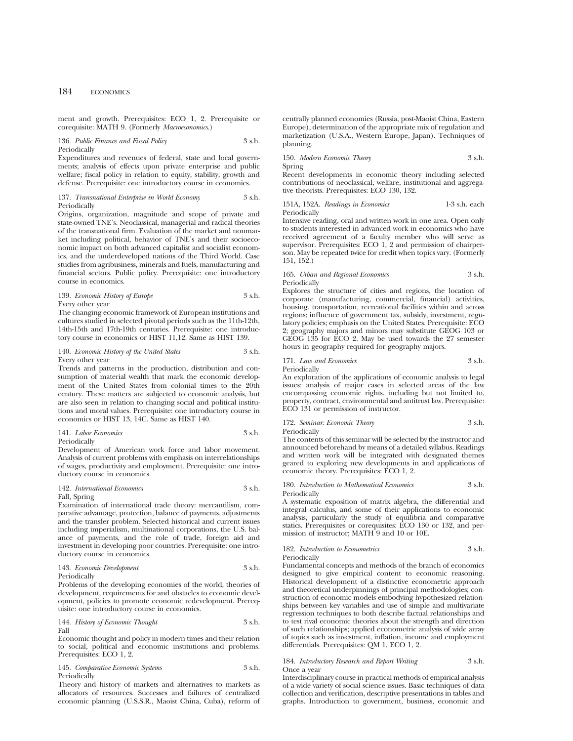ment and growth. Prerequisites: ECO 1, 2. Prerequisite or corequisite: MATH 9. (Formerly *Macroeconomics*.)

## 136. *Public Finance and Fiscal Policy* 3 s.h. Periodically

Expenditures and revenues of federal, state and local governments; analysis of effects upon private enterprise and public welfare; fiscal policy in relation to equity, stability, growth and defense. Prerequisite: one introductory course in economics.

### 137. *Transnational Enterprise in World Economy* 3 s.h. Periodically

Origins, organization, magnitude and scope of private and state-owned TNE's. Neoclassical, managerial and radical theories of the transnational firm. Evaluation of the market and nonmarket including political, behavior of TNE's and their socioeconomic impact on both advanced capitalist and socialist economics, and the underdeveloped nations of the Third World. Case studies from agribusiness, minerals and fuels, manufacturing and financial sectors. Public policy. Prerequisite: one introductory course in economics.

### 139. *Economic History of Europe* 3 s.h. Every other year

The changing economic framework of European institutions and cultures studied in selected pivotal periods such as the 11th-12th, 14th-15th and 17th-19th centuries. Prerequisite: one introductory course in economics or HIST 11,12. Same as HIST 139.

### 140. *Economic History of the United States* 3 s.h. Every other year

Trends and patterns in the production, distribution and consumption of material wealth that mark the economic development of the United States from colonial times to the 20th century. These matters are subjected to economic analysis, but are also seen in relation to changing social and political institutions and moral values. Prerequisite: one introductory course in economics or HIST 13, 14C. Same as HIST 140.

### 141. *Labor Economics* 3 s.h. Periodically

Development of American work force and labor movement. Analysis of current problems with emphasis on interrelationships of wages, productivity and employment. Prerequisite: one introductory course in economics.

### 142. *International Economics* 3 s.h. Fall, Spring

Examination of international trade theory: mercantilism, comparative advantage, protection, balance of payments, adjustments and the transfer problem. Selected historical and current issues including imperialism, multinational corporations, the U.S. balance of payments, and the role of trade, foreign aid and investment in developing poor countries. Prerequisite: one intro-

## ductory course in economics. 143. *Economic Development* 3 s.h. Periodically

Problems of the developing economies of the world, theories of development, requirements for and obstacles to economic development, policies to promote economic redevelopment. Prerequisite: one introductory course in economics.

144. *History of Economic Thought* 3 s.h. Fall

Economic thought and policy in modern times and their relation to social, political and economic institutions and problems. Prerequisites: ECO 1, 2.

### 145. *Comparative Economic Systems* 3 s.h. Periodically

Theory and history of markets and alternatives to markets as allocators of resources. Successes and failures of centralized economic planning (U.S.S.R., Maoist China, Cuba), reform of

centrally planned economies (Russia, post-Maoist China, Eastern Europe), determination of the appropriate mix of regulation and marketization (U.S.A., Western Europe, Japan). Techniques of planning.

150. *Modern Economic Theory* 3 s.h. Spring

Recent developments in economic theory including selected contributions of neoclassical, welfare, institutional and aggregative theorists. Prerequisites: ECO 130, 132.

### 151A, 152A. *Readings in Economics* 1-3 s.h. each Periodically

Intensive reading, oral and written work in one area. Open only to students interested in advanced work in economics who have received agreement of a faculty member who will serve as supervisor. Prerequisites: ECO 1, 2 and permission of chairperson. May be repeated twice for credit when topics vary. (Formerly 151, 152.)

### 165. *Urban and Regional Economics* 3 s.h. Periodically

Explores the structure of cities and regions, the location of corporate (manufacturing, commercial, financial) activities, housing, transportation, recreational facilities within and across regions; influence of government tax, subsidy, investment, regulatory policies; emphasis on the United States. Prerequisite: ECO 2; geography majors and minors may substitute GEOG 103 or GEOG 135 for ECO 2. May be used towards the 27 semester hours in geography required for geography majors.

## 171. *Law and Economics* 3 s.h.

Periodically

An exploration of the applications of economic analysis to legal issues: analysis of major cases in selected areas of the law encompassing economic rights, including but not limited to, property, contract, environmental and antitrust law. Prerequisite: ECO 131 or permission of instructor.

## 172. *Seminar: Economic Theory* 3 s.h.

Periodically

The contents of this seminar will be selected by the instructor and announced beforehand by means of a detailed syllabus. Readings and written work will be integrated with designated themes geared to exploring new developments in and applications of economic theory. Prerequisites: ECO 1, 2.

180. *Introduction to Mathematical Economics* 3 s.h. Periodically

A systematic exposition of matrix algebra, the differential and integral calculus, and some of their applications to economic analysis, particularly the study of equilibria and comparative statics. Prerequisites or corequisites: ECO 130 or 132, and permission of instructor; MATH 9 and 10 or 10E.

## 182. *Introduction to Econometrics* 3 s.h.

Periodically

Fundamental concepts and methods of the branch of economics designed to give empirical content to economic reasoning. Historical development of a distinctive econometric approach and theoretical underpinnings of principal methodologies; construction of economic models embodying hypothesized relationships between key variables and use of simple and multivariate regression techniques to both describe factual relationships and to test rival economic theories about the strength and direction of such relationships; applied econometric analysis of wide array of topics such as investment, inflation, income and employment differentials. Prerequisites: QM 1, ECO 1, 2.

### 184. *Introductory Research and Report Writing* 3 s.h. Once a year

Interdisciplinary course in practical methods of empirical analysis of a wide variety of social science issues. Basic techniques of data collection and verification, descriptive presentations in tables and graphs. Introduction to government, business, economic and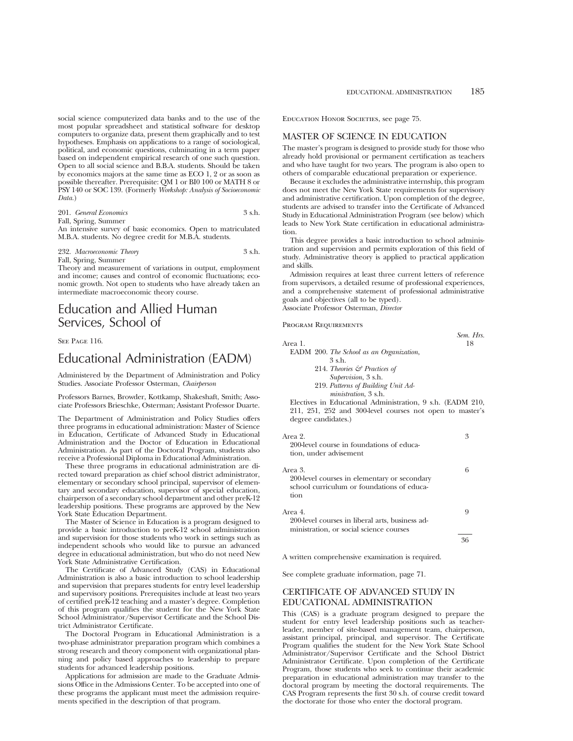social science computerized data banks and to the use of the most popular spreadsheet and statistical software for desktop computers to organize data, present them graphically and to test hypotheses. Emphasis on applications to a range of sociological, political, and economic questions, culminating in a term paper based on independent empirical research of one such question. Open to all social science and B.B.A. students. Should be taken by economics majors at the same time as ECO 1, 2 or as soon as possible thereafter. Prerequisite: QM 1 or BI0 100 or MATH 8 or PSY 140 or SOC 139. (Formerly *Workshop: Analysis of Socioeconomic Data.*)

|       |  | 201. General Economics | 3 s.h. |
|-------|--|------------------------|--------|
| $-11$ |  |                        |        |

Fall, Spring, Summer

An intensive survey of basic economics. Open to matriculated M.B.A. students. No degree credit for M.B.A. students.

232. *Macroeconomic Theory* 3 s.h.

Fall, Spring, Summer Theory and measurement of variations in output, employment and income; causes and control of economic fluctuations; economic growth. Not open to students who have already taken an intermediate macroeconomic theory course.

## Education and Allied Human Services, School of

SEE PAGE 116.

## Educational Administration (EADM)

Administered by the Department of Administration and Policy Studies. Associate Professor Osterman, *Chairperson*

Professors Barnes, Browder, Kottkamp, Shakeshaft, Smith; Associate Professors Brieschke, Osterman; Assistant Professor Duarte.

The Department of Administration and Policy Studies offers three programs in educational administration: Master of Science in Education, Certificate of Advanced Study in Educational Administration and the Doctor of Education in Educational Administration. As part of the Doctoral Program, students also receive a Professional Diploma in Educational Administration.

These three programs in educational administration are directed toward preparation as chief school district administrator, elementary or secondary school principal, supervisor of elementary and secondary education, supervisor of special education, chairperson of a secondary school department and other preK-12 leadership positions. These programs are approved by the New York State Education Department.

The Master of Science in Education is a program designed to provide a basic introduction to preK-12 school administration and supervision for those students who work in settings such as independent schools who would like to pursue an advanced degree in educational administration, but who do not need New York State Administrative Certification.

The Certificate of Advanced Study (CAS) in Educational Administration is also a basic introduction to school leadership and supervision that prepares students for entry level leadership and supervisory positions. Prerequisites include at least two years of certified preK-12 teaching and a master's degree. Completion of this program qualifies the student for the New York State School Administrator/Supervisor Certificate and the School District Administrator Certificate.

The Doctoral Program in Educational Administration is a two-phase administrator preparation program which combines a strong research and theory component with organizational planning and policy based approaches to leadership to prepare students for advanced leadership positions.

Applications for admission are made to the Graduate Admissions Office in the Admissions Center. To be accepted into one of these programs the applicant must meet the admission requirements specified in the description of that program.

Education Honor Societies, see page 75.

## MASTER OF SCIENCE IN EDUCATION

The master's program is designed to provide study for those who already hold provisional or permanent certification as teachers and who have taught for two years. The program is also open to others of comparable educational preparation or experience.

Because it excludes the administrative internship, this program does not meet the New York State requirements for supervisory and administrative certification. Upon completion of the degree, students are advised to transfer into the Certificate of Advanced Study in Educational Administration Program (see below) which leads to New York State certification in educational administration.

This degree provides a basic introduction to school administration and supervision and permits exploration of this field of study. Administrative theory is applied to practical application and skills.

Admission requires at least three current letters of reference from supervisors, a detailed resume of professional experiences, and a comprehensive statement of professional administrative goals and objectives (all to be typed). Associate Professor Osterman, *Director*

Program Requirements

|                                                                                                                        | Sem. Hrs. |
|------------------------------------------------------------------------------------------------------------------------|-----------|
| Area 1.                                                                                                                | 18        |
| EADM 200. The School as an Organization,                                                                               |           |
| 3 s.h.                                                                                                                 |           |
| 214. Theories $\mathcal{C}$ Practices of                                                                               |           |
| Supervision, 3 s.h.                                                                                                    |           |
| 219. Patterns of Building Unit Ad-                                                                                     |           |
| <i>ministration</i> , 3 s.h.                                                                                           |           |
| Electives in Educational Administration, 9 s.h. (EADM 210,<br>211, 251, 252 and 300-level courses not open to master's |           |
| degree candidates.)                                                                                                    |           |
|                                                                                                                        |           |
| Area 2.                                                                                                                | 3         |
| 200-level course in foundations of educa-                                                                              |           |
| tion, under advisement                                                                                                 |           |
|                                                                                                                        |           |
| Area 3.                                                                                                                | 6         |
| 200-level courses in elementary or secondary                                                                           |           |
| school curriculum or foundations of educa-                                                                             |           |
| tion                                                                                                                   |           |
|                                                                                                                        |           |
| Area 4.                                                                                                                | 9         |
| 200-level courses in liberal arts, business ad-                                                                        |           |
| ministration, or social science courses                                                                                |           |
|                                                                                                                        | 36        |
|                                                                                                                        |           |

A written comprehensive examination is required.

See complete graduate information, page 71.

## CERTIFICATE OF ADVANCED STUDY IN EDUCATIONAL ADMINISTRATION

This (CAS) is a graduate program designed to prepare the student for entry level leadership positions such as teacherleader, member of site-based management team, chairperson, assistant principal, principal, and supervisor. The Certificate Program qualifies the student for the New York State School Administrator/Supervisor Certificate and the School District Administrator Certificate. Upon completion of the Certificate Program, those students who seek to continue their academic preparation in educational administration may transfer to the doctoral program by meeting the doctoral requirements. The CAS Program represents the first 30 s.h. of course credit toward the doctorate for those who enter the doctoral program.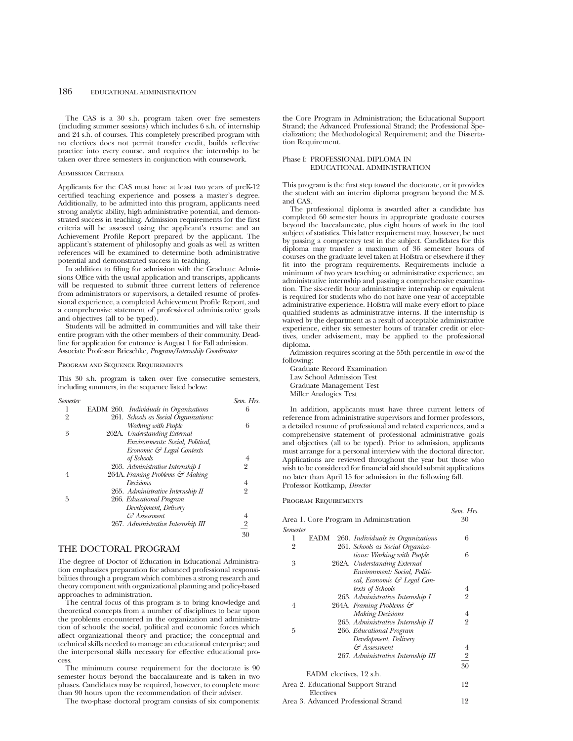The CAS is a 30 s.h. program taken over five semesters (including summer sessions) which includes 6 s.h. of internship and 24 s.h. of courses. This completely prescribed program with no electives does not permit transfer credit, builds reflective practice into every course, and requires the internship to be taken over three semesters in conjunction with coursework.

#### ADMISSION CRITERIA

Applicants for the CAS must have at least two years of preK-12 certified teaching experience and possess a master's degree. Additionally, to be admitted into this program, applicants need strong analytic ability, high administrative potential, and demonstrated success in teaching. Admission requirements for the first criteria will be assessed using the applicant's resume and an Achievement Profile Report prepared by the applicant. The applicant's statement of philosophy and goals as well as written references will be examined to determine both administrative potential and demonstrated success in teaching.

In addition to filing for admission with the Graduate Admissions Office with the usual application and transcripts, applicants will be requested to submit three current letters of reference from administrators or supervisors, a detailed resume of professional experience, a completed Achievement Profile Report, and a comprehensive statement of professional administrative goals and objectives (all to be typed).

Students will be admitted in communities and will take their entire program with the other members of their community. Deadline for application for entrance is August 1 for Fall admission. Associate Professor Brieschke, *Program/Internship Coordinator*

### PROGRAM AND SEQUENCE REQUIREMENTS

This 30 s.h. program is taken over five consecutive semesters, including summers, in the sequence listed below:

| <b>Semester</b> |                                        | Sem. Hrs.      |
|-----------------|----------------------------------------|----------------|
|                 | EADM 260. Individuals in Organizations | 6              |
| 2               | 261. Schools as Social Organizations:  |                |
|                 | Working with People                    | 6              |
| 3               | 262A. Understanding External           |                |
|                 | Environments: Social, Political,       |                |
|                 | Economic & Legal Contexts              |                |
|                 | of Schools                             | 4              |
|                 | 263. Administrative Internship I       | $\overline{2}$ |
| 4               | 264A. Framing Problems & Making        |                |
|                 | Decisions                              | 4              |
|                 | 265. Administrative Internship II      | $\overline{2}$ |
| 5               | 266. Educational Program               |                |
|                 | Development, Delivery                  |                |
|                 | Assessment کئ                          | 4              |
|                 | 267. Administrative Internship III     | $\overline{2}$ |
|                 |                                        | 30             |
|                 |                                        |                |

## THE DOCTORAL PROGRAM

The degree of Doctor of Education in Educational Administration emphasizes preparation for advanced professional responsibilities through a program which combines a strong research and theory component with organizational planning and policy-based approaches to administration.

The central focus of this program is to bring knowledge and theoretical concepts from a number of disciplines to bear upon the problems encountered in the organization and administration of schools: the social, political and economic forces which affect organizational theory and practice; the conceptual and technical skills needed to manage an educational enterprise; and the interpersonal skills necessary for effective educational process.

The minimum course requirement for the doctorate is 90 semester hours beyond the baccalaureate and is taken in two phases. Candidates may be required, however, to complete more than 90 hours upon the recommendation of their adviser.

The two-phase doctoral program consists of six components:

the Core Program in Administration; the Educational Support Strand; the Advanced Professional Strand; the Professional Specialization; the Methodological Requirement; and the Dissertation Requirement.

### Phase I: PROFESSIONAL DIPLOMA IN EDUCATIONAL ADMINISTRATION

This program is the first step toward the doctorate, or it provides the student with an interim diploma program beyond the M.S. and CAS.

The professional diploma is awarded after a candidate has completed 60 semester hours in appropriate graduate courses beyond the baccalaureate, plus eight hours of work in the tool subject of statistics. This latter requirement may, however, be met by passing a competency test in the subject. Candidates for this diploma may transfer a maximum of 36 semester hours of courses on the graduate level taken at Hofstra or elsewhere if they fit into the program requirements. Requirements include a minimum of two years teaching or administrative experience, an administrative internship and passing a comprehensive examination. The six-credit hour administrative internship or equivalent is required for students who do not have one year of acceptable administrative experience. Hofstra will make every effort to place qualified students as administrative interns. If the internship is waived by the department as a result of acceptable administrative experience, either six semester hours of transfer credit or electives, under advisement, may be applied to the professional diploma.

Admission requires scoring at the 55th percentile in *one* of the following:

Graduate Record Examination Law School Admission Test Graduate Management Test Miller Analogies Test

In addition, applicants must have three current letters of reference from administrative supervisors and former professors, a detailed resume of professional and related experiences, and a comprehensive statement of professional administrative goals and objectives (all to be typed). Prior to admission, applicants must arrange for a personal interview with the doctoral director. Applications are reviewed throughout the year but those who wish to be considered for financial aid should submit applications no later than April 15 for admission in the following fall. Professor Kottkamp, *Director*

*Sem. Hrs.*

Program Requirements

|                 |           | Area 1. Core Program in Administration | 30                      |
|-----------------|-----------|----------------------------------------|-------------------------|
| <b>Semester</b> |           |                                        |                         |
| 1               | EADM      | 260. Individuals in Organizations      | 6                       |
| $\overline{2}$  |           | 261. Schools as Social Organiza-       |                         |
|                 |           | tions: Working with People             | 6                       |
| 3               |           | 262A. Understanding External           |                         |
|                 |           | Environment: Social, Politi-           |                         |
|                 |           | cal, Economic & Legal Con-             |                         |
|                 |           | texts of Schools                       | 4                       |
|                 |           | 263. Administrative Internship I       | $\overline{2}$          |
| 4               |           | 264A. Framing Problems &               |                         |
|                 |           | <b>Making Decisions</b>                | 4                       |
|                 |           | 265. Administrative Internship II      | $\overline{2}$          |
| 5               |           | 266. Educational Program               |                         |
|                 |           | Development, Delivery                  |                         |
|                 |           | Assessment کئ                          | $\overline{\mathbf{4}}$ |
|                 |           | 267. Administrative Internship III     | $\frac{2}{30}$          |
|                 |           |                                        |                         |
|                 |           | EADM electives, 12 s.h.                |                         |
|                 |           | Area 2. Educational Support Strand     | 12                      |
|                 | Electives |                                        |                         |
|                 |           | Area 3. Advanced Professional Strand   | 12                      |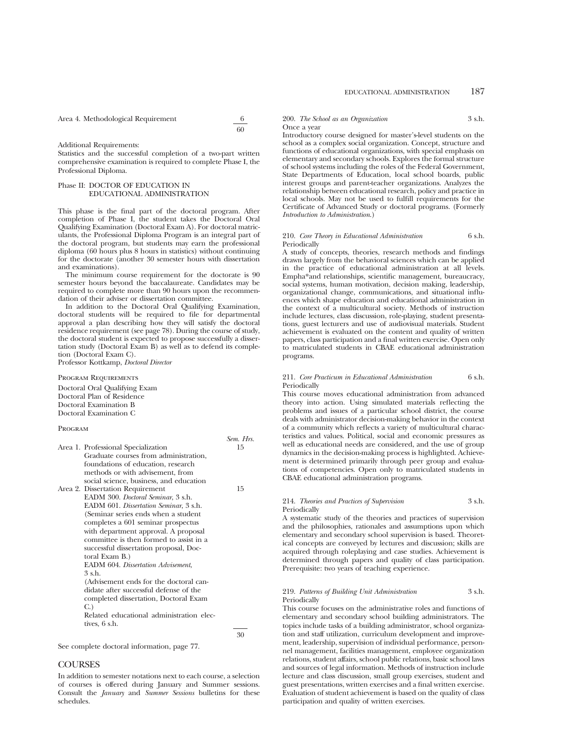Area 4. Methodological Requirement 6

60

Additional Requirements:

Statistics and the successful completion of a two-part written comprehensive examination is required to complete Phase I, the Professional Diploma.

### Phase II: DOCTOR OF EDUCATION IN EDUCATIONAL ADMINISTRATION

This phase is the final part of the doctoral program. After completion of Phase I, the student takes the Doctoral Oral Qualifying Examination (Doctoral Exam A). For doctoral matriculants, the Professional Diploma Program is an integral part of the doctoral program, but students may earn the professional diploma (60 hours plus 8 hours in statistics) without continuing for the doctorate (another 30 semester hours with dissertation and examinations).

The minimum course requirement for the doctorate is 90 semester hours beyond the baccalaureate. Candidates may be required to complete more than 90 hours upon the recommendation of their adviser or dissertation committee.

In addition to the Doctoral Oral Qualifying Examination, doctoral students will be required to file for departmental approval a plan describing how they will satisfy the doctoral residence requirement (see page 78). During the course of study, the doctoral student is expected to propose successfully a dissertation study (Doctoral Exam B) as well as to defend its completion (Doctoral Exam C).

Professor Kottkamp, *Doctoral Director*

Program Requirements Doctoral Oral Qualifying Exam Doctoral Plan of Residence Doctoral Examination B Doctoral Examination C

### PROGRAM

|                                           | Sem. Hrs. |
|-------------------------------------------|-----------|
| Area 1. Professional Specialization       | 15        |
| Graduate courses from administration,     |           |
| foundations of education, research        |           |
| methods or with advisement, from          |           |
| social science, business, and education   |           |
| Area 2. Dissertation Requirement          | 15        |
| EADM 300. Doctoral Seminar, 3 s.h.        |           |
| EADM 601. Dissertation Seminar, 3 s.h.    |           |
| (Seminar series ends when a student       |           |
| completes a 601 seminar prospectus        |           |
| with department approval. A proposal      |           |
| committee is then formed to assist in a   |           |
| successful dissertation proposal, Doc-    |           |
| toral Exam B.)                            |           |
| <b>EADM</b> 604. Dissertation Advisement, |           |
| $3$ s.h.                                  |           |
| (Advisement ends for the doctoral can-    |           |
| didate after successful defense of the    |           |
| completed dissertation, Doctoral Exam     |           |
| C.                                        |           |
| Related educational administration elec-  |           |
| tives, 6 s.h.                             |           |
|                                           |           |

30

See complete doctoral information, page 77.

### **COURSES**

In addition to semester notations next to each course, a selection of courses is offered during January and Summer sessions. Consult the *January* and *Summer Sessions* bulletins for these schedules.

### 200. *The School as an Organization* 3 s.h. Once a year

Introductory course designed for master's-level students on the school as a complex social organization. Concept, structure and functions of educational organizations, with special emphasis on elementary and secondary schools. Explores the formal structure of school systems including the roles of the Federal Government, State Departments of Education, local school boards, public interest groups and parent-teacher organizations. Analyzes the relationship between educational research, policy and practice in local schools. May not be used to fulfill requirements for the Certificate of Advanced Study or doctoral programs. (Formerly *Introduction to Administration*.)

### 210. *Core Theory in Educational Administration* 6 s.h. Periodically

A study of concepts, theories, research methods and findings drawn largely from the behavioral sciences which can be applied in the practice of educational administration at all levels. Empha\*and relationships, scientific management, bureaucracy, social systems, human motivation, decision making, leadership, organizational change, communications, and situational influences which shape education and educational administration in the context of a multicultural society. Methods of instruction include lectures, class discussion, role-playing, student presentations, guest lecturers and use of audiovisual materials. Student achievement is evaluated on the content and quality of written papers, class participation and a final written exercise. Open only to matriculated students in CBAE educational administration programs.

### 211. *Core Practicum in Educational Administration* 6 s.h. Periodically

This course moves educational administration from advanced theory into action. Using simulated materials reflecting the problems and issues of a particular school district, the course deals with administrator decision-making behavior in the context of a community which reflects a variety of multicultural characteristics and values. Political, social and economic pressures as well as educational needs are considered, and the use of group dynamics in the decision-making process is highlighted. Achievement is determined primarily through peer group and evaluations of competencies. Open only to matriculated students in CBAE educational administration programs.

### 214. *Theories and Practices of Supervision* 3 s.h. Periodically

A systematic study of the theories and practices of supervision and the philosophies, rationales and assumptions upon which elementary and secondary school supervision is based. Theoretical concepts are conveyed by lectures and discussion; skills are acquired through roleplaying and case studies. Achievement is determined through papers and quality of class participation. Prerequisite: two years of teaching experience.

### 219. *Patterns of Building Unit Administration* 3 s.h. Periodically

This course focuses on the administrative roles and functions of elementary and secondary school building administrators. The topics include tasks of a building administrator, school organization and staff utilization, curriculum development and improvement, leadership, supervision of individual performance, personnel management, facilities management, employee organization relations, student affairs, school public relations, basic school laws and sources of legal information. Methods of instruction include lecture and class discussion, small group exercises, student and guest presentations, written exercises and a final written exercise. Evaluation of student achievement is based on the quality of class participation and quality of written exercises.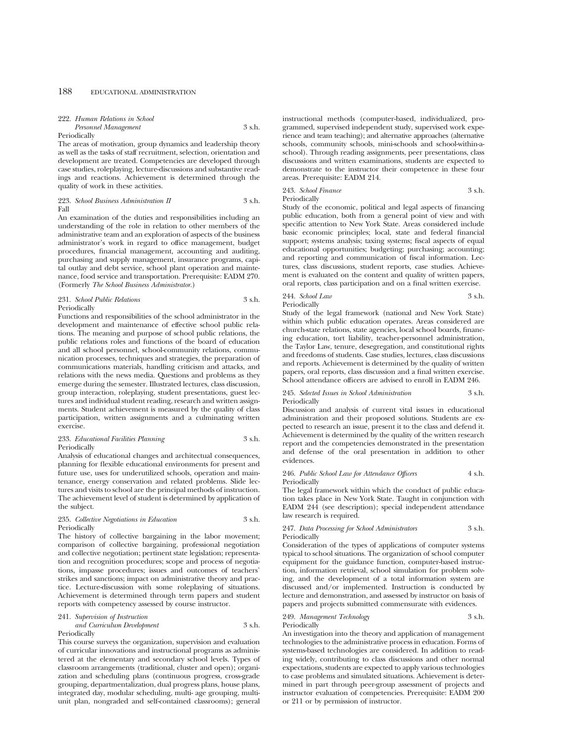| 222. Human Relations in School |        |  |
|--------------------------------|--------|--|
| Personnel Management           | 3 s.h. |  |

#### Periodically

The areas of motivation, group dynamics and leadership theory as well as the tasks of staff recruitment, selection, orientation and development are treated. Competencies are developed through case studies, roleplaying, lecture-discussions and substantive readings and reactions. Achievement is determined through the quality of work in these activities.

### 223. *School Business Administration II* 3 s.h. Fall

An examination of the duties and responsibilities including an understanding of the role in relation to other members of the administrative team and an exploration of aspects of the business administrator's work in regard to office management, budget procedures, financial management, accounting and auditing, purchasing and supply management, insurance programs, capital outlay and debt service, school plant operation and maintenance, food service and transportation. Prerequisite: EADM 270. (Formerly *The School Business Administrator.*)

### 231. *School Public Relations* 3 s.h. Periodically

Functions and responsibilities of the school administrator in the development and maintenance of effective school public relations. The meaning and purpose of school public relations, the public relations roles and functions of the board of education and all school personnel, school-community relations, communication processes, techniques and strategies, the preparation of communications materials, handling criticism and attacks, and relations with the news media. Questions and problems as they emerge during the semester. Illustrated lectures, class discussion, group interaction, roleplaying, student presentations, guest lectures and individual student reading, research and written assignments. Student achievement is measured by the quality of class participation, written assignments and a culminating written exercise.

### 233. *Educational Facilities Planning* 3 s.h. Periodically

Analysis of educational changes and architectual consequences, planning for flexible educational environments for present and future use, uses for underutilized schools, operation and maintenance, energy conservation and related problems. Slide lectures and visits to school are the principal methods of instruction. The achievement level of student is determined by application of the subject.

### 235. *Collective Negotiations in Education* 3 s.h. Periodically

The history of collective bargaining in the labor movement; comparison of collective bargaining, professional negotiation and collective negotiation; pertinent state legislation; representation and recognition procedures; scope and process of negotiations, impasse procedures; issues and outcomes of teachers' strikes and sanctions; impact on administrative theory and practice. Lecture-discussion with some roleplaying of situations. Achievement is determined through term papers and student reports with competency assessed by course instructor.

### 241. *Supervision of Instruction and Curriculum Development* 3 s.h. Periodically

This course surveys the organization, supervision and evaluation of curricular innovations and instructional programs as administered at the elementary and secondary school levels. Types of classroom arrangements (traditional, cluster and open); organization and scheduling plans (continuous progress, cross-grade grouping, departmentalization, dual progress plans, house plans, integrated day, modular scheduling, multi- age grouping, multiunit plan, nongraded and self-contained classrooms); general instructional methods (computer-based, individualized, programmed, supervised independent study, supervised work experience and team teaching); and alternative approaches (alternative schools, community schools, mini-schools and school-within-aschool). Through reading assignments, peer presentations, class discussions and written examinations, students are expected to demonstrate to the instructor their competence in these four areas. Prerequisite: EADM 214.

243. *School Finance* 3 s.h. Periodically

Study of the economic, political and legal aspects of financing public education, both from a general point of view and with specific attention to New York State. Areas considered include basic economic principles; local, state and federal financial support; systems analysis; taxing systems; fiscal aspects of equal educational opportunities; budgeting; purchasing; accounting; and reporting and communication of fiscal information. Lectures, class discussions, student reports, case studies. Achievement is evaluated on the content and quality of written papers, oral reports, class participation and on a final written exercise.

244. *School Law* 3 s.h. Periodically

Study of the legal framework (national and New York State) within which public education operates. Areas considered are church-state relations, state agencies, local school boards, financing education, tort liability, teacher-personnel administration, the Taylor Law, tenure, desegregation, and constitutional rights and freedoms of students. Case studies, lectures, class discussions and reports. Achievement is determined by the quality of written papers, oral reports, class discussion and a final written exercise. School attendance officers are advised to enroll in EADM 246.

### 245. *Selected Issues in School Administration* 3 s.h. Periodically

Discussion and analysis of current vital issues in educational administration and their proposed solutions. Students are expected to research an issue, present it to the class and defend it. Achievement is determined by the quality of the written research report and the competencies demonstrated in the presentation and defense of the oral presentation in addition to other evidences.

### 246. *Public School Law for Attendance Officers* 4 s.h. Periodically

The legal framework within which the conduct of public education takes place in New York State. Taught in conjunction with EADM 244 (see description); special independent attendance law research is required.

### 247. *Data Processing for School Administrators* 3 s.h. Periodically

Consideration of the types of applications of computer systems typical to school situations. The organization of school computer equipment for the guidance function, computer-based instruction, information retrieval, school simulation for problem solving, and the development of a total information system are discussed and/or implemented. Instruction is conducted by lecture and demonstration, and assessed by instructor on basis of papers and projects submitted commensurate with evidences.

### 249. *Management Technology* 3 s.h. Periodically

An investigation into the theory and application of management technologies to the administrative process in education. Forms of systems-based technologies are considered. In addition to reading widely, contributing to class discussions and other normal expectations, students are expected to apply various technologies to case problems and simulated situations. Achievement is determined in part through peer-group assessment of projects and instructor evaluation of competencies. Prerequisite: EADM 200 or 211 or by permission of instructor.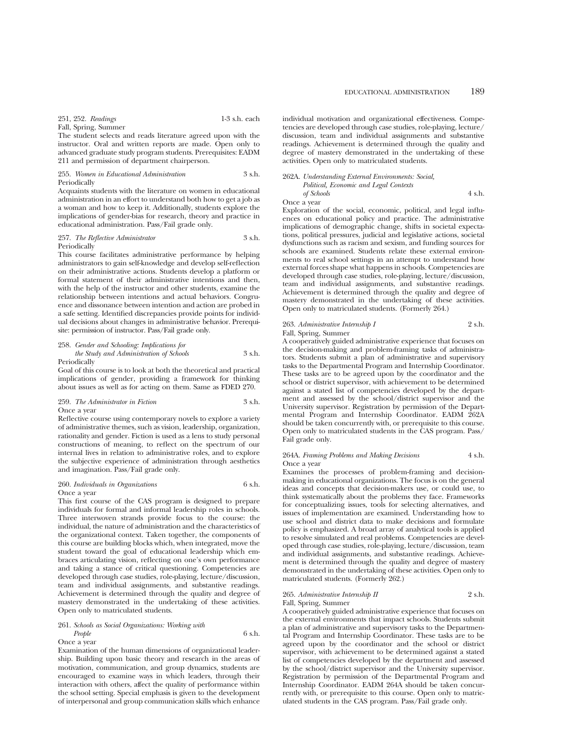The student selects and reads literature agreed upon with the instructor. Oral and written reports are made. Open only to advanced graduate study program students. Prerequisites: EADM 211 and permission of department chairperson.

### 255. *Women in Educational Administration* 3 s.h. Periodically

Acquaints students with the literature on women in educational administration in an effort to understand both how to get a job as a woman and how to keep it. Additionally, students explore the implications of gender-bias for research, theory and practice in educational administration. Pass/Fail grade only.

### 257. *The Reflective Administrator* 3 s.h. **Periodically**

This course facilitates administrative performance by helping administrators to gain self-knowledge and develop self-reflection on their administrative actions. Students develop a platform or formal statement of their administrative intentions and then, with the help of the instructor and other students, examine the relationship between intentions and actual behaviors. Congruence and dissonance between intention and action are probed in a safe setting. Identified discrepancies provide points for individual decisions about changes in administrative behavior. Prerequisite: permission of instructor. Pass/Fail grade only.

258. *Gender and Schooling: Implications for the Study and Administration of Schools* 3 s.h.

Periodically

Goal of this course is to look at both the theoretical and practical implications of gender, providing a framework for thinking about issues as well as for acting on them. Same as FDED 270.

### 259. *The Administrator in Fiction* 3 s.h. Once a year

Reflective course using contemporary novels to explore a variety of administrative themes, such as vision, leadership, organization, rationality and gender. Fiction is used as a lens to study personal constructions of meaning, to reflect on the spectrum of our internal lives in relation to administrative roles, and to explore the subjective experience of administration through aesthetics and imagination. Pass/Fail grade only.

### 260. *Individuals in Organizations* 6 s.h. Once a year

This first course of the CAS program is designed to prepare individuals for formal and informal leadership roles in schools. Three interwoven strands provide focus to the course: the individual, the nature of administration and the characteristics of the organizational context. Taken together, the components of this course are building blocks which, when integrated, move the student toward the goal of educational leadership which embraces articulating vision, reflecting on one's own performance and taking a stance of critical questioning. Competencies are developed through case studies, role-playing, lecture/discussion, team and individual assignments, and substantive readings. Achievement is determined through the quality and degree of mastery demonstrated in the undertaking of these activities. Open only to matriculated students.

### 261. *Schools as Social Organizations: Working with*

*People* 6 s.h. Once a year

Examination of the human dimensions of organizational leadership. Building upon basic theory and research in the areas of motivation, communication, and group dynamics, students are encouraged to examine ways in which leaders, through their interaction with others, affect the quality of performance within the school setting. Special emphasis is given to the development

of interpersonal and group communication skills which enhance

EDUCATIONAL ADMINISTRATION 189

### individual motivation and organizational effectiveness. Competencies are developed through case studies, role-playing, lecture/ discussion, team and individual assignments and substantive readings. Achievement is determined through the quality and degree of mastery demonstrated in the undertaking of these activities. Open only to matriculated students.

### 262A. *Understanding External Environments: Social, Political, Economic and Legal Contexts of Schools* 4 s.h.

Once a year

Exploration of the social, economic, political, and legal influences on educational policy and practice. The administrative implications of demographic change, shifts in societal expectations, political pressures, judicial and legislative actions, societal dysfunctions such as racism and sexism, and funding sources for schools are examined. Students relate these external environments to real school settings in an attempt to understand how external forces shape what happens in schools. Competencies are developed through case studies, role-playing, lecture/discussion, team and individual assignments, and substantive readings. Achievement is determined through the quality and degree of mastery demonstrated in the undertaking of these activities. Open only to matriculated students. (Formerly 264.)

### 263. *Administrative Internship I* 2 s.h. Fall, Spring, Summer

A cooperatively guided administrative experience that focuses on the decision-making and problem-framing tasks of administrators. Students submit a plan of administrative and supervisory tasks to the Departmental Program and Internship Coordinator. These tasks are to be agreed upon by the coordinator and the school or district supervisor, with achievement to be determined against a stated list of competencies developed by the department and assessed by the school/district supervisor and the University supervisor. Registration by permission of the Departmental Program and Internship Coordinator. EADM 262A should be taken concurrently with, or prerequisite to this course. Open only to matriculated students in the CAS program. Pass/ Fail grade only.

### 264A. *Framing Problems and Making Decisions* 4 s.h. Once a year

Examines the processes of problem-framing and decisionmaking in educational organizations. The focus is on the general ideas and concepts that decision-makers use, or could use, to think systematically about the problems they face. Frameworks for conceptualizing issues, tools for selecting alternatives, and issues of implementation are examined. Understanding how to use school and district data to make decisions and formulate policy is emphasized. A broad array of analytical tools is applied to resolve simulated and real problems. Competencies are developed through case studies, role-playing, lecture/discussion, team and individual assignments, and substantive readings. Achievement is determined through the quality and degree of mastery demonstrated in the undertaking of these activities. Open only to matriculated students. (Formerly 262.)

### 265. *Administrative Internship II* 2 s.h. Fall, Spring, Summer

A cooperatively guided administrative experience that focuses on the external environments that impact schools. Students submit a plan of administrative and supervisory tasks to the Departmental Program and Internship Coordinator. These tasks are to be agreed upon by the coordinator and the school or district supervisor, with achievement to be determined against a stated list of competencies developed by the department and assessed by the school/district supervisor and the University supervisor. Registration by permission of the Departmental Program and Internship Coordinator. EADM 264A should be taken concurrently with, or prerequisite to this course. Open only to matriculated students in the CAS program. Pass/Fail grade only.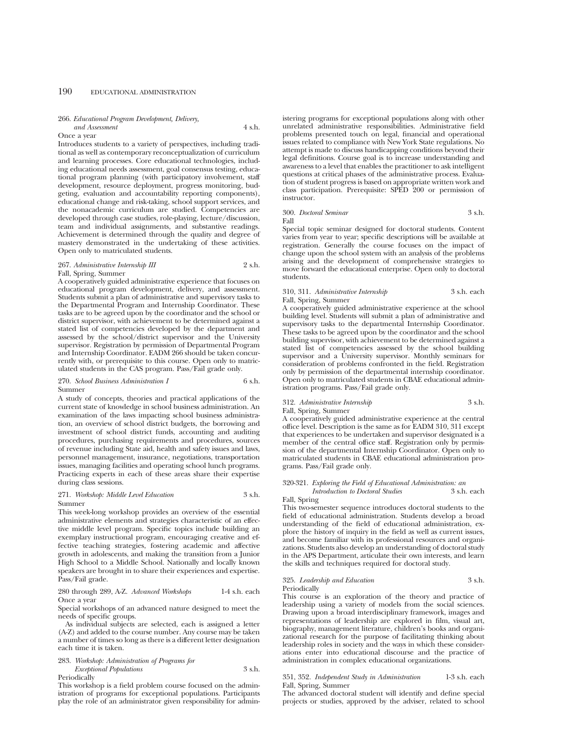## 266. *Educational Program Development, Delivery,*

## Once a year

*and Assessment* 4 s.h.

Introduces students to a variety of perspectives, including traditional as well as contemporary reconceptualization of curriculum and learning processes. Core educational technologies, including educational needs assessment, goal consensus testing, educational program planning (with participatory involvement, staff development, resource deployment, progress monitoring, budgeting, evaluation and accountability reporting components), educational change and risk-taking, school support services, and the nonacademic curriculum are studied. Competencies are developed through case studies, role-playing, lecture/discussion, team and individual assignments, and substantive readings. Achievement is determined through the quality and degree of mastery demonstrated in the undertaking of these activities. Open only to matriculated students.

### 267. *Administrative Internship III* 2 s.h. Fall, Spring, Summer

A cooperatively guided administrative experience that focuses on educational program development, delivery, and assessment. Students submit a plan of administrative and supervisory tasks to the Departmental Program and Internship Coordinator. These tasks are to be agreed upon by the coordinator and the school or district supervisor, with achievement to be determined against a stated list of competencies developed by the department and assessed by the school/district supervisor and the University supervisor. Registration by permission of Departmental Program and Internship Coordinator. EADM 266 should be taken concurrently with, or prerequisite to this course. Open only to matriculated students in the CAS program. Pass/Fail grade only.

### 270. *School Business Administration I* 6 s.h. Summer

A study of concepts, theories and practical applications of the current state of knowledge in school business administration. An examination of the laws impacting school business administration, an overview of school district budgets, the borrowing and investment of school district funds, accounting and auditing procedures, purchasing requirements and procedures, sources of revenue including State aid, health and safety issues and laws, personnel management, insurance, negotiations, transportation issues, managing facilities and operating school lunch programs. Practicing experts in each of these areas share their expertise during class sessions.

### 271. *Workshop: Middle Level Education* 3 s.h. Summer

This week-long workshop provides an overview of the essential administrative elements and strategies characteristic of an effective middle level program. Specific topics include building an exemplary instructional program, encouraging creative and effective teaching strategies, fostering academic and affective growth in adolescents, and making the transition from a Junior High School to a Middle School. Nationally and locally known speakers are brought in to share their experiences and expertise. Pass/Fail grade.

### 280 through 289, A-Z. *Advanced Workshops* 1-4 s.h. each Once a year

Special workshops of an advanced nature designed to meet the needs of specific groups.

As individual subjects are selected, each is assigned a letter (A-Z) and added to the course number. Any course may be taken a number of times so long as there is a different letter designation each time it is taken.

## 283. *Workshop: Administration of Programs for*

*Exceptional Populations* 3 s.h. Periodically

This workshop is a field problem course focused on the administration of programs for exceptional populations. Participants play the role of an administrator given responsibility for admin-

istering programs for exceptional populations along with other unrelated administrative responsibilities. Administrative field problems presented touch on legal, financial and operational issues related to compliance with New York State regulations. No attempt is made to discuss handicapping conditions beyond their legal definitions. Course goal is to increase understanding and awareness to a level that enables the practitioner to ask intelligent questions at critical phases of the administrative process. Evaluation of student progress is based on appropriate written work and class participation. Prerequisite: SPED 200 or permission of instructor.

### 300. *Doctoral Seminar* 3 s.h. Fall

Special topic seminar designed for doctoral students. Content varies from year to year; specific descriptions will be available at registration. Generally the course focuses on the impact of change upon the school system with an analysis of the problems arising and the development of comprehensive strategies to move forward the educational enterprise. Open only to doctoral students.

### 310, 311. *Administrative Internship* 3 s.h. each Fall, Spring, Summer

A cooperatively guided administrative experience at the school building level. Students will submit a plan of administrative and supervisory tasks to the departmental Internship Coordinator. These tasks to be agreed upon by the coordinator and the school building supervisor, with achievement to be determined against a stated list of competencies assessed by the school building supervisor and a University supervisor. Monthly seminars for consideration of problems confronted in the field. Registration only by permission of the departmental internship coordinator. Open only to matriculated students in CBAE educational administration programs. Pass/Fail grade only.

### 312. *Administrative Internship* 3 s.h.

Fall, Spring, Summer

A cooperatively guided administrative experience at the central office level. Description is the same as for EADM 310, 311 except that experiences to be undertaken and supervisor designated is a member of the central office staff. Registration only by permission of the departmental Internship Coordinator. Open only to matriculated students in CBAE educational administration programs. Pass/Fail grade only.

### 320-321. *Exploring the Field of Educational Administration: an Introduction to Doctoral Studies* 3 s.h. each

Fall, Spring

This two-semester sequence introduces doctoral students to the field of educational administration. Students develop a broad understanding of the field of educational administration, explore the history of inquiry in the field as well as current issues, and become familiar with its professional resources and organizations. Students also develop an understanding of doctoral study in the APS Department, articulate their own interests, and learn the skills and techniques required for doctoral study.

### 325. *Leadership and Education* 3 s.h. Periodically

This course is an exploration of the theory and practice of leadership using a variety of models from the social sciences. Drawing upon a broad interdisciplinary framework, images and representations of leadership are explored in film, visual art, biography, management literature, children's books and organizational research for the purpose of facilitating thinking about leadership roles in society and the ways in which these considerations enter into educational discourse and the practice of administration in complex educational organizations.

### 351, 352. *Independent Study in Administration* 1-3 s.h. each Fall, Spring, Summer

The advanced doctoral student will identify and define special projects or studies, approved by the adviser, related to school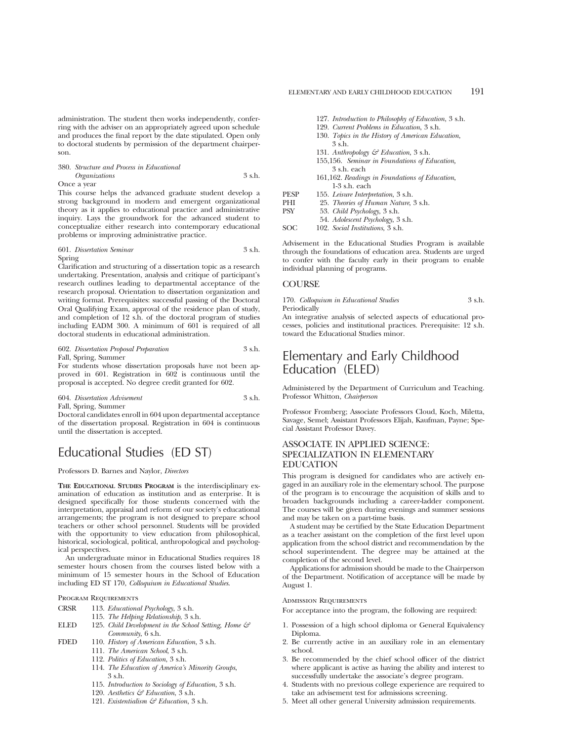administration. The student then works independently, conferring with the adviser on an appropriately agreed upon schedule and produces the final report by the date stipulated. Open only to doctoral students by permission of the department chairperson.

## 380. *Structure and Process in Educational Organizations* 3 s.h.

Once a year

This course helps the advanced graduate student develop a strong background in modern and emergent organizational theory as it applies to educational practice and administrative inquiry. Lays the groundwork for the advanced student to conceptualize either research into contemporary educational problems or improving administrative practice.

### 601. *Dissertation Seminar* 3 s.h. Spring

Clarification and structuring of a dissertation topic as a research undertaking. Presentation, analysis and critique of participant's research outlines leading to departmental acceptance of the research proposal. Orientation to dissertation organization and writing format. Prerequisites: successful passing of the Doctoral Oral Qualifying Exam, approval of the residence plan of study, and completion of 12 s.h. of the doctoral program of studies including EADM 300. A minimum of 601 is required of all doctoral students in educational administration.

### 602. *Dissertation Proposal Preparation* 3 s.h. Fall, Spring, Summer

For students whose dissertation proposals have not been approved in 601. Registration in 602 is continuous until the proposal is accepted. No degree credit granted for 602.

604. *Dissertation Advisement* 3 s.h. Fall, Spring, Summer

Doctoral candidates enroll in 604 upon departmental acceptance of the dissertation proposal. Registration in 604 is continuous until the dissertation is accepted.

## Educational Studies (ED ST)

### Professors D. Barnes and Naylor, *Directors*

**THE EDUCATIONAL STUDIES PROGRAM** is the interdisciplinary examination of education as institution and as enterprise. It is designed specifically for those students concerned with the interpretation, appraisal and reform of our society's educational arrangements; the program is not designed to prepare school teachers or other school personnel. Students will be provided with the opportunity to view education from philosophical, historical, sociological, political, anthropological and psychological perspectives.

An undergraduate minor in Educational Studies requires 18 semester hours chosen from the courses listed below with a minimum of 15 semester hours in the School of Education including ED ST 170, *Colloquium in Educational Studies*.

Program Requirements

- CRSR 113. *Educational Psychology*, 3 s.h.
	- 115. *The Helping Relationship*, 3 s.h.
- ELED 125. *Child Development in the School Setting, Home & Community*, 6 s.h.
- FDED 110. *History of American Education*, 3 s.h.
	- 111. *The American School*, 3 s.h.
	- 112. *Politics of Education*, 3 s.h.
	- 114. *The Education of America's Minority Groups*, 3 s.h.
	- 115. *Introduction to Sociology of Education*, 3 s.h.
	- 120. *Aesthetics & Education*, 3 s.h.
	- 121. *Existentialism & Education*, 3 s.h.
- 127. *Introduction to Philosophy of Education*, 3 s.h.
- 129. *Current Problems in Education*, 3 s.h.
	- 130. *Topics in the History of American Education*, 3 s.h.
- 131. *Anthropology & Education*, 3 s.h.
- 155,156. *Seminar in Foundations of Education,* 3 s.h. each
- 161,162. *Readings in Foundations of Education*, 1-3 s.h. each
- PESP 155. *Leisure Interpretation*, 3 s.h. PHI 25. *Theories of Human Nature*, 3 s.h.<br>PSV 53 *Child Psychology* 3 s.h. PSY 53. *Child Psychology*, 3 s.h.
- 54. *Adolescent Psychology*, 3 s.h.
- SOC 102. *Social Institutions*, 3 s.h.

Advisement in the Educational Studies Program is available through the foundations of education area. Students are urged to confer with the faculty early in their program to enable individual planning of programs.

### **COURSE**

170. *Colloquium in Educational Studies* 3 s.h. Periodically

An integrative analysis of selected aspects of educational processes, policies and institutional practices. Prerequisite: 12 s.h. toward the Educational Studies minor.

## Elementary and Early Childhood Education (ELED)

Administered by the Department of Curriculum and Teaching. Professor Whitton, *Chairperson*

Professor Fromberg; Associate Professors Cloud, Koch, Miletta, Savage, Semel; Assistant Professors Elijah, Kaufman, Payne; Special Assistant Professor Davey.

## ASSOCIATE IN APPLIED SCIENCE: SPECIALIZATION IN ELEMENTARY EDUCATION

This program is designed for candidates who are actively engaged in an auxiliary role in the elementary school. The purpose of the program is to encourage the acquisition of skills and to broaden backgrounds including a career-ladder component. The courses will be given during evenings and summer sessions and may be taken on a part-time basis.

A student may be certified by the State Education Department as a teacher assistant on the completion of the first level upon application from the school district and recommendation by the school superintendent. The degree may be attained at the completion of the second level.

Applications for admission should be made to the Chairperson of the Department. Notification of acceptance will be made by August 1.

### ADMISSION REQUIREMENTS

For acceptance into the program, the following are required:

- 1. Possession of a high school diploma or General Equivalency Diploma.
- 2. Be currently active in an auxiliary role in an elementary school.
- 3. Be recommended by the chief school officer of the district where applicant is active as having the ability and interest to successfully undertake the associate's degree program.
- 4. Students with no previous college experience are required to take an advisement test for admissions screening.
- 5. Meet all other general University admission requirements.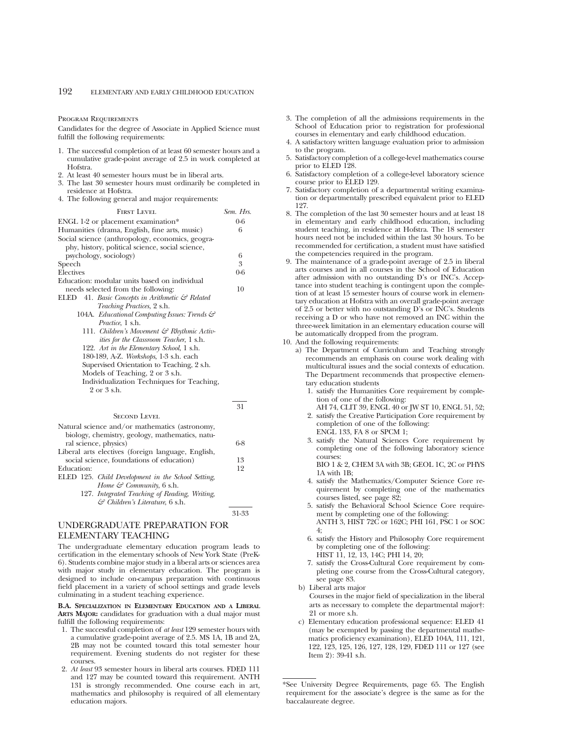#### PROGRAM REQUIREMENTS

Candidates for the degree of Associate in Applied Science must fulfill the following requirements:

- 1. The successful completion of at least 60 semester hours and a cumulative grade-point average of 2.5 in work completed at Hofstra.
- 2. At least 40 semester hours must be in liberal arts.
- 3. The last 30 semester hours must ordinarily be completed in residence at Hofstra.
- 4. The following general and major requirements:

| <b>FIRST LEVEL</b>                                          | Sem. Hrs. |
|-------------------------------------------------------------|-----------|
| ENGL 1-2 or placement examination*                          | $0-6$     |
| Humanities (drama, English, fine arts, music)               | 6         |
| Social science (anthropology, economics, geogra-            |           |
| phy, history, political science, social science,            |           |
| psychology, sociology)                                      | 6         |
| Speech                                                      | 3         |
| Electives                                                   | $0-6$     |
| Education: modular units based on individual                |           |
| needs selected from the following:                          | 10        |
| ELED 41. Basic Concepts in Arithmetic $\mathcal{C}$ Related |           |
| Teaching Practices, 2 s.h.                                  |           |
| 104A. Educational Computing Issues: Trends &                |           |
| <i>Practice</i> , 1 s.h.                                    |           |
| 111. Children's Movement & Rhythmic Activ-                  |           |
| <i>ities for the Classroom Teacher</i> , 1 s.h.             |           |
| 122. Art in the Elementary School, 1 s.h.                   |           |
| 180-189, A-Z. Workshops, 1-3 s.h. each                      |           |
| Supervised Orientation to Teaching, 2 s.h.                  |           |
| Models of Teaching, 2 or 3 s.h.                             |           |
| Individualization Techniques for Teaching,                  |           |
| $9 \text{ or } 3 \text{ sh.}$                               |           |

SECOND LEVEL

| Natural science and/or mathematics (astronomy,     |     |
|----------------------------------------------------|-----|
| biology, chemistry, geology, mathematics, natu-    |     |
| ral science, physics)                              | 6-8 |
| Liberal arts electives (foreign language, English, |     |
| social science, foundations of education)          | 13  |
| Education:                                         | 12  |
| ELED 125. Child Development in the School Setting, |     |
| Home $\mathcal{C}$ Community, 6 s.h.               |     |
| 127. Integrated Teaching of Reading, Writing,      |     |
| $\mathcal{C}$ Children's Literature, 6 s.h.        |     |

31-33

31

## UNDERGRADUATE PREPARATION FOR ELEMENTARY TEACHING

The undergraduate elementary education program leads to certification in the elementary schools of New York State (PreK-6). Students combine major study in a liberal arts or sciences area with major study in elementary education. The program is designed to include on-campus preparation with continuous field placement in a variety of school settings and grade levels culminating in a student teaching experience.

**B.A. SPECIALIZATION IN ELEMENTARY EDUCATION AND A LIBERAL ARTS MAJOR:** candidates for graduation with a dual major must fulfill the following requirements:

- 1. The successful completion of *at least* 129 semester hours with a cumulative grade-point average of 2.5. MS 1A, 1B and 2A, 2B may not be counted toward this total semester hour requirement. Evening students do not register for these courses.
- 2. *At least* 93 semester hours in liberal arts courses. FDED 111 and 127 may be counted toward this requirement. ANTH 131 is strongly recommended. One course each in art, mathematics and philosophy is required of all elementary education majors.
- 3. The completion of all the admissions requirements in the School of Education prior to registration for professional courses in elementary and early childhood education.
- 4. A satisfactory written language evaluation prior to admission to the program.
- 5. Satisfactory completion of a college-level mathematics course prior to ELED 128.
- 6. Satisfactory completion of a college-level laboratory science course prior to ELED 129.
- 7. Satisfactory completion of a departmental writing examination or departmentally prescribed equivalent prior to ELED 127.
- 8. The completion of the last 30 semester hours and at least 18 in elementary and early childhood education, including student teaching, in residence at Hofstra. The 18 semester hours need not be included within the last 30 hours. To be recommended for certification, a student must have satisfied the competencies required in the program.
- 9. The maintenance of a grade-point average of 2.5 in liberal arts courses and in all courses in the School of Education after admission with no outstanding D's or INC's. Acceptance into student teaching is contingent upon the completion of at least 15 semester hours of course work in elementary education at Hofstra with an overall grade-point average of 2.5 or better with no outstanding D's or INC's. Students receiving a D or who have not removed an INC within the three-week limitation in an elementary education course will be automatically dropped from the program.
- 10. And the following requirements:
	- a) The Department of Curriculum and Teaching strongly recommends an emphasis on course work dealing with multicultural issues and the social contexts of education. The Department recommends that prospective elementary education students
		- 1. satisfy the Humanities Core requirement by completion of one of the following:
		- AH 74, CLIT 39, ENGL 40 or JW ST 10, ENGL 51, 52; 2. satisfy the Creative Participation Core requirement by completion of one of the following: ENGL 133, FA 8 or SPCM 1;
		- 3. satisfy the Natural Sciences Core requirement by completing one of the following laboratory science courses:

BIO 1 & 2, CHEM 3A with 3B; GEOL 1C, 2C or PHYS 1A with 1B;

- 4. satisfy the Mathematics/Computer Science Core requirement by completing one of the mathematics courses listed, see page 82;
- 5. satisfy the Behavioral School Science Core requirement by completing one of the following: ANTH 3, HIST 72C or 162C; PHI 161, PSC 1 or SOC 4;
- 6. satisfy the History and Philosophy Core requirement by completing one of the following: HIST 11, 12, 13, 14C; PHI 14, 20;
- 7. satisfy the Cross-Cultural Core requirement by completing one course from the Cross-Cultural category, see page 83.
- b) Liberal arts major

Courses in the major field of specialization in the liberal arts as necessary to complete the departmental major†: 21 or more s.h.

c) Elementary education professional sequence: ELED 41 (may be exempted by passing the departmental mathematics proficiency examination), ELED 104A, 111, 121, 122, 123, 125, 126, 127, 128, 129, FDED 111 or 127 (see Item 2): 39-41 s.h.

<sup>\*</sup>See University Degree Requirements, page 65. The English requirement for the associate's degree is the same as for the baccalaureate degree.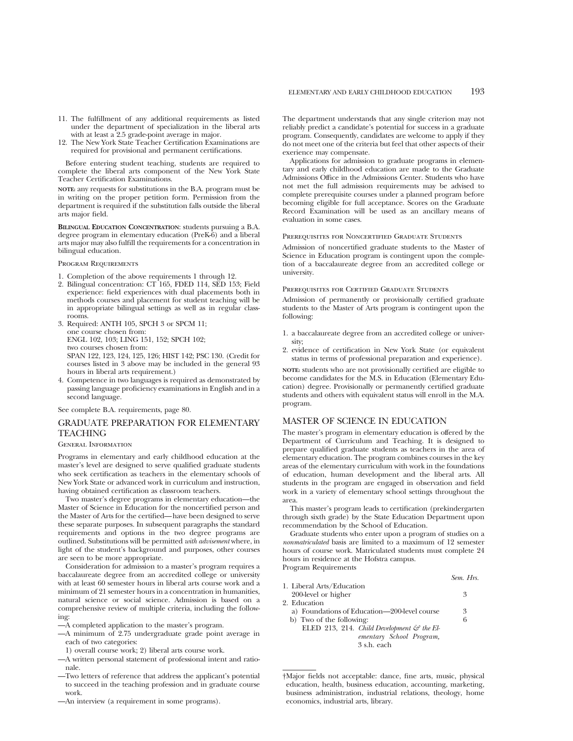- 11. The fulfillment of any additional requirements as listed under the department of specialization in the liberal arts with at least a 2.5 grade-point average in major.
- 12. The New York State Teacher Certification Examinations are required for provisional and permanent certifications.

Before entering student teaching, students are required to complete the liberal arts component of the New York State Teacher Certification Examinations.

**NOTE:** any requests for substitutions in the B.A. program must be in writing on the proper petition form. Permission from the department is required if the substitution falls outside the liberal arts major field.

**BILINGUAL EDUCATION CONCENTRATION**: students pursuing a B.A. degree program in elementary education (PreK-6) and a liberal arts major may also fulfill the requirements for a concentration in bilingual education.

Program Requirements

- 1. Completion of the above requirements 1 through 12.
- 2. Bilingual concentration: CT 165, FDED 114, SED 153; Field experience: field experiences with dual placements both in methods courses and placement for student teaching will be in appropriate bilingual settings as well as in regular classrooms.
- 3. Required: ANTH 105, SPCH 3 or SPCM 11; one course chosen from: ENGL 102, 103; LING 151, 152; SPCH 102; two courses chosen from: SPAN 122, 123, 124, 125, 126; HIST 142; PSC 130. (Credit for courses listed in 3 above may be included in the general 93
	- hours in liberal arts requirement.)
- 4. Competence in two languages is required as demonstrated by passing language proficiency examinations in English and in a second language.

See complete B.A. requirements, page 80.

## GRADUATE PREPARATION FOR ELEMENTARY TEACHING

### General Information

Programs in elementary and early childhood education at the master's level are designed to serve qualified graduate students who seek certification as teachers in the elementary schools of New York State or advanced work in curriculum and instruction, having obtained certification as classroom teachers.

Two master's degree programs in elementary education—the Master of Science in Education for the noncertified person and the Master of Arts for the certified—have been designed to serve these separate purposes. In subsequent paragraphs the standard requirements and options in the two degree programs are outlined. Substitutions will be permitted *with advisement* where, in light of the student's background and purposes, other courses are seen to be more appropriate.

Consideration for admission to a master's program requires a baccalaureate degree from an accredited college or university with at least 60 semester hours in liberal arts course work and a minimum of 21 semester hours in a concentration in humanities, natural science or social science. Admission is based on a comprehensive review of multiple criteria, including the following:

- —A completed application to the master's program.
- —A minimum of 2.75 undergraduate grade point average in each of two categories:
	- 1) overall course work; 2) liberal arts course work.
- —A written personal statement of professional intent and rationale.
- —Two letters of reference that address the applicant's potential to succeed in the teaching profession and in graduate course work.
- —An interview (a requirement in some programs).

The department understands that any single criterion may not reliably predict a candidate's potential for success in a graduate program. Consequently, candidates are welcome to apply if they do not meet one of the criteria but feel that other aspects of their exerience may compensate.

Applications for admission to graduate programs in elementary and early childhood education are made to the Graduate Admissions Office in the Admissions Center. Students who have not met the full admission requirements may be advised to complete prerequisite courses under a planned program before becoming eligible for full acceptance. Scores on the Graduate Record Examination will be used as an ancillary means of evaluation in some cases.

### Prerequisites for Noncertified Graduate Students

Admission of noncertified graduate students to the Master of Science in Education program is contingent upon the completion of a baccalaureate degree from an accredited college or university.

#### PREREQUISITES FOR CERTIFIED GRADUATE STUDENTS

Admission of permanently or provisionally certified graduate students to the Master of Arts program is contingent upon the following:

- 1. a baccalaureate degree from an accredited college or university;
- 2. evidence of certification in New York State (or equivalent status in terms of professional preparation and experience).

**NOTE:** students who are not provisionally certified are eligible to become candidates for the M.S. in Education (Elementary Education) degree. Provisionally or permanently certified graduate students and others with equivalent status will enroll in the M.A. program.

## MASTER OF SCIENCE IN EDUCATION

The master's program in elementary education is offered by the Department of Curriculum and Teaching. It is designed to prepare qualified graduate students as teachers in the area of elementary education. The program combines courses in the key areas of the elementary curriculum with work in the foundations of education, human development and the liberal arts. All students in the program are engaged in observation and field work in a variety of elementary school settings throughout the area.

This master's program leads to certification (prekindergarten through sixth grade) by the State Education Department upon recommendation by the School of Education.

Graduate students who enter upon a program of studies on a *nonmatriculated* basis are limited to a maximum of 12 semester hours of course work. Matriculated students must complete 24 hours in residence at the Hofstra campus. Program Requirements

|                           | Sem. Hrs.                   |
|---------------------------|-----------------------------|
| 1. Liberal Arts/Education |                             |
| 200-level or higher       | $\mathcal{R}_{\mathcal{A}}$ |

2. Education

- a) Foundations of Education—200-level course 3
- b) Two of the following: 6
	- ELED 213, 214. *Child Development*  $\mathcal{C}$  the El*ementary School Program,*

3 s.h. each

<sup>†</sup>Major fields not acceptable: dance, fine arts, music, physical education, health, business education, accounting, marketing, business administration, industrial relations, theology, home economics, industrial arts, library.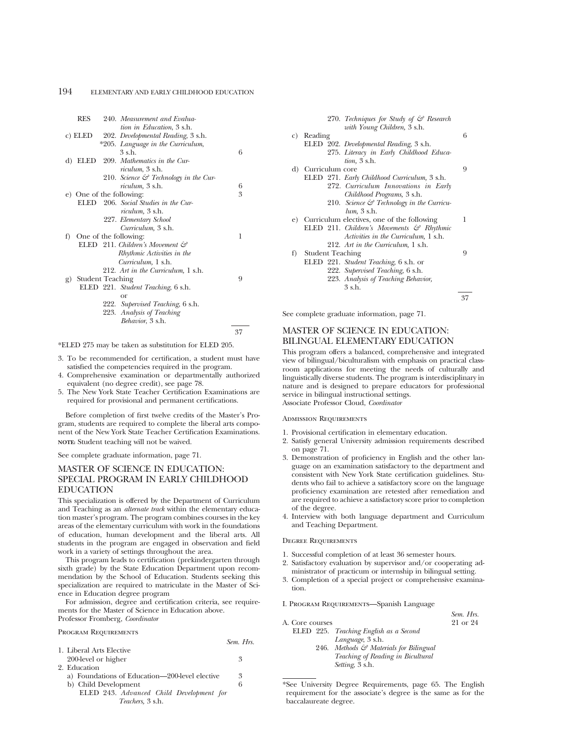|    | <b>RES</b>              | 240. Measurement and Evalua-                      |    |
|----|-------------------------|---------------------------------------------------|----|
|    |                         | tion in Education, 3 s.h.                         |    |
|    | c) ELED                 | 202. Developmental Reading, 3 s.h.                |    |
|    |                         | *205. Language in the Curriculum,                 |    |
|    |                         | $3$ s h                                           | 6  |
| d) | ELED                    | 209. Mathematics in the Cur-                      |    |
|    |                         | <i>riculum</i> , 3 s.h.                           |    |
|    |                         | 210. Science $\mathcal{C}$ Technology in the Cur- |    |
|    |                         | <i>riculum</i> , 3 s.h.                           | 6  |
|    |                         | e) One of the following:                          | 3  |
|    |                         | ELED 206. Social Studies in the Cur-              |    |
|    |                         | <i>riculum</i> , 3 s.h.                           |    |
|    |                         | 227. Elementary School                            |    |
|    |                         | Curriculum, 3 s.h.                                |    |
| f) |                         | One of the following:                             | 1  |
|    |                         | ELED 211. Children's Movement &                   |    |
|    |                         | Rhythmic Activities in the                        |    |
|    |                         | Curriculum, 1 s.h.                                |    |
|    |                         | 212. Art in the Curriculum, 1 s.h.                |    |
| g) | <b>Student Teaching</b> |                                                   | 9  |
|    |                         | ELED 221. Student Teaching, 6 s.h.                |    |
|    |                         | or                                                |    |
|    |                         | 222. Supervised Teaching, 6 s.h.                  |    |
|    |                         | 223. Analysis of Teaching                         |    |
|    |                         | Behavior, 3 s.h.                                  |    |
|    |                         |                                                   | 37 |

\*ELED 275 may be taken as substitution for ELED 205.

- 3. To be recommended for certification, a student must have satisfied the competencies required in the program.
- 4. Comprehensive examination or departmentally authorized equivalent (no degree credit), see page 78.
- 5. The New York State Teacher Certification Examinations are required for provisional and permanent certifications.

Before completion of first twelve credits of the Master's Program, students are required to complete the liberal arts component of the New York State Teacher Certification Examinations. **NOTE:** Student teaching will not be waived.

See complete graduate information, page 71.

## MASTER OF SCIENCE IN EDUCATION: SPECIAL PROGRAM IN EARLY CHILDHOOD EDUCATION

This specialization is offered by the Department of Curriculum and Teaching as an *alternate track* within the elementary education master's program. The program combines courses in the key areas of the elementary curriculum with work in the foundations of education, human development and the liberal arts. All students in the program are engaged in observation and field work in a variety of settings throughout the area.

This program leads to certification (prekindergarten through sixth grade) by the State Education Department upon recommendation by the School of Education. Students seeking this specialization are required to matriculate in the Master of Science in Education degree program

For admission, degree and certification criteria, see requirements for the Master of Science in Education above. Professor Fromberg, *Coordinator*

Program Requirements

|                                                | Sem. Hrs. |
|------------------------------------------------|-----------|
| 1. Liberal Arts Elective                       |           |
| 200-level or higher                            | 3         |
| 2. Education                                   |           |
| a) Foundations of Education—200-level elective | 3         |
| b) Child Development                           | 6         |
| ELED 243. Advanced Child Development for       |           |
| Teachers, 3 s.h.                               |           |
|                                                |           |

|    |                         | 270. Techniques for Study of $\mathcal{F}$ Research   |    |
|----|-------------------------|-------------------------------------------------------|----|
|    |                         | with Young Children, 3 s.h.                           |    |
| C) | Reading                 |                                                       | 6  |
|    |                         | ELED 202. Developmental Reading, 3 s.h.               |    |
|    |                         | 275. Literacy in Early Childhood Educa-               |    |
|    |                         | tion, 3 s.h.                                          |    |
|    | d) Curriculum core      |                                                       | 9  |
|    |                         | ELED 271. Early Childhood Curriculum, 3 s.h.          |    |
|    |                         | 272. Curriculum Innovations in Early                  |    |
|    |                         | Childhood Programs, 3 s.h.                            |    |
|    |                         | 210. Science $\mathcal{E}$ Technology in the Curricu- |    |
|    |                         | $lum, 3$ s.h.                                         |    |
|    |                         | e) Curriculum electives, one of the following         | 1  |
|    |                         | ELED 211. Children's Movements $\mathcal{C}$ Rhythmic |    |
|    |                         | Activities in the Curriculum, 1 s.h.                  |    |
|    |                         | 212. Art in the Curriculum, 1 s.h.                    |    |
| f) | <b>Student Teaching</b> |                                                       | 9  |
|    |                         | ELED 221. Student Teaching, 6 s.h. or                 |    |
|    |                         | 222. Supervised Teaching, 6 s.h.                      |    |
|    |                         | 223. Analysis of Teaching Behavior,                   |    |
|    |                         | $3$ s.h.                                              |    |
|    |                         |                                                       | 37 |
|    |                         |                                                       |    |

See complete graduate information, page 71.

## MASTER OF SCIENCE IN EDUCATION: BILINGUAL ELEMENTARY EDUCATION

This program offers a balanced, comprehensive and integrated view of bilingual/biculturalism with emphasis on practical classroom applications for meeting the needs of culturally and linguistically diverse students. The program is interdisciplinary in nature and is designed to prepare educators for professional service in bilingual instructional settings. Associate Professor Cloud, *Coordinator*

Admission Requirements

- 1. Provisional certification in elementary education.
- 2. Satisfy general University admission requirements described on page 71.
- 3. Demonstration of proficiency in English and the other language on an examination satisfactory to the department and consistent with New York State certification guidelines. Students who fail to achieve a satisfactory score on the language proficiency examination are retested after remediation and are required to achieve a satisfactory score prior to completion of the degree.
- 4. Interview with both language department and Curriculum and Teaching Department.

### Degree Requirements

- 1. Successful completion of at least 36 semester hours.
- 2. Satisfactory evaluation by supervisor and/or cooperating administrator of practicum or internship in bilingual setting.
- 3. Completion of a special project or comprehensive examination.

*Sem. Hrs.*

I. Program Requirements—Spanish Language

| A. Core courses |                                        | 21 or 24 |
|-----------------|----------------------------------------|----------|
|                 | ELED 225. Teaching English as a Second |          |
|                 | Language, 3 s.h.                       |          |
|                 | 246. Methods & Materials for Bilingual |          |
|                 | Teaching of Reading in Bicultural      |          |
|                 | Setting, 3 s.h.                        |          |

\*See University Degree Requirements, page 65. The English requirement for the associate's degree is the same as for the baccalaureate degree.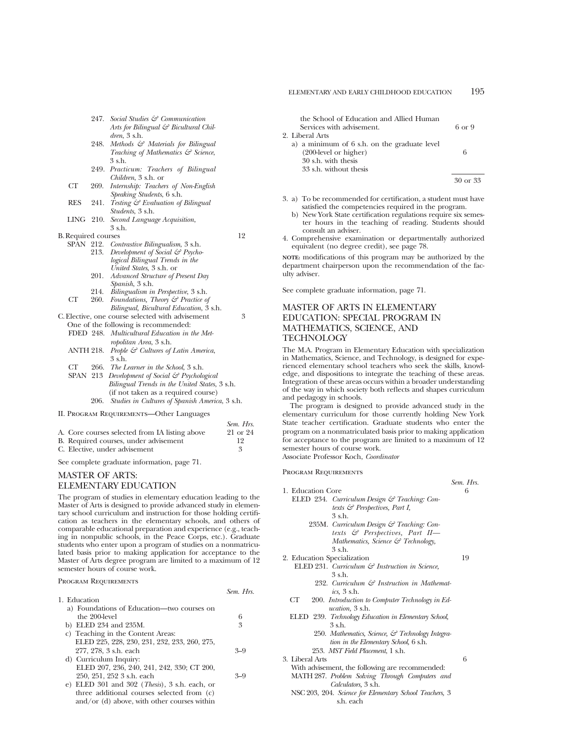| 247. Social Studies & Communication   |
|---------------------------------------|
| Arts for Bilingual & Bicultural Chil- |
| $dren$ , $3 \,$ s.h.                  |

- 248. *Methods & Materials for Bilingual Teaching of Mathematics & Science*, 3 s.h.
- 249. *Practicum: Teachers of Bilingual Children*, 3 s.h. or
- CT 269. *Internship: Teachers of Non-English Speaking Students*, 6 s.h.
- RES 241. *Testing & Evaluation of Bilingual Students*, 3 s.h.
- LING 210. *Second Language Acquisition*, 3 s.h.

| <b>B.</b> Required courses |                                                  | 12 |
|----------------------------|--------------------------------------------------|----|
|                            | SPAN 212. Contrastive Bilingualism, 3 s.h.       |    |
|                            | 213. Development of Social & Psycho-             |    |
|                            | logical Bilingual Trends in the                  |    |
|                            | United States, 3 s.h. or                         |    |
|                            | 201. Advanced Structure of Present Day           |    |
|                            | Spanish, 3 s.h.                                  |    |
|                            | 214. Bilingualism in Perspective, 3 s.h.         |    |
| CT                         | 260. Foundations, Theory & Practice of           |    |
|                            | Bilingual, Bicultural Education, 3 s.h.          |    |
|                            | C. Elective, one course selected with advisement | 3  |

- One of the following is recommended:
- FDED 248. *Multicultural Education in the Met*
	- *ropolitan Area*, 3 s.h. ANTH 218. *People & Cultures of Latin America*, 3 s.h.
	- CT 266. *The Learner in the School*, 3 s.h.
	- SPAN 213 *Development of Social & Psychological Bilingual Trends in the United States*, 3 s.h. (if not taken as a required course) 206. *Studies in Cultures of Spanish America*, 3 s.h.
- II. Program Requirements—Other Languages

|                                                | Sem. Hrs.                   |
|------------------------------------------------|-----------------------------|
| A. Core courses selected from IA listing above | 21 or 24                    |
| B. Required courses, under advisement          | 19                          |
| C. Elective, under advisement                  | $\mathcal{R}_{\mathcal{A}}$ |

See complete graduate information, page 71.

## MASTER OF ARTS: ELEMENTARY EDUCATION

The program of studies in elementary education leading to the Master of Arts is designed to provide advanced study in elementary school curriculum and instruction for those holding certification as teachers in the elementary schools, and others of comparable educational preparation and experience (e.g., teaching in nonpublic schools, in the Peace Corps, etc.). Graduate students who enter upon a program of studies on a nonmatriculated basis prior to making application for acceptance to the Master of Arts degree program are limited to a maximum of 12 semester hours of course work.

### Program Requirements

|                                                                  | Sem. Hrs. |
|------------------------------------------------------------------|-----------|
| 1. Education                                                     |           |
| a) Foundations of Education—two courses on                       |           |
| the 200-level                                                    | 6         |
| b) ELED 234 and 235M.                                            | 3         |
| c) Teaching in the Content Areas:                                |           |
| ELED 225, 228, 230, 231, 232, 233, 260, 275,                     |           |
| 277, 278, 3 s.h. each                                            | $3 - 9$   |
| d) Curriculum Inquiry:                                           |           |
| ELED 207, 236, 240, 241, 242, 330; CT 200,                       |           |
| 250, 251, 252 3 s.h. each                                        | $3 - 9$   |
| e) ELED 301 and 302 ( <i>Thesis</i> ), $3 \text{ s.h.}$ each, or |           |
| three additional courses selected from (c)                       |           |

and/or (d) above, with other courses within

| the School of Education and Allied Human<br>Services with advisement. | 6 or 9 |
|-----------------------------------------------------------------------|--------|
| 2. Liberal Arts                                                       |        |
| a) a minimum of 6 s.h. on the graduate level                          |        |
| $(200$ -level or higher)                                              |        |
| 30 s.h. with thesis                                                   |        |
| 33 s.h. without thesis                                                |        |

30 or 33

*Sem. Hrs.*

- 3. a) To be recommended for certification, a student must have satisfied the competencies required in the program.
	- b) New York State certification regulations require six semester hours in the teaching of reading. Students should consult an adviser.
- 4. Comprehensive examination or departmentally authorized equivalent (no degree credit), see page 78.

**NOTE:** modifications of this program may be authorized by the department chairperson upon the recommendation of the faculty adviser.

See complete graduate information, page 71.

## MASTER OF ARTS IN ELEMENTARY EDUCATION: SPECIAL PROGRAM IN MATHEMATICS, SCIENCE, AND **TECHNOLOGY**

The M.A. Program in Elementary Education with specialization in Mathematics, Science, and Technology, is designed for experienced elementary school teachers who seek the skills, knowledge, and dispositions to integrate the teaching of these areas. Integration of these areas occurs within a broader understanding of the way in which society both reflects and shapes curriculum and pedagogy in schools.

The program is designed to provide advanced study in the elementary curriculum for those currently holding New York State teacher certification. Graduate students who enter the program on a nonmatriculated basis prior to making application for acceptance to the program are limited to a maximum of 12 semester hours of course work.

Associate Professor Koch, *Coordinator*

Program Requirements

| 1. Education Core                                                  | 6  |
|--------------------------------------------------------------------|----|
| ELED 234. Curriculum Design & Teaching: Con-                       |    |
| texts $\mathcal G$ Perspectives, Part I,                           |    |
| $3$ s h                                                            |    |
| 235M. Curriculum Design & Teaching: Con-                           |    |
| texts & Perspectives, Part II—                                     |    |
| Mathematics, Science $\mathcal{C}$ Technology,                     |    |
| 3 s.h.                                                             |    |
| 2. Education Specialization                                        | 19 |
| ELED 231. Curriculum $\mathcal G$ Instruction in Science,          |    |
| $3$ s.h.                                                           |    |
| 232. Curriculum & Instruction in Mathemat-                         |    |
| $i\text{cs}$ , 3 s.h.                                              |    |
| CT <sup>-</sup><br>200. Introduction to Computer Technology in Ed- |    |
| <i>ucation</i> , 3 s.h.                                            |    |
| ELED 239. Technology Education in Elementary School,               |    |
| $3$ s.h.                                                           |    |
| 250. Mathematics, Science, & Technology Integra-                   |    |
| tion in the Elementary School, 6 s.h.                              |    |
| 253. MST Field Placement, 1 s.h.                                   |    |
| 3. Liberal Arts                                                    | 6  |
| With advisement, the following are recommended:                    |    |
| MATH 287. Problem Solving Through Computers and                    |    |
| Calculators, 3 s.h.                                                |    |
| NSC 203, 204. Science for Elementary School Teachers, 3            |    |

s.h. each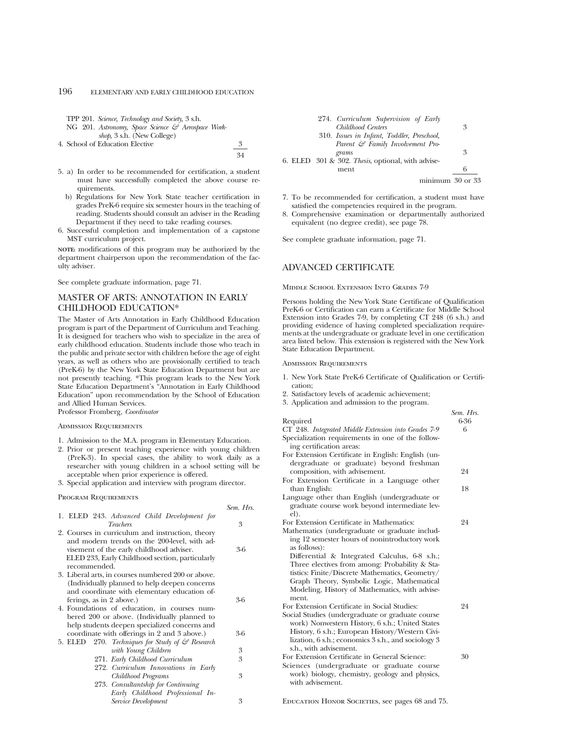| TPP 201. Science, Technology and Society, 3 s.h.   |    |
|----------------------------------------------------|----|
| NG 201. Astronomy, Space Science & Aerospace Work- |    |
| <i>shop</i> , 3 s.h. (New College)                 |    |
| 4. School of Education Elective                    |    |
|                                                    | 34 |

- 5. a) In order to be recommended for certification, a student must have successfully completed the above course requirements.
	- b) Regulations for New York State teacher certification in grades PreK-6 require six semester hours in the teaching of reading. Students should consult an adviser in the Reading Department if they need to take reading courses.
- 6. Successful completion and implementation of a capstone MST curriculum project.

**NOTE:** modifications of this program may be authorized by the department chairperson upon the recommendation of the faculty adviser.

See complete graduate information, page 71.

## MASTER OF ARTS: ANNOTATION IN EARLY CHILDHOOD EDUCATION\*

The Master of Arts Annotation in Early Childhood Education program is part of the Department of Curriculum and Teaching. It is designed for teachers who wish to specialize in the area of early childhood education. Students include those who teach in the public and private sector with children before the age of eight years, as well as others who are provisionally certified to teach (PreK-6) by the New York State Education Department but are not presently teaching. \*This program leads to the New York State Education Department's "Annotation in Early Childhood Education" upon recommendation by the School of Education and Allied Human Services.

Professor Fromberg, *Coordinator*

### Admission Requirements

- 1. Admission to the M.A. program in Elementary Education.
- 2. Prior or present teaching experience with young children (PreK-3). In special cases, the ability to work daily as a researcher with young children in a school setting will be acceptable when prior experience is offered.
- 3. Special application and interview with program director.

Program Requirements

|                                                                                                                                                                                                                                                                                                                                  | Sem. Hrs. |
|----------------------------------------------------------------------------------------------------------------------------------------------------------------------------------------------------------------------------------------------------------------------------------------------------------------------------------|-----------|
| 1. ELED 243. Advanced Child Development for<br><i>Teachers</i>                                                                                                                                                                                                                                                                   | 3         |
| 2. Courses in curriculum and instruction, theory<br>and modern trends on the 200-level, with ad-<br>visement of the early childhood adviser.<br>ELED 233, Early Childhood section, particularly<br>recommended.                                                                                                                  | 3-6       |
| 3. Liberal arts, in courses numbered 200 or above.<br>(Individually planned to help deepen concerns<br>and coordinate with elementary education of-<br>ferings, as in 2 above.)<br>4. Foundations of education, in courses num-<br>bered 200 or above. (Individually planned to<br>help students deepen specialized concerns and | 3-6       |
| coordinate with offerings in 2 and 3 above.)<br>5. ELED 270. Techniques for Study of & Research                                                                                                                                                                                                                                  | 3-6       |
| with Young Children                                                                                                                                                                                                                                                                                                              | 3         |
| 271. Early Childhood Curriculum<br>272. Curriculum Innovations in Early                                                                                                                                                                                                                                                          | 3         |
| Childhood Programs<br>273. Consultantship for Continuing<br>Early Childhood Professional In-                                                                                                                                                                                                                                     | 3         |
| Service Development                                                                                                                                                                                                                                                                                                              | 3         |

| 274. Curriculum Supervision of Early              |   |
|---------------------------------------------------|---|
| Childhood Centers                                 | 3 |
| 310. Issues in Infant, Toddler, Preschool,        |   |
| Parent & Family Involvement Pro-                  |   |
| grams                                             | 3 |
| 6. ELED 301 & 302. Thesis, optional, with advise- |   |
| ment                                              | 6 |
| minimum <sub>30</sub> or 33                       |   |

- 7. To be recommended for certification, a student must have satisfied the competencies required in the program.
- 8. Comprehensive examination or departmentally authorized equivalent (no degree credit), see page 78.

See complete graduate information, page 71.

## ADVANCED CERTIFICATE

Middle School Extension Into Grades 7-9

Persons holding the New York State Certificate of Qualification PreK-6 or Certification can earn a Certificate for Middle School Extension into Grades 7-9, by completing CT 248 (6 s.h.) and providing evidence of having completed specialization requirements at the undergraduate or graduate level in one certification area listed below. This extension is registered with the New York State Education Department.

Admission Requirements

- 1. New York State PreK-6 Certificate of Qualification or Certification;
- 2. Satisfactory levels of academic achievement;
- 3. Application and admission to the program.

|                                                                    | Sem. Hrs. |
|--------------------------------------------------------------------|-----------|
| Required                                                           | 6-36      |
| CT 248. Integrated Middle Extension into Grades 7-9                | 6         |
| Specialization requirements in one of the follow-                  |           |
| ing certification areas:                                           |           |
| For Extension Certificate in English: English (un-                 |           |
| dergraduate or graduate) beyond freshman                           |           |
| composition, with advisement.                                      | 24        |
| For Extension Certificate in a Language other                      |           |
| than English:                                                      | 18        |
| Language other than English (undergraduate or                      |           |
| graduate course work beyond intermediate lev-                      |           |
| el).                                                               |           |
| For Extension Certificate in Mathematics:                          | 24        |
| Mathematics (undergraduate or graduate includ-                     |           |
| ing 12 semester hours of nonintroductory work                      |           |
| as follows):                                                       |           |
| Differential & Integrated Calculus, 6-8 s.h.;                      |           |
| Three electives from among: Probability & Sta-                     |           |
| tistics: Finite/Discrete Mathematics, Geometry/                    |           |
| Graph Theory, Symbolic Logic, Mathematical                         |           |
| Modeling, History of Mathematics, with advise-                     |           |
| ment.                                                              |           |
| For Extension Certificate in Social Studies:                       | 24        |
| Social Studies (undergraduate or graduate course                   |           |
| work) Nonwestern History, 6 s.h.; United States                    |           |
| History, 6 s.h.; European History/Western Civi-                    |           |
| lization, 6 s.h.; economics 3 s.h., and sociology 3                |           |
| s.h., with advisement.                                             |           |
| For Extension Certificate in General Science:                      | 30        |
| Sciences (undergraduate or graduate course                         |           |
| work) biology, chemistry, geology and physics,<br>with advisement. |           |
|                                                                    |           |
|                                                                    |           |
| EDUCATION HONOR SOCIETIES, see pages 68 and 75.                    |           |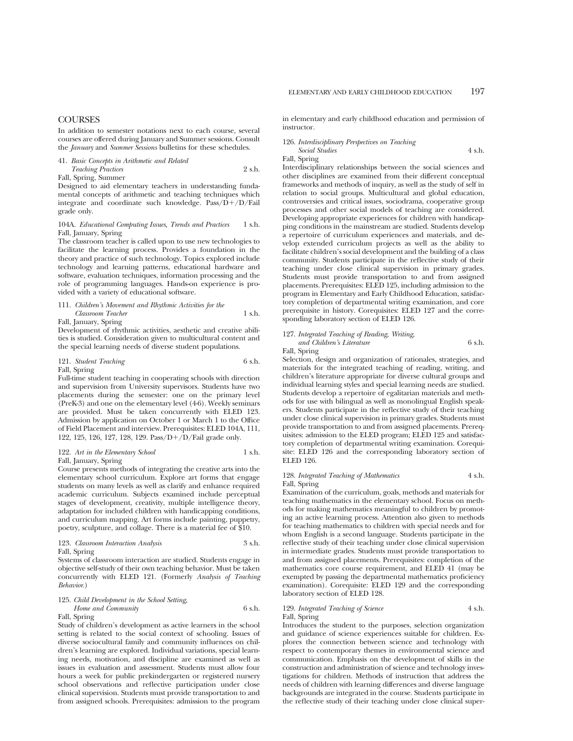## **COURSES**

In addition to semester notations next to each course, several courses are offered during January and Summer sessions. Consult the *January* and *Summer Sessions* bulletins for these schedules.

### 41. *Basic Concepts in Arithmetic and Related Teaching Practices* 2 s.h. Fall, Spring, Summer

Designed to aid elementary teachers in understanding fundamental concepts of arithmetic and teaching techniques which integrate and coordinate such knowledge. Pass/ $\vec{D} + \vec{D}$ /Fail grade only.

### 104A. *Educational Computing Issues, Trends and Practices* 1 s.h. Fall, January, Spring

The classroom teacher is called upon to use new technologies to facilitate the learning process. Provides a foundation in the theory and practice of such technology. Topics explored include technology and learning patterns, educational hardware and software, evaluation techniques, information processing and the role of programming languages. Hands-on experience is provided with a variety of educational software.

### 111. *Children's Movement and Rhythmic Activities for the Classroom Teacher* 1 s.h. Fall, January, Spring

Development of rhythmic activities, aesthetic and creative abilities is studied. Consideration given to multicultural content and the special learning needs of diverse student populations.

121. *Student Teaching* 6 s.h.

Fall, Spring

Full-time student teaching in cooperating schools with direction and supervision from University supervisors. Students have two placements during the semester: one on the primary level (PreK-3) and one on the elementary level (4-6). Weekly seminars are provided. Must be taken concurrently with ELED 123. Admission by application on October 1 or March 1 to the Office of Field Placement and interview. Prerequisites: ELED 104A, 111, 122, 125, 126, 127, 128, 129. Pass/ $D + \overline{D}$ /Fail grade only.

### 122. Art in the Elementary School 1 s.h. Fall, January, Spring

Course presents methods of integrating the creative arts into the elementary school curriculum. Explore art forms that engage students on many levels as well as clarify and enhance required academic curriculum. Subjects examined include perceptual stages of development, creativity, multiple intelligence theory, adaptation for included children with handicapping conditions, and curriculum mapping. Art forms include painting, puppetry, poetry, sculpture, and collage. There is a material fee of \$10.

123. *Classroom Interaction Analysis* 3 s.h. Fall, Spring

Systems of classroom interaction are studied. Students engage in objective self-study of their own teaching behavior. Must be taken concurrently with ELED 121. (Formerly *Analysis of Teaching Behavior*.)

### 125. *Child Development in the School Setting,*

### *Home and Community* 6 s.h. Fall, Spring

Study of children's development as active learners in the school setting is related to the social context of schooling. Issues of diverse sociocultural family and community influences on children's learning are explored. Individual variations, special learning needs, motivation, and discipline are examined as well as issues in evaluation and assessment. Students must allow four hours a week for public prekindergarten or registered nursery school observations and reflective participation under close clinical supervision. Students must provide transportation to and from assigned schools. Prerequisites: admission to the program in elementary and early childhood education and permission of instructor.

### 126. *Interdisciplinary Perspectives on Teaching Social Studies* 4 s.h.

Fall, Spring

Interdisciplinary relationships between the social sciences and other disciplines are examined from their different conceptual frameworks and methods of inquiry, as well as the study of self in relation to social groups. Multicultural and global education, controversies and critical issues, sociodrama, cooperative group processes and other social models of teaching are considered. Developing appropriate experiences for children with handicapping conditions in the mainstream are studied. Students develop a repertoire of curriculum experiences and materials, and develop extended curriculum projects as well as the ability to facilitate children's social development and the building of a class community. Students participate in the reflective study of their teaching under close clinical supervision in primary grades. Students must provide transportation to and from assigned placements. Prerequisites: ELED 125, including admission to the program in Elementary and Early Childhood Education, satisfactory completion of departmental writing examination, and core prerequisite in history. Corequisites: ELED 127 and the corresponding laboratory section of ELED 126.

### 127. *Integrated Teaching of Reading, Writing, and Children's Literature* 6 s.h.

Fall, Spring

Selection, design and organization of rationales, strategies, and materials for the integrated teaching of reading, writing, and children's literature appropriate for diverse cultural groups and individual learning styles and special learning needs are studied. Students develop a repertoire of egalitarian materials and methods for use with bilingual as well as monolingual English speakers. Students participate in the reflective study of their teaching under close clinical supervision in primary grades. Students must provide transportation to and from assigned placements. Prerequisites: admission to the ELED program; ELED 125 and satisfactory completion of departmental writing examination. Corequisite: ELED 126 and the corresponding laboratory section of ELED 126.

### 128. *Integrated Teaching of Mathematics* 4 s.h. Fall, Spring

Examination of the curriculum, goals, methods and materials for teaching mathematics in the elementary school. Focus on methods for making mathematics meaningful to children by promoting an active learning process. Attention also given to methods for teaching mathematics to children with special needs and for whom English is a second language. Students participate in the reflective study of their teaching under close clinical supervision in intermediate grades. Students must provide transportation to and from assigned placements. Prerequisites: completion of the mathematics core course requirement, and ELED 41 (may be exempted by passing the departmental mathematics proficiency examination). Corequisite: ELED 129 and the corresponding laboratory section of ELED 128.

### 129. *Integrated Teaching of Science* 4 s.h. Fall, Spring

Introduces the student to the purposes, selection organization and guidance of science experiences suitable for children. Explores the connection between science and technology with respect to contemporary themes in environmental science and communication. Emphasis on the development of skills in the construction and administration of science and technology investigations for children. Methods of instruction that address the needs of children with learning differences and diverse language backgrounds are integrated in the course. Students participate in the reflective study of their teaching under close clinical super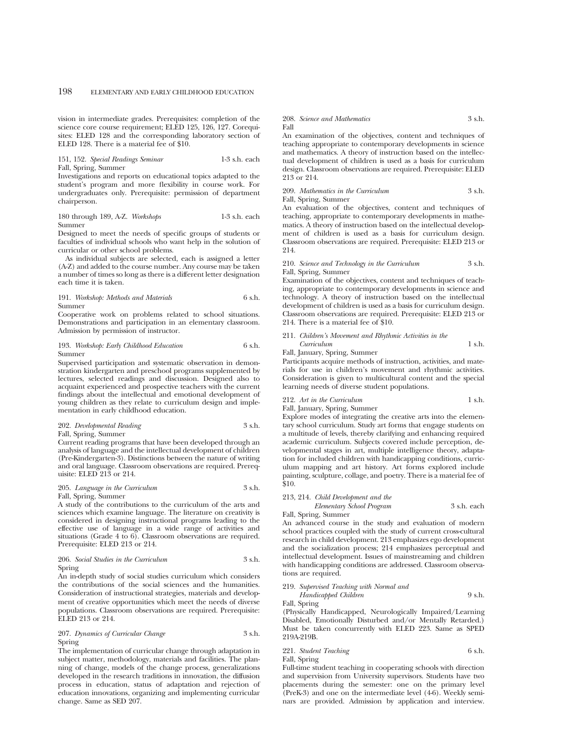vision in intermediate grades. Prerequisites: completion of the science core course requirement; ELED 125, 126, 127. Corequisites: ELED 128 and the corresponding laboratory section of ELED 128. There is a material fee of \$10.

151, 152. *Special Readings Seminar* 1-3 s.h. each Fall, Spring, Summer

Investigations and reports on educational topics adapted to the student's program and more flexibility in course work. For undergraduates only. Prerequisite: permission of department chairperson.

180 through 189, A-Z. *Workshops* 1-3 s.h. each Summer

Designed to meet the needs of specific groups of students or faculties of individual schools who want help in the solution of curricular or other school problems.

As individual subjects are selected, each is assigned a letter (A-Z) and added to the course number. Any course may be taken a number of times so long as there is a different letter designation each time it is taken.

191. *Workshop: Methods and Materials* 6 s.h. Summer

Cooperative work on problems related to school situations. Demonstrations and participation in an elementary classroom. Admission by permission of instructor.

### 193. *Workshop: Early Childhood Education* 6 s.h. Summer

Supervised participation and systematic observation in demonstration kindergarten and preschool programs supplemented by lectures, selected readings and discussion. Designed also to acquaint experienced and prospective teachers with the current findings about the intellectual and emotional development of young children as they relate to curriculum design and implementation in early childhood education.

### 202. *Developmental Reading* 3 s.h. Fall, Spring, Summer

Current reading programs that have been developed through an analysis of language and the intellectual development of children (Pre-Kindergarten-3). Distinctions between the nature of writing and oral language. Classroom observations are required. Prerequisite: ELED 213 or 214.

### 205. *Language in the Curriculum* 3 s.h. Fall, Spring, Summer

A study of the contributions to the curriculum of the arts and sciences which examine language. The literature on creativity is considered in designing instructional programs leading to the effective use of language in a wide range of activities and situations (Grade 4 to 6). Classroom observations are required. Prerequisite: ELED 213 or 214.

### 206. *Social Studies in the Curriculum* 3 s.h. Spring

An in-depth study of social studies curriculum which considers the contributions of the social sciences and the humanities. Consideration of instructional strategies, materials and development of creative opportunities which meet the needs of diverse populations. Classroom observations are required. Prerequisite: ELED 213 or 214.

### 207. *Dynamics of Curricular Change* 3 s.h. Spring

The implementation of curricular change through adaptation in subject matter, methodology, materials and facilities. The planning of change, models of the change process, generalizations developed in the research traditions in innovation, the diffusion process in education, status of adaptation and rejection of education innovations, organizing and implementing curricular change. Same as SED 207.

#### 208. *Science and Mathematics* 3 s.h. Fall

An examination of the objectives, content and techniques of teaching appropriate to contemporary developments in science and mathematics. A theory of instruction based on the intellectual development of children is used as a basis for curriculum design. Classroom observations are required. Prerequisite: ELED 213 or 214.

209. Mathematics in the Curriculum 3 s.h. Fall, Spring, Summer

An evaluation of the objectives, content and techniques of teaching, appropriate to contemporary developments in mathematics. A theory of instruction based on the intellectual development of children is used as a basis for curriculum design. Classroom observations are required. Prerequisite: ELED 213 or 214.

### 210. *Science and Technology in the Curriculum* 3 s.h. Fall, Spring, Summer

Examination of the objectives, content and techniques of teaching, appropriate to contemporary developments in science and technology. A theory of instruction based on the intellectual development of children is used as a basis for curriculum design. Classroom observations are required. Prerequisite: ELED 213 or 214. There is a material fee of \$10.

211. *Children's Movement and Rhythmic Activities in the Curriculum* 1 s.h.

### Fall, January, Spring, Summer

Participants acquire methods of instruction, activities, and materials for use in children's movement and rhythmic activities. Consideration is given to multicultural content and the special learning needs of diverse student populations.

## 212. Art in the Curriculum 1 s.h.

Fall, January, Spring, Summer

Explore modes of integrating the creative arts into the elementary school curriculum. Study art forms that engage students on a multitude of levels, thereby clarifying and enhancing required academic curriculum. Subjects covered include perception, developmental stages in art, multiple intelligence theory, adaptation for included children with handicapping conditions, curriculum mapping and art history. Art forms explored include painting, sculpture, collage, and poetry. There is a material fee of \$10.

## 213, 214. *Child Development and the Elementary School Program* 3 s.h. each

Fall, Spring, Summer

An advanced course in the study and evaluation of modern school practices coupled with the study of current cross-cultural research in child development. 213 emphasizes ego development and the socialization process; 214 emphasizes perceptual and intellectual development. Issues of mainstreaming and children with handicapping conditions are addressed. Classroom observations are required.

### 219. *Supervised Teaching with Normal and Handicapped Children* 9 s.h.

Fall, Spring

(Physically Handicapped, Neurologically Impaired/Learning Disabled, Emotionally Disturbed and/or Mentally Retarded.) Must be taken concurrently with ELED 223. Same as SPED 219A-219B.

## 221. *Student Teaching* 6 s.h.

Fall, Spring

Full-time student teaching in cooperating schools with direction and supervision from University supervisors. Students have two placements during the semester: one on the primary level (PreK-3) and one on the intermediate level (4-6). Weekly seminars are provided. Admission by application and interview.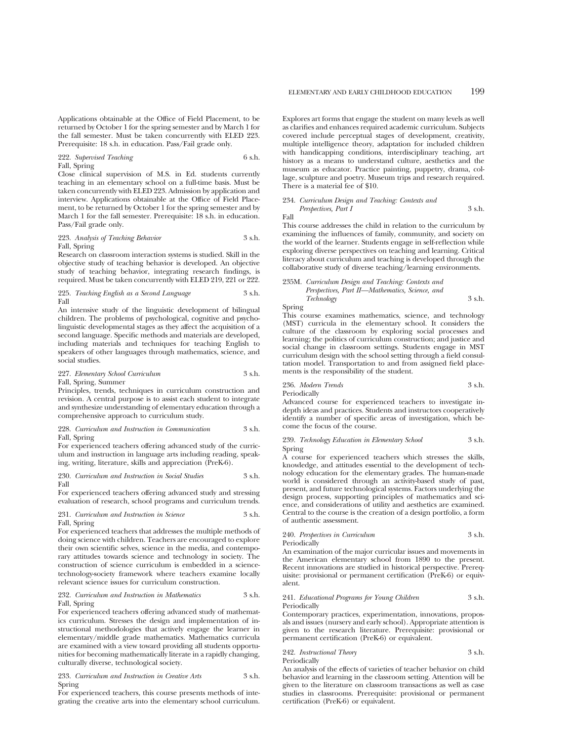Applications obtainable at the Office of Field Placement, to be returned by October 1 for the spring semester and by March 1 for the fall semester. Must be taken concurrently with ELED 223. Prerequisite: 18 s.h. in education. Pass/Fail grade only.

### 222. *Supervised Teaching* 6 s.h. Fall, Spring

Close clinical supervision of M.S. in Ed. students currently teaching in an elementary school on a full-time basis. Must be taken concurrently with ELED 223. Admission by application and interview. Applications obtainable at the Office of Field Placement, to be returned by October 1 for the spring semester and by March 1 for the fall semester. Prerequisite: 18 s.h. in education. Pass/Fail grade only.

### 223. *Analysis of Teaching Behavior* 3 s.h. Fall, Spring

Research on classroom interaction systems is studied. Skill in the objective study of teaching behavior is developed. An objective study of teaching behavior, integrating research findings, is required. Must be taken concurrently with ELED 219, 221 or 222.

### 225. *Teaching English as a Second Language* 3 s.h. Fall

An intensive study of the linguistic development of bilingual children. The problems of psychological, cognitive and psycholinguistic developmental stages as they affect the acquisition of a second language. Specific methods and materials are developed, including materials and techniques for teaching English to speakers of other languages through mathematics, science, and social studies.

### 227. *Elementary School Curriculum* 3 s.h. Fall, Spring, Summer

Principles, trends, techniques in curriculum construction and revision. A central purpose is to assist each student to integrate and synthesize understanding of elementary education through a comprehensive approach to curriculum study.

### 228. *Curriculum and Instruction in Communication* 3 s.h. Fall, Spring

For experienced teachers offering advanced study of the curriculum and instruction in language arts including reading, speaking, writing, literature, skills and appreciation (PreK-6).

230. *Curriculum and Instruction in Social Studies* 3 s.h. Fall

For experienced teachers offering advanced study and stressing evaluation of research, school programs and curriculum trends.

### 231. *Curriculum and Instruction in Science* 3 s.h. Fall, Spring

For experienced teachers that addresses the multiple methods of doing science with children. Teachers are encouraged to explore their own scientific selves, science in the media, and contemporary attitudes towards science and technology in society. The construction of science curriculum is embedded in a sciencetechnology-society framework where teachers examine locally relevant science issues for curriculum construction.

### 232. *Curriculum and Instruction in Mathematics* 3 s.h. Fall, Spring

For experienced teachers offering advanced study of mathematics curriculum. Stresses the design and implementation of instructional methodologies that actively engage the learner in elementary/middle grade mathematics. Mathematics curricula are examined with a view toward providing all students opportunities for becoming mathematically literate in a rapidly changing, culturally diverse, technological society.

### 233. *Curriculum and Instruction in Creative Arts* 3 s.h. Spring

For experienced teachers, this course presents methods of integrating the creative arts into the elementary school curriculum.

Explores art forms that engage the student on many levels as well as clarifies and enhances required academic curriculum. Subjects covered include perceptual stages of development, creativity, multiple intelligence theory, adaptation for included children with handicapping conditions, interdisciplinary teaching, art history as a means to understand culture, aesthetics and the museum as educator. Practice painting, puppetry, drama, collage, sculpture and poetry. Museum trips and research required. There is a material fee of \$10.

### 234. *Curriculum Design and Teaching: Contexts and Perspectives, Part I* 3 s.h.

Fall

This course addresses the child in relation to the curriculum by examining the influences of family, community, and society on the world of the learner. Students engage in self-reflection while exploring diverse perspectives on teaching and learning. Critical literacy about curriculum and teaching is developed through the collaborative study of diverse teaching/learning environments.

### 235M. *Curriculum Design and Teaching: Contexts and Perspectives, Part II—Mathematics, Science, and Technology* 3 s.h.

Spring

This course examines mathematics, science, and technology (MST) curricula in the elementary school. It considers the culture of the classroom by exploring social processes and learning; the politics of curriculum construction; and justice and social change in classroom settings. Students engage in MST curriculum design with the school setting through a field consultation model. Transportation to and from assigned field placements is the responsibility of the student.

236. *Modern Trends* 3 s.h. Periodically

Advanced course for experienced teachers to investigate indepth ideas and practices. Students and instructors cooperatively identify a number of specific areas of investigation, which become the focus of the course.

#### 239. *Technology Education in Elementary School* 3 s.h. Spring

A course for experienced teachers which stresses the skills, knowledge, and attitudes essential to the development of technology education for the elementary grades. The human-made world is considered through an activity-based study of past, present, and future technological systems. Factors underlying the design process, supporting principles of mathematics and science, and considerations of utility and aesthetics are examined. Central to the course is the creation of a design portfolio, a form of authentic assessment.

### 240. *Perspectives in Curriculum* 3 s.h. Periodically

An examination of the major curricular issues and movements in the American elementary school from 1890 to the present. Recent innovations are studied in historical perspective. Prerequisite: provisional or permanent certification (PreK-6) or equivalent.

### 241. *Educational Programs for Young Children* 3 s.h. Periodically

Contemporary practices, experimentation, innovations, proposals and issues (nursery and early school). Appropriate attention is given to the research literature. Prerequisite: provisional or permanent certification (PreK-6) or equivalent.

### 242. *Instructional Theory* 3 s.h. Periodically

An analysis of the effects of varieties of teacher behavior on child behavior and learning in the classroom setting. Attention will be given to the literature on classroom transactions as well as case studies in classrooms. Prerequisite: provisional or permanent certification (PreK-6) or equivalent.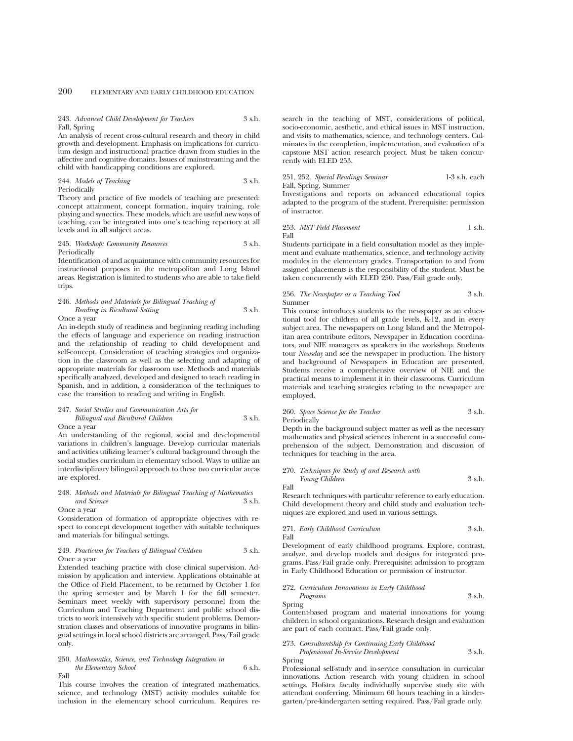### 243. *Advanced Child Development for Teachers* 3 s.h. Fall, Spring

An analysis of recent cross-cultural research and theory in child growth and development. Emphasis on implications for curriculum design and instructional practice drawn from studies in the affective and cognitive domains. Issues of mainstreaming and the child with handicapping conditions are explored.

244. *Models of Teaching* 3 s.h. Periodically

Theory and practice of five models of teaching are presented: concept attainment, concept formation, inquiry training, role playing and synectics. These models, which are useful new ways of teaching, can be integrated into one's teaching repertory at all levels and in all subject areas.

245. *Workshop: Community Resources* 3 s.h. Periodically

Identification of and acquaintance with community resources for instructional purposes in the metropolitan and Long Island areas. Registration is limited to students who are able to take field trips.

### 246. *Methods and Materials for Bilingual Teaching of Reading in Bicultural Setting* 3 s.h. Once a year

An in-depth study of readiness and beginning reading including the effects of language and experience on reading instruction and the relationship of reading to child development and self-concept. Consideration of teaching strategies and organization in the classroom as well as the selecting and adapting of appropriate materials for classroom use. Methods and materials specifically analyzed, developed and designed to teach reading in Spanish, and in addition, a consideration of the techniques to ease the transition to reading and writing in English.

### 247. *Social Studies and Communication Arts for Bilingual and Bicultural Children* 3 s.h.

Once a year

An understanding of the regional, social and developmental variations in children's language. Develop curricular materials and activities utilizing learner's cultural background through the social studies curriculum in elementary school. Ways to utilize an interdisciplinary bilingual approach to these two curricular areas are explored.

### 248. *Methods and Materials for Bilingual Teaching of Mathematics and Science* 3 s.h.

### Once a year

Consideration of formation of appropriate objectives with respect to concept development together with suitable techniques and materials for bilingual settings.

### 249. *Practicum for Teachers of Bilingual Children* 3 s.h. Once a year

Extended teaching practice with close clinical supervision. Admission by application and interview. Applications obtainable at the Office of Field Placement, to be returned by October 1 for the spring semester and by March 1 for the fall semester. Seminars meet weekly with supervisory personnel from the Curriculum and Teaching Department and public school districts to work intensively with specific student problems. Demonstration classes and observations of innovative programs in bilingual settings in local school districts are arranged. Pass/Fail grade only.

## 250. *Mathematics, Science, and Technology Integration in the Elementary School* 6 s.h.

Fall

This course involves the creation of integrated mathematics, science, and technology (MST) activity modules suitable for inclusion in the elementary school curriculum. Requires research in the teaching of MST, considerations of political, socio-economic, aesthetic, and ethical issues in MST instruction, and visits to mathematics, science, and technology centers. Culminates in the completion, implementation, and evaluation of a capstone MST action research project. Must be taken concurrently with ELED 253.

251, 252. *Special Readings Seminar* 1-3 s.h. each Fall, Spring, Summer

Investigations and reports on advanced educational topics adapted to the program of the student. Prerequisite: permission of instructor.

### 253. *MST Field Placement* 1 s.h. Fall

Students participate in a field consultation model as they implement and evaluate mathematics, science, and technology activity modules in the elementary grades. Transportation to and from assigned placements is the responsibility of the student. Must be taken concurrently with ELED 250. Pass/Fail grade only.

#### 256. *The Newspaper as a Teaching Tool* 3 s.h. Summer

This course introduces students to the newspaper as an educational tool for children of all grade levels, K-12, and in every subject area. The newspapers on Long Island and the Metropolitan area contribute editors, Newspaper in Education coordinators, and NIE managers as speakers in the workshop. Students tour *Newsday* and see the newspaper in production. The history and background of Newspapers in Education are presented. Students receive a comprehensive overview of NIE and the practical means to implement it in their classrooms. Curriculum materials and teaching strategies relating to the newspaper are employed.

### 260. *Space Science for the Teacher* 3 s.h. Periodically

Depth in the background subject matter as well as the necessary mathematics and physical sciences inherent in a successful comprehension of the subject. Demonstration and discussion of techniques for teaching in the area.

### 270. *Techniques for Study of and Research with Young Children* 3 s.h.

Fall

Research techniques with particular reference to early education. Child development theory and child study and evaluation techniques are explored and used in various settings.

### 271. *Early Childhood Curriculum* 3 s.h. Fall

Development of early childhood programs. Explore, contrast, analyze, and develop models and designs for integrated programs. Pass/Fail grade only. Prerequisite: admission to program in Early Childhood Education or permission of instructor.

### 272. *Curriculum Innovations in Early Childhood*

*Programs* 3 s.h. Spring

Content-based program and material innovations for young children in school organizations. Research design and evaluation are part of each contract. Pass/Fail grade only.

273. *Consultantship for Continuing Early Childhood Professional In-Service Development* 3 s.h. Spring

Professional self-study and in-service consultation in curricular innovations. Action research with young children in school settings. Hofstra faculty individually supervise study site with attendant conferring. Minimum 60 hours teaching in a kindergarten/pre-kindergarten setting required. Pass/Fail grade only.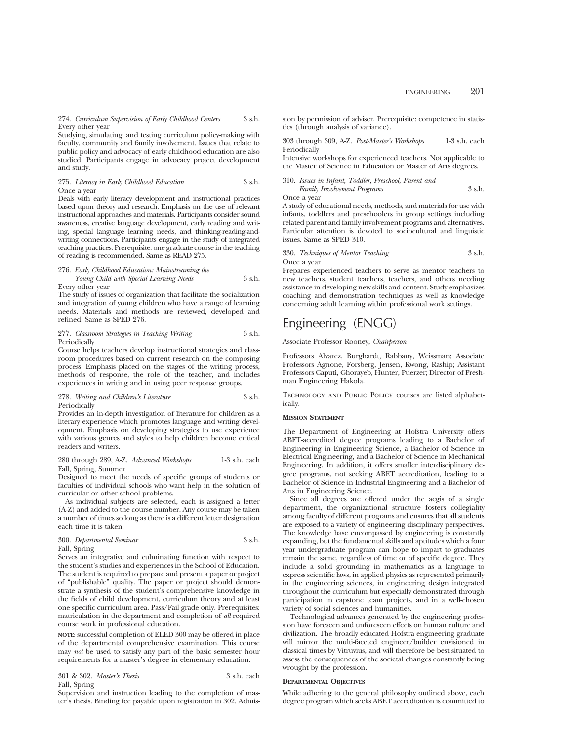### 274. *Curriculum Supervision of Early Childhood Centers* 3 s.h. Every other year

Studying, simulating, and testing curriculum policy-making with faculty, community and family involvement. Issues that relate to public policy and advocacy of early childhood education are also studied. Participants engage in advocacy project development and study.

### 275. *Literacy in Early Childhood Education* 3 s.h. Once a year

Deals with early literacy development and instructional practices based upon theory and research. Emphasis on the use of relevant instructional approaches and materials. Participants consider sound awareness, creative language development, early reading and writing, special language learning needs, and thinking-reading-andwriting connections. Participants engage in the study of integrated teaching practices. Prerequisite: one graduate course in the teaching of reading is recommended. Same as READ 275.

### 276. *Early Childhood Education: Mainstreaming the Young Child with Special Learning Needs* 3 s.h. Every other year

The study of issues of organization that facilitate the socialization and integration of young children who have a range of learning needs. Materials and methods are reviewed, developed and refined. Same as SPED 276.

### 277. *Classroom Strategies in Teaching Writing* 3 s.h. Periodically

Course helps teachers develop instructional strategies and classroom procedures based on current research on the composing process. Emphasis placed on the stages of the writing process, methods of response, the role of the teacher, and includes experiences in writing and in using peer response groups.

### 278. *Writing and Children's Literature* 3 s.h. Periodically

Provides an in-depth investigation of literature for children as a literary experience which promotes language and writing development. Emphasis on developing strategies to use experience with various genres and styles to help children become critical readers and writers.

280 through 289, A-Z. *Advanced Workshops* 1-3 s.h. each Fall, Spring, Summer

Designed to meet the needs of specific groups of students or faculties of individual schools who want help in the solution of curricular or other school problems.

As individual subjects are selected, each is assigned a letter (A-Z) and added to the course number. Any course may be taken a number of times so long as there is a different letter designation each time it is taken.

### 300. *Departmental Seminar* 3 s.h. Fall, Spring

Serves an integrative and culminating function with respect to the student's studies and experiences in the School of Education. The student is required to prepare and present a paper or project of "publishable" quality. The paper or project should demonstrate a synthesis of the student's comprehensive knowledge in the fields of child development, curriculum theory and at least one specific curriculum area. Pass/Fail grade only. Prerequisites: matriculation in the department and completion of *all* required course work in professional education.

**NOTE:** successful completion of ELED 300 may be offered in place of the departmental comprehensive examination. This course may *not* be used to satisfy any part of the basic semester hour requirements for a master's degree in elementary education.

301 & 302. *Master's Thesis* 3 s.h. each Fall, Spring

Supervision and instruction leading to the completion of master's thesis. Binding fee payable upon registration in 302. Admission by permission of adviser. Prerequisite: competence in statistics (through analysis of variance).

303 through 309, A-Z. *Post-Master's Workshops* 1-3 s.h. each **Periodically** 

Intensive workshops for experienced teachers. Not applicable to the Master of Science in Education or Master of Arts degrees.

310. *Issues in Infant, Toddler, Preschool, Parent and Family Involvement Programs* 3 s.h. Once a year

A study of educational needs, methods, and materials for use with infants, toddlers and preschoolers in group settings including related parent and family involvement programs and alternatives. Particular attention is devoted to sociocultural and linguistic issues. Same as SPED 310.

330. *Techniques of Mentor Teaching* 3 s.h. Once a year

Prepares experienced teachers to serve as mentor teachers to new teachers, student teachers, teachers, and others needing assistance in developing new skills and content. Study emphasizes coaching and demonstration techniques as well as knowledge concerning adult learning within professional work settings.

## Engineering (ENGG)

Associate Professor Rooney, *Chairperson*

Professors Alvarez, Burghardt, Rabbany, Weissman; Associate Professors Agnone, Forsberg, Jensen, Kwong, Raship; Assistant Professors Caputi, Ghorayeb, Hunter, Puerzer; Director of Freshman Engineering Hakola.

Technology and Public Policy courses are listed alphabetically.

### **MISSION STATEMENT**

The Department of Engineering at Hofstra University offers ABET-accredited degree programs leading to a Bachelor of Engineering in Engineering Science, a Bachelor of Science in Electrical Engineering, and a Bachelor of Science in Mechanical Engineering. In addition, it offers smaller interdisciplinary degree programs, not seeking ABET accreditation, leading to a Bachelor of Science in Industrial Engineering and a Bachelor of Arts in Engineering Science.

Since all degrees are offered under the aegis of a single department, the organizational structure fosters collegiality among faculty of different programs and ensures that all students are exposed to a variety of engineering disciplinary perspectives. The knowledge base encompassed by engineering is constantly expanding, but the fundamental skills and aptitudes which a four year undergraduate program can hope to impart to graduates remain the same, regardless of time or of specific degree. They include a solid grounding in mathematics as a language to express scientific laws, in applied physics as represented primarily in the engineering sciences, in engineering design integrated throughout the curriculum but especially demonstrated through participation in capstone team projects, and in a well-chosen variety of social sciences and humanities.

Technological advances generated by the engineering profession have foreseen and unforeseen effects on human culture and civilization. The broadly educated Hofstra engineering graduate will mirror the multi-faceted engineer/builder envisioned in classical times by Vitruvius, and will therefore be best situated to assess the consequences of the societal changes constantly being wrought by the profession.

### **DEPARTMENTAL OBJECTIVES**

While adhering to the general philosophy outlined above, each degree program which seeks ABET accreditation is committed to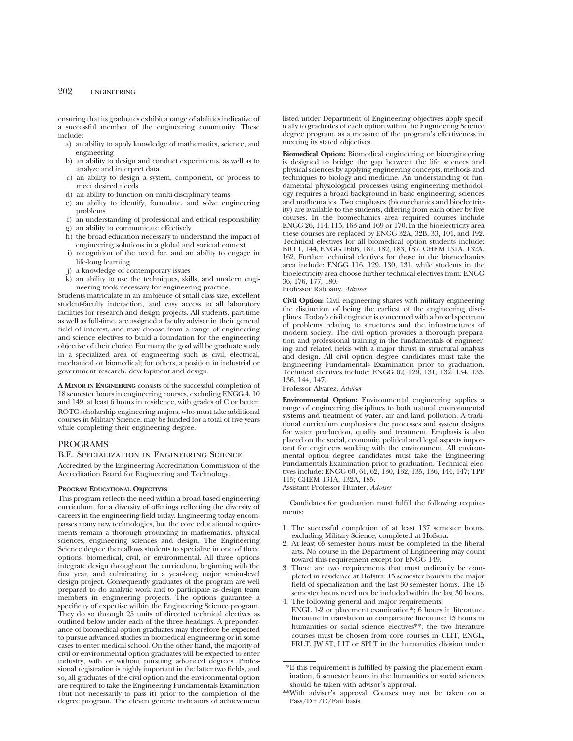ensuring that its graduates exhibit a range of abilities indicative of a successful member of the engineering community. These include:

- a) an ability to apply knowledge of mathematics, science, and engineering
- b) an ability to design and conduct experiments, as well as to analyze and interpret data
- c) an ability to design a system, component, or process to meet desired needs
- d) an ability to function on multi-disciplinary teams
- e) an ability to identify, formulate, and solve engineering problems
- f) an understanding of professional and ethical responsibility
- g) an ability to communicate effectively
- h) the broad education necessary to understand the impact of engineering solutions in a global and societal context
- i) recognition of the need for, and an ability to engage in life-long learning
- j) a knowledge of contemporary issues
- k) an ability to use the techniques, skills, and modern engineering tools necessary for engineering practice.

Students matriculate in an ambience of small class size, excellent student-faculty interaction, and easy access to all laboratory facilities for research and design projects. All students, part-time as well as full-time, are assigned a faculty adviser in their general field of interest, and may choose from a range of engineering and science electives to build a foundation for the engineering objective of their choice. For many the goal will be graduate study in a specialized area of engineering such as civil, electrical, mechanical or biomedical; for others, a position in industrial or government research, development and design.

**A MINOR IN ENGINEERING** consists of the successful completion of 18 semester hours in engineering courses, excluding ENGG 4, 10 and 149, at least 6 hours in residence, with grades of C or better. ROTC scholarship engineering majors, who must take additional courses in Military Science, may be funded for a total of five years while completing their engineering degree.

## PROGRAMS

## B.E. Specialization in Engineering Science

Accredited by the Engineering Accreditation Commission of the Accreditation Board for Engineering and Technology.

### **PROGRAM EDUCATIONAL OBJECTIVES**

This program reflects the need within a broad-based engineering curriculum, for a diversity of offerings reflecting the diversity of careers in the engineering field today. Engineering today encompasses many new technologies, but the core educational requirements remain a thorough grounding in mathematics, physical sciences, engineering sciences and design. The Engineering Science degree then allows students to specialize in one of three options: biomedical, civil, or environmental. All three options integrate design throughout the curriculum, beginning with the first year, and culminating in a year-long major senior-level design project. Consequently graduates of the program are well prepared to do analytic work and to participate as design team members in engineering projects. The options guarantee a specificity of expertise within the Engineering Science program. They do so through 25 units of directed technical electives as outlined below under each of the three headings. A preponderance of biomedical option graduates may therefore be expected to pursue advanced studies in biomedical engineering or in some cases to enter medical school. On the other hand, the majority of civil or environmental option graduates will be expected to enter industry, with or without pursuing advanced degrees. Professional registration is highly important in the latter two fields, and so, all graduates of the civil option and the environmental option are required to take the Engineering Fundamentals Examination (but not necessarily to pass it) prior to the completion of the degree program. The eleven generic indicators of achievement listed under Department of Engineering objectives apply specifically to graduates of each option within the Engineering Science degree program, as a measure of the program's effectiveness in meeting its stated objectives.

**Biomedical Option:** Biomedical engineering or bioengineering is designed to bridge the gap between the life sciences and physical sciences by applying engineering concepts, methods and techniques to biology and medicine. An understanding of fundamental physiological processes using engineering methodology requires a broad background in basic engineering, sciences and mathematics. Two emphases (biomechanics and bioelectricity) are available to the students, differing from each other by five courses. In the biomechanics area required courses include ENGG 26, 114, 115, 163 and 169 or 170. In the bioelectricity area these courses are replaced by ENGG 32A, 32B, 33, 104, and 192. Technical electives for all biomedical option students include: BIO 1, 144, ENGG 166B, 181, 182, 183, 187, CHEM 131A, 132A, 162. Further technical electives for those in the biomechanics area include: ENGG 116, 129, 130, 131, while students in the bioelectricity area choose further technical electives from: ENGG 36, 176, 177, 180.

#### Professor Rabbany, *Adviser*

**Civil Option:** Civil engineering shares with military engineering the distinction of being the earliest of the engineering disciplines. Today's civil engineer is concerned with a broad spectrum of problems relating to structures and the infrastructures of modern society. The civil option provides a thorough preparation and professional training in the fundamentals of engineering and related fields with a major thrust in structural analysis and design. All civil option degree candidates must take the Engineering Fundamentals Examination prior to graduation. Technical electives include: ENGG 62, 129, 131, 132, 134, 135, 136, 144, 147.

Professor Alvarez, *Adviser*

**Environmental Option:** Environmental engineering applies a range of engineering disciplines to both natural environmental systems and treatment of water, air and land pollution. A traditional curriculum emphasizes the processes and system designs for water production, quality and treatment. Emphasis is also placed on the social, economic, political and legal aspects important for engineers working with the environment. All environmental option degree candidates must take the Engineering Fundamentals Examination prior to graduation. Technical electives include: ENGG 60, 61, 62, 130, 132, 135, 136, 144, 147; TPP 115; CHEM 131A, 132A, 185.

Assistant Professor Hunter, *Adviser*

Candidates for graduation must fulfill the following requirements:

- 1. The successful completion of at least 137 semester hours, excluding Military Science, completed at Hofstra.
- 2. At least 65 semester hours must be completed in the liberal arts. No course in the Department of Engineering may count toward this requirement except for ENGG 149.
- 3. There are two requirements that must ordinarily be completed in residence at Hofstra: 15 semester hours in the major field of specialization and the last 30 semester hours. The 15 semester hours need not be included within the last 30 hours.
- 4. The following general and major requirements: ENGL 1-2 or placement examination\*; 6 hours in literature, literature in translation or comparative literature; 15 hours in humanities or social science electives\*\*; the two literature courses must be chosen from core courses in CLIT, ENGL, FRLT, JW ST, LIT or SPLT in the humanities division under

<sup>\*</sup>If this requirement is fulfilled by passing the placement examination, 6 semester hours in the humanities or social sciences should be taken with advisor's approval.

<sup>\*\*</sup>With adviser's approval. Courses may not be taken on a Pass/D+/D/Fail basis.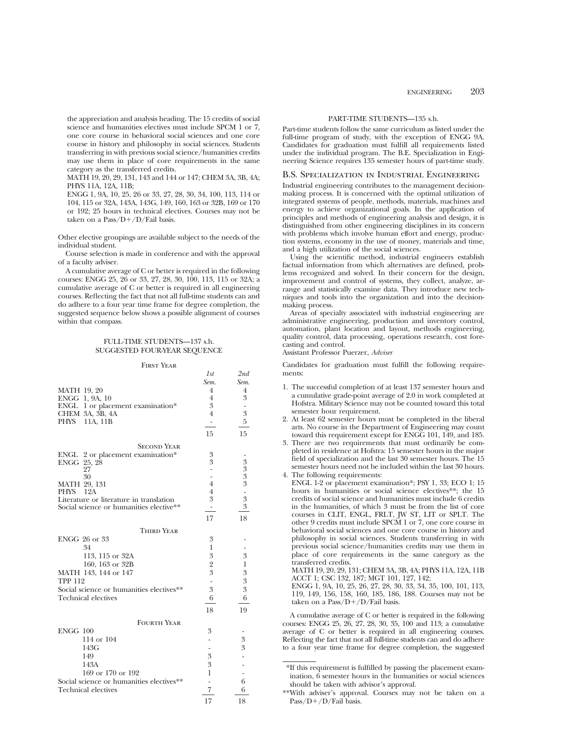the appreciation and analysis heading. The 15 credits of social science and humanities electives must include SPCM 1 or 7. one core course in behavioral social sciences and one core course in history and philosophy in social sciences. Students transferring in with previous social science/humanities credits may use them in place of core requirements in the same category as the transferred credits.

MATH 19, 20, 29, 131, 143 and 144 or 147; CHEM 3A, 3B, 4A; PHYS 11A, 12A, 11B;

ENGG 1, 9A, 10, 25, 26 or 33, 27, 28, 30, 34, 100, 113, 114 or 104, 115 or 32A, 143A, 143G, 149, 160, 163 or 32B, 169 or 170 or 192; 25 hours in technical electives. Courses may not be taken on a Pass/ $D+$ / $D$ /Fail basis.

Other elective groupings are available subject to the needs of the individual student.

Course selection is made in conference and with the approval of a faculty adviser.

A cumulative average of C or better is required in the following courses: ENGG 25, 26 or 33, 27, 28, 30, 100, 113, 115 or 32A; a cumulative average of C or better is required in all engineering courses. Reflecting the fact that not all full-time students can and do adhere to a four year time frame for degree completion, the suggested sequence below shows a possible alignment of courses within that compass.

## FULL-TIME STUDENTS—137 s.h. SUGGESTED FOUR-YEAR SEQUENCE

#### First Year

*1st 2nd*

|                                          | ェぃ                       | $-100$           |
|------------------------------------------|--------------------------|------------------|
|                                          | Sem.                     | Sem.             |
| <b>MATH 19, 20</b>                       | 4                        | 4                |
| ENGG 1, 9A, 10                           | $\overline{4}$           | 3                |
| ENGL 1 or placement examination*         | 3                        | $\frac{1}{2}$    |
| CHEM 3A, 3B, 4A                          | $\overline{4}$           | 3                |
| PHYS<br>11A, 11B                         | $\overline{\phantom{a}}$ | 5                |
|                                          | 15                       | 15               |
| <b>SECOND YEAR</b>                       |                          |                  |
| ENGL 2 or placement examination*         | 3                        |                  |
| ENGG 25, 28                              | 3                        |                  |
| 27                                       |                          | $3333$<br>$335$  |
| 30                                       | $\overline{a}$           |                  |
| MATH 29, 131                             | 4                        |                  |
| 12A<br><b>PHYS</b>                       | 4                        |                  |
| Literature or literature in translation  | 3                        |                  |
| Social science or humanities elective**  | $\overline{\phantom{a}}$ |                  |
|                                          | 17                       | 18               |
| <b>THIRD YEAR</b>                        |                          |                  |
| <b>ENGG 26 or 33</b>                     | 3                        |                  |
| 34                                       | 1                        |                  |
| 113, 115 or 32A                          | 3                        | 3                |
| 160, 163 or 32B                          | $\overline{2}$           | $\mathbf{1}$     |
| MATH 143, 144 or 147                     | 3                        | 3                |
| <b>TPP 112</b>                           |                          | $\boldsymbol{3}$ |
| Social science or humanities electives** | 3                        | 3                |
| <b>Technical electives</b>               | 6                        | 6                |
|                                          | 18                       | 19               |
|                                          |                          |                  |
| <b>FOURTH YEAR</b>                       |                          |                  |
| <b>ENGG 100</b>                          | 3                        |                  |
| 114 or 104                               |                          | 3                |
| 143G                                     |                          | 3                |
| 149                                      | 3                        |                  |
| 143A                                     | 3                        |                  |
| 169 or 170 or 192                        | 1                        |                  |
| Social science or humanities electives** |                          | 6                |
| <b>Technical electives</b>               | 7                        | 6                |
|                                          | 17                       | 18               |

#### PART-TIME STUDENTS—135 s.h.

Part-time students follow the same curriculum as listed under the full-time program of study, with the exception of ENGG 9A. Candidates for graduation must fulfill all requirements listed under the individual program. The B.E. Specialization in Engineering Science requires 135 semester hours of part-time study.

#### B.S. Specialization in Industrial Engineering

Industrial engineering contributes to the management decisionmaking process. It is concerned with the optimal utilization of integrated systems of people, methods, materials, machines and energy to achieve organizational goals. In the application of principles and methods of engineering analysis and design, it is distinguished from other engineering disciplines in its concern with problems which involve human effort and energy, production systems, economy in the use of money, materials and time, and a high utilization of the social sciences.

Using the scientific method, industrial engineers establish factual information from which alternatives are defined, problems recognized and solved. In their concern for the design, improvement and control of systems, they collect, analyze, arrange and statistically examine data. They introduce new techniques and tools into the organization and into the decisionmaking process.

Areas of specialty associated with industrial engineering are administrative engineering, production and inventory control, automation, plant location and layout, methods engineering, quality control, data processing, operations research, cost forecasting and control.

Assistant Professor Puerzer, *Adviser*

Candidates for graduation must fulfill the following requirements:

- 1. The successful completion of at least 137 semester hours and a cumulative grade-point average of 2.0 in work completed at Hofstra. Military Science may not be counted toward this total semester hour requirement.
- 2. At least 62 semester hours must be completed in the liberal arts. No course in the Department of Engineering may count toward this requirement except for ENGG 101, 149, and 185.
- 3. There are two requirements that must ordinarily be completed in residence at Hofstra: 15 semester hours in the major field of specialization and the last 30 semester hours. The 15 semester hours need not be included within the last 30 hours. 4. The following requirements:
- ENGL 1-2 or placement examination\*; PSY 1, 33; ECO 1; 15 hours in humanities or social science electives\*\*; the 15 credits of social science and humanities must include 6 credits in the humanities, of which 3 must be from the list of core courses in CLIT, ENGL, FRLT, JW ST, LIT or SPLT. The other 9 credits must include SPCM 1 or 7, one core course in behavioral social sciences and one core course in history and philosophy in social sciences. Students transferring in with previous social science/humanities credits may use them in place of core requirements in the same category as the transferred credits.

MATH 19, 20, 29, 131; CHEM 3A, 3B, 4A; PHYS 11A, 12A, 11B ACCT 1; CSC 132, 187; MGT 101, 127, 142;

ENGG 1, 9A, 10, 25, 26, 27, 28, 30, 33, 34, 35, 100, 101, 113, 119, 149, 156, 158, 160, 185, 186, 188. Courses may not be taken on a Pass/ $D+/D$ /Fail basis.

A cumulative average of C or better is required in the following courses: ENGG 25, 26, 27, 28, 30, 35, 100 and 113; a cumulative average of C or better is required in all engineering courses. Reflecting the fact that not all full-time students can and do adhere to a four year time frame for degree completion, the suggested

\*If this requirement is fulfilled by passing the placement examination, 6 semester hours in the humanities or social sciences should be taken with advisor's approval.

\*\*With adviser's approval. Courses may not be taken on a Pass/D+/D/Fail basis.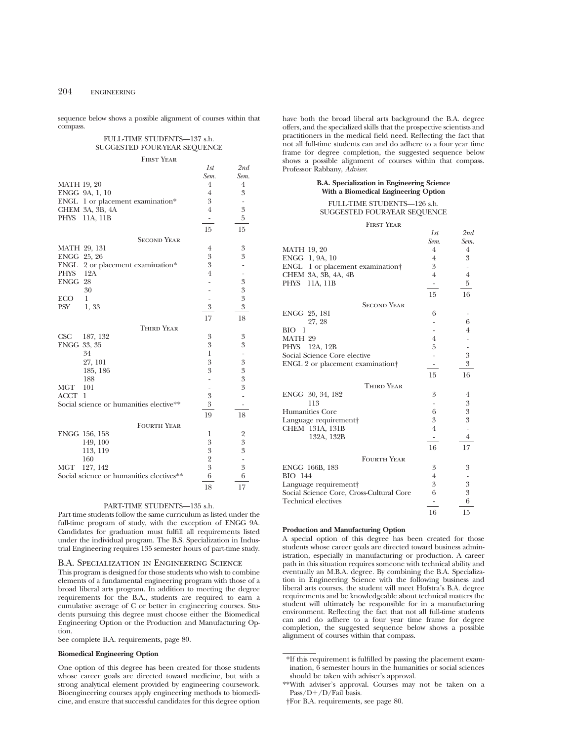sequence below shows a possible alignment of courses within that compass.

## FULL-TIME STUDENTS—137 s.h. SUGGESTED FOUR-YEAR SEQUENCE

*1st 2nd*

| <b>FIRST YEAR</b> | . . |
|-------------------|-----|
|                   |     |

|                    |                                          | Sem.                         | Sem.                     |
|--------------------|------------------------------------------|------------------------------|--------------------------|
| <b>MATH 19, 20</b> |                                          | 4                            | $\overline{4}$           |
| ENGG 9A, 1, 10     |                                          | $\overline{4}$               | 3                        |
|                    | ENGL 1 or placement examination*         | 3                            |                          |
|                    | CHEM 3A, 3B, 4A                          | $\overline{4}$               | 3                        |
| PHYS 11A, 11B      |                                          | $\qquad \qquad \blacksquare$ | 5                        |
|                    |                                          | 15                           | 15                       |
|                    | <b>SECOND YEAR</b>                       |                              |                          |
| MATH 29, 131       |                                          | 4                            | 3                        |
| ENGG 25, 26        |                                          | 3                            | 3                        |
| ENGL               | 2 or placement examination*              | 3                            |                          |
| PHYS               | 12A                                      | $\overline{4}$               |                          |
| ENGG 28            |                                          |                              | 3                        |
|                    | 30                                       |                              | $\boldsymbol{3}$         |
| <b>ECO</b>         | $\mathbf{1}$                             |                              | $\boldsymbol{3}$         |
| <b>PSY</b>         | 1,33                                     | 3                            | 3                        |
|                    |                                          | 17                           | 18                       |
|                    | <b>THIRD YEAR</b>                        |                              |                          |
| CSC                | 187, 132                                 | 3                            | 3                        |
| ENGG 33, 35        |                                          | 3                            | 3                        |
|                    | 34                                       | 1                            | $\overline{\phantom{0}}$ |
|                    | 27, 101                                  | 3                            | 3                        |
|                    | 185, 186                                 | 3                            | 3                        |
|                    | 188                                      |                              | 3                        |
| <b>MGT</b>         | 101                                      |                              | 3                        |
| ACCT<br>1          |                                          | 3                            | $\overline{a}$           |
|                    | Social science or humanities elective**  | 3                            |                          |
|                    |                                          | 19                           | 18                       |
|                    | <b>FOURTH YEAR</b>                       |                              |                          |
| ENGG 156, 158      |                                          | 1                            | $\overline{2}$           |
|                    | 149, 100                                 | 3                            | 3                        |
|                    | 113, 119                                 | 3                            | 3                        |
|                    | 160                                      | $\overline{2}$               |                          |
| MGT                | 127, 142                                 | 3                            | 3                        |
|                    | Social science or humanities electives** | 6                            | 6                        |
|                    |                                          | 18                           | 17                       |

### PART-TIME STUDENTS—135 s.h.

Part-time students follow the same curriculum as listed under the full-time program of study, with the exception of ENGG 9A. Candidates for graduation must fulfill all requirements listed under the individual program. The B.S. Specialization in Industrial Engineering requires 135 semester hours of part-time study.

## B.A. Specialization in Engineering Science

This program is designed for those students who wish to combine elements of a fundamental engineering program with those of a broad liberal arts program. In addition to meeting the degree requirements for the B.A., students are required to earn a cumulative average of C or better in engineering courses. Students pursuing this degree must choose either the Biomedical Engineering Option or the Production and Manufacturing Option.

See complete B.A. requirements, page 80.

#### **Biomedical Engineering Option**

One option of this degree has been created for those students whose career goals are directed toward medicine, but with a strong analytical element provided by engineering coursework. Bioengineering courses apply engineering methods to biomedicine, and ensure that successful candidates for this degree option have both the broad liberal arts background the B.A. degree offers, and the specialized skills that the prospective scientists and practitioners in the medical field need. Reflecting the fact that not all full-time students can and do adhere to a four year time frame for degree completion, the suggested sequence below shows a possible alignment of courses within that compass. Professor Rabbany, *Adviser*.

#### **B.A. Specialization in Engineering Science With a Biomedical Engineering Option**

#### FULL-TIME STUDENTS—126 s.h. SUGGESTED FOUR-YEAR SEQUENCE

#### First Year

|                                              | 1st                      | 2nd              |
|----------------------------------------------|--------------------------|------------------|
|                                              | Sem.                     | Sem.             |
| <b>MATH 19, 20</b>                           | $\overline{4}$           | $\overline{4}$   |
| ENGG 1, 9A, 10                               | $\overline{4}$           | 3                |
| ENGL 1 or placement examination†             | 3                        |                  |
| CHEM 3A, 3B, 4A, 4B                          | $\overline{4}$           | $\overline{4}$   |
| PHYS<br>11A, 11B                             | $\overline{\phantom{0}}$ | $\overline{5}$   |
|                                              | 15                       | 16               |
| <b>SECOND YEAR</b>                           |                          |                  |
| ENGG 25, 181                                 | 6                        |                  |
| 27, 28                                       |                          | 6                |
| <b>BIO</b><br>1                              |                          | 4                |
| MATH 29                                      | $\overline{4}$           |                  |
| PHYS 12A, 12B                                | 5                        |                  |
| Social Science Core elective                 |                          | $\,3$            |
| ENGL 2 or placement examination <sup>+</sup> |                          | 3                |
|                                              | 15                       | 16               |
| <b>THIRD YEAR</b>                            |                          |                  |
| ENGG 30, 34, 182                             | 3                        | 4                |
| 113                                          |                          | $\boldsymbol{3}$ |
| <b>Humanities Core</b>                       | 6                        | 3                |
| Language requirement                         | 3                        | $\overline{3}$   |
| CHEM 131A, 131B                              | $\overline{4}$           |                  |
| 132A, 132B                                   | ۰                        | $\overline{4}$   |
|                                              | 16                       | 17               |
| <b>FOURTH YEAR</b>                           |                          |                  |
| ENGG 166B, 183                               | 3                        | 3                |
| <b>BIO</b> 144                               | 4                        |                  |
| Language requirement                         | 3                        | 3                |
| Social Science Core, Cross-Cultural Core     | 6                        | $\overline{3}$   |
| <b>Technical electives</b>                   |                          | 6                |
|                                              | 16                       | 15               |

#### **Production and Manufacturing Option**

A special option of this degree has been created for those students whose career goals are directed toward business administration, especially in manufacturing or production. A career path in this situation requires someone with technical ability and eventually an M.B.A. degree. By combining the B.A. Specialization in Engineering Science with the following business and liberal arts courses, the student will meet Hofstra's B.A. degree requirements and be knowledgeable about technical matters the student will ultimately be responsible for in a manufacturing environment. Reflecting the fact that not all full-time students can and do adhere to a four year time frame for degree completion, the suggested sequence below shows a possible alignment of courses within that compass.

<sup>\*</sup>If this requirement is fulfilled by passing the placement examination, 6 semester hours in the humanities or social sciences should be taken with adviser's approval.

<sup>\*\*</sup>With adviser's approval. Courses may not be taken on a  $Pass/D+/D/Fail basis.$ 

<sup>†</sup>For B.A. requirements, see page 80.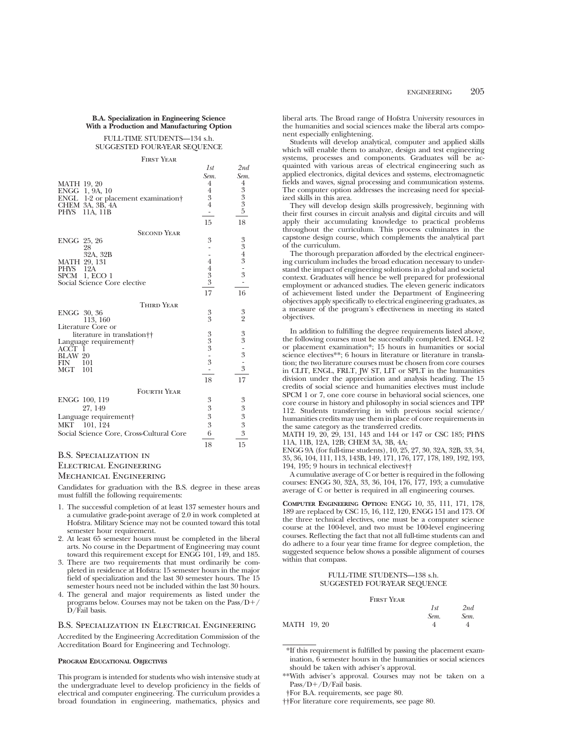## **B.A. Specialization in Engineering Science With a Production and Manufacturing Option**

#### FULL-TIME STUDENTS—134 s.h. SUGGESTED FOUR-YEAR SEQUENCE

#### First Year

|                                          | 1st                      | 2nd                                                             |
|------------------------------------------|--------------------------|-----------------------------------------------------------------|
|                                          | Sem.                     | Sem.                                                            |
| <b>MATH 19, 20</b>                       | $\overline{4}$           | 4                                                               |
| ENGG 1, 9A, 10                           | $\overline{4}$           | $\begin{smallmatrix} 3 & 3 \\ 3 & 3 \\ 5 & 5 \end{smallmatrix}$ |
| ENGL<br>1-2 or placement examination     | $\boldsymbol{3}$         |                                                                 |
| CHEM 3A, 3B, 4A                          | $\overline{4}$           |                                                                 |
| PHYS<br>11A, 11B                         | $\overline{\phantom{0}}$ |                                                                 |
|                                          | 15                       | 18                                                              |
| <b>SECOND YEAR</b>                       |                          |                                                                 |
| ENGG 25, 26                              | 3                        | $\boldsymbol{3}$                                                |
| 28                                       |                          |                                                                 |
| 32A, 32B                                 |                          |                                                                 |
| MATH 29, 131                             | $\overline{4}$           |                                                                 |
| <b>PHYS</b><br>12A                       | $\frac{4}{3}$            | $343 - 3$                                                       |
| SPCM 1, ECO 1                            |                          | $\overline{\phantom{a}}$                                        |
| Social Science Core elective             |                          |                                                                 |
|                                          | 17                       | 16                                                              |
| <b>THIRD YEAR</b>                        |                          |                                                                 |
| ENGG 30, 36                              | 3                        | 3                                                               |
| 113, 160                                 | 3                        | $\overline{2}$                                                  |
| Literature Core or                       |                          |                                                                 |
| literature in translation <sup>†</sup> † |                          |                                                                 |
| Language requirement                     | $\frac{3}{3}$            |                                                                 |
| ACCT                                     |                          |                                                                 |
| <b>BLAW 20</b>                           | $\frac{1}{3}$            |                                                                 |
| FIN<br>101<br><b>MGT</b><br>101          | ۰                        | $33 - 3$<br>$-3$                                                |
|                                          |                          |                                                                 |
|                                          | 18                       | 17                                                              |
| <b>FOURTH YEAR</b>                       |                          |                                                                 |
| ENGG 100, 119                            | 3                        | 3                                                               |
| 27, 149                                  | 3                        | 3                                                               |
| Language requirement                     | $\overline{3}$           |                                                                 |
| МКТ<br>101, 124                          | 3                        | $\frac{3}{3}$                                                   |
| Social Science Core, Cross-Cultural Core | 6                        | $\overline{3}$                                                  |
|                                          | 18                       | 15                                                              |

## B.S. Specialization in Electrical Engineering Mechanical Engineering

Candidates for graduation with the B.S. degree in these areas must fulfill the following requirements:

- 1. The successful completion of at least 137 semester hours and a cumulative grade-point average of 2.0 in work completed at Hofstra. Military Science may not be counted toward this total semester hour requirement.
- 2. At least 65 semester hours must be completed in the liberal arts. No course in the Department of Engineering may count toward this requirement except for ENGG 101, 149, and 185.
- 3. There are two requirements that must ordinarily be completed in residence at Hofstra: 15 semester hours in the major field of specialization and the last 30 semester hours. The 15 semester hours need not be included within the last 30 hours.
- 4. The general and major requirements as listed under the programs below. Courses may not be taken on the  $Pass/D+/$ D/Fail basis.

## B.S. Specialization in Electrical Engineering

Accredited by the Engineering Accreditation Commission of the Accreditation Board for Engineering and Technology.

#### **PROGRAM EDUCATIONAL OBJECTIVES**

This program is intended for students who wish intensive study at the undergraduate level to develop proficiency in the fields of electrical and computer engineering. The curriculum provides a broad foundation in engineering, mathematics, physics and liberal arts. The Broad range of Hofstra University resources in the humanities and social sciences make the liberal arts component especially enlightening.

Students will develop analytical, computer and applied skills which will enable them to analyze, design and test engineering systems, processes and components. Graduates will be acquainted with various areas of electrical engineering such as applied electronics, digital devices and systems, electromagnetic fields and waves, signal processing and communication systems. The computer option addresses the increasing need for specialized skills in this area.

They will develop design skills progressively, beginning with their first courses in circuit analysis and digital circuits and will apply their accumulating knowledge to practical problems throughout the curriculum. This process culminates in the capstone design course, which complements the analytical part of the curriculum.

The thorough preparation afforded by the electrical engineering curriculum includes the broad education necessary to understand the impact of engineering solutions in a global and societal context. Graduates will hence be well prepared for professional employment or advanced studies. The eleven generic indicators of achievement listed under the Department of Engineering objectives apply specifically to electrical engineering graduates, as a measure of the program's effectiveness in meeting its stated objectives.

In addition to fulfilling the degree requirements listed above, the following courses must be successfully completed. ENGL 1-2 or placement examination\*; 15 hours in humanities or social science electives\*\*; 6 hours in literature or literature in translation; the two literature courses must be chosen from core courses in CLIT, ENGL, FRLT, JW ST, LIT or SPLT in the humanities division under the appreciation and analysis heading. The 15 credits of social science and humanities electives must include SPCM 1 or 7, one core course in behavioral social sciences, one core course in history and philosophy in social sciences and TPP 112. Students transferring in with previous social science/ humanities credits may use them in place of core requirements in the same category as the transferred credits.

MATH 19, 20, 29, 131, 143 and 144 or 147 or CSC 185; PHYS 11A, 11B, 12A, 12B; CHEM 3A, 3B, 4A;

ENGG 9A (for full-time students), 10, 25, 27, 30, 32A, 32B, 33, 34, 35, 36, 104, 111, 113, 143B, 149, 171, 176, 177, 178, 189, 192, 193, 194, 195; 9 hours in technical electives††

A cumulative average of C or better is required in the following courses: ENGG 30, 32A, 33, 36, 104, 176, 177, 193; a cumulative average of C or better is required in all engineering courses.

**COMPUTER ENGINEERING OPTION:** ENGG 10, 35, 111, 171, 178, 189 are replaced by CSC 15, 16, 112, 120, ENGG 151 and 173. Of the three technical electives, one must be a computer science course at the 100-level, and two must be 100-level engineering courses. Reflecting the fact that not all full-time students can and do adhere to a four year time frame for degree completion, the suggested sequence below shows a possible alignment of courses within that compass.

#### FULL-TIME STUDENTS—138 s.h. SUGGESTED FOUR-YEAR SEQUENCE

| <b>FIRST YEAR</b> |  |
|-------------------|--|
|                   |  |

|             | 1st  | 2nd  |
|-------------|------|------|
|             | Sem. | Sem. |
| MATH 19, 20 |      |      |

\*If this requirement is fulfilled by passing the placement examination, 6 semester hours in the humanities or social sciences should be taken with adviser's approval.

<sup>\*\*</sup>With adviser's approval. Courses may not be taken on a  $Pass/D+/D/Fail basis.$ 

<sup>†</sup>For B.A. requirements, see page 80.

<sup>††</sup>For literature core requirements, see page 80.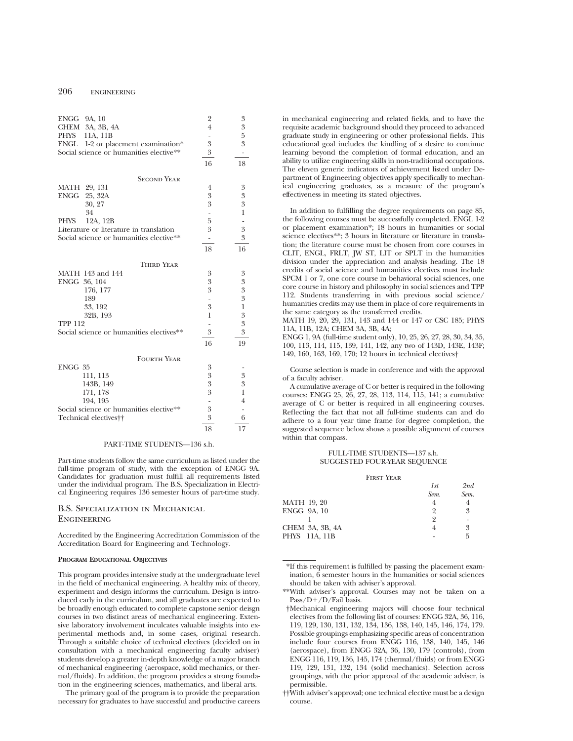| ENGG 9A, 10    |                                          | $\overline{2}$           | $\boldsymbol{3}$ |
|----------------|------------------------------------------|--------------------------|------------------|
| CHEM           | 3A, 3B, 4A                               | $\overline{4}$           | 3                |
| PHYS           | 11A, 11B                                 |                          | 5                |
| ENGL           | 1-2 or placement examination*            | 3                        | 3                |
|                | Social science or humanities elective**  | $\boldsymbol{3}$         |                  |
|                |                                          | 16                       | 18               |
|                | <b>SECOND YEAR</b>                       |                          |                  |
| MATH 29, 131   |                                          | 4                        | 3                |
| <b>ENGG</b>    | 25, 32A                                  | 3                        | 3                |
|                | 30, 27                                   | 3                        | 3                |
|                | 34                                       |                          | $\mathbf{1}$     |
| <b>PHYS</b>    | 12A, 12B                                 | 5                        |                  |
|                | Literature or literature in translation  | 3                        | 3                |
|                | Social science or humanities elective**  | $\overline{\phantom{m}}$ | 3                |
|                |                                          | 18                       | 16               |
|                | <b>THIRD YEAR</b>                        |                          |                  |
|                | MATH 143 and 144                         | 3                        | 3                |
| ENGG 36, 104   |                                          | 3                        | 3                |
|                | 176, 177                                 | 3                        | 3                |
|                | 189                                      |                          | 3                |
|                | 33, 192                                  | 3                        | $\mathbf 1$      |
|                | 32B, 193                                 | 1                        | $\boldsymbol{3}$ |
| <b>TPP 112</b> |                                          |                          | $\overline{3}$   |
|                | Social science or humanities electives** | 3                        | 3                |
|                |                                          | 16                       | 19               |
|                | <b>FOURTH YEAR</b>                       |                          |                  |
| ENGG 35        |                                          | 3                        |                  |
|                | 111, 113                                 | 3                        | 3                |
|                | 143B, 149                                | 3                        | 3                |
|                | 171, 178                                 | 3                        | $\mathbf{1}$     |
|                | 194, 195                                 |                          | $\overline{4}$   |
|                | Social science or humanities elective**  | 3                        |                  |
|                | Technical electives <sup>††</sup>        | 3                        | 6                |
|                |                                          | 18                       | 17               |

#### PART-TIME STUDENTS—136 s.h.

Part-time students follow the same curriculum as listed under the full-time program of study, with the exception of ENGG 9A. Candidates for graduation must fulfill all requirements listed under the individual program. The B.S. Specialization in Electrical Engineering requires 136 semester hours of part-time study.

## B.S. Specialization in Mechanical **ENGINEERING**

Accredited by the Engineering Accreditation Commission of the Accreditation Board for Engineering and Technology.

#### **PROGRAM EDUCATIONAL OBJECTIVES**

This program provides intensive study at the undergraduate level in the field of mechanical engineering. A healthy mix of theory, experiment and design informs the curriculum. Design is introduced early in the curriculum, and all graduates are expected to be broadly enough educated to complete capstone senior deisgn courses in two distinct areas of mechanical engineering. Extensive laboratory involvement inculcates valuable insights into experimental methods and, in some cases, original research. Through a suitable choice of technical electives (decided on in consultation with a mechanical engineering faculty adviser) students develop a greater in-depth knowledge of a major branch of mechanical engineering (aerospace, solid mechanics, or thermal/fluids). In addition, the program provides a strong foundation in the engineering sciences, mathematics, and liberal arts.

The primary goal of the program is to provide the preparation necessary for graduates to have successful and productive careers

in mechanical engineering and related fields, and to have the requisite academic background should they proceed to advanced graduate study in engineering or other professional fields. This educational goal includes the kindling of a desire to continue learning beyond the completion of formal education, and an ability to utilize engineering skills in non-traditional occupations. The eleven generic indicators of achievement listed under Department of Engineering objectives apply specifically to mechanical engineering graduates, as a measure of the program's effectiveness in meeting its stated objectives.

In addition to fulfilling the degree requirements on page 85, the following courses must be successfully completed. ENGL 1-2 or placement examination\*; 18 hours in humanities or social science electives\*\*; 3 hours in literature or literature in translation; the literature course must be chosen from core courses in CLIT, ENGL, FRLT, JW ST, LIT or SPLT in the humanities division under the appreciation and analysis heading. The 18 credits of social science and humanities electives must include SPCM 1 or 7, one core course in behavioral social sciences, one core course in history and philosophy in social sciences and TPP 112. Students transferring in with previous social science/ humanities credits may use them in place of core requirements in the same category as the transferred credits.

MATH 19, 20, 29, 131, 143 and 144 or 147 or CSC 185; PHYS 11A, 11B, 12A; CHEM 3A, 3B, 4A;

ENGG 1, 9A (full-time student only), 10, 25, 26, 27, 28, 30, 34, 35, 100, 113, 114, 115, 139, 141, 142, any two of 143D, 143E, 143F; 149, 160, 163, 169, 170; 12 hours in technical electives†

Course selection is made in conference and with the approval of a faculty adviser.

A cumulative average of C or better is required in the following courses: ENGG 25, 26, 27, 28, 113, 114, 115, 141; a cumulative average of C or better is required in all engineering courses. Reflecting the fact that not all full-time students can and do adhere to a four year time frame for degree completion, the suggested sequence below shows a possible alignment of courses within that compass.

## FULL-TIME STUDENTS—137 s.h. SUGGESTED FOUR-YEAR SEQUENCE

#### First Year

|                 | 1st  | 2nd  |
|-----------------|------|------|
|                 | Sem. | Sem. |
| MATH 19, 20     |      |      |
| ENGG 9A, 10     |      | 3    |
|                 | 9    |      |
| CHEM 3A, 3B, 4A |      | 3    |
| PHYS 11A, 11B   |      | 5    |
|                 |      |      |

<sup>\*</sup>If this requirement is fulfilled by passing the placement examination, 6 semester hours in the humanities or social sciences should be taken with adviser's approval.

<sup>\*\*</sup>With adviser's approval. Courses may not be taken on a  $Pass/D+/D/Fail basis.$ 

<sup>†</sup>Mechanical engineering majors will choose four technical electives from the following list of courses: ENGG 32A, 36, 116, 119, 129, 130, 131, 132, 134, 136, 138, 140, 145, 146, 174, 179. Possible groupings emphasizing specific areas of concentration include four courses from ENGG 116, 138, 140, 145, 146 (aerospace), from ENGG 32A, 36, 130, 179 (controls), from ENGG 116, 119, 136, 145, 174 (thermal/fluids) or from ENGG 119, 129, 131, 132, 134 (solid mechanics). Selection across groupings, with the prior approval of the academic adviser, is permissible.

<sup>††</sup>With adviser's approval; one technical elective must be a design course.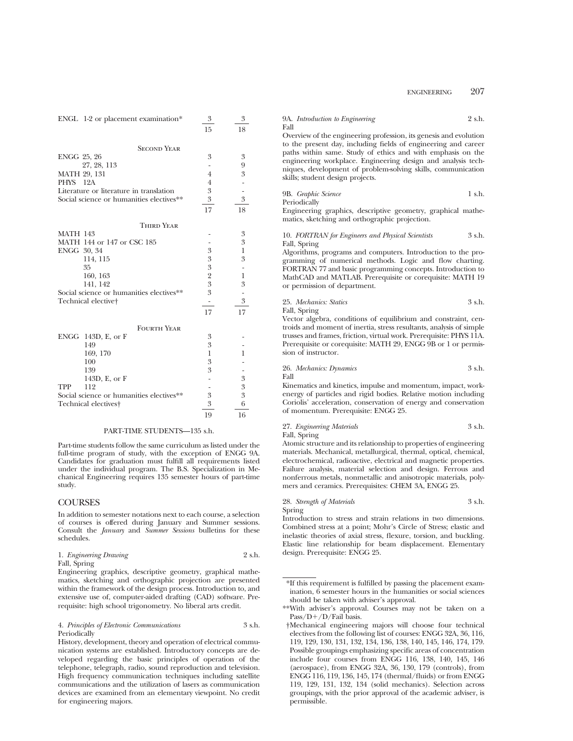| ENGL 1-2 or placement examination*       | 3              | 3                        |
|------------------------------------------|----------------|--------------------------|
|                                          | 15             | 18                       |
| <b>SECOND YEAR</b>                       |                |                          |
| ENGG 25, 26                              | 3              | 3                        |
| 27, 28, 113                              |                | 9                        |
| MATH 29, 131                             | $\overline{4}$ | 3                        |
| 12A<br>PHYS                              | 4              |                          |
| Literature or literature in translation  | 3              |                          |
| Social science or humanities electives** | 3              | 3                        |
|                                          | 17             | 18                       |
| <b>THIRD YEAR</b>                        |                |                          |
| <b>MATH 143</b>                          |                | 3                        |
| MATH 144 or 147 or CSC 185               |                | 3                        |
| ENGG 30, 34                              | 3              | $\mathbf{1}$             |
| 114, 115                                 | 3              | 3                        |
| 35                                       | 3              |                          |
| 160, 163                                 | $\overline{2}$ | $\mathbf{1}$             |
| 141, 142                                 | 3              | 3                        |
| Social science or humanities electives** | 3              | $\overline{\phantom{0}}$ |
| Technical elective†                      | -              | 3                        |
|                                          | 17             | 17                       |
| <b>FOURTH YEAR</b>                       |                |                          |
| ENGG 143D, E, or F                       | 3              |                          |
| 149                                      | 3              |                          |
| 169, 170                                 | 1              | 1                        |
| 100                                      | 3              |                          |
| 139                                      | 3              |                          |
| 143D, E, or F                            |                | 3                        |
| 112<br><b>TPP</b>                        |                | 3                        |
| Social science or humanities electives** | 3              | 3                        |
| Technical electives <sup>+</sup>         | 3              | 6                        |
|                                          | 19             | 16                       |

#### PART-TIME STUDENTS—135 s.h.

Part-time students follow the same curriculum as listed under the full-time program of study, with the exception of ENGG 9A. Candidates for graduation must fulfill all requirements listed under the individual program. The B.S. Specialization in Mechanical Engineering requires 135 semester hours of part-time study.

## COURSES

In addition to semester notations next to each course, a selection of courses is offered during January and Summer sessions. Consult the *January* and *Summer Sessions* bulletins for these schedules.

#### 1. *Engineering Drawing* 2 s.h. Fall, Spring

Engineering graphics, descriptive geometry, graphical mathematics, sketching and orthographic projection are presented within the framework of the design process. Introduction to, and extensive use of, computer-aided drafting (CAD) software. Prerequisite: high school trigonometry. No liberal arts credit.

#### 4. *Principles of Electronic Communications* 3 s.h. Periodically

History, development, theory and operation of electrical communication systems are established. Introductory concepts are developed regarding the basic principles of operation of the telephone, telegraph, radio, sound reproduction and television. High frequency communication techniques including satellite communications and the utilization of lasers as communication devices are examined from an elementary viewpoint. No credit for engineering majors.

## 9A. *Introduction to Engineering* 2 s.h. Fall Overview of the engineering profession, its genesis and evolution to the present day, including fields of engineering and career paths within same. Study of ethics and with emphasis on the

engineering workplace. Engineering design and analysis techniques, development of problem-solving skills, communication skills; student design projects.

#### 9B. *Graphic Science* 1 s.h. Periodically

Engineering graphics, descriptive geometry, graphical mathematics, sketching and orthographic projection.

#### 10. *FORTRAN for Engineers and Physical Scientists* 3 s.h. Fall, Spring

Algorithms, programs and computers. Introduction to the programming of numerical methods. Logic and flow charting. FORTRAN 77 and basic programming concepts. Introduction to MathCAD and MATLAB. Prerequisite or corequisite: MATH 19 or permission of department.

25. *Mechanics: Statics* 3 s.h. Fall, Spring

Vector algebra, conditions of equilibrium and constraint, centroids and moment of inertia, stress resultants, analysis of simple trusses and frames, friction, virtual work. Prerequisite: PHYS 11A. Prerequisite or corequisite: MATH 29, ENGG 9B or 1 or permission of instructor.

26. *Mechanics: Dynamics* 3 s.h. Fall

Kinematics and kinetics, impulse and momentum, impact, workenergy of particles and rigid bodies. Relative motion including Coriolis' acceleration, conservation of energy and conservation of momentum. Prerequisite: ENGG 25.

## 27. *Engineering Materials* 3 s.h. Fall, Spring

Atomic structure and its relationship to properties of engineering materials. Mechanical, metallurgical, thermal, optical, chemical, electrochemical, radioactive, electrical and magnetic properties. Failure analysis, material selection and design. Ferrous and nonferrous metals, nonmetallic and anisotropic materials, polymers and ceramics. Prerequisites: CHEM 3A, ENGG 25.

## 28. *Strength of Materials* 3 s.h. Spring

Introduction to stress and strain relations in two dimensions. Combined stress at a point; Mohr's Circle of Stress; elastic and inelastic theories of axial stress, flexure, torsion, and buckling. Elastic line relationship for beam displacement. Elementary design. Prerequisite: ENGG 25.

<sup>\*</sup>If this requirement is fulfilled by passing the placement examination, 6 semester hours in the humanities or social sciences should be taken with adviser's approval.

<sup>\*\*</sup>With adviser's approval. Courses may not be taken on a  $Pass/D+/D/Fail basis.$ 

<sup>†</sup>Mechanical engineering majors will choose four technical electives from the following list of courses: ENGG 32A, 36, 116, 119, 129, 130, 131, 132, 134, 136, 138, 140, 145, 146, 174, 179. Possible groupings emphasizing specific areas of concentration include four courses from ENGG 116, 138, 140, 145, 146 (aerospace), from ENGG 32A, 36, 130, 179 (controls), from ENGG 116, 119, 136, 145, 174 (thermal/fluids) or from ENGG 119, 129, 131, 132, 134 (solid mechanics). Selection across groupings, with the prior approval of the academic adviser, is permissible.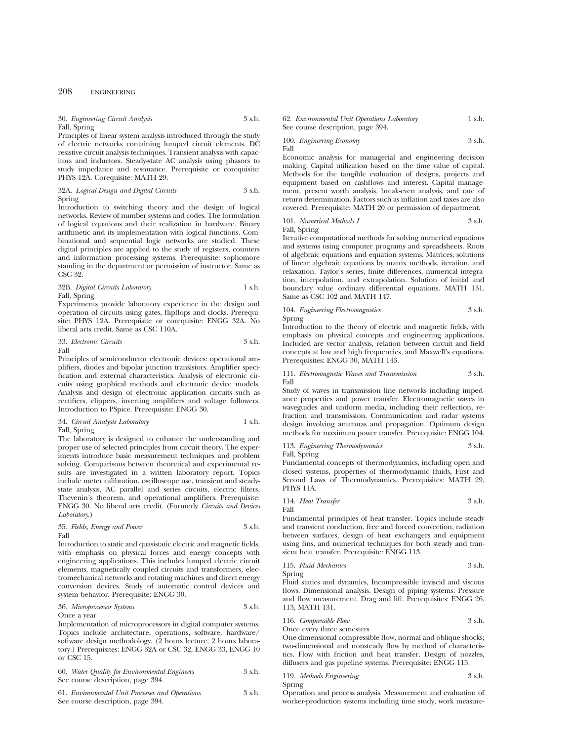30. *Engineering Circuit Analysis* 3 s.h. Fall, Spring

Principles of linear system analysis introduced through the study of electric networks containing lumped circuit elements. DC resistive circuit analysis techniques. Transient analysis with capacitors and inductors. Steady-state AC analysis using phasors to study impedance and resonance. Prerequisite or corequisite: PHYS 12A. Corequisite: MATH 29.

32A. *Logical Design and Digital Circuits* 3 s.h. Spring

Introduction to switching theory and the design of logical networks. Review of number systems and codes. The formulation of logical equations and their realization in hardware. Binary arithmetic and its implementation with logical functions. Combinational and sequential logic networks are studied. These digital principles are applied to the study of registers, counters and information processing systems. Prerequisite: sophomore standing in the department or permission of instructor. Same as CSC 32.

## 32B. *Digital Circuits Laboratory* 1 s.h. Fall, Spring

Experiments provide laboratory experience in the design and operation of circuits using gates, flipflops and clocks. Prerequisite: PHYS 12A. Prerequisite or corequisite: ENGG 32A. No liberal arts credit. Same as CSC 110A.

33. *Electronic Circuits* 3 s.h. Fall

Principles of semiconductor electronic devices: operational amplifiers, diodes and bipolar junction transistors. Amplifier specification and external characteristics. Analysis of electronic circuits using graphical methods and electronic device models. Analysis and design of electronic application circuits such as rectifiers, clippers, inverting amplifiers and voltage followers. Introduction to PSpice. Prerequisite: ENGG 30.

#### 34. *Circuit Analysis Laboratory* 1 s.h. Fall, Spring

The laboratory is designed to enhance the understanding and proper use of selected principles from circuit theory. The experiments introduce basic measurement techniques and problem solving. Comparisons between theoretical and experimental results are investigated in a written laboratory report. Topics include meter calibration, oscilloscope use, transient and steadystate analysis, AC parallel and series circuits, electric filters, Thevenin's theorem, and operational amplifiers. Prerequisite: ENGG 30. No liberal arts credit. (Formerly *Circuits and Devices Laboratory*.)

#### 35. *Fields, Energy and Power* 3 s.h. Fall

Introduction to static and quasistatic electric and magnetic fields, with emphasis on physical forces and energy concepts with engineering applications. This includes lumped electric circuit elements, magnetically coupled circuits and transformers, electromechanical networks and rotating machines and direct energy conversion devices. Study of automatic control devices and system behavior. Prerequisite: ENGG 30.

#### 36. *Microprocessor Systems* 3 s.h. Once a year

Implementation of microprocessors in digital computer systems. Topics include architecture, operations, software, hardware/ software design methodology. (2 hours lecture, 2 hours laboratory.) Prerequisites: ENGG 32A or CSC 32, ENGG 33, ENGG 10 or CSC 15.

| 60. Water Quality for Environmental Engineers | 3 s.h. |
|-----------------------------------------------|--------|
| See course description, page 394.             |        |

61. *Environmental Unit Processes and Operations* 3 s.h. See course description, page 394.

62. *Environmental Unit Operations Laboratory* 1 s.h. See course description, page 394.

100. *Engineering Economy* 3 s.h. Fall

Economic analysis for managerial and engineering decision making. Capital utilization based on the time value of capital. Methods for the tangible evaluation of designs, projects and equipment based on cashflows and interest. Capital management, present worth analysis, break-even analysis, and rate of return determination. Factors such as inflation and taxes are also covered. Prerequisite: MATH 20 or permission of department.

101. *Numerical Methods I* 3 s.h. Fall, Spring

Iterative computational methods for solving numerical equations and systems using computer programs and spreadsheets. Roots of algebraic equations and equation systems. Matrices; solutions of linear algebraic equations by matrix methods, iteration, and relaxation. Taylor's series, finite differences, numerical integration, interpolation, and extrapolation. Solution of initial and boundary value ordinary differential equations. MATH 131. Same as CSC 102 and MATH 147.

## 104. *Engineering Electromagnetics* 3 s.h. Spring

Introduction to the theory of electric and magnetic fields, with emphasis on physical concepts and engineering applications. Included are vector analysis, relation between circuit and field concepts at low and high frequencies, and Maxwell's equations. Prerequisites: ENGG 30, MATH 143.

111. *Electromagnetic Waves and Transmission* 3 s.h. Fall

Study of waves in transmission line networks including impedance properties and power transfer. Electromagnetic waves in waveguides and uniform media, including their reflection, refraction and transmission. Communication and radar systems design involving antennas and propagation. Optimum design methods for maximum power transfer. Prerequisite: ENGG 104.

113. *Engineering Thermodynamics* 3 s.h.

Fall, Spring

Fundamental concepts of thermodynamics, including open and closed systems, properties of thermodynamic fluids, First and Second Laws of Thermodynamics. Prerequisites: MATH 29, PHYS 11A.

114. *Heat Transfer* 3 s.h. Fall

Fundamental principles of heat transfer. Topics include steady and transient conduction, free and forced convection, radiation between surfaces, design of heat exchangers and equipment using fins, and numerical techniques for both steady and transient heat transfer. Prerequisite: ENGG 113.

115. *Fluid Mechanics* 3 s.h.

Spring Fluid statics and dynamics, Incompressible inviscid and viscous flows. Dimensional analysis. Design of piping systems. Pressure and flow measurement. Drag and lift. Prerequisites: ENGG 26, 113, MATH 131.

116. *Compressible Flow* 3 s.h.

Once every three semesters

One-dimensional compressible flow, normal and oblique shocks; two-dimensional and nonsteady flow by method of characteristics. Flow with friction and heat transfer. Design of nozzles, diffusers and gas pipeline systems. Prerequisite: ENGG 115.

119. *Methods Engineering* 3 s.h. Spring

Operation and process analysis. Measurement and evaluation of worker-production systems including time study, work measure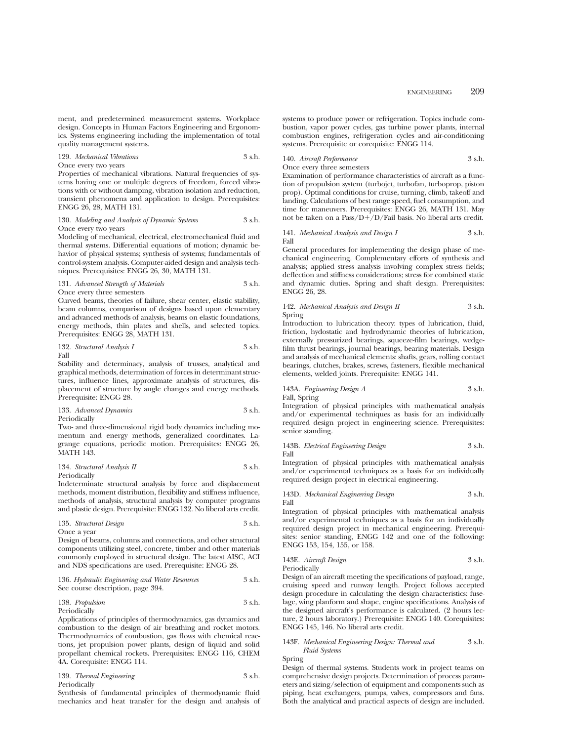ment, and predetermined measurement systems. Workplace design. Concepts in Human Factors Engineering and Ergonomics. Systems engineering including the implementation of total quality management systems.

129. *Mechanical Vibrations* 3 s.h. Once every two years

Properties of mechanical vibrations. Natural frequencies of systems having one or multiple degrees of freedom, forced vibrations with or without damping, vibration isolation and reduction, transient phenomena and application to design. Prerequisites: ENGG 26, 28, MATH 131.

#### 130. *Modeling and Analysis of Dynamic Systems* 3 s.h. Once every two years

Modeling of mechanical, electrical, electromechanical fluid and thermal systems. Differential equations of motion; dynamic behavior of physical systems; synthesis of systems; fundamentals of control-system analysis. Computer-aided design and analysis techniques. Prerequisites: ENGG 26, 30, MATH 131.

#### 131. *Advanced Strength of Materials* 3 s.h. Once every three semesters

Curved beams, theories of failure, shear center, elastic stability, beam columns, comparison of designs based upon elementary and advanced methods of analysis, beams on elastic foundations, energy methods, thin plates and shells, and selected topics. Prerequisites: ENGG 28, MATH 131.

132. *Structural Analysis I* 3 s.h. Fall

Stability and determinacy, analysis of trusses, analytical and graphical methods, determination of forces in determinant structures, influence lines, approximate analysis of structures, displacement of structure by angle changes and energy methods. Prerequisite: ENGG 28.

133. *Advanced Dynamics* 3 s.h. Periodically

Two- and three-dimensional rigid body dynamics including momentum and energy methods, generalized coordinates. Lagrange equations, periodic motion. Prerequisites: ENGG 26, MATH 143.

134. *Structural Analysis II* 3 s.h. Periodically

Indeterminate structural analysis by force and displacement methods, moment distribution, flexibility and stiffness influence, methods of analysis, structural analysis by computer programs and plastic design. Prerequisite: ENGG 132. No liberal arts credit.

135. *Structural Design* 3 s.h. Once a year

Design of beams, columns and connections, and other structural components utilizing steel, concrete, timber and other materials commonly employed in structural design. The latest AISC, ACI and NDS specifications are used. Prerequisite: ENGG 28.

## 136. *Hydraulic Engineering and Water Resources* 3 s.h. See course description, page 394.

## 138. *Propulsion* 3 s.h. Periodically

Applications of principles of thermodynamics, gas dynamics and combustion to the design of air breathing and rocket motors. Thermodynamics of combustion, gas flows with chemical reactions, jet propulsion power plants, design of liquid and solid propellant chemical rockets. Prerequisites: ENGG 116, CHEM 4A. Corequisite: ENGG 114.

139. *Thermal Engineering* 3 s.h. Periodically

Synthesis of fundamental principles of thermodynamic fluid mechanics and heat transfer for the design and analysis of systems to produce power or refrigeration. Topics include combustion, vapor power cycles, gas turbine power plants, internal combustion engines, refrigeration cycles and air-conditioning systems. Prerequisite or corequisite: ENGG 114.

140. *Aircraft Performance* 3 s.h.

#### Once every three semesters

Examination of performance characteristics of aircraft as a function of propulsion system (turbojet, turbofan, turboprop, piston prop). Optimal conditions for cruise, turning, climb, takeoff and landing. Calculations of best range speed, fuel consumption, and time for maneuvers. Prerequisites: ENGG 26, MATH 131. May not be taken on a Pass/D+/D/Fail basis. No liberal arts credit.

141. *Mechanical Analysis and Design I* 3 s.h. Fall

General procedures for implementing the design phase of mechanical engineering. Complementary efforts of synthesis and analysis; applied stress analysis involving complex stress fields; deflection and stiffness considerations; stress for combined static and dynamic duties. Spring and shaft design. Prerequisites: ENGG 26, 28.

#### 142. *Mechanical Analysis and Design II* 3 s.h. Spring

Introduction to lubrication theory: types of lubrication, fluid, friction, hydostatic and hydrodynamic theories of lubrication, externally pressurized bearings, squeeze-film bearings, wedgefilm thrust bearings, journal bearings, bearing materials. Design and analysis of mechanical elements: shafts, gears, rolling contact bearings, clutches, brakes, screws, fasteners, flexible mechanical elements, welded joints. Prerequisite: ENGG 141.

143A. *Engineering Design A* 3 s.h.

Fall, Spring

Integration of physical principles with mathematical analysis and/or experimental techniques as basis for an individually required design project in engineering science. Prerequisites: senior standing.

#### 143B. *Electrical Engineering Design* 3 s.h. Fall

Integration of physical principles with mathematical analysis and/or experimental techniques as a basis for an individually required design project in electrical engineering.

143D. *Mechanical Engineering Design* 3 s.h. Fall

Integration of physical principles with mathematical analysis and/or experimental techniques as a basis for an individually required design project in mechanical engineering. Prerequisites: senior standing, ENGG 142 and one of the following: ENGG 153, 154, 155, or 158.

143E. *Aircraft Design* 3 s.h.

Periodically

Design of an aircraft meeting the specifications of payload, range, cruising speed and runway length. Project follows accepted design procedure in calculating the design characteristics: fuselage, wing planform and shape, engine specifications. Analysis of the designed aircraft's performance is calculated. (2 hours lecture, 2 hours laboratory.) Prerequisite: ENGG 140. Corequisites: ENGG 145, 146. No liberal arts credit.

#### 143F. *Mechanical Engineering Design: Thermal and* 3 s.h. *Fluid Systems*

Spring

Design of thermal systems. Students work in project teams on comprehensive design projects. Determination of process parameters and sizing/selection of equipment and components such as piping, heat exchangers, pumps, valves, compressors and fans. Both the analytical and practical aspects of design are included.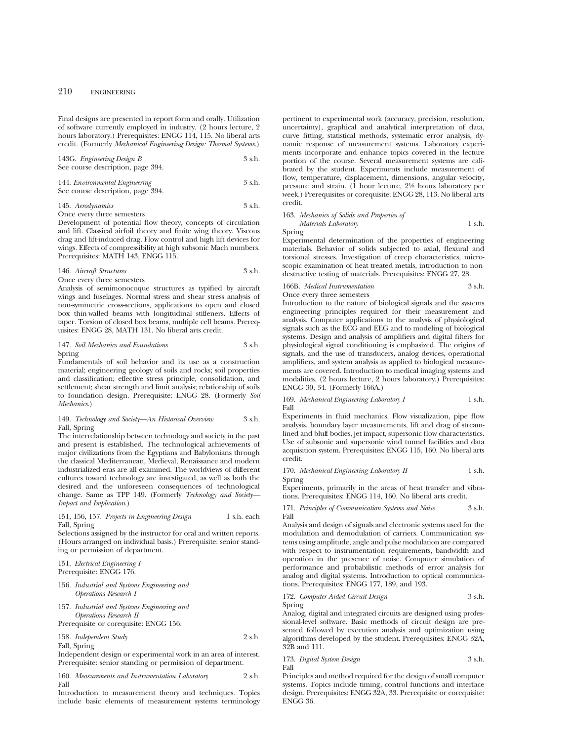Final designs are presented in report form and orally. Utilization of software currently employed in industry. (2 hours lecture, 2 hours laboratory.) Prerequisites: ENGG 114, 115. No liberal arts credit. (Formerly *Mechanical Engineering Design: Thermal Systems*.)

| 143G. Engineering Design B        | 3 s.h. |
|-----------------------------------|--------|
| See course description, page 394. |        |

144. *Environmental Engineering* 3 s.h. See course description, page 394.

145. *Aerodynamics* 3 s.h. Once every three semesters

Development of potential flow theory, concepts of circulation and lift. Classical airfoil theory and finite wing theory. Viscous drag and lift-induced drag. Flow control and high lift devices for wings. Effects of compressibility at high subsonic Mach numbers. Prerequisites: MATH 143, ENGG 115.

146. *Aircraft Structures* 3 s.h. Once every three semesters

Analysis of semimonocoque structures as typified by aircraft wings and fuselages. Normal stress and shear stress analysis of non-symmetric cross-sections, applications to open and closed box thin-walled beams with longitudinal stiffeners. Effects of taper. Torsion of closed box beams, multiple cell beams. Prerequisites: ENGG 28, MATH 131. No liberal arts credit.

#### 147. *Soil Mechanics and Foundations* 3 s.h. Spring

Fundamentals of soil behavior and its use as a construction material; engineering geology of soils and rocks; soil properties and classification; effective stress principle, consolidation, and settlement; shear strength and limit analysis; relationship of soils to foundation design. Prerequisite: ENGG 28. (Formerly *Soil Mechanics*.)

#### 149. *Technology and Society—An Historical Overview* 3 s.h. Fall, Spring

The interrelationship between technology and society in the past and present is established. The technological achievements of major civilizations from the Egyptians and Babylonians through the classical Mediterranean, Medieval, Renaissance and modern industrialized eras are all examined. The worldviews of different cultures toward technology are investigated, as well as both the desired and the unforeseen consequences of technological change. Same as TPP 149. (Formerly *Technology and Society— Impact and Implication*.)

## 151, 156, 157. *Projects in Engineering Design* 1 s.h. each Fall, Spring

Selections assigned by the instructor for oral and written reports. (Hours arranged on individual basis.) Prerequisite: senior standing or permission of department.

151. *Electrical Engineering I* Prerequisite: ENGG 176.

- 156. *Industrial and Systems Engineering and Operations Research I*
- 157. *Industrial and Systems Engineering and Operations Research II*

Prerequisite or corequisite: ENGG 156.

158. *Independent Study* 2 s.h. Fall, Spring

Independent design or experimental work in an area of interest. Prerequisite: senior standing or permission of department.

160. *Measurements and Instrumentation Laboratory* 2 s.h. Fall

Introduction to measurement theory and techniques. Topics include basic elements of measurement systems terminology

pertinent to experimental work (accuracy, precision, resolution, uncertainty), graphical and analytical interpretation of data, curve fitting, statistical methods, systematic error analysis, dynamic response of measurement systems. Laboratory experiments incorporate and enhance topics covered in the lecture portion of the course. Several measurement systems are calibrated by the student. Experiments include measurement of flow, temperature, displacement, dimensions, angular velocity, pressure and strain. (1 hour lecture, 21⁄2 hours laboratory per week.) Prerequisites or corequisite: ENGG 28, 113. No liberal arts credit.

163. *Mechanics of Solids and Properties of Materials Laboratory* 1 s.h.

Spring

Experimental determination of the properties of engineering materials. Behavior of solids subjected to axial, flexural and torsional stresses. Investigation of creep characteristics, microscopic examination of heat treated metals, introduction to nondestructive testing of materials. Prerequisites: ENGG 27, 28.

#### 166B. *Medical Instrumentation* 3 s.h. Once every three semesters

Introduction to the nature of biological signals and the systems engineering principles required for their measurement and analysis. Computer applications to the analysis of physiological signals such as the ECG and EEG and to modeling of biological systems. Design and analysis of amplifiers and digital filters for physiological signal conditioning is emphasized. The origins of signals, and the use of transducers, analog devices, operational amplifiers, and system analysis as applied to biological measurements are covered. Introduction to medical imaging systems and modalities. (2 hours lecture, 2 hours laboratory.) Prerequisites: ENGG 30, 34. (Formerly 166A.)

169. *Mechanical Engineering Laboratory I* 1 s.h. Fall

Experiments in fluid mechanics. Flow visualization, pipe flow analysis, boundary layer measurements, lift and drag of streamlined and bluff bodies, jet impact, supersonic flow characteristics. Use of subsonic and supersonic wind tunnel facilities and data acquisition system. Prerequisites: ENGG 115, 160. No liberal arts credit.

170. *Mechanical Engineering Laboratory II* 1 s.h. Spring

Experiments, primarily in the areas of heat transfer and vibrations. Prerequisites: ENGG 114, 160. No liberal arts credit.

171. *Principles of Communication Systems and Noise* 3 s.h. Fall

Analysis and design of signals and electronic systems used for the modulation and demodulation of carriers. Communication systems using amplitude, angle and pulse modulation are compared with respect to instrumentation requirements, bandwidth and operation in the presence of noise. Computer simulation of performance and probabilistic methods of error analysis for analog and digital systems. Introduction to optical communications. Prerequisites: ENGG 177, 189, and 193.

172. *Computer Aided Circuit Design* 3 s.h. Spring

Analog, digital and integrated circuits are designed using professional-level software. Basic methods of circuit design are presented followed by execution analysis and optimization using algorithms developed by the student. Prerequisites: ENGG 32A, 32B and 111.

#### 173. *Digital System Design* 3 s.h. Fall

Principles and method required for the design of small computer systems. Topics include timing, control functions and interface design. Prerequisites: ENGG 32A, 33. Prerequisite or corequisite: ENGG 36.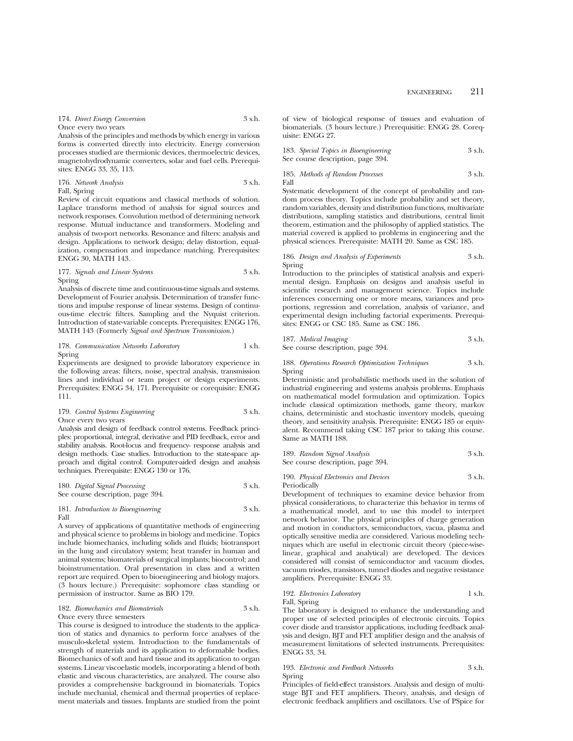174. *Direct Energy Conversion* 3 s.h. Once every two years

Analysis of the principles and methods by which energy in various forms is converted directly into electricity. Energy conversion processes studied are thermionic devices, thermoelectric devices, magnetohydrodynamic converters, solar and fuel cells. Prerequisites: ENGG 33, 35, 113.

176. *Network Analysis* 3 s.h. Fall, Spring

Review of circuit equations and classical methods of solution. Laplace transform method of analysis for signal sources and network responses. Convolution method of determining network response. Mutual inductance and transformers. Modeling and analysis of two-port networks. Resonance and filters: analysis and design. Applications to network design; delay distortion, equalization, compensation and impedance matching. Prerequisites: ENGG 30, MATH 143.

## 177. *Signals and Linear Systems* 3 s.h. Spring

Analysis of discrete time and continuous-time signals and systems. Development of Fourier analysis. Determination of transfer functions and impulse response of linear systems. Design of continuous-time electric filters. Sampling and the Nyquist criterion. Introduction of state-variable concepts. Prerequisites: ENGG 176, MATH 143 (Formerly *Signal and Spectrum Transmission*.)

178. *Communication Networks Laboratory* 1 s.h. Spring

Experiments are designed to provide laboratory experience in the following areas: filters, noise, spectral analysis, transmission lines and individual or team project or design experiments. Prerequisites: ENGG 34, 171. Prerequisite or corequisite: ENGG 111.

179. *Control Systems Engineering* 3 s.h. Once every two years

Analysis and design of feedback control systems. Feedback principles: proportional, integral, derivative and PID feedback, error and stability analysis. Root-locus and frequency- response analysis and design methods. Case studies. Introduction to the state-space approach and digital control. Computer-aided design and analysis techniques. Prerequisite: ENGG 130 or 176.

180. *Digital Signal Processing* 3 s.h. See course description, page 394.

181. *Introduction to Bioengineering* 3 s.h. Fall

A survey of applications of quantitative methods of engineering and physical science to problems in biology and medicine. Topics include biomechanics, including solids and fluids; biotransport in the lung and circulatory system; heat transfer in human and animal systems; biomaterials of surgical implants; biocontrol; and bioinstrumentation. Oral presentation in class and a written report are required. Open to bioengineering and biology majors. (3 hours lecture.) Prerequisite: sophomore class standing or permission of instructor. Same as BIO 179.

182. *Biomechanics and Biomaterials* 3 s.h. Once every three semesters

This course is designed to introduce the students to the application of statics and dynamics to perform force analyses of the musculo-skeletal system. Introduction to the fundamentals of strength of materials and its application to deformable bodies. Biomechanics of soft and hard tissue and its application to organ systems. Linear viscoelastic models, incorporating a blend of both elastic and viscous characteristics, are analyzed. The course also provides a comprehensive background in biomaterials. Topics include mechanial, chemical and thermal properties of replacement materials and tissues. Implants are studied from the point

of view of biological response of tissues and evaluation of biomaterials. (3 hours lecture.) Prerequisitie: ENGG 28. Corequisite: ENGG 27.

| 183. Special Topics in Bioengineering | 3 s.h. |
|---------------------------------------|--------|
| See course description, page 394.     |        |

$$
185. \,\, Methods \,\, of \,\,Random \,\, Processes \,\,\\ \qquad \qquad 3 \,\, \text{s.h.}
$$

Systematic development of the concept of probability and random process theory. Topics include probability and set theory, random variables, density and distribution functions, multivariate distributions, sampling statistics and distributions, central limit theorem, estimation and the philosophy of applied statistics. The material covered is applied to problems in engineering and the physical sciences. Prerequisite: MATH 20. Same as CSC 185.

186. *Design and Analysis of Experiments* 3 s.h. Spring

Introduction to the principles of statistical analysis and experimental design. Emphasis on designs and analysis useful in scientific research and management science. Topics include inferences concerning one or more means, variances and proportions, regression and correlation, analysis of variance, and experimental design including factorial experiments. Prerequisites: ENGG or CSC 185. Same as CSC 186.

187. *Medical Imaging* 3 s.h. See course description, page 394.

188. *Operations Research Optimization Techniques* 3 s.h. Spring

Deterministic and probabilistic methods used in the solution of industrial engineering and systems analysis problems. Emphasis on mathematical model formulation and optimization. Topics include classical optimization methods, game theory, markov chains, deterministic and stochastic inventory models, queuing theory, and sensitivity analysis. Prerequisite: ENGG 185 or equivalent. Recommend taking CSC 187 prior to taking this course. Same as MATH 188.

189. *Random Signal Analysis* 3 s.h. See course description, page 394.

190. *Physical Electronics and Devices* 3 s.h. Periodically

Development of techniques to examine device behavior from physical considerations, to characterize this behavior in terms of a mathematical model, and to use this model to interpret network behavior. The physical principles of charge generation and motion in conductors, semiconductors, vacua, plasma and optically sensitive media are considered. Various modeling techniques which are useful in electronic circuit theory (piece-wiselinear, graphical and analytical) are developed. The devices considered will consist of semiconductor and vacuum diodes, vacuum triodes, transistors, tunnel diodes and negative resistance amplifiers. Prerequisite: ENGG 33.

#### 192. *Electronics Laboratory* 1 s.h. Fall, Spring

The laboratory is designed to enhance the understanding and proper use of selected principles of electronic circuits. Topics cover diode and transistor applications, including feedback analysis and design, BJT and FET amplifier design and the analysis of measurement limitations of selected instruments. Prerequisites: ENGG 33, 34.

#### 193. *Electronic and Feedback Networks* 3 s.h. Spring

Principles of field-effect transistors. Analysis and design of multistage BJT and FET amplifiers. Theory, analysis, and design of electronic feedback amplifiers and oscillators. Use of PSpice for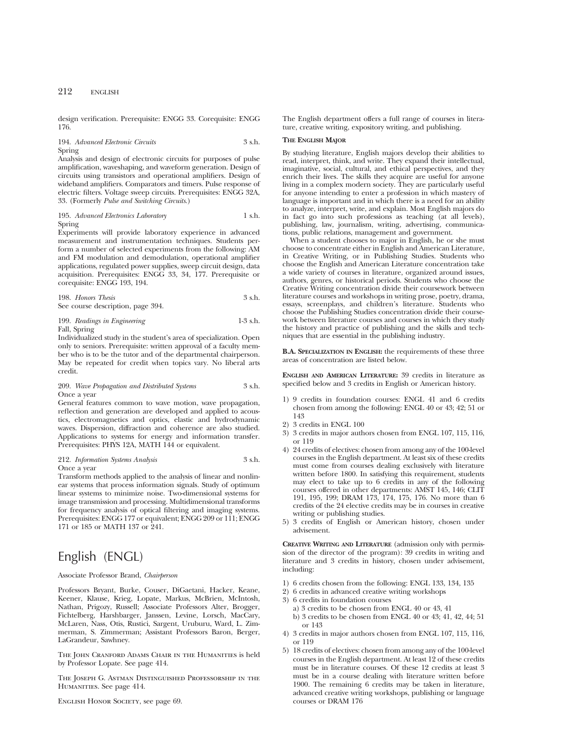design verification. Prerequisite: ENGG 33. Corequisite: ENGG 176.

## 194. *Advanced Electronic Circuits* 3 s.h. Spring

Analysis and design of electronic circuits for purposes of pulse amplification, waveshaping, and waveform generation. Design of circuits using transistors and operational amplifiers. Design of wideband amplifiers. Comparators and timers. Pulse response of electric filters. Voltage sweep circuits. Prerequisites: ENGG 32A, 33. (Formerly *Pulse and Switching Circuits*.)

195. *Advanced Electronics Laboratory* 1 s.h. Spring

Experiments will provide laboratory experience in advanced measurement and instrumentation techniques. Students perform a number of selected experiments from the following: AM and FM modulation and demodulation, operational amplifier applications, regulated power supplies, sweep circuit design, data acquisition. Prerequisites: ENGG 33, 34, 177. Prerequisite or corequisite: ENGG 193, 194.

198. *Honors Thesis* 3 s.h. See course description, page 394.

199. *Readings in Engineering* 1-3 s.h. Fall, Spring

Individualized study in the student's area of specialization. Open only to seniors. Prerequisite: written approval of a faculty member who is to be the tutor and of the departmental chairperson. May be repeated for credit when topics vary. No liberal arts credit.

#### 209. *Wave Propagation and Distributed Systems* 3 s.h. Once a year

General features common to wave motion, wave propagation, reflection and generation are developed and applied to acoustics, electromagnetics and optics, elastic and hydrodynamic waves. Dispersion, diffraction and coherence are also studied. Applications to systems for energy and information transfer. Prerequisites: PHYS 12A, MATH 144 or equivalent.

## 212. *Information Systems Analysis* 3 s.h. Once a year

Transform methods applied to the analysis of linear and nonlinear systems that process information signals. Study of optimum linear systems to minimize noise. Two-dimensional systems for image transmission and processing. Multidimensional transforms for frequency analysis of optical filtering and imaging systems. Prerequisites: ENGG 177 or equivalent; ENGG 209 or 111; ENGG 171 or 185 or MATH 137 or 241.

# English (ENGL)

#### Associate Professor Brand, *Chairperson*

Professors Bryant, Burke, Couser, DiGaetani, Hacker, Keane, Keener, Klause, Krieg, Lopate, Markus, McBrien, McIntosh, Nathan, Prigozy, Russell; Associate Professors Alter, Brogger, Fichtelberg, Harshbarger, Janssen, Levine, Lorsch, MacCary, McLaren, Nass, Otis, Rustici, Sargent, Uruburu, Ward, L. Zimmerman, S. Zimmerman; Assistant Professors Baron, Berger, LaGrandeur, Sawhney.

The John Cranford Adams Chair in the Humanities is held by Professor Lopate. See page 414.

The Joseph G. Astman Distinguished Professorship in the HUMANITIES. See page 414.

ENGLISH HONOR SOCIETY, see page 69.

The English department offers a full range of courses in literature, creative writing, expository writing, and publishing.

#### **THE ENGLISH MAJOR**

By studying literature, English majors develop their abilities to read, interpret, think, and write. They expand their intellectual, imaginative, social, cultural, and ethical perspectives, and they enrich their lives. The skills they acquire are useful for anyone living in a complex modern society. They are particularly useful for anyone intending to enter a profession in which mastery of language is important and in which there is a need for an ability to analyze, interpret, write, and explain. Most English majors do in fact go into such professions as teaching (at all levels), publishing, law, journalism, writing, advertising, communications, public relations, management and government.

When a student chooses to major in English, he or she must choose to concentrate either in English and American Literature, in Creative Writing, or in Publishing Studies. Students who choose the English and American Literature concentration take a wide variety of courses in literature, organized around issues, authors, genres, or historical periods. Students who choose the Creative Writing concentration divide their coursework between literature courses and workshops in writing prose, poetry, drama, essays, screenplays, and children's literature. Students who choose the Publishing Studies concentration divide their coursework between literature courses and courses in which they study the history and practice of publishing and the skills and techniques that are essential in the publishing industry.

**B.A. SPECIALIZATION IN ENGLISH:** the requirements of these three areas of concentration are listed below.

**ENGLISH AND AMERICAN LITERATURE:** 39 credits in literature as specified below and 3 credits in English or American history.

- 1) 9 credits in foundation courses: ENGL 41 and 6 credits chosen from among the following: ENGL 40 or 43; 42; 51 or 143
- 2) 3 credits in ENGL 100
- 3) 3 credits in major authors chosen from ENGL 107, 115, 116, or 119
- 4) 24 credits of electives: chosen from among any of the 100-level courses in the English department. At least six of these credits must come from courses dealing exclusively with literature written before 1800. In satisfying this requirement, students may elect to take up to 6 credits in any of the following courses offered in other departments: AMST 145, 146; CLIT 191, 195, 199; DRAM 173, 174, 175, 176. No more than 6 credits of the 24 elective credits may be in courses in creative writing or publishing studies.
- 5) 3 credits of English or American history, chosen under advisement.

**CREATIVE WRITING AND LITERATURE** (admission only with permission of the director of the program): 39 credits in writing and literature and 3 credits in history, chosen under advisement, including:

- 1) 6 credits chosen from the following: ENGL 133, 134, 135
- 2) 6 credits in advanced creative writing workshops
- 3) 6 credits in foundation courses
	- a) 3 credits to be chosen from ENGL 40 or 43, 41
	- b) 3 credits to be chosen from ENGL 40 or 43; 41, 42, 44; 51 or 143
- 4) 3 credits in major authors chosen from ENGL 107, 115, 116, or 119
- 5) 18 credits of electives: chosen from among any of the 100-level courses in the English department. At least 12 of these credits must be in literature courses. Of these 12 credits at least 3 must be in a course dealing with literature written before 1900. The remaining 6 credits may be taken in literature, advanced creative writing workshops, publishing or language courses or DRAM 176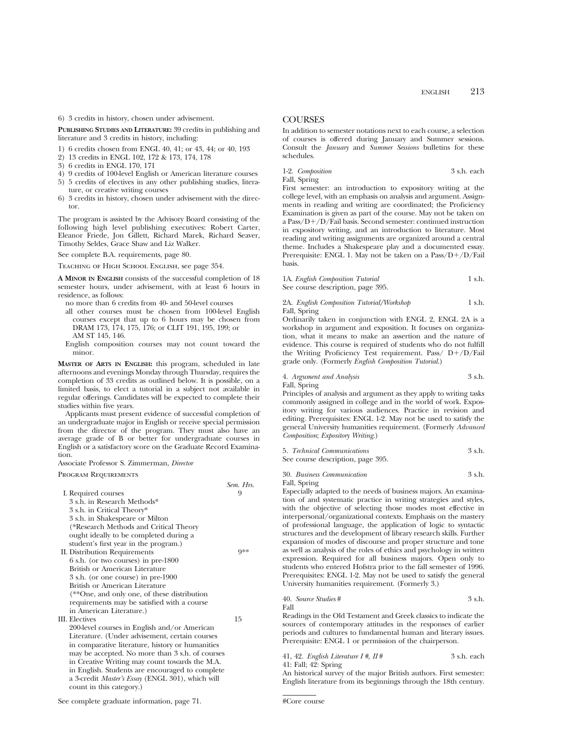6) 3 credits in history, chosen under advisement.

**PUBLISHING STUDIES AND LITERATURE:** 39 credits in publishing and literature and 3 credits in history, including:

- 1) 6 credits chosen from ENGL 40, 41; or 43, 44; or 40, 193
- 2) 13 credits in ENGL 102, 172 & 173, 174, 178
- 3) 6 credits in ENGL 170, 171
- 4) 9 credits of 100-level English or American literature courses
- 5) 5 credits of electives in any other publishing studies, literature, or creative writing courses
- 6) 3 credits in history, chosen under advisement with the director.

The program is assisted by the Advisory Board consisting of the following high level publishing executives: Robert Carter, Eleanor Friede, Jon Gillett, Richard Marek, Richard Seaver, Timothy Seldes, Grace Shaw and Liz Walker.

See complete B.A. requirements, page 80.

Teaching of High School English, see page 354.

**A MINOR IN ENGLISH** consists of the successful completion of 18 semester hours, under advisement, with at least 6 hours in residence, as follows:

no more than 6 credits from 40- and 50-level courses

- all other courses must be chosen from 100-level English courses except that up to 6 hours may be chosen from DRAM 173, 174, 175, 176; or CLIT 191, 195, 199; or AM ST 145, 146.
- English composition courses may not count toward the minor.

**MASTER OF ARTS IN ENGLISH:** this program, scheduled in late afternoons and evenings Monday through Thursday, requires the completion of 33 credits as outlined below. It is possible, on a limited basis, to elect a tutorial in a subject not available in regular offerings. Candidates will be expected to complete their studies within five years.

Applicants must present evidence of successful completion of an undergraduate major in English or receive special permission from the director of the program. They must also have an average grade of B or better for undergraduate courses in English or a satisfactory score on the Graduate Record Examination.

Associate Professor S. Zimmerman, *Director*

Program Requirements

|                                                  | Sem. Hrs. |
|--------------------------------------------------|-----------|
| I. Required courses                              |           |
| 3 s.h. in Research Methods*                      |           |
| 3 s.h. in Critical Theory*                       |           |
| 3 s.h. in Shakespeare or Milton                  |           |
| (*Research Methods and Critical Theory)          |           |
| ought ideally to be completed during a           |           |
| student's first year in the program.)            |           |
| II. Distribution Requirements                    | Q**       |
| 6 s.h. (or two courses) in pre-1800              |           |
| British or American Literature                   |           |
| 3 s.h. (or one course) in pre-1900               |           |
| British or American Literature                   |           |
| (**One, and only one, of these distribution      |           |
| requirements may be satisfied with a course      |           |
| in American Literature.)                         |           |
| <b>III.</b> Electives                            | 15        |
| 200-level courses in English and/or American     |           |
| Literature. (Under advisement, certain courses   |           |
| in comparative literature, history or humanities |           |
| may be accepted. No more than 3 s.h. of courses  |           |
| in Creative Writing may count towards the M.A.   |           |

in Creative Writing may count towards the M.A. in English. Students are encouraged to complete a 3-credit *Master's Essay* (ENGL 301), which will

count in this category.)

**COURSES** 

In addition to semester notations next to each course, a selection of courses is offered during January and Summer sessions. Consult the *January* and *Summer Sessions* bulletins for these schedules.

1-2. *Composition* 3 s.h. each Fall, Spring

First semester: an introduction to expository writing at the college level, with an emphasis on analysis and argument. Assignments in reading and writing are coordinated; the Proficiency Examination is given as part of the course. May not be taken on a Pass/ $D+/D$ /Fail basis. Second semester: continued instruction in expository writing, and an introduction to literature. Most reading and writing assignments are organized around a central theme. Includes a Shakespeare play and a documented essay. Prerequisite: ENGL 1. May not be taken on a  $Pass/D+/D/Fall$ basis.

|  | 1A. English Composition Tutorial  | 1 s.h. |
|--|-----------------------------------|--------|
|  | See course description, page 395. |        |

## 2A. *English Composition Tutorial/Workshop* 1 s.h. Fall, Spring

Ordinarily taken in conjunction with ENGL 2, ENGL 2A is a workshop in argument and exposition. It focuses on organization, what it means to make an assertion and the nature of evidence. This course is required of students who do not fulfill the Writing Proficiency Test requirement. Pass/  $D+/D/Fail$ grade only. (Formerly *English Composition Tutorial*.)

| 4. Argument and Analysis | 3 s.h. |
|--------------------------|--------|
| Fall, Spring             |        |

Principles of analysis and argument as they apply to writing tasks commonly assigned in college and in the world of work. Expository writing for various audiences. Practice in revision and editing. Prerequisites: ENGL 1-2. May not be used to satisfy the general University humanities requirement. (Formerly *Advanced Composition*; *Expository Writing*.)

| 5. Technical Communications       | 3 s.h. |
|-----------------------------------|--------|
| See course description, page 395. |        |

30. *Business Communication* 3 s.h.

Fall, Spring

Especially adapted to the needs of business majors. An examination of and systematic practice in writing strategies and styles, with the objective of selecting those modes most effective in interpersonal/organizational contexts. Emphasis on the mastery of professional language, the application of logic to syntactic structures and the development of library research skills. Further expansion of modes of discourse and proper structure and tone as well as analysis of the roles of ethics and psychology in written expression. Required for all business majors. Open only to students who entered Hofstra prior to the fall semester of 1996. Prerequisites: ENGL 1-2. May not be used to satisfy the general University humanities requirement. (Formerly 3.)

40. *Source Studies* # 3 s.h. Fall

Readings in the Old Testament and Greek classics to indicate the sources of contemporary attitudes in the responses of earlier periods and cultures to fundamental human and literary issues. Prerequisite: ENGL 1 or permission of the chairperson.

41, 42. *English Literature I #, II* # 3 s.h. each 41: Fall; 42: Spring

An historical survey of the major British authors. First semester: English literature from its beginnings through the 18th century.

<sup>#</sup>Core course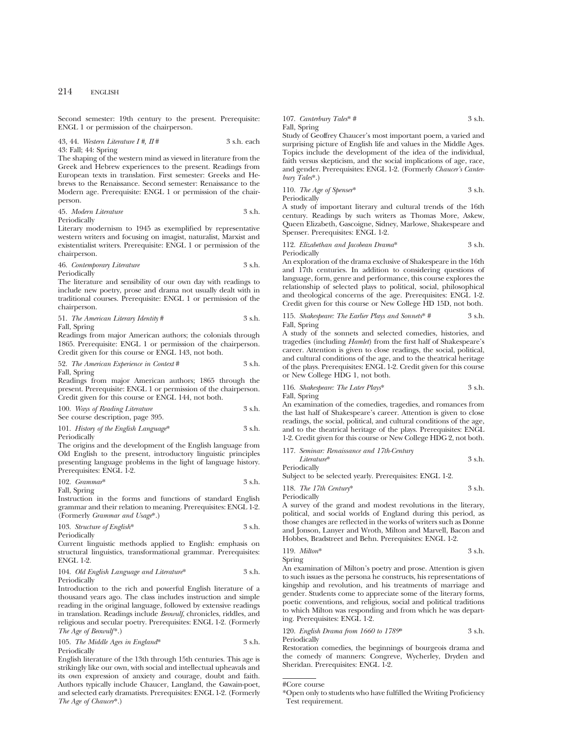Second semester: 19th century to the present. Prerequisite: ENGL 1 or permission of the chairperson.

43, 44. *Western Literature I #, II* # 3 s.h. each 43: Fall; 44: Spring

The shaping of the western mind as viewed in literature from the Greek and Hebrew experiences to the present. Readings from European texts in translation. First semester: Greeks and Hebrews to the Renaissance. Second semester: Renaissance to the Modern age. Prerequisite: ENGL 1 or permission of the chairperson.

45. *Modern Literature* 3 s.h. Periodically

Literary modernism to 1945 as exemplified by representative western writers and focusing on imagist, naturalist, Marxist and existentialist writers. Prerequisite: ENGL 1 or permission of the chairperson.

46. *Contemporary Literature* 3 s.h. Periodically

The literature and sensibility of our own day with readings to include new poetry, prose and drama not usually dealt with in traditional courses. Prerequisite: ENGL 1 or permission of the chairperson.

51. *The American Literary Identity* # 3 s.h. Fall, Spring

Readings from major American authors; the colonials through 1865. Prerequisite: ENGL 1 or permission of the chairperson. Credit given for this course or ENGL 143, not both.

52. *The American Experience in Context* # 3 s.h. Fall, Spring

Readings from major American authors; 1865 through the present. Prerequisite: ENGL 1 or permission of the chairperson. Credit given for this course or ENGL 144, not both.

100. *Ways of Reading Literature* 3 s.h. See course description, page 395.

101. *History of the English Language*\* 3 s.h. Periodically

The origins and the development of the English language from Old English to the present, introductory linguistic principles presenting language problems in the light of language history. Prerequisites: ENGL 1-2.

102. *Grammar*\* 3 s.h. Fall, Spring

Instruction in the forms and functions of standard English grammar and their relation to meaning. Prerequisites: ENGL 1-2. (Formerly *Grammar and Usage*\*.)

103. *Structure of English*\* 3 s.h. Periodically

Current linguistic methods applied to English: emphasis on structural linguistics, transformational grammar. Prerequisites: ENGL 1-2.

104. *Old English Language and Literature*\* 3 s.h. Periodically

Introduction to the rich and powerful English literature of a thousand years ago. The class includes instruction and simple reading in the original language, followed by extensive readings in translation. Readings include *Beowulf*, chronicles, riddles, and religious and secular poetry. Prerequisites: ENGL 1-2. (Formerly *The Age of Beowulf*\*.)

105. *The Middle Ages in England*\* 3 s.h. Periodically

English literature of the 13th through 15th centuries. This age is strikingly like our own, with social and intellectual upheavals and its own expression of anxiety and courage, doubt and faith. Authors typically include Chaucer, Langland, the Gawain-poet, and selected early dramatists. Prerequisites: ENGL 1-2. (Formerly *The Age of Chaucer*\*.)

107. *Canterbury Tales*\* # 3 s.h. Fall, Spring

Study of Geoffrey Chaucer's most important poem, a varied and surprising picture of English life and values in the Middle Ages. Topics include the development of the idea of the individual, faith versus skepticism, and the social implications of age, race, and gender. Prerequisites: ENGL 1-2. (Formerly *Chaucer's Canterbury Tales*\*.)

110. *The Age of Spenser*\* 3 s.h. Periodically

A study of important literary and cultural trends of the 16th century. Readings by such writers as Thomas More, Askew, Queen Elizabeth, Gascoigne, Sidney, Marlowe, Shakespeare and Spenser. Prerequisites: ENGL 1-2.

112. *Elizabethan and Jacobean Drama*\* 3 s.h. Periodically

An exploration of the drama exclusive of Shakespeare in the 16th and 17th centuries. In addition to considering questions of language, form, genre and performance, this course explores the relationship of selected plays to political, social, philosophical and theological concerns of the age. Prerequisites: ENGL 1-2. Credit given for this course or New College HD 15D, not both.

115. *Shakespeare: The Earlier Plays and Sonnets*\* # 3 s.h. Fall, Spring

A study of the sonnets and selected comedies, histories, and tragedies (including *Hamlet*) from the first half of Shakespeare's career. Attention is given to close readings, the social, political, and cultural conditions of the age, and to the theatrical heritage of the plays. Prerequisites: ENGL 1-2. Credit given for this course or New College HDG 1, not both.

116. *Shakespeare: The Later Plays*\* 3 s.h.

Fall, Spring

An examination of the comedies, tragedies, and romances from the last half of Shakespeare's career. Attention is given to close readings, the social, political, and cultural conditions of the age, and to the theatrical heritage of the plays. Prerequisites: ENGL 1-2. Credit given for this course or New College HDG 2, not both.

## 117. *Seminar: Renaissance and 17th-Century*

*Literature*\* 3 s.h. Periodically

Subject to be selected yearly. Prerequisites: ENGL 1-2.

118. *The 17th Century*\* 3 s.h.

Periodically

A survey of the grand and modest revolutions in the literary, political, and social worlds of England during this period, as those changes are reflected in the works of writers such as Donne and Jonson, Lanyer and Wroth, Milton and Marvell, Bacon and Hobbes, Bradstreet and Behn. Prerequisites: ENGL 1-2.

ing. Prerequisites: ENGL 1-2.

119. *Milton*\* 3 s.h. Spring An examination of Milton's poetry and prose. Attention is given to such issues as the persona he constructs, his representations of kingship and revolution, and his treatments of marriage and gender. Students come to appreciate some of the literary forms, poetic conventions, and religious, social and political traditions to which Milton was responding and from which he was depart-

## 120. *English Drama from 1660 to 1789*\* 3 s.h. Periodically

Restoration comedies, the beginnings of bourgeois drama and the comedy of manners: Congreve, Wycherley, Dryden and Sheridan. Prerequisites: ENGL 1-2.

<sup>#</sup>Core course

<sup>\*</sup>Open only to students who have fulfilled the Writing Proficiency Test requirement.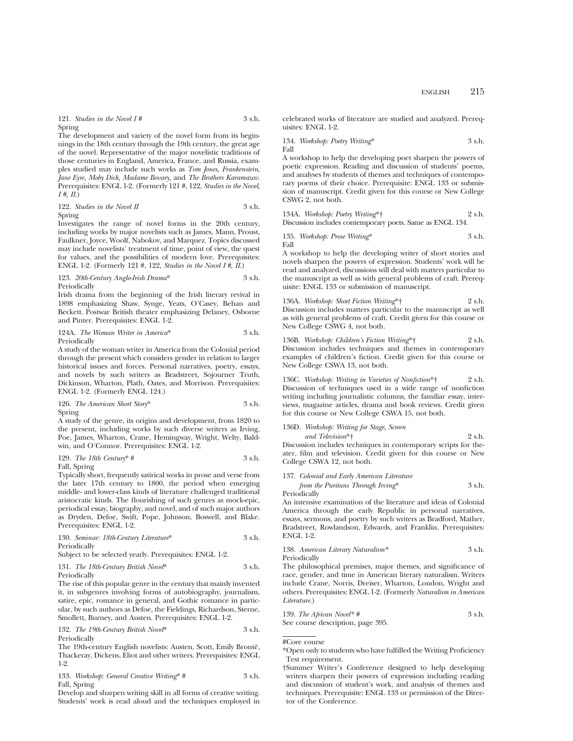121. *Studies in the Novel I #* 3 s.h. Spring

The development and variety of the novel form from its beginnings in the 18th century through the 19th century, the great age of the novel. Representative of the major novelistic traditions of those centuries in England, America, France, and Russia, examples studied may include such works as *Tom Jones, Frankenstein, Jane Eyre, Moby Dick, Madame Bovary,* and *The Brothers Karamazov.* Prerequisites: ENGL 1-2. (Formerly 121 #, 122, *Studies in the Novel, I #, II*.)

122. *Studies in the Novel II* 3 s.h. Spring

Investigates the range of novel forms in the 20th century, including works by major novelists such as James, Mann, Proust, Faulkner, Joyce, Woolf, Nabokov, and Marquez. Topics discussed may include novelists' treatment of time, point of view, the quest for values, and the possibilities of modern love. Prerequisites: ENGL 1-2. (Formerly 121 #, 122, *Studies in the Novel I #, II*.)

#### 123. *20th-Century Anglo-Irish Drama*\* 3 s.h. Periodically

Irish drama from the beginning of the Irish literary revival in 1898 emphasizing Shaw, Synge, Yeats, O'Casey, Behan and Beckett. Postwar British theater emphasizing Delaney, Osborne and Pinter. Prerequisites: ENGL 1-2.

124A. *The Woman Writer in America*\* 3 s.h. Periodically

A study of the woman writer in America from the Colonial period through the present which considers gender in relation to larger historical issues and forces. Personal narratives, poetry, essays, and novels by such writers as Bradstreet, Sojourner Truth, Dickinson, Wharton, Plath, Oates, and Morrison. Prerequisites: ENGL 1-2. (Formerly ENGL 124.)

126. *The American Short Story*\* 3 s.h. Spring

A study of the genre, its origins and development, from 1820 to the present, including works by such diverse writers as Irving, Poe, James, Wharton, Crane, Hemingway, Wright, Welty, Baldwin, and O'Connor. Prerequisites: ENGL 1-2.

129. The 18th Century\* 
$$
\#
$$
 3 s.h.

Fall, Spring

Typically short, frequently satirical works in prose and verse from the later 17th century to 1800, the period when emerging middle- and lower-class kinds of literature challenged traditional aristocratic kinds. The flourishing of such genres as mock-epic, periodical essay, biography, and novel, and of such major authors as Dryden, Defoe, Swift, Pope, Johnson, Boswell, and Blake. Prerequisites: ENGL 1-2.

130. *Seminar: 18th-Century Literature*\* 3 s.h. Periodically

Subject to be selected yearly. Prerequisites: ENGL 1-2.

#### 131. *The 18th-Century British Novel*\* 3 s.h. Periodically

The rise of this popular genre in the century that mainly invented it, in subgenres involving forms of autobiography, journalism, satire, epic, romance in general, and Gothic romance in particular, by such authors as Defoe, the Fieldings, Richardson, Sterne, Smollett, Burney, and Austen. Prerequisites: ENGL 1-2.

132. *The 19th-Century British Novel*\* 3 s.h. Periodically

The 19th-century English novelists: Austen, Scott, Emily Brontë, Thackeray, Dickens, Eliot and other writers. Prerequisites: ENGL 1-2.

133. *Workshop: General Creative Writing*\* # 3 s.h. Fall, Spring

Develop and sharpen writing skill in all forms of creative writing. Students' work is read aloud and the techniques employed in celebrated works of literature are studied and analyzed. Prerequisites: ENGL 1-2.

134. *Workshop: Poetry Writing*\* 3 s.h. Fall

A workshop to help the developing poet sharpen the powers of poetic expression. Reading and discussion of students' poems, and analyses by students of themes and techniques of contemporary poems of their choice. Prerequisite: ENGL 133 or submission of manuscript. Credit given for this course or New College CSWG 2, not both.

| 134A. Workshop: Poetry Writing*†                          | 2 s.h. |
|-----------------------------------------------------------|--------|
| Discussion includes contemporary poets. Same as ENGL 134. |        |

135. *Workshop: Prose Writing*\* 3 s.h. Fall

A workshop to help the developing writer of short stories and novels sharpen the powers of expression. Students' work will be read and analyzed, discussions will deal with matters particular to the manuscript as well as with general problems of craft. Prerequisite: ENGL 133 or submission of manuscript.

136A. *Workshop: Short Fiction Writing*\*† 2 s.h. Discussion includes matters particular to the manuscript as well as with general problems of craft. Credit given for this course or New College CSWG 4, not both.

136B. *Workshop: Children's Fiction Writing*\*† 2 s.h. Discussion includes techniques and themes in contemporary examples of children's fiction. Credit given for this course or New College CSWA 13, not both.

136C. *Workshop: Writing in Varieties of Nonfiction*\*† 2 s.h. Discussion of techniques used in a wide range of nonfiction writing including journalistic columns, the familiar essay, interviews, magazine articles, drama and book reviews. Credit given for this course or New College CSWA 15, not both.

## 136D. *Workshop: Writing for Stage, Screen*

*and Television*\*† 2 s.h. Discussion includes techniques in contemporary scripts for theater, film and television. Credit given for this course or New College CSWA 12, not both.

137. *Colonial and Early American Literature*

*from the Puritans Through Irving*\* 3 s.h. Periodically

An intensive examination of the literature and ideas of Colonial America through the early Republic in personal narratives, essays, sermons, and poetry by such writers as Bradford, Mather, Bradstreet, Rowlandson, Edwards, and Franklin. Prerequisites: ENGL 1-2.

138. *American Literary Naturalism\** 3 s.h. Periodically

The philosophical premises, major themes, and significance of race, gender, and time in American literary naturalism. Writers include Crane, Norris, Dreiser, Wharton, London, Wright and others. Prerequisites: ENGL 1-2. (Formerly *Naturalism in American Literature*.)

139. *The African Novel\* #* 3 s.h. See course description, page 395.

#Core course

<sup>\*</sup>Open only to students who have fulfilled the Writing Proficiency Test requirement.

<sup>†</sup>Summer Writer's Conference designed to help developing writers sharpen their powers of expression including reading and discussion of student's work, and analysis of themes and techniques. Prerequisite: ENGL 133 or permission of the Director of the Conference.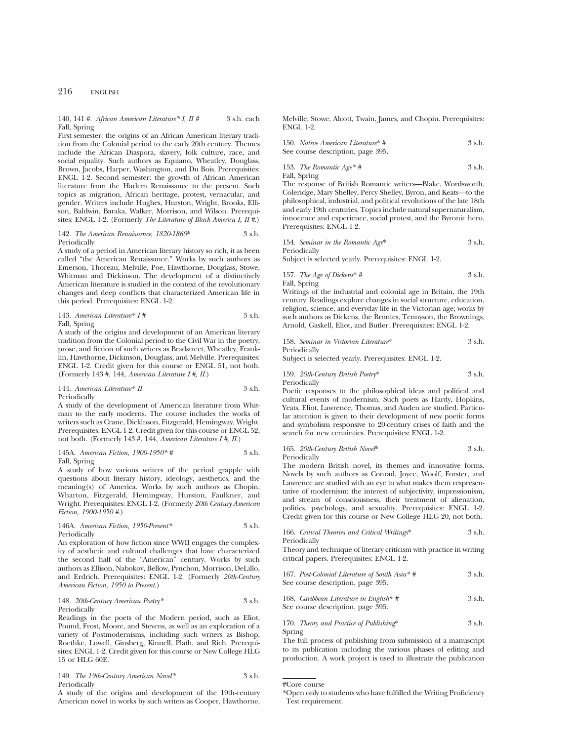140, 141 #. *African American Literature\* I, II #* 3 s.h. each Fall, Spring

First semester: the origins of an African American literary tradition from the Colonial period to the early 20th century. Themes include the African Diaspora, slavery, folk culture, race, and social equality. Such authors as Equiano, Wheatley, Douglass, Brown, Jacobs, Harper, Washington, and Du Bois. Prerequisites: ENGL 1-2. Second semester: the growth of African American literature from the Harlem Renaissance to the present. Such topics as migration, African heritage, protest, vernacular, and gender. Writers include Hughes, Hurston, Wright, Brooks, Ellison, Baldwin, Baraka, Walker, Morrison, and Wilson. Prerequisites: ENGL 1-2. (Formerly *The Literature of Black America I, II #*.)

#### 142. *The American Renaissance, 1820-1860*\* 3 s.h. Periodically

A study of a period in American literary history so rich, it as been called "the American Renaissance." Works by such authors as Emerson, Thoreau, Melville, Poe, Hawthorne, Douglass, Stowe, Whitman and Dickinson. The development of a distinctively American literature is studied in the context of the revolutionary changes and deep conflicts that characterized American life in this period. Prerequisites: ENGL 1-2.

143. *American Literature\* I #* 3 s.h. Fall, Spring

A study of the origins and development of an American literary tradition from the Colonial period to the Civil War in the poetry, prose, and fiction of such writers as Bradstreet, Wheatley, Franklin, Hawthorne, Dickinson, Douglass, and Melville. Prerequisites: ENGL 1-2. Credit given for this course or ENGL 51, not both. (Formerly 143 #, 144, *American Literature I #, II*.)

### 144. *American Literature*\* *II* 3 s.h. Periodically

A study of the development of American literature from Whitman to the early moderns. The course includes the works of writers such as Crane, Dickinson, Fitzgerald, Hemingway, Wright. Prerequisites: ENGL 1-2. Credit given for this course or ENGL 52, not both. (Formerly 143 #, 144, *American Literature I #, II*.)

145A. *American Fiction, 1900-1950\* #* 3 s.h. Fall, Spring

A study of how various writers of the period grapple with questions about literary history, ideology, aesthetics, and the meaning(s) of America. Works by such authors as Chopin, Wharton, Fitzgerald, Hemingway, Hurston, Faulkner, and Wright. Prerequisites: ENGL 1-2. (Formerly *20th Century American Fiction, 1900-1950 #*.)

146A. *American Fiction, 1950-Present\** 3 s.h. Periodically

An exploration of how fiction since WWII engages the complexity of aesthetic and cultural challenges that have characterized the second half of the "American" century. Works by such authors as Ellison, Nabokov, Bellow, Pynchon, Morrison, DeLillo, and Erdrich. Prerequisites: ENGL 1-2. (Formerly *20th-Century American Fiction, 1950 to Present*.)

#### 148. *20th-Century American Poetry\** 3 s.h. Periodically

Readings in the poets of the Modern period, such as Eliot, Pound, Frost, Moore, and Stevens, as well as an exploration of a variety of Postmodernisms, including such writers as Bishop, Roethke, Lowell, Ginsberg, Kinnell, Plath, and Rich. Prerequisites: ENGL 1-2. Credit given for this course or New College HLG 15 or HLG 60E.

149. *The 19th-Century American Novel\** 3 s.h. Periodically

A study of the origins and development of the 19th-century American novel in works by such writers as Cooper, Hawthorne, Melville, Stowe, Alcott, Twain, James, and Chopin. Prerequisites: ENGL 1-2.

| 150. Native American Literature* # | 3 s.h. |
|------------------------------------|--------|
| See course description, page 395.  |        |

153. *The Romantic Age\* #* 3 s.h. Fall, Spring

The response of British Romantic writers—Blake, Wordsworth, Coleridge, Mary Shelley, Percy Shelley, Byron, and Keats—to the philosophical, industrial, and political revolutions of the late 18th and early 19th centuries. Topics include natural supernaturalism, innocence and experience, social protest, and the Byronic hero. Prerequisites: ENGL 1-2.

154. *Seminar in the Romantic Age*\* 3 s.h. Periodically

Subject is selected yearly. Prerequisites: ENGL 1-2.

157. *The Age of Dickens*\* # 3 s.h. Fall, Spring

Writings of the industrial and colonial age in Britain, the 19th century. Readings explore changes in social structure, education, religion, science, and everyday life in the Victorian age; works by such authors as Dickens, the Brontes, Tennyson, the Brownings, Arnold, Gaskell, Eliot, and Butler. Prerequisites: ENGL 1-2.

158. *Seminar in Victorian Literature*\* 3 s.h. Periodically

Subject is selected yearly. Prerequisites: ENGL 1-2.

159. *20th-Century British Poetry*\* 3 s.h. Periodically

Poetic responses to the philosophical ideas and political and cultural events of modernism. Such poets as Hardy, Hopkins, Yeats, Eliot, Lawrence, Thomas, and Auden are studied. Particular attention is given to their development of new poetic forms and symbolism responsive to 20-century crises of faith and the search for new certainties. Prerequisites: ENGL 1-2.

165. *20th-Century British Novel*\* 3 s.h. Periodically

The modern British novel, its themes and innovative forms. Novels by such authors as Conrad, Joyce, Woolf, Forster, and Lawrence are studied with an eye to what makes them respresentative of modernism: the interest of subjectivity, impressionism, and stream of consciousness, their treatment of alienation, politics, psychology, and sexuality. Prerequisites: ENGL 1-2. Credit given for this course or New College HLG 20, not both.

| 166. Critical Theories and Critical Writings* |  | 3 s.h. |
|-----------------------------------------------|--|--------|
| Periodically                                  |  |        |

Theory and technique of literary criticism with practice in writing critical papers. Prerequisites: ENGL 1-2.

| 167. Post-Colonial Literature of South Asia* $#$<br>See course description, page 395. | 3 s.h. |
|---------------------------------------------------------------------------------------|--------|
| 168. Caribbean Literature in English*#<br>See course description, page 395.           | 3 s.h. |

170. *Theory and Practice of Publishing*\* 3 s.h. Spring

The full process of publishing from submission of a manuscript to its publication including the various phases of editing and production. A work project is used to illustrate the publication

#Core course

<sup>\*</sup>Open only to students who have fulfilled the Writing Proficiency Test requirement.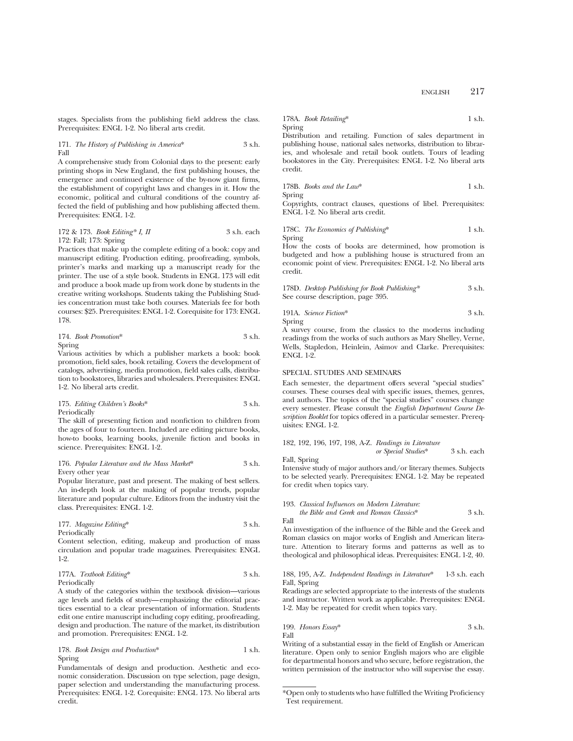stages. Specialists from the publishing field address the class. Prerequisites: ENGL 1-2. No liberal arts credit.

171. *The History of Publishing in America*\* 3 s.h. Fall

A comprehensive study from Colonial days to the present: early printing shops in New England, the first publishing houses, the emergence and continued existence of the by-now giant firms, the establishment of copyright laws and changes in it. How the economic, political and cultural conditions of the country affected the field of publishing and how publishing affected them. Prerequisites: ENGL 1-2.

#### 172 & 173. *Book Editing\* I, II* 3 s.h. each 172: Fall; 173: Spring

Practices that make up the complete editing of a book: copy and manuscript editing. Production editing, proofreading, symbols, printer's marks and marking up a manuscript ready for the printer. The use of a style book. Students in ENGL 173 will edit and produce a book made up from work done by students in the creative writing workshops. Students taking the Publishing Studies concentration must take both courses. Materials fee for both courses: \$25. Prerequisites: ENGL 1-2. Corequisite for 173: ENGL 178.

174. *Book Promotion*\* 3 s.h. Spring

Various activities by which a publisher markets a book: book promotion, field sales, book retailing. Covers the development of catalogs, advertising, media promotion, field sales calls, distribution to bookstores, libraries and wholesalers. Prerequisites: ENGL 1-2. No liberal arts credit.

## 175. *Editing Children's Books*\* 3 s.h. Periodically

The skill of presenting fiction and nonfiction to children from the ages of four to fourteen. Included are editing picture books, how-to books, learning books, juvenile fiction and books in science. Prerequisites: ENGL 1-2.

### 176. *Popular Literature and the Mass Market*\* 3 s.h. Every other year

Popular literature, past and present. The making of best sellers. An in-depth look at the making of popular trends, popular literature and popular culture. Editors from the industry visit the class. Prerequisites: ENGL 1-2.

177. *Magazine Editing*\* 3 s.h. Periodically

Content selection, editing, makeup and production of mass circulation and popular trade magazines. Prerequisites: ENGL 1-2.

177A. *Textbook Editing*\* 3 s.h. Periodically

A study of the categories within the textbook division—various age levels and fields of study—emphasizing the editorial practices essential to a clear presentation of information. Students edit one entire manuscript including copy editing, proofreading, design and production. The nature of the market, its distribution and promotion. Prerequisites: ENGL 1-2.

178. *Book Design and Production*\* 1 s.h. Spring

Fundamentals of design and production. Aesthetic and economic consideration. Discussion on type selection, page design, paper selection and understanding the manufacturing process. Prerequisites: ENGL 1-2. Corequisite: ENGL 173. No liberal arts credit.

178A. *Book Retailing*\* 1 s.h. Spring

Distribution and retailing. Function of sales department in publishing house, national sales networks, distribution to libraries, and wholesale and retail book outlets. Tours of leading bookstores in the City. Prerequisites: ENGL 1-2. No liberal arts credit.

178B. *Books and the Law*\* 1 s.h. Spring

Copyrights, contract clauses, questions of libel. Prerequisites: ENGL 1-2. No liberal arts credit.

178C. *The Economics of Publishing*\* 1 s.h. Spring

How the costs of books are determined, how promotion is budgeted and how a publishing house is structured from an economic point of view. Prerequisites: ENGL 1-2. No liberal arts credit.

| 178D. Desktop Publishing for Book Publishing* | 3 s.h. |
|-----------------------------------------------|--------|
| See course description, page 395.             |        |

191A. *Science Fiction*\* 3 s.h. Spring

A survey course, from the classics to the moderns including readings from the works of such authors as Mary Shelley, Verne, Wells, Stapledon, Heinlein, Asimov and Clarke. Prerequisites: ENGL 1-2.

## SPECIAL STUDIES AND SEMINARS

Each semester, the department offers several "special studies" courses. These courses deal with specific issues, themes, genres, and authors. The topics of the "special studies" courses change every semester. Please consult the *English Department Course Description Booklet* for topics offered in a particular semester. Prerequisites: ENGL 1-2.

182, 192, 196, 197, 198, A-Z. *Readings in Literature*

*or Special Studies*\* 3 s.h. each

Fall, Spring

Fall

Intensive study of major authors and/or literary themes. Subjects to be selected yearly. Prerequisites: ENGL 1-2. May be repeated for credit when topics vary.

#### 193. *Classical Influences on Modern Literature:*

*the Bible and Greek and Roman Classics*\* 3 s.h.

An investigation of the influence of the Bible and the Greek and Roman classics on major works of English and American literature. Attention to literary forms and patterns as well as to theological and philosophical ideas. Prerequisites: ENGL 1-2, 40.

## 188, 195, A-Z. *Independent Readings in Literature*\* 1-3 s.h. each Fall, Spring

Readings are selected appropriate to the interests of the students and instructor. Written work as applicable. Prerequisites: ENGL 1-2. May be repeated for credit when topics vary.

199. *Honors Essay*\*
$$
3 \, \text{sh.}
$$
 Fall

Writing of a substantial essay in the field of English or American literature. Open only to senior English majors who are eligible for departmental honors and who secure, before registration, the written permission of the instructor who will supervise the essay.

<sup>\*</sup>Open only to students who have fulfilled the Writing Proficiency Test requirement.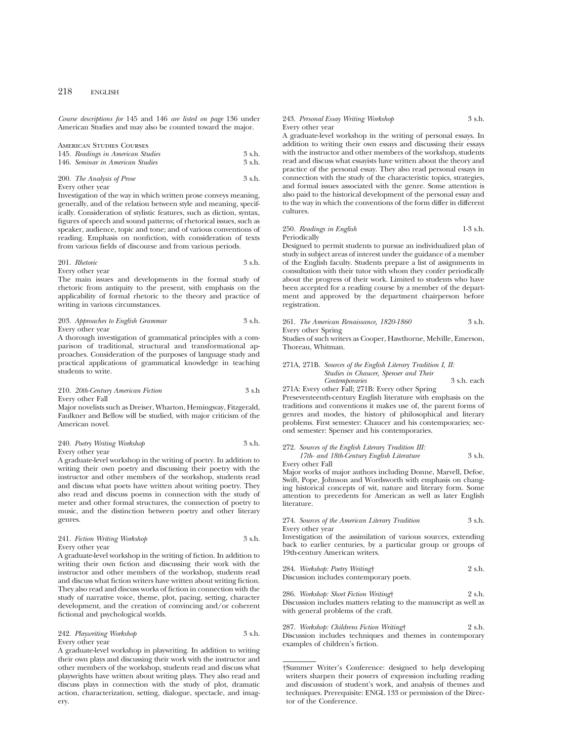*Course descriptions for* 145 and 146 *are listed on page* 136 under American Studies and may also be counted toward the major.

| <b>AMERICAN STUDIES COURSES</b> |                                   |          |  |
|---------------------------------|-----------------------------------|----------|--|
|                                 | 145. Readings in American Studies | $3$ s.h. |  |
|                                 | 146. Seminar in American Studies  | $3$ s.h. |  |

#### 200. *The Analysis of Prose* 3 s.h. Every other year

Investigation of the way in which written prose conveys meaning, generally, and of the relation between style and meaning, specifically. Consideration of stylistic features, such as diction, syntax, figures of speech and sound patterns; of rhetorical issues, such as speaker, audience, topic and tone; and of various conventions of reading. Emphasis on nonfiction, with consideration of texts from various fields of discourse and from various periods.

#### 201. *Rhetoric* 3 s.h. Every other year

The main issues and developments in the formal study of rhetoric from antiquity to the present, with emphasis on the applicability of formal rhetoric to the theory and practice of writing in various circumstances.

#### 203. *Approaches to English Grammar* 3 s.h. Every other year

A thorough investigation of grammatical principles with a comparison of traditional, structural and transformational approaches. Consideration of the purposes of language study and practical applications of grammatical knowledge in teaching students to write.

## 210. *20th-Century American Fiction* 3 s.h Every other Fall

Major novelists such as Dreiser, Wharton, Hemingway, Fitzgerald, Faulkner and Bellow will be studied, with major criticism of the American novel.

| 240. Poetry Writing Workshop | 3 s.h. |
|------------------------------|--------|
| Every other year             |        |

A graduate-level workshop in the writing of poetry. In addition to writing their own poetry and discussing their poetry with the instructor and other members of the workshop, students read and discuss what poets have written about writing poetry. They also read and discuss poems in connection with the study of meter and other formal structures, the connection of poetry to music, and the distinction between poetry and other literary genres.

#### 241. *Fiction Writing Workshop* 3 s.h. Every other year

A graduate-level workshop in the writing of fiction. In addition to writing their own fiction and discussing their work with the instructor and other members of the workshop, students read and discuss what fiction writers have written about writing fiction. They also read and discuss works of fiction in connection with the study of narrative voice, theme, plot, pacing, setting, character development, and the creation of convincing and/or coherent fictional and psychological worlds.

242. *Playwriting Workshop* 3 s.h. Every other year

A graduate-level workshop in playwriting. In addition to writing their own plays and discussing their work with the instructor and other members of the workshop, students read and discuss what playwrights have written about writing plays. They also read and discuss plays in connection with the study of plot, dramatic action, characterization, setting, dialogue, spectacle, and imagery.

#### 243. *Personal Essay Writing Workshop* 3 s.h. Every other year

A graduate-level workshop in the writing of personal essays. In addition to writing their own essays and discussing their essays with the instructor and other members of the workshop, students read and discuss what essayists have written about the theory and practice of the personal essay. They also read personal essays in connection with the study of the characteristic topics, strategies, and formal issues associated with the genre. Some attention is also paid to the historical development of the personal essay and to the way in which the conventions of the form differ in different cultures.

#### 250. *Readings in English* 1-3 s.h. Periodically

Designed to permit students to pursue an individualized plan of study in subject areas of interest under the guidance of a member of the English faculty. Students prepare a list of assignments in consultation with their tutor with whom they confer periodically about the progress of their work. Limited to students who have been accepted for a reading course by a member of the department and approved by the department chairperson before registration.

#### 261. *The American Renaissance, 1820-1860* 3 s.h. Every other Spring

Studies of such writers as Cooper, Hawthorne, Melville, Emerson, Thoreau, Whitman.

### 271A, 271B. *Sources of the English Literary Tradition I, II: Studies in Chaucer, Spenser and Their Contemporaries* 3 s.h. each 271A: Every other Fall; 271B: Every other Spring

Preseventeenth-century English literature with emphasis on the traditions and conventions it makes use of, the parent forms of genres and modes, the history of philosophical and literary problems. First semester: Chaucer and his contemporaries; second semester: Spenser and his contemporaries.

## 272. *Sources of the English Literary Tradition III: 17th- and 18th-Century English Literature* 3 s.h.

Every other Fall

Major works of major authors including Donne, Marvell, Defoe, Swift, Pope, Johnson and Wordsworth with emphasis on changing historical concepts of wit, nature and literary form. Some attention to precedents for American as well as later English literature.

#### 274. *Sources of the American Literary Tradition* 3 s.h. Every other year

Investigation of the assimilation of various sources, extending back to earlier centuries, by a particular group or groups of 19th-century American writers.

| 284. Workshop: Poetry Writing†          | 2 s.h. |
|-----------------------------------------|--------|
| Discussion includes contemporary poets. |        |

286. *Workshop: Short Fiction Writing*† 2 s.h. Discussion includes matters relating to the manuscript as well as with general problems of the craft.

287. *Workshop: Childrens Fiction Writing*† 2 s.h. Discussion includes techniques and themes in contemporary examples of children's fiction.

<sup>†</sup>Summer Writer's Conference: designed to help developing writers sharpen their powers of expression including reading and discussion of student's work, and analysis of themes and techniques. Prerequisite: ENGL 133 or permission of the Director of the Conference.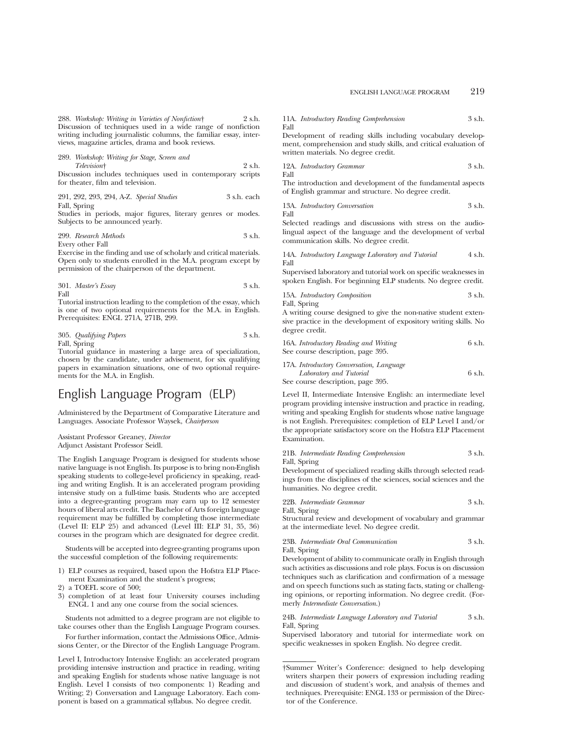288. *Workshop: Writing in Varieties of Nonfiction*† 2 s.h. Discussion of techniques used in a wide range of nonfiction writing including journalistic columns, the familiar essay, interviews, magazine articles, drama and book reviews.

289. *Workshop: Writing for Stage, Screen and Television*† 2 s.h.

Discussion includes techniques used in contemporary scripts for theater, film and television.

291, 292, 293, 294, A-Z. *Special Studies* 3 s.h. each Fall, Spring

Studies in periods, major figures, literary genres or modes. Subjects to be announced yearly.

299. *Research Methods* 3 s.h. Every other Fall

Exercise in the finding and use of scholarly and critical materials. Open only to students enrolled in the M.A. program except by permission of the chairperson of the department.

301. *Master's Essay* 3 s.h. Fall

Tutorial instruction leading to the completion of the essay, which is one of two optional requirements for the M.A. in English. Prerequisites: ENGL 271A, 271B, 299.

305. *Qualifying Papers* 3 s.h. Fall, Spring

Tutorial guidance in mastering a large area of specialization, chosen by the candidate, under advisement, for six qualifying papers in examination situations, one of two optional requirements for the M.A. in English.

# English Language Program (ELP)

Administered by the Department of Comparative Literature and Languages. Associate Professor Waysek, *Chairperson*

Assistant Professor Greaney, *Director* Adjunct Assistant Professor Seidl.

The English Language Program is designed for students whose native language is not English. Its purpose is to bring non-English speaking students to college-level proficiency in speaking, reading and writing English. It is an accelerated program providing intensive study on a full-time basis. Students who are accepted into a degree-granting program may earn up to 12 semester hours of liberal arts credit. The Bachelor of Arts foreign language requirement may be fulfilled by completing those intermediate (Level II: ELP 25) and advanced (Level III: ELP 31, 35, 36) courses in the program which are designated for degree credit.

Students will be accepted into degree-granting programs upon the successful completion of the following requirements:

- 1) ELP courses as required, based upon the Hofstra ELP Placement Examination and the student's progress;
- 2) a TOEFL score of 500;
- 3) completion of at least four University courses including ENGL 1 and any one course from the social sciences.

Students not admitted to a degree program are not eligible to take courses other than the English Language Program courses.

For further information, contact the Admissions Office, Admissions Center, or the Director of the English Language Program.

Level I, Introductory Intensive English: an accelerated program providing intensive instruction and practice in reading, writing and speaking English for students whose native language is not English. Level I consists of two components: 1) Reading and Writing; 2) Conversation and Language Laboratory. Each component is based on a grammatical syllabus. No degree credit.

11A. *Introductory Reading Comprehension* 3 s.h. Fall

Development of reading skills including vocabulary development, comprehension and study skills, and critical evaluation of written materials. No degree credit.

$$
12A. \ Introducing Grammar 
$$
3 \ {\rm s.h.}
$$
 Fall
$$

The introduction and development of the fundamental aspects of English grammar and structure. No degree credit.

13A. *Introductory Conversation* 3 s.h. Fall

Selected readings and discussions with stress on the audiolingual aspect of the language and the development of verbal communication skills. No degree credit.

14A. *Introductory Language Laboratory and Tutorial* 4 s.h. Fall

Supervised laboratory and tutorial work on specific weaknesses in spoken English. For beginning ELP students. No degree credit.

15A. *Introductory Composition* 3 s.h. Fall, Spring

A writing course designed to give the non-native student extensive practice in the development of expository writing skills. No

degree credit.

| 16A. Introductory Reading and Writing | 6 s.h. |
|---------------------------------------|--------|
| See course description, page 395.     |        |

17A. *Introductory Conversation, Language Laboratory and Tutorial* 6 s.h. See course description, page 395.

Level II, Intermediate Intensive English: an intermediate level program providing intensive instruction and practice in reading, writing and speaking English for students whose native language is not English. Prerequisites: completion of ELP Level I and/or the appropriate satisfactory score on the Hofstra ELP Placement Examination.

21B. *Intermediate Reading Comprehension* 3 s.h. Fall, Spring

Development of specialized reading skills through selected readings from the disciplines of the sciences, social sciences and the humanities. No degree credit.

| 22B. Intermediate Grammar | 3 s.h. |  |
|---------------------------|--------|--|
| Fall, Spring              |        |  |

Structural review and development of vocabulary and grammar at the intermediate level. No degree credit.

23B. *Intermediate Oral Communication* 3 s.h. Fall, Spring

Development of ability to communicate orally in English through such activities as discussions and role plays. Focus is on discussion techniques such as clarification and confirmation of a message and on speech functions such as stating facts, stating or challenging opinions, or reporting information. No degree credit. (Formerly *Intermediate Conversation*.)

24B. *Intermediate Language Laboratory and Tutorial* 3 s.h. Fall, Spring

Supervised laboratory and tutorial for intermediate work on specific weaknesses in spoken English. No degree credit.

<sup>†</sup>Summer Writer's Conference: designed to help developing writers sharpen their powers of expression including reading and discussion of student's work, and analysis of themes and techniques. Prerequisite: ENGL 133 or permission of the Director of the Conference.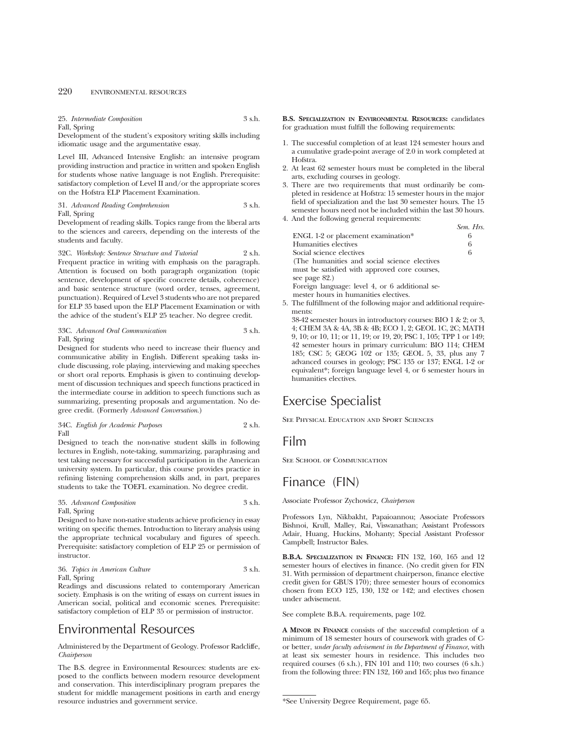25. *Intermediate Composition* 3 s.h. Fall, Spring

Development of the student's expository writing skills including idiomatic usage and the argumentative essay.

Level III, Advanced Intensive English: an intensive program providing instruction and practice in written and spoken English for students whose native language is not English. Prerequisite: satisfactory completion of Level II and/or the appropriate scores on the Hofstra ELP Placement Examination.

31. *Advanced Reading Comprehension* 3 s.h. Fall, Spring

Development of reading skills. Topics range from the liberal arts to the sciences and careers, depending on the interests of the students and faculty.

32C. *Workshop: Sentence Structure and Tutorial* 2 s.h. Frequent practice in writing with emphasis on the paragraph. Attention is focused on both paragraph organization (topic sentence, development of specific concrete details, coherence) and basic sentence structure (word order, tenses, agreement, punctuation). Required of Level 3 students who are not prepared for ELP 35 based upon the ELP Placement Examination or with the advice of the student's ELP 25 teacher. No degree credit.

## 33C. *Advanced Oral Communication* 3 s.h. Fall, Spring

Designed for students who need to increase their fluency and communicative ability in English. Different speaking tasks include discussing, role playing, interviewing and making speeches or short oral reports. Emphasis is given to continuing development of discussion techniques and speech functions practiced in the intermediate course in addition to speech functions such as summarizing, presenting proposals and argumentation. No degree credit. (Formerly *Advanced Conversation*.)

34C. *English for Academic Purposes* 2 s.h. Fall

Designed to teach the non-native student skills in following lectures in English, note-taking, summarizing, paraphrasing and test taking necessary for successful participation in the American university system. In particular, this course provides practice in refining listening comprehension skills and, in part, prepares students to take the TOEFL examination. No degree credit.

#### 35. *Advanced Composition* 3 s.h. Fall, Spring

Designed to have non-native students achieve proficiency in essay writing on specific themes. Introduction to literary analysis using the appropriate technical vocabulary and figures of speech. Prerequisite: satisfactory completion of ELP 25 or permission of instructor.

### 36. *Topics in American Culture* 3 s.h. Fall, Spring

Readings and discussions related to contemporary American society. Emphasis is on the writing of essays on current issues in American social, political and economic scenes. Prerequisite: satisfactory completion of ELP 35 or permission of instructor.

## Environmental Resources

Administered by the Department of Geology. Professor Radcliffe, *Chairperson*

The B.S. degree in Environmental Resources: students are exposed to the conflicts between modern resource development and conservation. This interdisciplinary program prepares the student for middle management positions in earth and energy resource industries and government service.

**B.S. SPECIALIZATION IN ENVIRONMENTAL RESOURCES:** candidates for graduation must fulfill the following requirements:

- 1. The successful completion of at least 124 semester hours and a cumulative grade-point average of 2.0 in work completed at Hofstra.
- 2. At least 62 semester hours must be completed in the liberal arts, excluding courses in geology.
- 3. There are two requirements that must ordinarily be completed in residence at Hofstra: 15 semester hours in the major field of specialization and the last 30 semester hours. The 15 semester hours need not be included within the last 30 hours.
- 4. And the following general requirements: *Sem. Hrs.* ENGL 1-2 or placement examination\* 6 Humanities electives 6<br>Social science electives 6 Social science electives (The humanities and social science electives must be satisfied with approved core courses, see page 82.) Foreign language: level 4, or 6 additional semester hours in humanities electives.
- 5. The fulfillment of the following major and additional requirements:
	- 38-42 semester hours in introductory courses: BIO 1 & 2; or 3, 4; CHEM 3A & 4A, 3B & 4B; ECO 1, 2; GEOL 1C, 2C; MATH 9, 10; or 10, 11; or 11, 19; or 19, 20; PSC 1, 105; TPP 1 or 149; 42 semester hours in primary curriculum: BIO 114; CHEM 185; CSC 5; GEOG 102 or 135; GEOL 5, 33, plus any 7 advanced courses in geology; PSC 135 or 137; ENGL 1-2 or equivalent\*; foreign language level 4, or 6 semester hours in humanities electives.

# Exercise Specialist

See Physical Education and Sport Sciences

## Film

SEE SCHOOL OF COMMUNICATION

# Finance (FIN)

Associate Professor Zychowicz, *Chairperson*

Professors Lyn, Nikbakht, Papaioannou; Associate Professors Bishnoi, Krull, Malley, Rai, Viswanathan; Assistant Professors Adair, Huang, Huckins, Mohanty; Special Assistant Professor Campbell; Instructor Bales.

**B.B.A. SPECIALIZATION IN FINANCE:** FIN 132, 160, 165 and 12 semester hours of electives in finance. (No credit given for FIN 31. With permission of department chairperson, finance elective credit given for GBUS 170); three semester hours of economics chosen from ECO 125, 130, 132 or 142; and electives chosen under advisement.

See complete B.B.A. requirements, page 102.

**A MINOR IN FINANCE** consists of the successful completion of a minimum of 18 semester hours of coursework with grades of Cor better, *under faculty advisement in the Department of Finance*, with at least six semester hours in residence. This includes two required courses (6 s.h.), FIN 101 and 110; two courses (6 s.h.) from the following three: FIN 132, 160 and 165; plus two finance

<sup>\*</sup>See University Degree Requirement, page 65.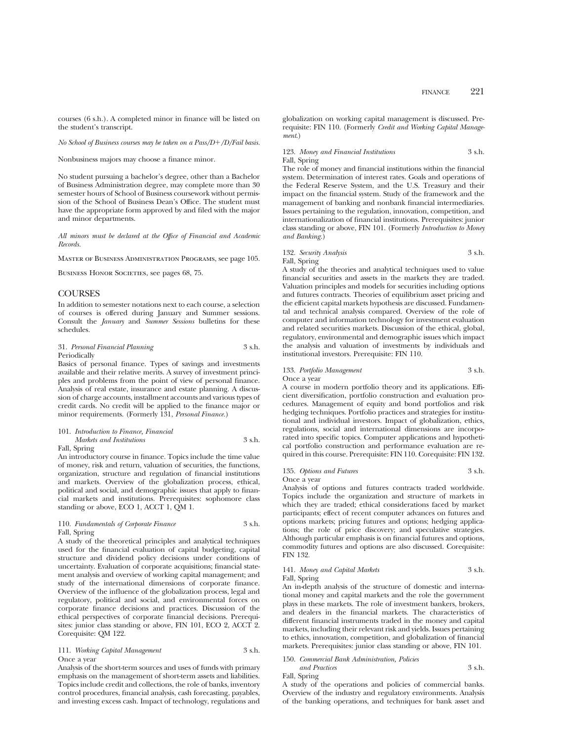courses (6 s.h.). A completed minor in finance will be listed on the student's transcript.

#### *No School of Business courses may be taken on a Pass/D+/D/Fail basis.*

Nonbusiness majors may choose a finance minor.

No student pursuing a bachelor's degree, other than a Bachelor of Business Administration degree, may complete more than 30 semester hours of School of Business coursework without permission of the School of Business Dean's Office. The student must have the appropriate form approved by and filed with the major and minor departments.

*All minors must be declared at the Office of Financial and Academic Records.*

Master of Business Administration Programs, see page 105.

BUSINESS HONOR SOCIETIES, see pages 68, 75.

## **COURSES**

In addition to semester notations next to each course, a selection of courses is offered during January and Summer sessions. Consult the *January* and *Summer Sessions* bulletins for these schedules.

31. *Personal Financial Planning* 3 s.h. Periodically

Basics of personal finance. Types of savings and investments available and their relative merits. A survey of investment principles and problems from the point of view of personal finance. Analysis of real estate, insurance and estate planning. A discussion of charge accounts, installment accounts and various types of credit cards. No credit will be applied to the finance major or minor requirements. (Formerly 131, *Personal Finance.*)

#### 101. *Introduction to Finance, Financial Markets and Institutions* 3 s.h. Fall, Spring

An introductory course in finance. Topics include the time value of money, risk and return, valuation of securities, the functions, organization, structure and regulation of financial institutions and markets. Overview of the globalization process, ethical, political and social, and demographic issues that apply to financial markets and institutions. Prerequisites: sophomore class standing or above, ECO 1, ACCT 1, QM 1.

#### 110. *Fundamentals of Corporate Finance* 3 s.h. Fall, Spring

A study of the theoretical principles and analytical techniques used for the financial evaluation of capital budgeting, capital structure and dividend policy decisions under conditions of uncertainty. Evaluation of corporate acquisitions; financial statement analysis and overview of working capital management; and study of the international dimensions of corporate finance. Overview of the influence of the globalization process, legal and regulatory, political and social, and environmental forces on corporate finance decisions and practices. Discussion of the ethical perspectives of corporate financial decisions. Prerequisites: junior class standing or above, FIN 101, ECO 2, ACCT 2. Corequisite: QM 122.

111. *Working Capital Management* 3 s.h. Once a year

Analysis of the short-term sources and uses of funds with primary emphasis on the management of short-term assets and liabilities. Topics include credit and collections, the role of banks, inventory control procedures, financial analysis, cash forecasting, payables, and investing excess cash. Impact of technology, regulations and globalization on working capital management is discussed. Prerequisite: FIN 110. (Formerly *Credit and Working Capital Management*.)

123. *Money and Financial Institutions* 3 s.h. Fall, Spring

The role of money and financial institutions within the financial system. Determination of interest rates. Goals and operations of the Federal Reserve System, and the U.S. Treasury and their impact on the financial system. Study of the framework and the management of banking and nonbank financial intermediaries. Issues pertaining to the regulation, innovation, competition, and internationalization of financial institutions. Prerequisites: junior class standing or above, FIN 101. (Formerly *Introduction to Money and Banking.*)

## 132. *Security Analysis* 3 s.h. Fall, Spring

A study of the theories and analytical techniques used to value financial securities and assets in the markets they are traded. Valuation principles and models for securities including options and futures contracts. Theories of equilibrium asset pricing and the efficient capital markets hypothesis are discussed. Fundamental and technical analysis compared. Overview of the role of computer and information technology for investment evaluation and related securities markets. Discussion of the ethical, global, regulatory, environmental and demographic issues which impact the analysis and valuation of investments by individuals and institutional investors. Prerequisite: FIN 110.

## 133. *Portfolio Management* 3 s.h.

Once a year

A course in modern portfolio theory and its applications. Efficient diversification, portfolio construction and evaluation procedures. Management of equity and bond portfolios and risk hedging techniques. Portfolio practices and strategies for institutional and individual investors. Impact of globalization, ethics, regulations, social and international dimensions are incorporated into specific topics. Computer applications and hypothetical portfolio construction and performance evaluation are required in this course. Prerequisite: FIN 110. Corequisite: FIN 132.

#### 135. *Options and Futures* 3 s.h. Once a year

Analysis of options and futures contracts traded worldwide. Topics include the organization and structure of markets in which they are traded; ethical considerations faced by market participants; effect of recent computer advances on futures and options markets; pricing futures and options; hedging applications; the role of price discovery; and speculative strategies. Although particular emphasis is on financial futures and options, commodity futures and options are also discussed. Corequisite: FIN 132.

### 141. *Money and Capital Markets* 3 s.h. Fall, Spring

An in-depth analysis of the structure of domestic and international money and capital markets and the role the government plays in these markets. The role of investment bankers, brokers, and dealers in the financial markets. The characteristics of different financial instruments traded in the money and capital markets, including their relevant risk and yields. Issues pertaining to ethics, innovation, competition, and globalization of financial markets. Prerequisites: junior class standing or above, FIN 101.

#### 150. *Commercial Bank Administration, Policies and Practices* 3 s.h.

Fall, Spring

A study of the operations and policies of commercial banks. Overview of the industry and regulatory environments. Analysis of the banking operations, and techniques for bank asset and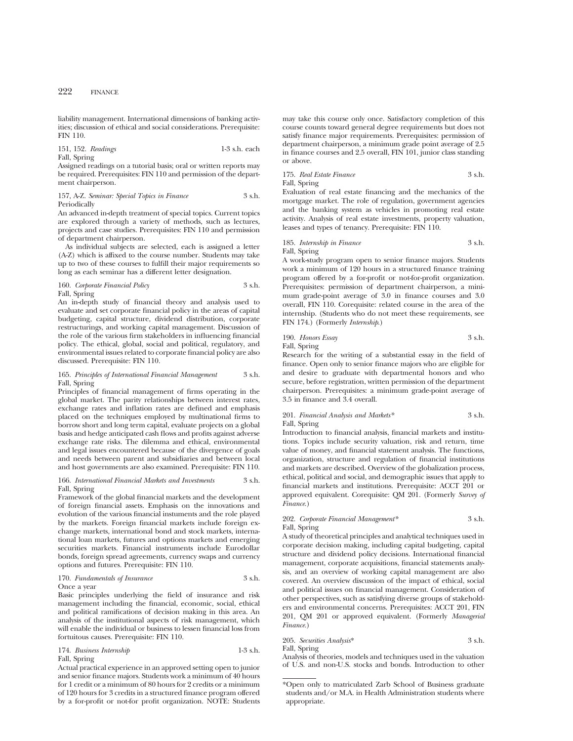liability management. International dimensions of banking activities; discussion of ethical and social considerations. Prerequisite: FIN 110.

151, 152. *Readings* 1-3 s.h. each Fall, Spring

Assigned readings on a tutorial basis; oral or written reports may be required. Prerequisites: FIN 110 and permission of the department chairperson.

#### 157, A-Z. *Seminar: Special Topics in Finance* 3 s.h. Periodically

An advanced in-depth treatment of special topics. Current topics are explored through a variety of methods, such as lectures, projects and case studies. Prerequisites: FIN 110 and permission of department chairperson.

As individual subjects are selected, each is assigned a letter (A-Z) which is affixed to the course number. Students may take up to two of these courses to fulfill their major requirements so long as each seminar has a different letter designation.

## 160. *Corporate Financial Policy* 3 s.h. Fall, Spring

An in-depth study of financial theory and analysis used to evaluate and set corporate financial policy in the areas of capital budgeting, capital structure, dividend distribution, corporate restructurings, and working capital management. Discussion of the role of the various firm stakeholders in influencing financial policy. The ethical, global, social and political, regulatory, and environmental issues related to corporate financial policy are also discussed. Prerequisite: FIN 110.

### 165. *Principles of International Financial Management* 3 s.h. Fall, Spring

Principles of financial management of firms operating in the global market. The parity relationships between interest rates, exchange rates and inflation rates are defined and emphasis placed on the techniques employed by multinational firms to borrow short and long term capital, evaluate projects on a global basis and hedge anticipated cash flows and profits against adverse exchange rate risks. The dilemma and ethical, environmental and legal issues encountered because of the divergence of goals and needs between parent and subsidiaries and between local and host governments are also examined. Prerequisite: FIN 110.

#### 166. *International Financial Markets and Investments* 3 s.h. Fall, Spring

Framework of the global financial markets and the development of foreign financial assets. Emphasis on the innovations and evolution of the various financial instuments and the role played by the markets. Foreign financial markets include foreign exchange markets, international bond and stock markets, international loan markets, futures and options markets and emerging securities markets. Financial instruments include Eurodollar bonds, foreign spread agreements, currency swaps and currency options and futures. Prerequisite: FIN 110.

#### 170. *Fundamentals of Insurance* 3 s.h. Once a year

Basic principles underlying the field of insurance and risk management including the financial, economic, social, ethical and political ramifications of decision making in this area. An analysis of the institutional aspects of risk management, which will enable the individual or business to lessen financial loss from fortuitous causes. Prerequisite: FIN 110.

174. *Business Internship* 1-3 s.h. Fall, Spring

Actual practical experience in an approved setting open to junior and senior finance majors. Students work a minimum of 40 hours for 1 credit or a minimum of 80 hours for 2 credits or a minimum of 120 hours for 3 credits in a structured finance program offered by a for-profit or not-for profit organization. NOTE: Students

may take this course only once. Satisfactory completion of this course counts toward general degree requirements but does not satisfy finance major requirements. Prerequisites: permission of department chairperson, a minimum grade point average of 2.5 in finance courses and 2.5 overall, FIN 101, junior class standing or above.

#### 175. *Real Estate Finance* 3 s.h. Fall, Spring

Evaluation of real estate financing and the mechanics of the mortgage market. The role of regulation, government agencies and the banking system as vehicles in promoting real estate activity. Analysis of real estate investments, property valuation, leases and types of tenancy. Prerequisite: FIN 110.

## 185. *Internship in Finance* 3 s.h.

Fall, Spring

A work-study program open to senior finance majors. Students work a minimum of 120 hours in a structured finance training program offered by a for-profit or not-for-profit organization. Prerequisites: permission of department chairperson, a minimum grade-point average of 3.0 in finance courses and 3.0 overall, FIN 110. Corequisite: related course in the area of the internship. (Students who do not meet these requirements, see FIN 174.) (Formerly *Internship*.)

190. *Honors Essay* 3 s.h. Fall, Spring

Research for the writing of a substantial essay in the field of finance. Open only to senior finance majors who are eligible for and desire to graduate with departmental honors and who secure, before registration, written permission of the department chairperson. Prerequisites: a minimum grade-point average of 3.5 in finance and 3.4 overall.

201. *Financial Analysis and Markets\** 3 s.h. Fall, Spring

Introduction to financial analysis, financial markets and institutions. Topics include security valuation, risk and return, time value of money, and financial statement analysis. The functions, organization, structure and regulation of financial institutions and markets are described. Overview of the globalization process, ethical, political and social, and demographic issues that apply to financial markets and institutions. Prerequisite: ACCT 201 or approved equivalent. Corequisite: QM 201. (Formerly *Survey of Finance.*)

### 202. *Corporate Financial Management\** 3 s.h. Fall, Spring

A study of theoretical principles and analytical techniques used in corporate decision making, including capital budgeting, capital structure and dividend policy decisions. International financial management, corporate acquisitions, financial statements analysis, and an overview of working capital management are also covered. An overview discussion of the impact of ethical, social and political issues on financial management. Consideration of other perspectives, such as satisfying diverse groups of stakeholders and environmental concerns. Prerequisites: ACCT 201, FIN 201, QM 201 or approved equivalent. (Formerly *Managerial Finance.*)

205. *Securities Analysis*\* 3 s.h. Fall, Spring

Analysis of theories, models and techniques used in the valuation of U.S. and non-U.S. stocks and bonds. Introduction to other

<sup>\*</sup>Open only to matriculated Zarb School of Business graduate students and/or M.A. in Health Administration students where appropriate.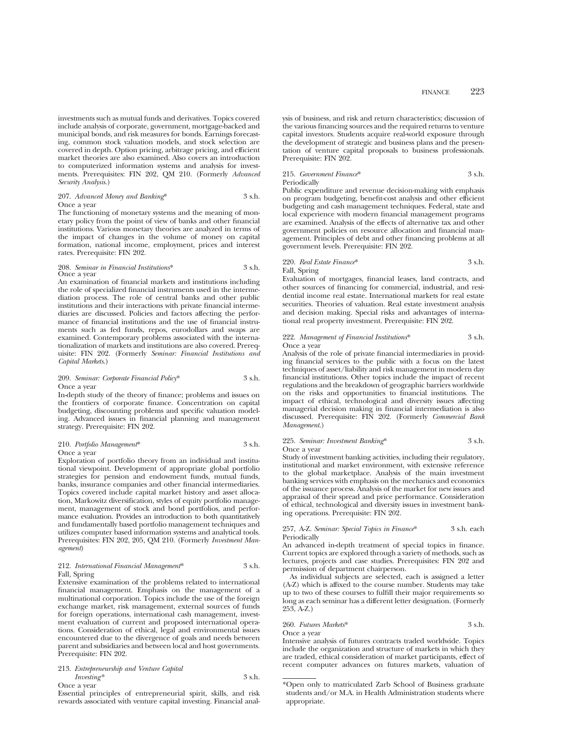investments such as mutual funds and derivatives. Topics covered include analysis of corporate, government, mortgage-backed and municipal bonds, and risk measures for bonds. Earnings forecasting, common stock valuation models, and stock selection are covered in depth. Option pricing, arbitrage pricing, and efficient market theories are also examined. Also covers an introduction to computerized information systems and analysis for investments. Prerequisites: FIN 202, QM 210. (Formerly *Advanced Security Analysis*.)

#### 207. *Advanced Money and Banking*\* 3 s.h. Once a year

The functioning of monetary systems and the meaning of monetary policy from the point of view of banks and other financial institutions. Various monetary theories are analyzed in terms of the impact of changes in the volume of money on capital formation, national income, employment, prices and interest rates. Prerequisite: FIN 202.

#### 208. *Seminar in Financial Institutions*\* 3 s.h. Once a year

An examination of financial markets and institutions including the role of specialized financial instruments used in the intermediation process. The role of central banks and other public institutions and their interactions with private financial intermediaries are discussed. Policies and factors affecting the performance of financial institutions and the use of financial instruments such as fed funds, repos, eurodollars and swaps are examined. Contemporary problems associated with the internationalization of markets and institutions are also covered. Prerequisite: FIN 202. (Formerly *Seminar: Financial Institutions and Capital Markets*.)

#### 209. *Seminar: Corporate Financial Policy*\* 3 s.h. Once a year

In-depth study of the theory of finance; problems and issues on the frontiers of corporate finance. Concentration on capital budgeting, discounting problems and specific valuation modeling. Advanced issues in financial planning and management strategy. Prerequisite: FIN 202.

## 210. *Portfolio Management*\* 3 s.h.

Once a year

Exploration of portfolio theory from an individual and institutional viewpoint. Development of appropriate global portfolio strategies for pension and endowment funds, mutual funds, banks, insurance companies and other financial intermediaries. Topics covered include capital market history and asset allocation, Markowitz diversification, styles of equity portfolio management, management of stock and bond portfolios, and performance evaluation. Provides an introduction to both quantitatively and fundamentally based portfolio management techniques and utilizes computer based information systems and analytical tools. Prerequisites: FIN 202, 205, QM 210. (Formerly *Investment Management*)

## 212. *International Financial Management*\* 3 s.h. Fall, Spring

Extensive examination of the problems related to international financial management. Emphasis on the management of a multinational corporation. Topics include the use of the foreign exchange market, risk management, external sources of funds for foreign operations, international cash management, investment evaluation of current and proposed international operations. Consideration of ethical, legal and environmental issues encountered due to the divergence of goals and needs between parent and subsidiaries and between local and host governments. Prerequisite: FIN 202.

213. *Entrepreneurship and Venture Capital Investing\** 3 s.h. Once a year

Essential principles of entrepreneurial spirit, skills, and risk rewards associated with venture capital investing. Financial analysis of business, and risk and return characteristics; discussion of the various financing sources and the required returns to venture capital investors. Students acquire real-world exposure through the development of strategic and business plans and the presentation of venture capital proposals to business professionals. Prerequisite: FIN 202.

## 215. *Government Finance*\* 3 s.h. Periodically

Public expenditure and revenue decision-making with emphasis on program budgeting, benefit-cost analysis and other efficient budgeting and cash management techniques. Federal, state and local experience with modern financial management programs are examined. Analysis of the effects of alternative tax and other government policies on resource allocation and financial management. Principles of debt and other financing problems at all government levels. Prerequisite: FIN 202.

## 220. *Real Estate Finance*\* 3 s.h. Fall, Spring

Evaluation of mortgages, financial leases, land contracts, and other sources of financing for commercial, industrial, and residential income real estate. International markets for real estate securities. Theories of valuation. Real estate investment analysis and decision making. Special risks and advantages of international real property investment. Prerequisite: FIN 202.

## 222. *Management of Financial Institutions*\* 3 s.h. Once a year

Analysis of the role of private financial intermediaries in providing financial services to the public with a focus on the latest techniques of asset/liability and risk management in modern day financial institutions. Other topics include the impact of recent regulations and the breakdown of geographic barriers worldwide on the risks and opportunities to financial institutions. The impact of ethical, technological and diversity issues affecting managerial decision making in financial intermediation is also discussed. Prerequisite: FIN 202. (Formerly *Commercial Bank Management*.)

#### 225. *Seminar: Investment Banking*\* 3 s.h. Once a year

Study of investment banking activities, including their regulatory, institutional and market environment, with extensive reference to the global marketplace. Analysis of the main investment banking services with emphasis on the mechanics and economics of the issuance process. Analysis of the market for new issues and appraisal of their spread and price performance. Consideration of ethical, technological and diversity issues in investment banking operations. Prerequisite: FIN 202.

## 257, A-Z. *Seminar: Special Topics in Finance*\* 3 s.h. each Periodically

An advanced in-depth treatment of special topics in finance. Current topics are explored through a variety of methods, such as lectures, projects and case studies. Prerequisites: FIN 202 and permission of department chairperson.

As individual subjects are selected, each is assigned a letter (A-Z) which is affixed to the course number. Students may take up to two of these courses to fulfill their major requirements so long as each seminar has a different letter designation. (Formerly 253, A-Z.)

260. *Futures Markets*\* 3 s.h.

Once a year Intensive analysis of futures contracts traded worldwide. Topics include the organization and structure of markets in which they are traded, ethical consideration of market participants, effect of recent computer advances on futures markets, valuation of

<sup>\*</sup>Open only to matriculated Zarb School of Business graduate students and/or M.A. in Health Administration students where appropriate.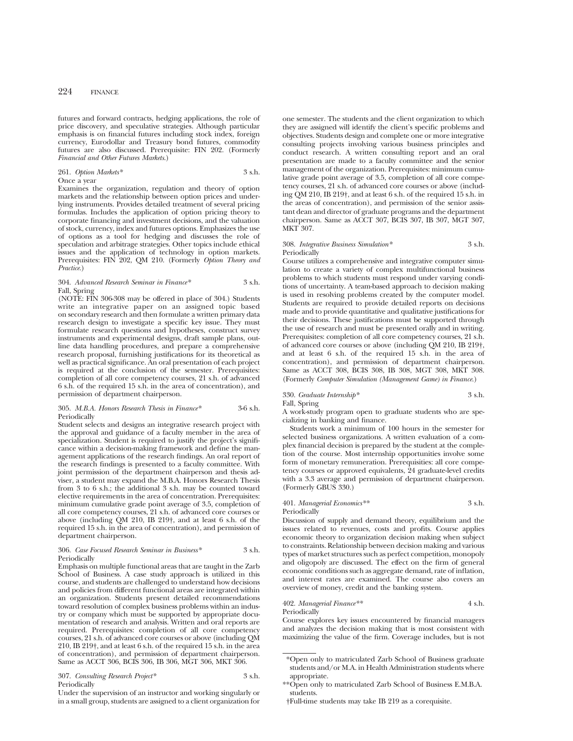futures and forward contracts, hedging applications, the role of price discovery, and speculative strategies. Although particular emphasis is on financial futures including stock index, foreign currency, Eurodollar and Treasury bond futures, commodity futures are also discussed. Prerequisite: FIN 202. (Formerly *Financial and Other Futures Markets*.)

#### 261. *Option Markets\** 3 s.h. Once a year

Examines the organization, regulation and theory of option markets and the relationship between option prices and underlying instruments. Provides detailed treatment of several pricing formulas. Includes the application of option pricing theory to corporate financing and investment decisions, and the valuation of stock, currency, index and futures options. Emphasizes the use of options as a tool for hedging and discusses the role of speculation and arbitrage strategies. Other topics include ethical issues and the application of technology in option markets. Prerequisites: FIN 202, QM 210. (Formerly *Option Theory and Practice*.)

#### 304. *Advanced Research Seminar in Finance\** 3 s.h. Fall, Spring

(NOTE: FIN 306-308 may be offered in place of 304.) Students write an integrative paper on an assigned topic based on secondary research and then formulate a written primary data research design to investigate a specific key issue. They must formulate research questions and hypotheses, construct survey instruments and experimental designs, draft sample plans, outline data handling procedures, and prepare a comprehensive research proposal, furnishing justifications for its theoretical as well as practical significance. An oral presentation of each project is required at the conclusion of the semester. Prerequisites: completion of all core competency courses, 21 s.h. of advanced 6 s.h. of the required 15 s.h. in the area of concentration), and permission of department chairperson.

#### 305. *M.B.A. Honors Research Thesis in Finance\** 3-6 s.h. Periodically

Student selects and designs an integrative research project with the approval and guidance of a faculty member in the area of specialization. Student is required to justify the project's significance within a decision-making framework and define the management applications of the research findings. An oral report of the research findings is presented to a faculty committee. With joint permission of the department chairperson and thesis adviser, a student may expand the M.B.A. Honors Research Thesis from 3 to 6 s.h.; the additional 3 s.h. may be counted toward elective requirements in the area of concentration. Prerequisites: minimum cumulative grade point average of 3.5, completion of all core competency courses, 21 s.h. of advanced core courses or above (including QM 210, IB 219†, and at least 6 s.h. of the required 15 s.h. in the area of concentration), and permission of department chairperson.

#### 306. *Case Focused Research Seminar in Business\** 3 s.h. Periodically

Emphasis on multiple functional areas that are taught in the Zarb School of Business. A case study approach is utilized in this course, and students are challenged to understand how decisions and policies from different functional areas are integrated within an organization. Students present detailed recommendations toward resolution of complex business problems within an industry or company which must be supported by appropriate documentation of research and analysis. Written and oral reports are required. Prerequisites: completion of all core competency courses, 21 s.h. of advanced core courses or above (including QM 210, IB 219†, and at least 6 s.h. of the required 15 s.h. in the area of concentration), and permission of department chairperson. Same as ACCT 306, BCIS 306, IB 306, MGT 306, MKT 306.

307. *Consulting Research Project\** 3 s.h. Periodically

Under the supervision of an instructor and working singularly or in a small group, students are assigned to a client organization for

one semester. The students and the client organization to which they are assigned will identify the client's specific problems and objectives. Students design and complete one or more integrative consulting projects involving various business principles and conduct research. A written consulting report and an oral presentation are made to a faculty committee and the senior management of the organization. Prerequisites: minimum cumulative grade point average of 3.5, completion of all core competency courses, 21 s.h. of advanced core courses or above (including QM 210, IB 219†, and at least 6 s.h. of the required 15 s.h. in the areas of concentration), and permission of the senior assistant dean and director of graduate programs and the department chairperson. Same as ACCT 307, BCIS 307, IB 307, MGT 307, MKT 307.

## 308. *Integrative Business Simulation\** 3 s.h. Periodically

Course utilizes a comprehensive and integrative computer simulation to create a variety of complex multifunctional business problems to which students must respond under varying conditions of uncertainty. A team-based approach to decision making is used in resolving problems created by the computer model. Students are required to provide detailed reports on decisions made and to provide quantitative and qualitative justifications for their decisions. These justifications must be supported through the use of research and must be presented orally and in writing. Prerequisites: completion of all core competency courses, 21 s.h. of advanced core courses or above (including QM 210, IB 219†, and at least 6 s.h. of the required 15 s.h. in the area of concentration), and permission of department chairperson. Same as ACCT 308, BCIS 308, IB 308, MGT 308, MKT 308. (Formerly *Computer Simulation (Management Game) in Finance*.)

#### 330. *Graduate Internship\** 3 s.h. Fall, Spring

A work-study program open to graduate students who are specializing in banking and finance.

Students work a minimum of 100 hours in the semester for selected business organizations. A written evaluation of a complex financial decision is prepared by the student at the completion of the course. Most internship opportunities involve some form of monetary remuneration. Prerequisities: all core competency courses or approved equivalents, 24 graduate-level credits with a 3.3 average and permission of department chairperson. (Formerly GBUS 330.)

#### 401. *Managerial Economics\*\** 3 s.h. Periodically

Discussion of supply and demand theory, equilibrium and the issues related to revenues, costs and profits. Course applies economic theory to organization decision making when subject to constraints. Relationship between decision making and various types of market structures such as perfect competition, monopoly and oligopoly are discussed. The effect on the firm of general economic conditions such as aggregate demand, rate of inflation, and interest rates are examined. The course also covers an overview of money, credit and the banking system.

## 402. *Managerial Finance\*\** 4 s.h.

Periodically

Course explores key issues encountered by financial managers and analyzes the decision making that is most consistent with maximizing the value of the firm. Coverage includes, but is not

<sup>\*</sup>Open only to matriculated Zarb School of Business graduate students and/or M.A. in Health Administration students where appropriate.

<sup>\*\*</sup>Open only to matriculated Zarb School of Business E.M.B.A. students.

<sup>†</sup>Full-time students may take IB 219 as a corequisite.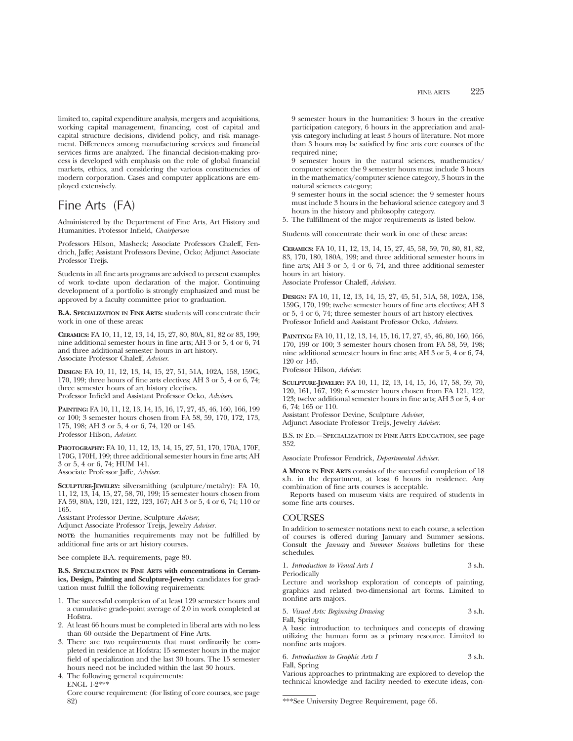limited to, capital expenditure analysis, mergers and acquisitions, working capital management, financing, cost of capital and capital structure decisions, dividend policy, and risk management. Differences among manufacturing services and financial services firms are analyzed. The financial decision-making process is developed with emphasis on the role of global financial markets, ethics, and considering the various constituencies of modern corporation. Cases and computer applications are employed extensively.

# Fine Arts (FA)

Administered by the Department of Fine Arts, Art History and Humanities. Professor Infield, *Chairperson*

Professors Hilson, Masheck; Associate Professors Chaleff, Fendrich, Jaffe; Assistant Professors Devine, Ocko; Adjunct Associate Professor Treijs.

Students in all fine arts programs are advised to present examples of work to-date upon declaration of the major. Continuing development of a portfolio is strongly emphasized and must be approved by a faculty committee prior to graduation.

**B.A. SPECIALIZATION IN FINE ARTS:** students will concentrate their work in one of these areas:

**CERAMICS:** FA 10, 11, 12, 13, 14, 15, 27, 80, 80A, 81, 82 or 83, 199; nine additional semester hours in fine arts; AH 3 or 5, 4 or 6, 74 and three additional semester hours in art history. Associate Professor Chaleff, *Adviser*.

**DESIGN:** FA 10, 11, 12, 13, 14, 15, 27, 51, 51A, 102A, 158, 159G, 170, 199; three hours of fine arts electives; AH 3 or 5, 4 or 6, 74; three semester hours of art history electives. Professor Infield and Assistant Professor Ocko, *Advisers*.

**PAINTING:** FA 10, 11, 12, 13, 14, 15, 16, 17, 27, 45, 46, 160, 166, 199 or 100; 3 semester hours chosen from FA 58, 59, 170, 172, 173, 175, 198; AH 3 or 5, 4 or 6, 74, 120 or 145. Professor Hilson, *Adviser*.

**PHOTOGRAPHY:** FA 10, 11, 12, 13, 14, 15, 27, 51, 170, 170A, 170F, 170G, 170H, 199; three additional semester hours in fine arts; AH 3 or 5, 4 or 6, 74; HUM 141. Associate Professor Jaffe, *Adviser*.

**SCULPTURE-JEWELRY:** silversmithing (sculpture/metalry): FA 10, 11, 12, 13, 14, 15, 27, 58, 70, 199; 15 semester hours chosen from FA 59, 80A, 120, 121, 122, 123, 167; AH 3 or 5, 4 or 6, 74; 110 or 165.

Assistant Professor Devine, Sculpture *Adviser*,

Adjunct Associate Professor Treijs, Jewelry *Adviser.*

**NOTE:** the humanities requirements may not be fulfilled by additional fine arts or art history courses.

See complete B.A. requirements, page 80.

**B.S. SPECIALIZATION IN FINE ARTS with concentrations in Ceramics, Design, Painting and Sculpture-Jewelry:** candidates for graduation must fulfill the following requirements:

- 1. The successful completion of at least 129 semester hours and a cumulative grade-point average of 2.0 in work completed at Hofstra.
- 2. At least 66 hours must be completed in liberal arts with no less than 60 outside the Department of Fine Arts.
- 3. There are two requirements that must ordinarily be completed in residence at Hofstra: 15 semester hours in the major field of specialization and the last 30 hours. The 15 semester hours need not be included within the last 30 hours.
- 4. The following general requirements: ENGL 1-2\*\*\*

Core course requirement: (for listing of core courses, see page 82)

9 semester hours in the humanities: 3 hours in the creative participation category, 6 hours in the appreciation and analysis category including at least 3 hours of literature. Not more than 3 hours may be satisfied by fine arts core courses of the required nine:

9 semester hours in the natural sciences, mathematics/ computer science: the 9 semester hours must include 3 hours in the mathematics/computer science category, 3 hours in the natural sciences category;

9 semester hours in the social science: the 9 semester hours must include 3 hours in the behavioral science category and 3 hours in the history and philosophy category.

5. The fulfillment of the major requirements as listed below.

Students will concentrate their work in one of these areas:

**CERAMICS:** FA 10, 11, 12, 13, 14, 15, 27, 45, 58, 59, 70, 80, 81, 82, 83, 170, 180, 180A, 199; and three additional semester hours in fine arts; AH 3 or 5, 4 or 6, 74, and three additional semester hours in art history.

Associate Professor Chaleff, *Advisers*.

**DESIGN:** FA 10, 11, 12, 13, 14, 15, 27, 45, 51, 51A, 58, 102A, 158, 159G, 170, 199; twelve semester hours of fine arts electives; AH 3 or 5, 4 or 6, 74; three semester hours of art history electives. Professor Infield and Assistant Professor Ocko, *Advisers*.

**PAINTING:** FA 10, 11, 12, 13, 14, 15, 16, 17, 27, 45, 46, 80, 160, 166, 170, 199 or 100; 3 semester hours chosen from FA 58, 59, 198; nine additional semester hours in fine arts; AH 3 or 5, 4 or 6, 74, 120 or 145.

Professor Hilson, *Adviser*.

**SCULPTURE-JEWELRY:** FA 10, 11, 12, 13, 14, 15, 16, 17, 58, 59, 70, 120, 161, 167, 199; 6 semester hours chosen from FA 121, 122, 123; twelve additional semester hours in fine arts; AH 3 or 5, 4 or 6, 74; 165 or 110.

Assistant Professor Devine, Sculpture *Adviser*,

Adjunct Associate Professor Treijs, Jewelry *Adviser*.

B.S. in Ed.—Specialization in Fine Arts Education, see page 352.

Associate Professor Fendrick, *Departmental Adviser*.

**A MINOR IN FINE ARTS** consists of the successful completion of 18 s.h. in the department, at least 6 hours in residence. Any combination of fine arts courses is acceptable.

Reports based on museum visits are required of students in some fine arts courses.

## **COURSES**

In addition to semester notations next to each course, a selection of courses is offered during January and Summer sessions. Consult the *January* and *Summer Sessions* bulletins for these schedules.

|  | 1. Introduction to Visual Arts I |  | 3 s.h. |  |
|--|----------------------------------|--|--------|--|
|--|----------------------------------|--|--------|--|

Periodically

Lecture and workshop exploration of concepts of painting, graphics and related two-dimensional art forms. Limited to nonfine arts majors.

5. *Visual Arts: Beginning Drawing* 3 s.h. Fall, Spring

A basic introduction to techniques and concepts of drawing utilizing the human form as a primary resource. Limited to nonfine arts majors.

6. *Introduction to Graphic Arts I* 3 s.h. Fall, Spring

Various approaches to printmaking are explored to develop the technical knowledge and facility needed to execute ideas, con-

<sup>\*\*\*</sup>See University Degree Requirement, page 65.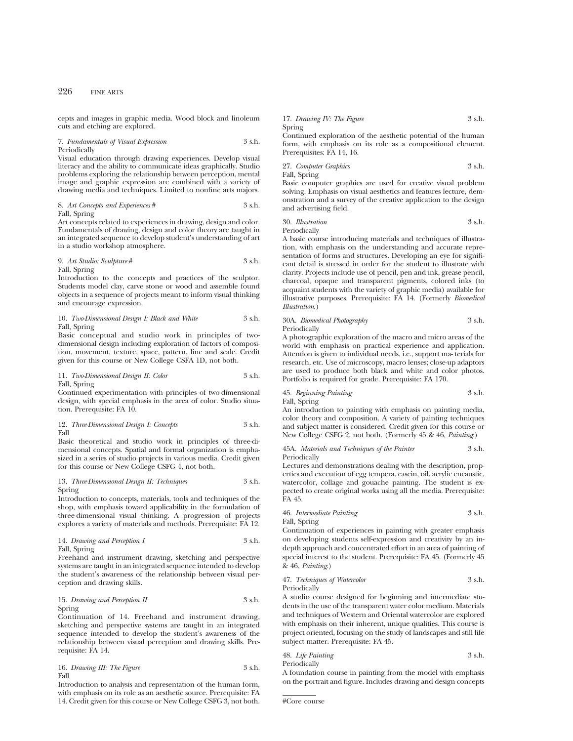cepts and images in graphic media. Wood block and linoleum cuts and etching are explored.

## 7. *Fundamentals of Visual Expression* 3 s.h. Periodically

Visual education through drawing experiences. Develop visual literacy and the ability to communicate ideas graphically. Studio problems exploring the relationship between perception, mental image and graphic expression are combined with a variety of drawing media and techniques. Limited to nonfine arts majors.

8. *Art Concepts and Experiences* # 3 s.h. Fall, Spring

Art concepts related to experiences in drawing, design and color. Fundamentals of drawing, design and color theory are taught in an integrated sequence to develop student's understanding of art in a studio workshop atmosphere.

## 9. *Art Studio: Sculpture* # 3 s.h. Fall, Spring

Introduction to the concepts and practices of the sculptor. Students model clay, carve stone or wood and assemble found objects in a sequence of projects meant to inform visual thinking and encourage expression.

## 10. *Two-Dimensional Design I: Black and White* 3 s.h. Fall, Spring

Basic conceptual and studio work in principles of twodimensional design including exploration of factors of composition, movement, texture, space, pattern, line and scale. Credit given for this course or New College CSFA 1D, not both.

#### 11. *Two-Dimensional Design II: Color* 3 s.h. Fall, Spring

Continued experimentation with principles of two-dimensional design, with special emphasis in the area of color. Studio situation. Prerequisite: FA 10.

12. *Three-Dimensional Design I: Concepts* 3 s.h. Fall

Basic theoretical and studio work in principles of three-dimensional concepts. Spatial and formal organization is emphasized in a series of studio projects in various media. Credit given for this course or New College CSFG 4, not both.

13. *Three-Dimensional Design II: Techniques* 3 s.h. Spring

Introduction to concepts, materials, tools and techniques of the shop, with emphasis toward applicability in the formulation of three-dimensional visual thinking. A progression of projects explores a variety of materials and methods. Prerequisite: FA 12.

14. *Drawing and Perception I* 3 s.h. Fall, Spring

Freehand and instrument drawing, sketching and perspective systems are taught in an integrated sequence intended to develop the student's awareness of the relationship between visual perception and drawing skills.

15. *Drawing and Perception II* 3 s.h. Spring

Continuation of 14. Freehand and instrument drawing, sketching and perspective systems are taught in an integrated sequence intended to develop the student's awareness of the relationship between visual perception and drawing skills. Prerequisite: FA 14.

16. *Drawing III: The Figure* 3 s.h. Fall

Introduction to analysis and representation of the human form, with emphasis on its role as an aesthetic source. Prerequisite: FA 14. Credit given for this course or New College CSFG 3, not both.

17. *Drawing IV: The Figure* 3 s.h. Spring

Continued exploration of the aesthetic potential of the human form, with emphasis on its role as a compositional element. Prerequisites: FA 14, 16.

27. *Computer Graphics* 3 s.h. Fall, Spring

Basic computer graphics are used for creative visual problem solving. Emphasis on visual aesthetics and features lecture, demonstration and a survey of the creative application to the design and advertising field.

30. *Illustration* 3 s.h. Periodically

A basic course introducing materials and techniques of illustration, with emphasis on the understanding and accurate representation of forms and structures. Developing an eye for significant detail is stressed in order for the student to illustrate with clarity. Projects include use of pencil, pen and ink, grease pencil, charcoal, opaque and transparent pigments, colored inks (to acquaint students with the variety of graphic media) available for illustrative purposes. Prerequisite: FA 14. (Formerly *Biomedical Illustration*.)

30A. *Biomedical Photography* 3 s.h. Periodically

A photographic exploration of the macro and micro areas of the world with emphasis on practical experience and application. Attention is given to individual needs, i.e., support ma- terials for research, etc. Use of microscopy, macro lenses; close-up adaptors are used to produce both black and white and color photos. Portfolio is required for grade. Prerequisite: FA 170.

45. *Beginning Painting* 3 s.h. Fall, Spring

An introduction to painting with emphasis on painting media, color theory and composition. A variety of painting techniques and subject matter is considered. Credit given for this course or New College CSFG 2, not both. (Formerly 45 & 46, *Painting*.)

#### 45A. *Materials and Techniques of the Painter* 3 s.h. Periodically

Lectures and demonstrations dealing with the description, properties and execution of egg tempera, casein, oil, acrylic encaustic, watercolor, collage and gouache painting. The student is expected to create original works using all the media. Prerequisite: FA 45.

# 46. *Intermediate Painting* 3 s.h.

Fall, Spring

Continuation of experiences in painting with greater emphasis on developing students self-expression and creativity by an indepth approach and concentrated effort in an area of painting of special interest to the student. Prerequisite: FA 45. (Formerly 45 & 46, *Painting*.)

47. *Techniques of Watercolor* 3 s.h. Periodically

A studio course designed for beginning and intermediate students in the use of the transparent water color medium. Materials and techniques of Western and Oriental watercolor are explored with emphasis on their inherent, unique qualities. This course is project oriented, focusing on the study of landscapes and still life subject matter. Prerequisite: FA 45.

48. *Life Painting* 3 s.h. Periodically

A foundation course in painting from the model with emphasis on the portrait and figure. Includes drawing and design concepts

```
#Core course
```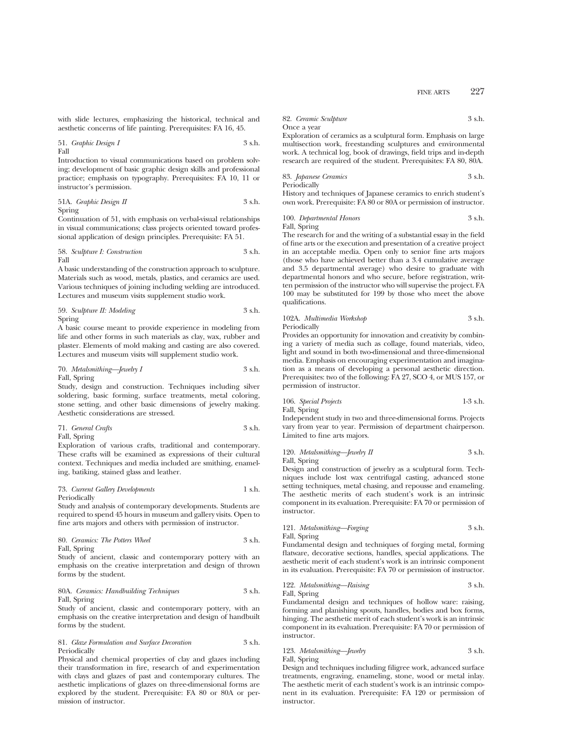with slide lectures, emphasizing the historical, technical and aesthetic concerns of life painting. Prerequisites: FA 16, 45.

51. *Graphic Design I* 3 s.h. Fall

Introduction to visual communications based on problem solving; development of basic graphic design skills and professional practice; emphasis on typography. Prerequisites: FA 10, 11 or instructor's permission.

51A. *Graphic Design II* 3 s.h. Spring

Continuation of 51, with emphasis on verbal-visual relationships in visual communications; class projects oriented toward professional application of design principles. Prerequisite: FA 51.

58. *Sculpture I: Construction* 3 s.h. Fall

A basic understanding of the construction approach to sculpture. Materials such as wood, metals, plastics, and ceramics are used. Various techniques of joining including welding are introduced. Lectures and museum visits supplement studio work.

59. *Sculpture II: Modeling* 3 s.h. Spring

A basic course meant to provide experience in modeling from life and other forms in such materials as clay, wax, rubber and plaster. Elements of mold making and casting are also covered. Lectures and museum visits will supplement studio work.

70. *Metalsmithing—Jewelry I* 3 s.h. Fall, Spring

Study, design and construction. Techniques including silver soldering, basic forming, surface treatments, metal coloring, stone setting, and other basic dimensions of jewelry making. Aesthetic considerations are stressed.

71. *General Crafts* 3 s.h. Fall, Spring

Exploration of various crafts, traditional and contemporary. These crafts will be examined as expressions of their cultural context. Techniques and media included are smithing, enameling, batiking, stained glass and leather.

## 73. *Current Gallery Developments* 1 s.h. Periodically

Study and analysis of contemporary developments. Students are required to spend 45 hours in museum and gallery visits. Open to fine arts majors and others with permission of instructor.

80. *Ceramics: The Potters Wheel* 3 s.h. Fall, Spring

Study of ancient, classic and contemporary pottery with an emphasis on the creative interpretation and design of thrown forms by the student.

## 80A. *Ceramics: Handbuilding Techniques* 3 s.h. Fall, Spring

Study of ancient, classic and contemporary pottery, with an emphasis on the creative interpretation and design of handbuilt forms by the student.

#### 81. *Glaze Formulation and Surface Decoration* 3 s.h. Periodically

Physical and chemical properties of clay and glazes including their transformation in fire, research of and experimentation with clays and glazes of past and contemporary cultures. The aesthetic implications of glazes on three-dimensional forms are explored by the student. Prerequisite: FA 80 or 80A or permission of instructor.

82. *Ceramic Sculpture* 3 s.h. Once a year

Exploration of ceramics as a sculptural form. Emphasis on large multisection work, freestanding sculptures and environmental work. A technical log, book of drawings, field trips and in-depth research are required of the student. Prerequisites: FA 80, 80A.

83. *Japanese Ceramics* 3 s.h. Periodically

History and techniques of Japanese ceramics to enrich student's own work. Prerequisite: FA 80 or 80A or permission of instructor.

100. *Departmental Honors* 3 s.h. Fall, Spring

The research for and the writing of a substantial essay in the field of fine arts or the execution and presentation of a creative project in an acceptable media. Open only to senior fine arts majors (those who have achieved better than a 3.4 cumulative average and 3.5 departmental average) who desire to graduate with departmental honors and who secure, before registration, written permission of the instructor who will supervise the project. FA 100 may be substituted for 199 by those who meet the above qualifications.

102A. *Multimedia Workshop* 3 s.h. Periodically

Provides an opportunity for innovation and creativity by combining a variety of media such as collage, found materials, video, light and sound in both two-dimensional and three-dimensional media. Emphasis on encouraging experimentation and imagination as a means of developing a personal aesthetic direction. Prerequisites: two of the following: FA 27, SCO 4, or MUS 157, or permission of instructor.

106. *Special Projects* 1-3 s.h. Fall, Spring

Independent study in two and three-dimensional forms. Projects vary from year to year. Permission of department chairperson. Limited to fine arts majors.

120. *Metalsmithing—Jewelry II* 3 s.h. Fall, Spring

Design and construction of jewelry as a sculptural form. Techniques include lost wax centrifugal casting, advanced stone setting techniques, metal chasing, and repousse and enameling. The aesthetic merits of each student's work is an intrinsic component in its evaluation. Prerequisite: FA 70 or permission of instructor.

## 121. *Metalsmithing—Forging* 3 s.h. Fall, Spring

Fundamental design and techniques of forging metal, forming flatware, decorative sections, handles, special applications. The aesthetic merit of each student's work is an intrinsic component in its evaluation. Prerequisite: FA 70 or permission of instructor.

122. *Metalsmithing—Raising* 3 s.h. Fall, Spring

Fundamental design and techniques of hollow ware: raising, forming and planishing spouts, handles, bodies and box forms, hinging. The aesthetic merit of each student's work is an intrinsic component in its evaluation. Prerequisite: FA 70 or permission of instructor.

#### 123. *Metalsmithing—Jewelry* 3 s.h. Fall, Spring

Design and techniques including filigree work, advanced surface treatments, engraving, enameling, stone, wood or metal inlay. The aesthetic merit of each student's work is an intrinsic component in its evaluation. Prerequisite: FA 120 or permission of instructor.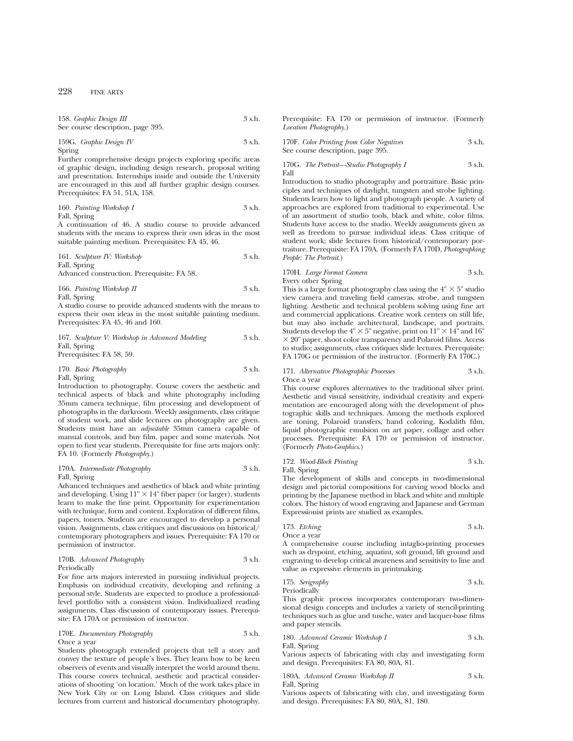| 158. Graphic Design III           | 3 s.h. |
|-----------------------------------|--------|
| See course description, page 395. |        |

159G. *Graphic Design IV* 3 s.h. Spring

Further comprehensive design projects exploring specific areas of graphic design, including design research, proposal writing and presentation. Internships inside and outside the University are encouraged in this and all further graphic design courses. Prerequisites: FA 51, 51A, 158.

160. *Painting Workshop I* 3 s.h. Fall, Spring

A continuation of 46. A studio course to provide advanced students with the means to express their own ideas in the most suitable painting medium. Prerequisites: FA 45, 46.

161. *Sculpture IV: Workshop* 3 s.h. Fall, Spring

Advanced construction. Prerequisite: FA 58.

166. *Painting Workshop II* 3 s.h. Fall, Spring

A studio course to provide advanced students with the means to express their own ideas in the most suitable painting medium. Prerequisites: FA 45, 46 and 160.

167. *Sculpture V: Workshop in Advanced Modeling* 3 s.h. Fall, Spring Prerequisites: FA 58, 59.

## 170. *Basic Photography* 3 s.h. Fall, Spring

Introduction to photography. Course covers the aesthetic and technical aspects of black and white photography including 35mm camera technique, film processing and development of photographs in the darkroom. Weekly assignments, class critique of student work, and slide lectures on photography are given. Students must have an *adjustable* 35mm camera capable of manual controls, and buy film, paper and some materials. Not open to first year students. Prerequisite for fine arts majors only: FA 10. (Formerly *Photography*.)

#### 170A. *Intermediate Photography* 3 s.h. Fall, Spring

Advanced techniques and aesthetics of black and white printing and developing. Using  $11'' \times 14''$  fiber paper (or larger), students learn to make the fine print. Opportunity for experimentation with technique, form and content. Exploration of different films, papers, toners. Students are encouraged to develop a personal vision. Assignments, class critiques and discussions on historical/ contemporary photographers and issues. Prerequisite: FA 170 or permission of instructor.

| 170B. Advanced Photography | 3 s.h. |
|----------------------------|--------|
| Periodically               |        |

For fine arts majors interested in pursuing individual projects. Emphasis on individual creativity, developing and refining a personal style. Students are expected to produce a professionallevel portfolio with a consistent vision. Individualized reading assignments. Class discussion of contemporary issues. Prerequisite: FA 170A or permission of instructor.

### 170E. *Documentary Photography* 3 s.h. Once a year

Students photograph extended projects that tell a story and convey the texture of people's lives. They learn how to be keen observers of events and visually interpret the world around them. This course covers technical, aesthetic and practical considerations of shooting 'on location.' Much of the work takes place in New York City or on Long Island. Class critiques and slide lectures from current and historical documentary photography. Prerequisite: FA 170 or permission of instructor. (Formerly *Location Photography.*)

170F. *Color Printing from Color Negatives* 3 s.h. See course description, page 395.

170G. *The Portrait—Studio Photography I* 3 s.h. Fall

Introduction to studio photography and portraiture. Basic principles and techniques of daylight, tungsten and strobe lighting. Students learn how to light and photograph people. A variety of approaches are explored from traditional to experimental. Use of an assortment of studio tools, black and white, color films. Students have access to the studio. Weekly assignments given as well as freedom to pursue individual ideas. Class critique of student work; slide lectures from historical/contemporary portraiture. Prerequisite: FA 170A. (Formerly FA 170D, *Photographing People: The Portrait*.)

## 170H. *Large Format Camera* 3 s.h. Every other Spring

This is a large format photography class using the  $4" \times 5"$  studio view camera and traveling field cameras, strobe, and tungsten lighting. Aesthetic and technical problem solving using fine art and commercial applications. Creative work centers on still life, but may also include architectural, landscape, and portraits. Students develop the  $4" \times 5"$  negative, print on  $11" \times 14"$  and  $16"$  $\times$  20" paper, shoot color transparency and Polaroid films. Access to studio; assignments, class critiques slide lectures. Prerequisite: FA 170G or permission of the instructor. (Formerly FA 170C.)

#### 171. *Alternative Photographic Processes* 3 s.h. Once a year

This course explores alternatives to the traditional silver print. Aesthetic and visual sensitivity, individual creativity and experimentation are encouraged along with the development of photographic skills and techniques. Among the methods explored are toning, Polaroid transfers, hand coloring, Kodalith film, liquid photographic emulsion on art paper, collage and other processes. Prerequisite: FA 170 or permission of instructor. (Formerly *Photo-Graphics*.)

172. *Wood-Block Printing* 3 s.h.

Fall, Spring

The development of skills and concepts in two-dimensional design and pictorial compositions for carving wood blocks and printing by the Japanese method in black and white and multiple colors. The history of wood engraving and Japanese and German Expressionist prints are studied as examples.

173. *Etching* 3 s.h.

Once a year

A comprehensive course including intaglio-printing processes such as drypoint, etching, aquatint, soft ground, lift ground and engraving to develop critical awareness and sensitivity to line and value as expressive elements in printmaking.

175. *Serigraphy* 3 s.h. Periodically

This graphic process incorporates contemporary two-dimensional design concepts and includes a variety of stencil-printing techniques such as glue and tusche, water and lacquer-base films and paper stencils.

180. *Advanced Ceramic Workshop I* 3 s.h.

Fall, Spring

Various aspects of fabricating with clay and investigating form and design. Prerequisites: FA 80, 80A, 81.

180A. *Advanced Ceramic Workshop II* 3 s.h.

Fall, Spring

Various aspects of fabricating with clay, and investigating form and design. Prerequisites: FA 80, 80A, 81, 180.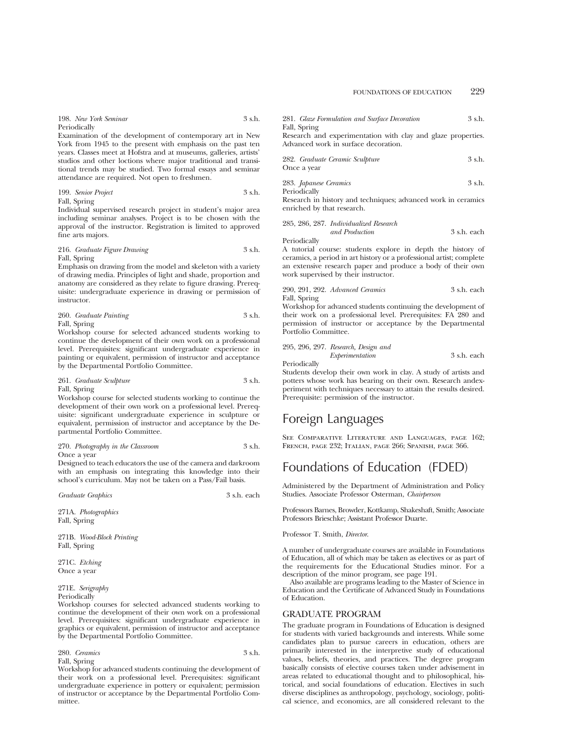| 198. New York Seminar |  | 3 s.h. |
|-----------------------|--|--------|
| Periodically          |  |        |

Examination of the development of contemporary art in New York from 1945 to the present with emphasis on the past ten years. Classes meet at Hofstra and at museums, galleries, artists' studios and other loctions where major traditional and transitional trends may be studied. Two formal essays and seminar attendance are required. Not open to freshmen.

199. *Senior Project* 3 s.h. Fall, Spring

Individual supervised research project in student's major area including seminar analyses. Project is to be chosen with the approval of the instructor. Registration is limited to approved fine arts majors.

216. *Graduate Figure Drawing* 3 s.h. Fall, Spring

Emphasis on drawing from the model and skeleton with a variety of drawing media. Principles of light and shade, proportion and anatomy are considered as they relate to figure drawing. Prerequisite: undergraduate experience in drawing or permission of instructor.

260. *Graduate Painting* 3 s.h. Fall, Spring

Workshop course for selected advanced students working to continue the development of their own work on a professional level. Prerequisites: significant undergraduate experience in painting or equivalent, permission of instructor and acceptance by the Departmental Portfolio Committee.

261. *Graduate Sculpture* 3 s.h. Fall, Spring

Workshop course for selected students working to continue the development of their own work on a professional level. Prerequisite: significant undergraduate experience in sculpture or equivalent, permission of instructor and acceptance by the Departmental Portfolio Committee.

270. *Photography in the Classroom* 3 s.h. Once a year

Designed to teach educators the use of the camera and darkroom with an emphasis on integrating this knowledge into their school's curriculum. May not be taken on a Pass/Fail basis.

*Graduate Graphics* 3 s.h. each

271A. *Photographics* Fall, Spring

271B. *Wood-Block Printing* Fall, Spring

271C. *Etching* Once a year

271E. *Serigraphy* Periodically

Workshop courses for selected advanced students working to continue the development of their own work on a professional level. Prerequisites: significant undergraduate experience in graphics or equivalent, permission of instructor and acceptance by the Departmental Portfolio Committee.

280. *Ceramics* 3 s.h. Fall, Spring

Workshop for advanced students continuing the development of their work on a professional level. Prerequisites: significant undergraduate experience in pottery or equivalent; permission of instructor or acceptance by the Departmental Portfolio Committee.

281. *Glaze Formulation and Surface Decoration* 3 s.h. Fall, Spring

Research and experimentation with clay and glaze properties. Advanced work in surface decoration.

| 282. Graduate Ceramic Sculpture | 3 s.h. |  |
|---------------------------------|--------|--|
| Once a year                     |        |  |

| 283. Japanese Ceramics | 3 s.h. |
|------------------------|--------|
| Periodically           |        |

Research in history and techniques; advanced work in ceramics enriched by that research.

| 285, 286, 287. Individualized Research |             |
|----------------------------------------|-------------|
| and Production                         | 3 s.h. each |

Periodically

A tutorial course: students explore in depth the history of ceramics, a period in art history or a professional artist; complete an extensive research paper and produce a body of their own work supervised by their instructor.

#### 290, 291, 292. *Advanced Ceramics* 3 s.h. each Fall, Spring

Workshop for advanced students continuing the development of their work on a professional level. Prerequisites: FA 280 and permission of instructor or acceptance by the Departmental Portfolio Committee.

| 295, 296, 297. Research, Design and |             |  |
|-------------------------------------|-------------|--|
| Experimentation                     | 3 s.h. each |  |

Periodically

Students develop their own work in clay. A study of artists and potters whose work has bearing on their own. Research andexperiment with techniques necessary to attain the results desired. Prerequisite: permission of the instructor.

# Foreign Languages

SEE COMPARATIVE LITERATURE AND LANGUAGES, PAGE 162; French, page 232; Italian, page 266; Spanish, page 366.

# Foundations of Education (FDED)

Administered by the Department of Administration and Policy Studies. Associate Professor Osterman, *Chairperson*

Professors Barnes, Browder, Kottkamp, Shakeshaft, Smith; Associate Professors Brieschke; Assistant Professor Duarte.

Professor T. Smith, *Director*.

A number of undergraduate courses are available in Foundations of Education, all of which may be taken as electives or as part of the requirements for the Educational Studies minor. For a description of the minor program, see page 191.

Also available are programs leading to the Master of Science in Education and the Certificate of Advanced Study in Foundations of Education.

## GRADUATE PROGRAM

The graduate program in Foundations of Education is designed for students with varied backgrounds and interests. While some candidates plan to pursue careers in education, others are primarily interested in the interpretive study of educational values, beliefs, theories, and practices. The degree program basically consists of elective courses taken under advisement in areas related to educational thought and to philosophical, historical, and social foundations of education. Electives in such diverse disciplines as anthropology, psychology, sociology, political science, and economics, are all considered relevant to the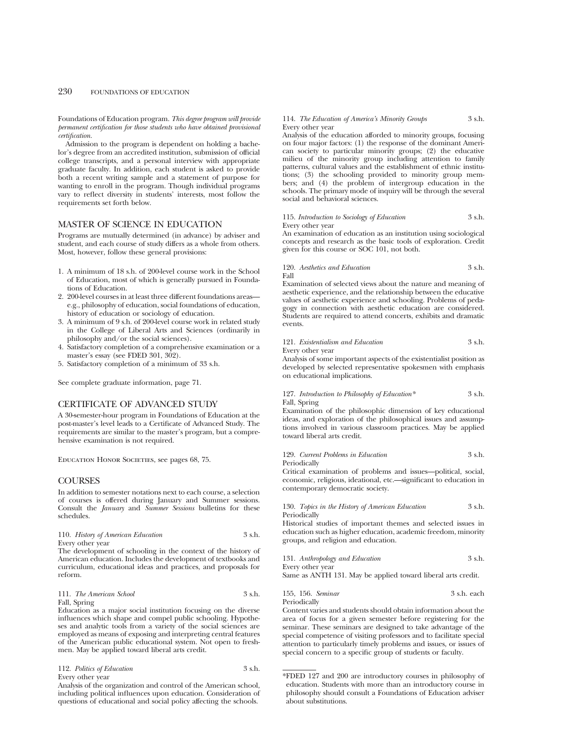Foundations of Education program. *This degree program will provide permanent certification for those students who have obtained provisional certification.*

Admission to the program is dependent on holding a bachelor's degree from an accredited institution, submission of official college transcripts, and a personal interview with appropriate graduate faculty. In addition, each student is asked to provide both a recent writing sample and a statement of purpose for wanting to enroll in the program. Though individual programs vary to reflect diversity in students' interests, most follow the requirements set forth below.

## MASTER OF SCIENCE IN EDUCATION

Programs are mutually determined (in advance) by adviser and student, and each course of study differs as a whole from others. Most, however, follow these general provisions:

- 1. A minimum of 18 s.h. of 200-level course work in the School of Education, most of which is generally pursued in Foundations of Education.
- 2. 200-level courses in at least three different foundations areas e.g., philosophy of education, social foundations of education, history of education or sociology of education.
- 3. A minimum of 9 s.h. of 200-level course work in related study in the College of Liberal Arts and Sciences (ordinarily in philosophy and/or the social sciences).
- 4. Satisfactory completion of a comprehensive examination or a master's essay (see FDED 301, 302).
- 5. Satisfactory completion of a minimum of 33 s.h.

See complete graduate information, page 71.

## CERTIFICATE OF ADVANCED STUDY

A 30-semester-hour program in Foundations of Education at the post-master's level leads to a Certificate of Advanced Study. The requirements are similar to the master's program, but a comprehensive examination is not required.

EDUCATION HONOR SOCIETIES, see pages 68, 75.

## **COURSES**

In addition to semester notations next to each course, a selection of courses is offered during January and Summer sessions. Consult the *January* and *Summer Sessions* bulletins for these schedules.

|      | 110. History of American Education |  |  |  |  | 3 s.h. |
|------|------------------------------------|--|--|--|--|--------|
|      | Every other year                   |  |  |  |  |        |
| ____ |                                    |  |  |  |  |        |

The development of schooling in the context of the history of American education. Includes the development of textbooks and curriculum, educational ideas and practices, and proposals for reform.

#### 111. *The American School* 3 s.h. Fall, Spring

Education as a major social institution focusing on the diverse influences which shape and compel public schooling. Hypotheses and analytic tools from a variety of the social sciences are employed as means of exposing and interpreting central features of the American public educational system. Not open to freshmen. May be applied toward liberal arts credit.

#### 112. *Politics of Education* 3 s.h. Every other year

Analysis of the organization and control of the American school, including political influences upon education. Consideration of questions of educational and social policy affecting the schools.

#### 114. *The Education of America's Minority Groups* 3 s.h. Every other year

Analysis of the education afforded to minority groups, focusing on four major factors: (1) the response of the dominant American society to particular minority groups; (2) the educative milieu of the minority group including attention to family patterns, cultural values and the establishment of ethnic institutions; (3) the schooling provided to minority group members; and (4) the problem of intergroup education in the schools. The primary mode of inquiry will be through the several social and behavioral sciences.

#### 115. *Introduction to Sociology of Education* 3 s.h. Every other year

An examination of education as an institution using sociological concepts and research as the basic tools of exploration. Credit

given for this course or SOC 101, not both.

120. *Aesthetics and Education* 3 s.h. Fall

Examination of selected views about the nature and meaning of aesthetic experience, and the relationship between the educative values of aesthetic experience and schooling. Problems of pedagogy in connection with aesthetic education are considered. Students are required to attend concerts, exhibits and dramatic events.

#### 121. *Existentialism and Education* 3 s.h.

Every other year

Analysis of some important aspects of the existentialist position as developed by selected representative spokesmen with emphasis on educational implications.

127. *Introduction to Philosophy of Education\** 3 s.h. Fall, Spring

Examination of the philosophic dimension of key educational ideas, and exploration of the philosophical issues and assumptions involved in various classroom practices. May be applied toward liberal arts credit.

129. *Current Problems in Education* 3 s.h. Periodically

Critical examination of problems and issues—political, social, economic, religious, ideational, etc.—significant to education in contemporary democratic society.

|              | 130. Topics in the History of American Education |  | 3 s.h. |
|--------------|--------------------------------------------------|--|--------|
| Periodically |                                                  |  |        |

Historical studies of important themes and selected issues in education such as higher education, academic freedom, minority groups, and religion and education.

| 131. Anthropology and Education | 3 s.h. |
|---------------------------------|--------|
| Every other year                |        |

Same as ANTH 131. May be applied toward liberal arts credit.

155, 156. *Seminar* 3 s.h. each Periodically

Content varies and students should obtain information about the area of focus for a given semester before registering for the seminar. These seminars are designed to take advantage of the special competence of visiting professors and to facilitate special attention to particularly timely problems and issues, or issues of special concern to a specific group of students or faculty.

<sup>\*</sup>FDED 127 and 200 are introductory courses in philosophy of education. Students with more than an introductory course in philosophy should consult a Foundations of Education adviser about substitutions.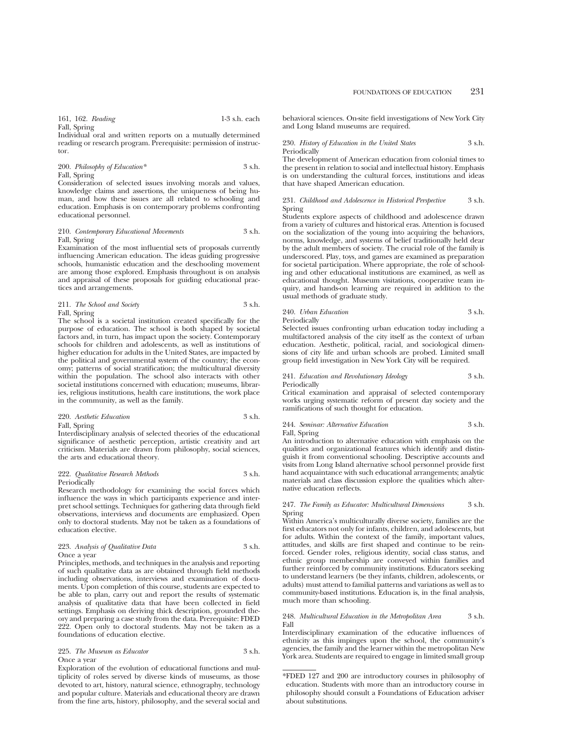161, 162. *Reading* 1-3 s.h. each Fall, Spring

Individual oral and written reports on a mutually determined reading or research program. Prerequisite: permission of instructor.

200. *Philosophy of Education\** 3 s.h. Fall, Spring

Consideration of selected issues involving morals and values, knowledge claims and assertions, the uniqueness of being human, and how these issues are all related to schooling and education. Emphasis is on contemporary problems confronting educational personnel.

#### 210. *Contemporary Educational Movements* 3 s.h. Fall, Spring

Examination of the most influential sets of proposals currently influencing American education. The ideas guiding progressive schools, humanistic education and the deschooling movement are among those explored. Emphasis throughout is on analysis and appraisal of these proposals for guiding educational practices and arrangements.

#### 211. *The School and Society* 3 s.h. Fall, Spring

The school is a societal institution created specifically for the purpose of education. The school is both shaped by societal factors and, in turn, has impact upon the society. Contemporary schools for children and adolescents, as well as institutions of higher education for adults in the United States, are impacted by the political and governmental system of the country; the economy; patterns of social stratification; the multicultural diversity within the population. The school also interacts with other societal institutions concerned with education; museums, libraries, religious institutions, health care institutions, the work place in the community, as well as the family.

| 220. Aesthetic Education | 3 s.h. |
|--------------------------|--------|
| Fall, Spring             |        |

Interdisciplinary analysis of selected theories of the educational significance of aesthetic perception, artistic creativity and art criticism. Materials are drawn from philosophy, social sciences, the arts and educational theory.

#### 222. *Qualitative Research Methods* 3 s.h. Periodically

Research methodology for examining the social forces which influence the ways in which participants experience and interpret school settings. Techniques for gathering data through field observations, interviews and documents are emphasized. Open only to doctoral students. May not be taken as a foundations of education elective.

## 223. *Analysis of Qualitative Data* 3 s.h. Once a year

Principles, methods, and techniques in the analysis and reporting of such qualitative data as are obtained through field methods including observations, interviews and examination of documents. Upon completion of this course, students are expected to be able to plan, carry out and report the results of systematic analysis of qualitative data that have been collected in field settings. Emphasis on deriving thick description, grounded theory and preparing a case study from the data. Prerequisite: FDED 222. Open only to doctoral students. May not be taken as a foundations of education elective.

#### 225. *The Museum as Educator* 3 s.h. Once a year

Exploration of the evolution of educational functions and multiplicity of roles served by diverse kinds of museums, as those devoted to art, history, natural science, ethnography, technology and popular culture. Materials and educational theory are drawn from the fine arts, history, philosophy, and the several social and FOUNDATIONS OF EDUCATION 231

230. *History of Education in the United States* 3 s.h. Periodically

The development of American education from colonial times to the present in relation to social and intellectual history. Emphasis is on understanding the cultural forces, institutions and ideas that have shaped American education.

#### 231. *Childhood and Adolescence in Historical Perspective* 3 s.h. Spring

Students explore aspects of childhood and adolescence drawn from a variety of cultures and historical eras. Attention is focused on the socialization of the young into acquiring the behaviors, norms, knowledge, and systems of belief traditionally held dear by the adult members of society. The crucial role of the family is underscored. Play, toys, and games are examined as preparation for societal participation. Where appropriate, the role of schooling and other educational institutions are examined, as well as educational thought. Museum visitations, cooperative team inquiry, and hands-on learning are required in addition to the usual methods of graduate study.

#### 240. *Urban Education* 3 s.h. Periodically

Selected issues confronting urban education today including a multifactored analysis of the city itself as the context of urban education. Aesthetic, political, racial, and sociological dimensions of city life and urban schools are probed. Limited small group field investigation in New York City will be required.

#### 241. *Education and Revolutionary Ideology* 3 s.h. Periodically

Critical examination and appraisal of selected contemporary works urging systematic reform of present day society and the ramifications of such thought for education.

## 244. *Seminar: Alternative Education* 3 s.h. Fall, Spring

An introduction to alternative education with emphasis on the qualities and organizational features which identify and distinguish it from conventional schooling. Descriptive accounts and visits from Long Island alternative school personnel provide first hand acquaintance with such educational arrangements; analytic materials and class discussion explore the qualities which alternative education reflects.

#### 247. *The Family as Educator: Multicultural Dimensions* 3 s.h. Spring

Within America's multiculturally diverse society, families are the first educators not only for infants, children, and adolescents, but for adults. Within the context of the family, important values, attitudes, and skills are first shaped and continue to be reinforced. Gender roles, religious identity, social class status, and ethnic group membership are conveyed within families and further reinforced by community institutions. Educators seeking to understand learners (be they infants, children, adolescents, or adults) must attend to familial patterns and variations as well as to community-based institutions. Education is, in the final analysis, much more than schooling.

#### 248. *Multicultural Education in the Metropolitan Area* 3 s.h. Fall

Interdisciplinary examination of the educative influences of ethnicity as this impinges upon the school, the community's agencies, the family and the learner within the metropolitan New York area. Students are required to engage in limited small group

<sup>\*</sup>FDED 127 and 200 are introductory courses in philosophy of education. Students with more than an introductory course in philosophy should consult a Foundations of Education adviser about substitutions.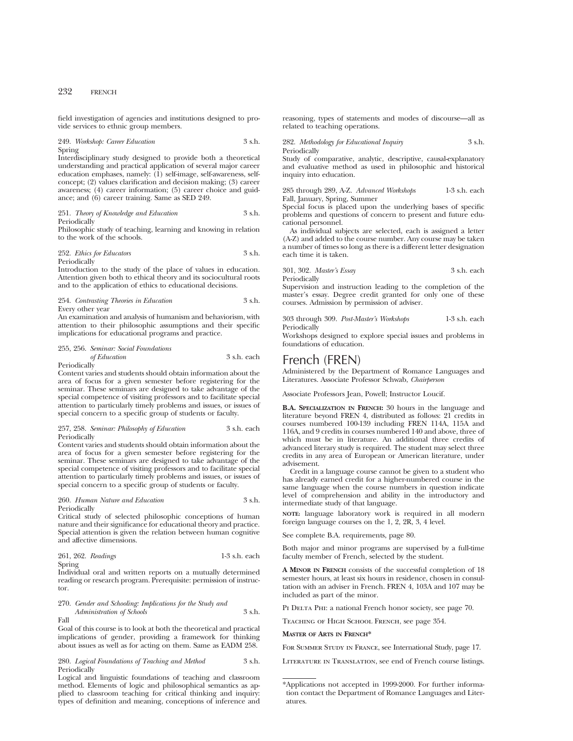field investigation of agencies and institutions designed to provide services to ethnic group members.

## 249. *Workshop: Career Education* 3 s.h. Spring

Interdisciplinary study designed to provide both a theoretical understanding and practical application of several major career education emphases, namely: (1) self-image, self-awareness, selfconcept; (2) values clarification and decision making; (3) career awareness; (4) career information; (5) career choice and guidance; and (6) career training. Same as SED 249.

251. *Theory of Knowledge and Education* 3 s.h. Periodically

Philosophic study of teaching, learning and knowing in relation to the work of the schools.

#### 252. *Ethics for Educators* 3 s.h. Periodically

Introduction to the study of the place of values in education. Attention given both to ethical theory and its sociocultural roots and to the application of ethics to educational decisions.

#### 254. *Contrasting Theories in Education* 3 s.h. Every other year

An examination and analysis of humanism and behaviorism, with attention to their philosophic assumptions and their specific implications for educational programs and practice.

## 255, 256. *Seminar: Social Foundations of Education* 3 s.h. each

Periodically

Content varies and students should obtain information about the area of focus for a given semester before registering for the seminar. These seminars are designed to take advantage of the special competence of visiting professors and to facilitate special attention to particularly timely problems and issues, or issues of special concern to a specific group of students or faculty.

#### 257, 258. *Seminar: Philosophy of Education* 3 s.h. each Periodically

Content varies and students should obtain information about the area of focus for a given semester before registering for the seminar. These seminars are designed to take advantage of the special competence of visiting professors and to facilitate special attention to particularly timely problems and issues, or issues of special concern to a specific group of students or faculty.

#### 260. *Human Nature and Education* 3 s.h. Periodically

Critical study of selected philosophic conceptions of human nature and their significance for educational theory and practice. Special attention is given the relation between human cognitive and affective dimensions.

261, 262. *Readings* 1-3 s.h. each Spring

Individual oral and written reports on a mutually determined reading or research program. Prerequisite: permission of instructor.

#### 270. *Gender and Schooling: Implications for the Study and Administration of Schools* 3 s.h. Fall

Goal of this course is to look at both the theoretical and practical implications of gender, providing a framework for thinking about issues as well as for acting on them. Same as EADM 258.

280. *Logical Foundations of Teaching and Method* 3 s.h. Periodically

Logical and linguistic foundations of teaching and classroom method. Elements of logic and philosophical semantics as applied to classroom teaching for critical thinking and inquiry: types of definition and meaning, conceptions of inference and reasoning, types of statements and modes of discourse—all as related to teaching operations.

282. *Methodology for Educational Inquiry* 3 s.h. Periodically

Study of comparative, analytic, descriptive, causal-explanatory and evaluative method as used in philosophic and historical inquiry into education.

285 through 289, A-Z. *Advanced Workshops* 1-3 s.h. each Fall, January, Spring, Summer

Special focus is placed upon the underlying bases of specific problems and questions of concern to present and future educational personnel.

As individual subjects are selected, each is assigned a letter (A-Z) and added to the course number. Any course may be taken a number of times so long as there is a different letter designation each time it is taken.

301, 302. *Master's Essay* 3 s.h. each Periodically

Supervision and instruction leading to the completion of the master's essay. Degree credit granted for only one of these courses. Admission by permission of adviser.

303 through 309. *Post-Master's Workshops* 1-3 s.h. each Periodically

Workshops designed to explore special issues and problems in foundations of education.

## French (FREN)

Administered by the Department of Romance Languages and Literatures. Associate Professor Schwab, *Chairperson*

Associate Professors Jean, Powell; Instructor Loucif.

**B.A. SPECIALIZATION IN FRENCH:** 30 hours in the language and literature beyond FREN 4, distributed as follows: 21 credits in courses numbered 100-139 including FREN 114A, 115A and 116A, and 9 credits in courses numbered 140 and above, three of which must be in literature. An additional three credits of advanced literary study is required. The student may select three credits in any area of European or American literature, under advisement.

Credit in a language course cannot be given to a student who has already earned credit for a higher-numbered course in the same language when the course numbers in question indicate level of comprehension and ability in the introductory and intermediate study of that language.

**NOTE:** language laboratory work is required in all modern foreign language courses on the 1, 2, 2R, 3, 4 level.

See complete B.A. requirements, page 80.

Both major and minor programs are supervised by a full-time faculty member of French, selected by the student.

**A MINOR IN FRENCH** consists of the successful completion of 18 semester hours, at least six hours in residence, chosen in consultation with an adviser in French. FREN 4, 103A and 107 may be included as part of the minor.

PI DELTA PHI: a national French honor society, see page 70.

Teaching of High School French, see page 354.

#### **MASTER OF ARTS IN FRENCH\***

For Summer Study in France, see International Study, page 17.

Literature in Translation, see end of French course listings.

<sup>\*</sup>Applications not accepted in 1999-2000. For further information contact the Department of Romance Languages and Literatures.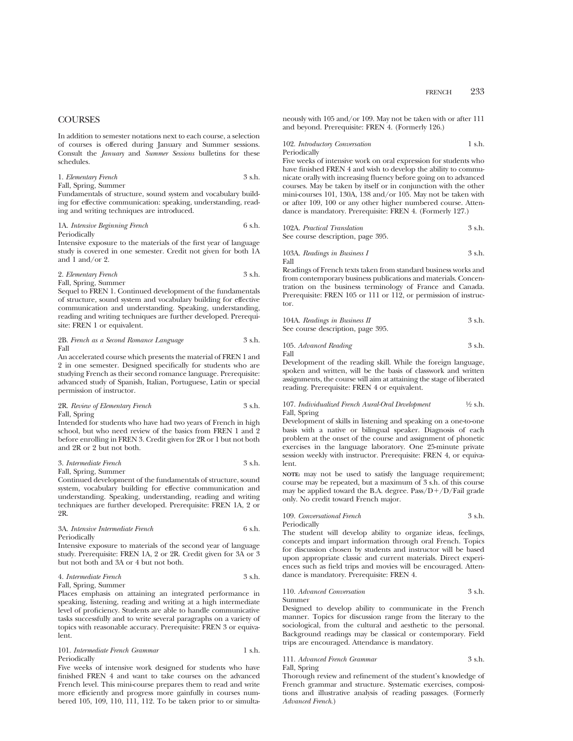## **COURSES**

In addition to semester notations next to each course, a selection of courses is offered during January and Summer sessions. Consult the *January* and *Summer Sessions* bulletins for these schedules.

1. *Elementary French* 3 s.h. Fall, Spring, Summer

Fundamentals of structure, sound system and vocabulary building for effective communication: speaking, understanding, reading and writing techniques are introduced.

#### 1A. *Intensive Beginning French* 6 s.h. Periodically

Intensive exposure to the materials of the first year of language study is covered in one semester. Credit not given for both 1A and 1 and/or 2.

2. *Elementary French* 3 s.h. Fall, Spring, Summer

Sequel to FREN 1. Continued development of the fundamentals of structure, sound system and vocabulary building for effective communication and understanding. Speaking, understanding, reading and writing techniques are further developed. Prerequisite: FREN 1 or equivalent.

2B. *French as a Second Romance Language* 3 s.h. Fall

An accelerated course which presents the material of FREN 1 and 2 in one semester. Designed specifically for students who are studying French as their second romance language. Prerequisite: advanced study of Spanish, Italian, Portuguese, Latin or special permission of instructor.

2R. *Review of Elementary French* 3 s.h. Fall, Spring

Intended for students who have had two years of French in high school, but who need review of the basics from FREN 1 and 2 before enrolling in FREN 3. Credit given for 2R or 1 but not both and 2R or 2 but not both.

#### 3. *Intermediate French* 3 s.h. Fall, Spring, Summer

Continued development of the fundamentals of structure, sound system, vocabulary building for effective communication and understanding. Speaking, understanding, reading and writing techniques are further developed. Prerequisite: FREN 1A, 2 or 2R.

## 3A. *Intensive Intermediate French* 6 s.h. Periodically

Intensive exposure to materials of the second year of language study. Prerequisite: FREN 1A, 2 or 2R. Credit given for 3A or 3 but not both and 3A or 4 but not both.

#### 4. *Intermediate French* 3 s.h. Fall, Spring, Summer

Places emphasis on attaining an integrated performance in speaking, listening, reading and writing at a high intermediate level of proficiency. Students are able to handle communicative tasks successfully and to write several paragraphs on a variety of topics with reasonable accuracy. Prerequisite: FREN 3 or equivalent.

#### 101. *Intermediate French Grammar* 1 s.h. Periodically

Five weeks of intensive work designed for students who have finished FREN 4 and want to take courses on the advanced French level. This mini-course prepares them to read and write more efficiently and progress more gainfully in courses numbered 105, 109, 110, 111, 112. To be taken prior to or simultaneously with 105 and/or 109. May not be taken with or after 111 and beyond. Prerequisite: FREN 4. (Formerly 126.)

102. *Introductory Conversation* 1 s.h. Periodically

Five weeks of intensive work on oral expression for students who have finished FREN 4 and wish to develop the ability to communicate orally with increasing fluency before going on to advanced courses. May be taken by itself or in conjunction with the other mini-courses 101, 130A, 138 and/or 105. May not be taken with or after 109, 100 or any other higher numbered course. Attendance is mandatory. Prerequisite: FREN 4. (Formerly 127.)

102A. *Practical Translation* 3 s.h. See course description, page 395.

103A. *Readings in Business I* 
$$
3 \, \text{ s.h.}
$$
 Fall

Readings of French texts taken from standard business works and from contemporary business publications and materials. Concentration on the business terminology of France and Canada. Prerequisite: FREN 105 or 111 or 112, or permission of instructor.

| 104A. Readings in Business II     | 3 s.h. |
|-----------------------------------|--------|
| See course description, page 395. |        |

105. *Advanced Reading* 3 s.h. Fall

Development of the reading skill. While the foreign language, spoken and written, will be the basis of classwork and written assignments, the course will aim at attaining the stage of liberated reading. Prerequisite: FREN 4 or equivalent.

## 107. *Individualized French Aural-Oral Development* 1⁄2 s.h. Fall, Spring

Development of skills in listening and speaking on a one-to-one basis with a native or bilingual speaker. Diagnosis of each problem at the onset of the course and assignment of phonetic exercises in the language laboratory. One 25-minute private session weekly with instructor. Prerequisite: FREN 4, or equivalent.

**NOTE:** may not be used to satisfy the language requirement; course may be repeated, but a maximum of 3 s.h. of this course may be applied toward the B.A. degree.  $Pass/D+/D/Fall$  grade only. No credit toward French major.

## 109. *Conversational French* 3 s.h.

Periodically

The student will develop ability to organize ideas, feelings, concepts and impart information through oral French. Topics for discussion chosen by students and instructor will be based upon appropriate classic and current materials. Direct experiences such as field trips and movies will be encouraged. Attendance is mandatory. Prerequisite: FREN 4.

## 110. *Advanced Conversation* 3 s.h.

Summer

Designed to develop ability to communicate in the French manner. Topics for discussion range from the literary to the sociological, from the cultural and aesthetic to the personal. Background readings may be classical or contemporary. Field trips are encouraged. Attendance is mandatory.

## 111. *Advanced French Grammar* 3 s.h.

Fall, Spring

Thorough review and refinement of the student's knowledge of French grammar and structure. Systematic exercises, compositions and illustrative analysis of reading passages. (Formerly *Advanced French*.)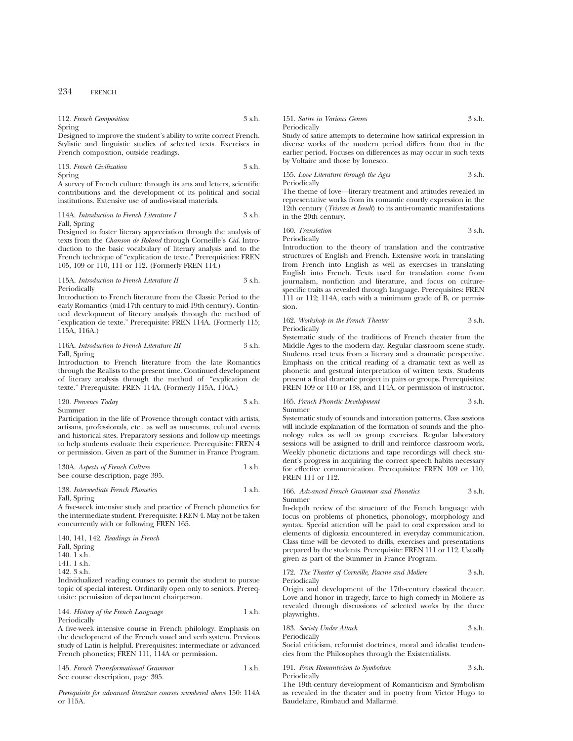|        | 112. French Composition | 3 s.h. |
|--------|-------------------------|--------|
| Spring |                         |        |

Designed to improve the student's ability to write correct French. Stylistic and linguistic studies of selected texts. Exercises in French composition, outside readings.

113. *French Civilization* 3 s.h. Spring

A survey of French culture through its arts and letters, scientific contributions and the development of its political and social institutions. Extensive use of audio-visual materials.

114A. *Introduction to French Literature I* 3 s.h. Fall, Spring

Designed to foster literary appreciation through the analysis of texts from the *Chanson de Roland* through Corneille's *Cid.* Introduction to the basic vocabulary of literary analysis and to the French technique of "explication de texte." Prerequisities: FREN 105, 109 or 110, 111 or 112. (Formerly FREN 114.)

#### 115A. *Introduction to French Literature II* 3 s.h. Periodically

Introduction to French literature from the Classic Period to the early Romantics (mid-17th century to mid-19th century). Continued development of literary analysis through the method of "explication de texte." Prerequisite: FREN 114A. (Formerly 115; 115A, 116A.)

## 116A. *Introduction to French Literature III* 3 s.h. Fall, Spring

Introduction to French literature from the late Romantics through the Realists to the present time. Continued development of literary analysis through the method of "explication de texte." Prerequisite: FREN 114A. (Formerly 115A, 116A.)

#### 120. *Provence Today* 3 s.h. Summer

Participation in the life of Provence through contact with artists, artisans, professionals, etc., as well as museums, cultural events and historical sites. Preparatory sessions and follow-up meetings to help students evaluate their experience. Prerequisite: FREN 4 or permission. Given as part of the Summer in France Program.

#### 130A. *Aspects of French Culture* 1 s.h. See course description, page 395.

#### 138. *Intermediate French Phonetics* 1 s.h. Fall, Spring

A five-week intensive study and practice of French phonetics for the intermediate student. Prerequisite: FREN 4. May not be taken concurrently with or following FREN 165.

140, 141, 142. *Readings in French* Fall, Spring 140.  $1\text{ s.h.}$ 141. 1 s.h. 142. 3 s.h.

Individualized reading courses to permit the student to pursue topic of special interest. Ordinarily open only to seniors. Prerequisite: permission of department chairperson.

#### 144. *History of the French Language* 1 s.h. Periodically

A five-week intensive course in French philology. Emphasis on the development of the French vowel and verb system. Previous study of Latin is helpful. Prerequisites: intermediate or advanced French phonetics; FREN 111, 114A or permission.

145. *French Transformational Grammar* 1 s.h. See course description, page 395.

*Prerequisite for advanced literature courses numbered above* 150: 114A or 115A.

151. *Satire in Various Genres* 3 s.h. Periodically

Study of satire attempts to determine how satirical expression in diverse works of the modern period differs from that in the earlier period. Focuses on differences as may occur in such texts by Voltaire and those by Ionesco.

155. *Love Literature through the Ages* 3 s.h. Periodically

The theme of love—literary treatment and attitudes revealed in representative works from its romantic courtly expression in the 12th century (*Tristan et Iseult*) to its anti-romantic manifestations in the 20th century.

160. *Translation* 3 s.h. Periodically

Introduction to the theory of translation and the contrastive structures of English and French. Extensive work in translating from French into English as well as exercises in translating English into French. Texts used for translation come from journalism, nonfiction and literature, and focus on culturespecific traits as revealed through language. Prerequisites: FREN 111 or 112; 114A, each with a minimum grade of B, or permission.

#### 162. *Workshop in the French Theater* 3 s.h. Periodically

Systematic study of the traditions of French theater from the Middle Ages to the modern day. Regular classroom scene study. Students read texts from a literary and a dramatic perspective. Emphasis on the critical reading of a dramatic text as well as phonetic and gestural interpretation of written texts. Students present a final dramatic project in pairs or groups. Prerequisites: FREN 109 or 110 or 138, and 114A, or permission of instructor.

## 165. *French Phonetic Development* 3 s.h. Summer

Systematic study of sounds and intonation patterns. Class sessions will include explanation of the formation of sounds and the phonology rules as well as group exercises. Regular laboratory sessions will be assigned to drill and reinforce classroom work. Weekly phonetic dictations and tape recordings will check student's progress in acquiring the correct speech habits necessary for effective communication. Prerequisites: FREN 109 or 110, FREN 111 or 112.

#### 166. *Advanced French Grammar and Phonetics* 3 s.h. Summer

In-depth review of the structure of the French language with focus on problems of phonetics, phonology, morphology and syntax. Special attention will be paid to oral expression and to elements of diglossia encountered in everyday communication. Class time will be devoted to drills, exercises and presentations prepared by the students. Prerequisite: FREN 111 or 112. Usually given as part of the Summer in France Program.

## 172. *The Theater of Corneille, Racine and Moliere* 3 s.h. Periodically

Origin and development of the 17th-century classical theater. Love and honor in tragedy, farce to high comedy in Moliere as revealed through discussions of selected works by the three playwrights.

## 183. *Society Under Attack* 3 s.h. Periodically

Social criticism, reformist doctrines, moral and idealist tendencies from the Philosophes through the Existentialists.

## 191. *From Romanticism to Symbolism* 3 s.h. Periodically

The 19th-century development of Romanticism and Symbolism as revealed in the theater and in poetry from Victor Hugo to Baudelaire, Rimbaud and Mallarmé.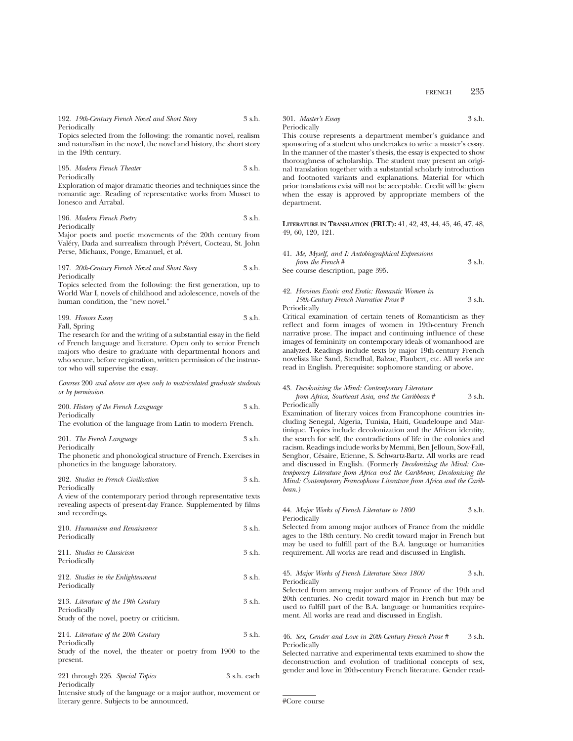192. *19th-Century French Novel and Short Story* 3 s.h. Periodically

Topics selected from the following: the romantic novel, realism and naturalism in the novel, the novel and history, the short story in the 19th century.

195. *Modern French Theater* 3 s.h. Periodically

Exploration of major dramatic theories and techniques since the romantic age. Reading of representative works from Musset to Ionesco and Arrabal.

196. *Modern French Poetry* 3 s.h. Periodically

Major poets and poetic movements of the 20th century from Valéry, Dada and surrealism through Prévert, Cocteau, St. John Perse, Michaux, Ponge, Emanuel, et al.

#### 197. *20th-Century French Novel and Short Story* 3 s.h. Periodically

Topics selected from the following: the first generation, up to World War I, novels of childhood and adolescence, novels of the human condition, the "new novel."

199. *Honors Essay* 3 s.h. Fall, Spring

The research for and the writing of a substantial essay in the field of French language and literature. Open only to senior French majors who desire to graduate with departmental honors and who secure, before registration, written permission of the instructor who will supervise the essay.

*Courses* 200 *and above are open only to matriculated graduate students or by permission*.

200. *History of the French Language* 3 s.h. Periodically

The evolution of the language from Latin to modern French.

| 201. The French Language | 3 s.h. |
|--------------------------|--------|
| Periodically             |        |

The phonetic and phonological structure of French. Exercises in phonetics in the language laboratory.

#### 202. *Studies in French Civilization* 3 s.h. Periodically

A view of the contemporary period through representative texts revealing aspects of present-day France. Supplemented by films and recordings.

| 210. Humanism and Renaissance                                          | 3 s.h.      |
|------------------------------------------------------------------------|-------------|
| Periodically                                                           |             |
| 211. Studies in Classicism                                             | 3 s.h.      |
| Periodically                                                           |             |
| 212. Studies in the Enlightenment                                      | 3 s.h.      |
| Periodically                                                           |             |
| 213. Literature of the 19th Century                                    | 3 s.h.      |
| Periodically                                                           |             |
| Study of the novel, poetry or criticism.                               |             |
| 214. Literature of the 20th Century                                    | 3 s.h.      |
| Periodically                                                           |             |
| Study of the novel, the theater or poetry from 1900 to the<br>present. |             |
| 221 through 226. Special Topics                                        | 3 s.h. each |

Periodically

Intensive study of the language or a major author, movement or literary genre. Subjects to be announced.

301. *Master's Essay* 3 s.h. Periodically

This course represents a department member's guidance and sponsoring of a student who undertakes to write a master's essay. In the manner of the master's thesis, the essay is expected to show thoroughness of scholarship. The student may present an original translation together with a substantial scholarly introduction and footnoted variants and explanations. Material for which prior translations exist will not be acceptable. Credit will be given when the essay is approved by appropriate members of the department.

**LITERATURE IN TRANSLATION (FRLT):** 41, 42, 43, 44, 45, 46, 47, 48, 49, 60, 120, 121.

| 41. Me, Myself, and I: Autobiographical Expressions |        |
|-----------------------------------------------------|--------|
| from the French#                                    | 3 s.h. |
| See course description, page 395.                   |        |

#### 42. *Heroines Exotic and Erotic: Romantic Women in 19th-Century French Narrative Prose* # 3 s.h. Periodically

Critical examination of certain tenets of Romanticism as they reflect and form images of women in 19th-century French narrative prose. The impact and continuing influence of these images of femininity on contemporary ideals of womanhood are analyzed. Readings include texts by major 19th-century French novelists like Sand, Stendhal, Balzac, Flaubert, etc. All works are

read in English. Prerequisite: sophomore standing or above.

#### 43. *Decolonizing the Mind: Contemporary Literature*

*from Africa, Southeast Asia, and the Caribbean* # 3 s.h. Periodically

Examination of literary voices from Francophone countries including Senegal, Algeria, Tunisia, Haiti, Guadeloupe and Martinique. Topics include decolonization and the African identity, the search for self, the contradictions of life in the colonies and racism. Readings include works by Memmi, Ben Jelloun, Sow-Fall, Senghor, Césaire, Etienne, S. Schwartz-Bartz. All works are read and discussed in English. (Formerly *Decolonizing the Mind: Contemporary Literature from Africa and the Caribbean; Decolonizing the Mind: Contemporary Francophone Literature from Africa and the Caribbean.)*

#### 44. *Major Works of French Literature to 1800* 3 s.h. Periodically

Selected from among major authors of France from the middle ages to the 18th century. No credit toward major in French but may be used to fulfill part of the B.A. language or humanities requirement. All works are read and discussed in English.

#### 45. *Major Works of French Literature Since 1800* 3 s.h. Periodically

Selected from among major authors of France of the 19th and 20th centuries. No credit toward major in French but may be used to fulfill part of the B.A. language or humanities requirement. All works are read and discussed in English.

#### 46. *Sex, Gender and Love in 20th-Century French Prose #* 3 s.h. Periodically

Selected narrative and experimental texts examined to show the deconstruction and evolution of traditional concepts of sex, gender and love in 20th-century French literature. Gender read-

```
#Core course
```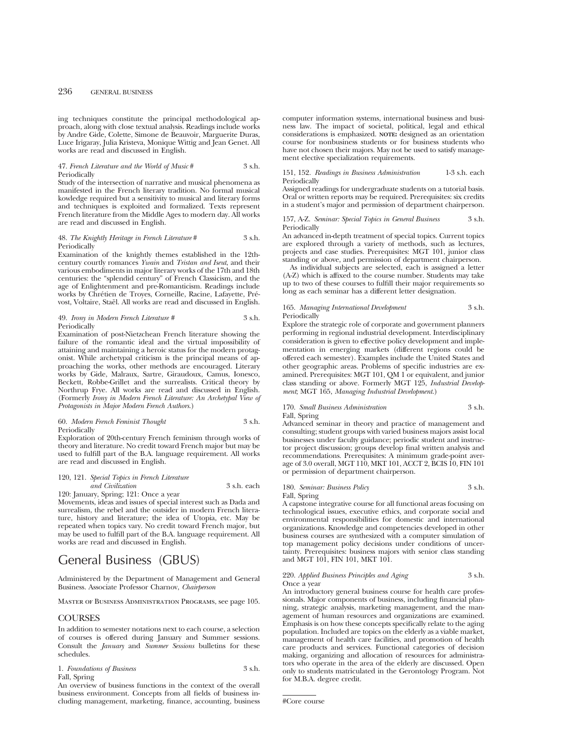ing techniques constitute the principal methodological approach, along with close textual analysis. Readings include works by Andre Gide, Colette, Simone de Beauvoir, Marguerite Duras, Luce Irigaray, Julia Kristeva, Monique Wittig and Jean Genet. All works are read and discussed in English.

#### 47. *French Literature and the World of Music* # 3 s.h. Periodically

Study of the intersection of narrative and musical phenomena as manifested in the French literary tradition. No formal musical kowledge required but a sensitivity to musical and literary forms and techniques is exploited and formalized. Texts represent French literature from the Middle Ages to modern day. All works are read and discussed in English.

#### 48. *The Knightly Heritage in French Literature* # 3 s.h. Periodically

Examination of the knightly themes established in the 12thcentury courtly romances *Ywain* and *Tristan and Iseut*, and their various embodiments in major literary works of the 17th and 18th centuries: the "splendid century" of French Classicism, and the age of Enlightenment and pre-Romanticism. Readings include works by Chrétien de Troyes, Corneille, Racine, Lafayette, Prévost, Voltaire, Staël. All works are read and discussed in English.

#### 49. *Irony in Modern French Literature #* 3 s.h. Periodically

Examination of post-Nietzchean French literature showing the failure of the romantic ideal and the virtual impossibility of attaining and maintaining a heroic status for the modern protagonist. While archetypal criticism is the principal means of approaching the works, other methods are encouraged. Literary works by Gide, Malraux, Sartre, Giraudoux, Camus, Ionesco, Beckett, Robbe-Grillet and the surrealists. Critical theory by Northrup Frye. All works are read and discussed in English. (Formerly *Irony in Modern French Literature: An Archetypal View of Protagonists in Major Modern French Authors*.)

#### 60. *Modern French Feminist Thought* 3 s.h. Periodically

Exploration of 20th-century French feminism through works of theory and literature. No credit toward French major but may be used to fulfill part of the B.A. language requirement. All works are read and discussed in English.

#### 120, 121. *Special Topics in French Literature and Civilization* 3 s.h. each 120: January, Spring; 121: Once a year

Movements, ideas and issues of special interest such as Dada and surrealism, the rebel and the outsider in modern French literature, history and literature; the idea of Utopia, etc. May be repeated when topics vary. No credit toward French major, but may be used to fulfill part of the B.A. language requirement. All works are read and discussed in English.

# General Business (GBUS)

Administered by the Department of Management and General Business. Associate Professor Charnov, *Chairperson*

Master of Business Administration Programs, see page 105.

## **COURSES**

In addition to semester notations next to each course, a selection of courses is offered during January and Summer sessions. Consult the *January* and *Summer Sessions* bulletins for these schedules.

1. *Foundations of Business* 3 s.h. Fall, Spring

An overview of business functions in the context of the overall business environment. Concepts from all fields of business including management, marketing, finance, accounting, business computer information systems, international business and business law. The impact of societal, political, legal and ethical considerations is emphasized. **NOTE:** designed as an orientation course for nonbusiness students or for business students who have not chosen their majors. May not be used to satisfy management elective specialization requirements.

#### 151, 152. *Readings in Business Administration* 1-3 s.h. each Periodically

Assigned readings for undergraduate students on a tutorial basis. Oral or written reports may be required. Prerequisites: six credits in a student's major and permission of department chairperson.

157, A-Z. *Seminar: Special Topics in General Business* 3 s.h. Periodically

An advanced in-depth treatment of special topics. Current topics are explored through a variety of methods, such as lectures, projects and case studies. Prerequisites: MGT 101, junior class standing or above, and permission of department chairperson.

As individual subjects are selected, each is assigned a letter (A-Z) which is affixed to the course number. Students may take up to two of these courses to fulfill their major requirements so long as each seminar has a different letter designation.

165. *Managing International Development* 3 s.h. Periodically

Explore the strategic role of corporate and government planners performing in regional industrial development. Interdisciplinary consideration is given to effective policy development and implementation in emerging markets (different regions could be offered each semester). Examples include the United States and other geographic areas. Problems of specific industries are examined. Prerequisites: MGT 101, QM 1 or equivalent, and junior class standing or above. Formerly MGT 125, *Industrial Development*; MGT 165, *Managing Industrial Development*.)

### 170. *Small Business Administration* 3 s.h. Fall, Spring

Advanced seminar in theory and practice of management and consulting; student groups with varied business majors assist local businesses under faculty guidance; periodic student and instructor project discussion; groups develop final written analysis and recommendations. Prerequisites: A minimum grade-point average of 3.0 overall, MGT 110, MKT 101, ACCT 2, BCIS 10, FIN 101 or permission of department chairperson.

180. *Seminar: Business Policy* 3 s.h. Fall, Spring

A capstone integrative course for all functional areas focusing on technological issues, executive ethics, and corporate social and environmental responsibilities for domestic and international organizations. Knowledge and competencies developed in other business courses are synthesized with a computer simulation of top management policy decisions under conditions of uncertainty. Prerequisites: business majors with senior class standing and MGT 101, FIN 101, MKT 101.

#### 220. *Applied Business Principles and Aging* 3 s.h. Once a year

An introductory general business course for health care professionals. Major components of business, including financial planning, strategic analysis, marketing management, and the management of human resources and organizations are examined. Emphasis is on how these concepts specifically relate to the aging population. Included are topics on the elderly as a viable market, management of health care facilities, and promotion of health care products and services. Functional categories of decision making, organizing and allocation of resources for administrators who operate in the area of the elderly are discussed. Open only to students matriculated in the Gerontology Program. Not for M.B.A. degree credit.

<sup>#</sup>Core course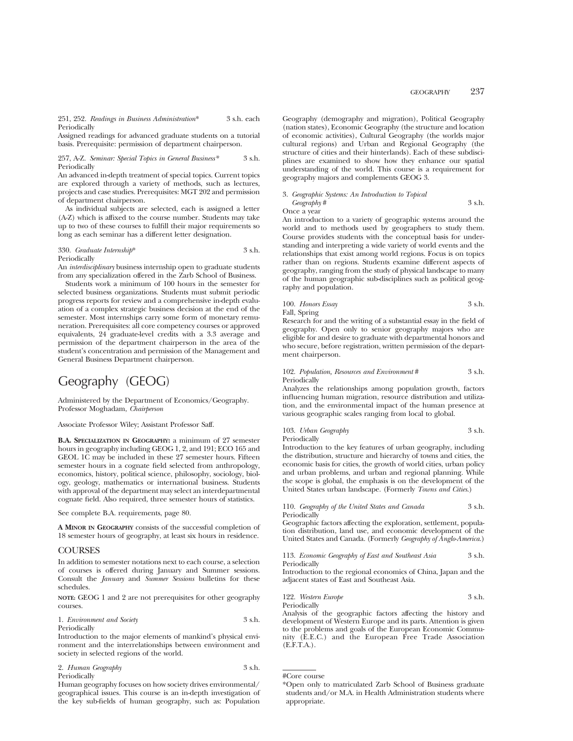251, 252. *Readings in Business Administration*\* 3 s.h. each Periodically

Assigned readings for advanced graduate students on a tutorial basis. Prerequisite: permission of department chairperson.

#### 257, A-Z. *Seminar: Special Topics in General Business\** 3 s.h. Periodically

An advanced in-depth treatment of special topics. Current topics are explored through a variety of methods, such as lectures, projects and case studies. Prerequisites: MGT 202 and permission of department chairperson.

As individual subjects are selected, each is assigned a letter (A-Z) which is affixed to the course number. Students may take up to two of these courses to fulfill their major requirements so long as each seminar has a different letter designation.

### 330. *Graduate Internship*\* 3 s.h. Periodically

An *interdisciplinary* business internship open to graduate students from any specialization offered in the Zarb School of Business.

Students work a minimum of 100 hours in the semester for selected business organizations. Students must submit periodic progress reports for review and a comprehensive in-depth evaluation of a complex strategic business decision at the end of the semester. Most internships carry some form of monetary remuneration. Prerequisites: all core competency courses or approved equivalents, 24 graduate-level credits with a 3.3 average and permission of the department chairperson in the area of the student's concentration and permission of the Management and General Business Department chairperson.

# Geography (GEOG)

Administered by the Department of Economics/Geography. Professor Moghadam, *Chairperson*

Associate Professor Wiley; Assistant Professor Saff.

**B.A. SPECIALIZATION IN GEOGRAPHY:** a minimum of 27 semester hours in geography including GEOG 1, 2, and 191; ECO 165 and GEOL 1C may be included in these 27 semester hours. Fifteen semester hours in a cognate field selected from anthropology, economics, history, political science, philosophy, sociology, biology, geology, mathematics or international business. Students with approval of the department may select an interdepartmental cognate field. Also required, three semester hours of statistics.

See complete B.A. requirements, page 80.

**A MINOR IN GEOGRAPHY** consists of the successful completion of 18 semester hours of geography, at least six hours in residence.

## **COURSES**

In addition to semester notations next to each course, a selection of courses is offered during January and Summer sessions. Consult the *January* and *Summer Sessions* bulletins for these schedules.

**NOTE:** GEOG 1 and 2 are not prerequisites for other geography courses.

1. *Environment and Society* 3 s.h. Periodically

Introduction to the major elements of mankind's physical environment and the interrelationships between environment and society in selected regions of the world.

2. *Human Geography* 3 s.h. Periodically

Human geography focuses on how society drives environmental/ geographical issues. This course is an in-depth investigation of the key sub-fields of human geography, such as: Population Geography (demography and migration), Political Geography (nation states), Economic Geography (the structure and location of economic activities), Cultural Geography (the worlds major cultural regions) and Urban and Regional Geography (the structure of cities and their hinterlands). Each of these subdisciplines are examined to show how they enhance our spatial understanding of the world. This course is a requirement for geography majors and complements GEOG 3.

3. *Geographic Systems: An Introduction to Topical Geography* # 3 s.h.

Once a year

An introduction to a variety of geographic systems around the world and to methods used by geographers to study them. Course provides students with the conceptual basis for understanding and interpreting a wide variety of world events and the relationships that exist among world regions. Focus is on topics rather than on regions. Students examine different aspects of geography, ranging from the study of physical landscape to many of the human geographic sub-disciplines such as political geography and population.

## 100. *Honors Essay* 3 s.h. Fall, Spring

Research for and the writing of a substantial essay in the field of geography. Open only to senior geography majors who are eligible for and desire to graduate with departmental honors and who secure, before registration, written permission of the department chairperson.

|              |  | 102. Population, Resources and Environment # | 3 s.h. |
|--------------|--|----------------------------------------------|--------|
| Periodically |  |                                              |        |

Analyzes the relationships among population growth, factors influencing human migration, resource distribution and utilization, and the environmental impact of the human presence at various geographic scales ranging from local to global.

## 103. *Urban Geography* 3 s.h. Periodically

Introduction to the key features of urban geography, including the distribution, structure and hierarchy of towns and cities, the economic basis for cities, the growth of world cities, urban policy and urban problems, and urban and regional planning. While the scope is global, the emphasis is on the development of the United States urban landscape. (Formerly *Towns and Cities*.)

110. *Geography of the United States and Canada* 3 s.h. Periodically

Geographic factors affecting the exploration, settlement, population distribution, land use, and economic development of the United States and Canada. (Formerly *Geography of Anglo-America*.)

113. *Economic Geography of East and Southeast Asia* 3 s.h. Periodically

Introduction to the regional economics of China, Japan and the adjacent states of East and Southeast Asia.

122. *Western Europe* 3 s.h. Periodically

Analysis of the geographic factors affecting the history and development of Western Europe and its parts. Attention is given to the problems and goals of the European Economic Community (E.E.C.) and the European Free Trade Association (E.F.T.A.).

<sup>#</sup>Core course

<sup>\*</sup>Open only to matriculated Zarb School of Business graduate students and/or M.A. in Health Administration students where appropriate.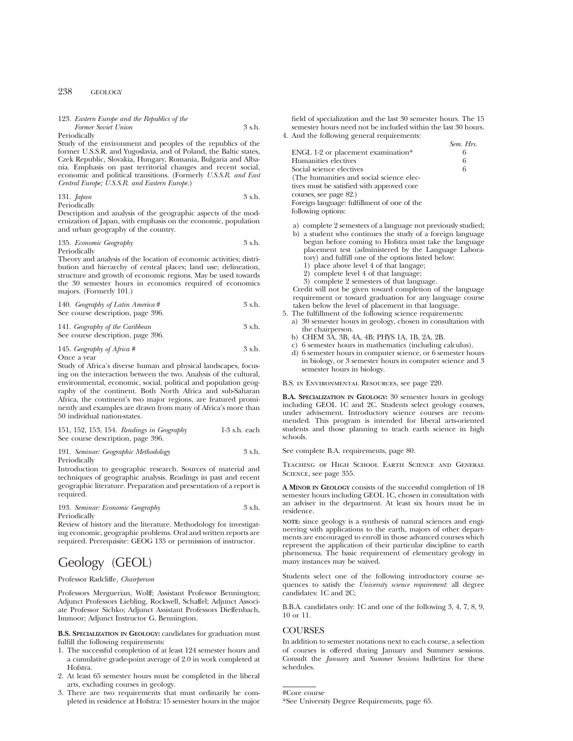# 123. *Eastern Europe and the Republics of the Former Soviet Union* 3 s.h.

Periodically

Study of the environment and peoples of the republics of the former U.S.S.R. and Yugoslavia, and of Poland, the Baltic states, Czek Republic, Slovakia, Hungary, Romania, Bulgaria and Albania. Emphasis on past territorial changes and recent social, economic and political transitions. (Formerly *U.S.S.R. and East Central Europe; U.S.S.R. and Eastern Europe.*)

#### 131. *Japan* 3 s.h. Periodically

Description and analysis of the geographic aspects of the modernization of Japan, with emphasis on the economic, population and urban geography of the country.

# 135. *Economic Geography* 3 s.h.

Periodically

Theory and analysis of the location of economic activities; distribution and hierarchy of central places; land use; delineation, structure and growth of economic regions. May be used towards the 30 semester hours in economics required of economics majors. (Formerly 101.)

| 140. Geography of Latin America # | 3 s.h. |
|-----------------------------------|--------|
| See course description, page 396. |        |

# 141. *Geography of the Caribbean* 3 s.h. See course description, page 396.

## 145. *Geography of Africa* # 3 s.h. Once a year

Study of Africa's diverse human and physical landscapes, focusing on the interaction between the two. Analysis of the cultural, environmental, economic, social, political and population geography of the continent. Both North Africa and sub-Saharan Africa, the continent's two major regions, are featured prominently and examples are drawn from many of Africa's more than 50 individual nation-states.

# 151, 152, 153, 154. *Readings in Geography* 1-3 s.h. each See course description, page 396.

191. *Seminar: Geographic Methodology* 3 s.h. Periodically

Introduction to geographic research. Sources of material and techniques of geographic analysis. Readings in past and recent geographic literature. Preparation and presentation of a report is required.

#### 193. *Seminar: Economic Geography* 3 s.h. Periodically

Review of history and the literature. Methodology for investigating economic, geographic problems. Oral and written reports are required. Prerequisite: GEOG 135 or permission of instructor.

# Geology (GEOL)

# Professor Radcliffe, *Chairperson*

Professors Merguerian, Wolff; Assistant Professor Bennington; Adjunct Professors Liebling, Rockwell, Schaffel; Adjunct Associate Professor Sichko; Adjunct Assistant Professors Dieffenbach, Immoor; Adjunct Instructor G. Bennington.

**B.S. SPECIALIZATION IN GEOLOGY:** candidates for graduation must fulfill the following requirements:

- 1. The successful completion of at least 124 semester hours and a cumulative grade-point average of 2.0 in work completed at Hofstra.
- 2. At least 65 semester hours must be completed in the liberal arts, excluding courses in geology.
- 3. There are two requirements that must ordinarily be completed in residence at Hofstra: 15 semester hours in the major

field of specialization and the last 30 semester hours. The 15 semester hours need not be included within the last 30 hours. 4. And the following general requirements:

- *Sem. Hrs.* ENGL 1-2 or placement examination\* 6<br>Humanities electives 6 Humanities electives 6<br>Social science electives 6 Social science electives (The humanities and social science electives must be satisfied with approved core courses, see page 82.) Foreign language: fulfillment of one of the following options:
- a) complete 2 semesters of a language not previously studied;
- b) a student who continues the study of a foreign language begun before coming to Hofstra must take the language placement test (administered by the Language Laboratory) and fulfill one of the options listed below:
	- 1) place above level 4 of that langage;
	- 2) complete level 4 of that language;
	- 3) complete 2 semesters of that language.

Credit will not be given toward completion of the language requirement or toward graduation for any language course taken below the level of placement in that language.

- 5. The fulfillment of the following science requirements: a) 30 semester hours in geology, chosen in consultation with the chairperson.
	- b) CHEM 3A, 3B, 4A, 4B; PHYS 1A, 1B, 2A, 2B.
	- c) 6 semester hours in mathematics (including calculus).
	- d) 6 semester hours in computer science, or 6 semester hours in biology, or 3 semester hours in computer science and 3 semester hours in biology.

B.S. in Environmental Resources, see page 220.

**B.A. SPECIALIZATION IN GEOLOGY:** 30 semester hours in geology including GEOL 1C and 2C. Students select geology courses, under advisement. Introductory science courses are recommended. This program is intended for liberal arts-oriented students and those planning to teach earth science in high schools.

See complete B.A. requirements, page 80.

Teaching of High School Earth Science and General SCIENCE, see page 355.

**A MINOR IN GEOLOGY** consists of the successful completion of 18 semester hours including GEOL 1C, chosen in consultation with an adviser in the department. At least six hours must be in residence.

**NOTE:** since geology is a synthesis of natural sciences and engineering with applications to the earth, majors of other departments are encouraged to enroll in those advanced courses which represent the application of their particular discipline to earth phenomena. The basic requirement of elementary geology in many instances may be waived.

Students select one of the following introductory course sequences to satisfy the *University science requirement*: all degree candidates: 1C and 2C;

B.B.A. candidates only: 1C and one of the following 3, 4, 7, 8, 9, 10 or 11.

# **COURSES**

In addition to semester notations next to each course, a selection of courses is offered during January and Summer sessions. Consult the *January* and *Summer Sessions* bulletins for these schedules.

#Core course

<sup>\*</sup>See University Degree Requirements, page 65.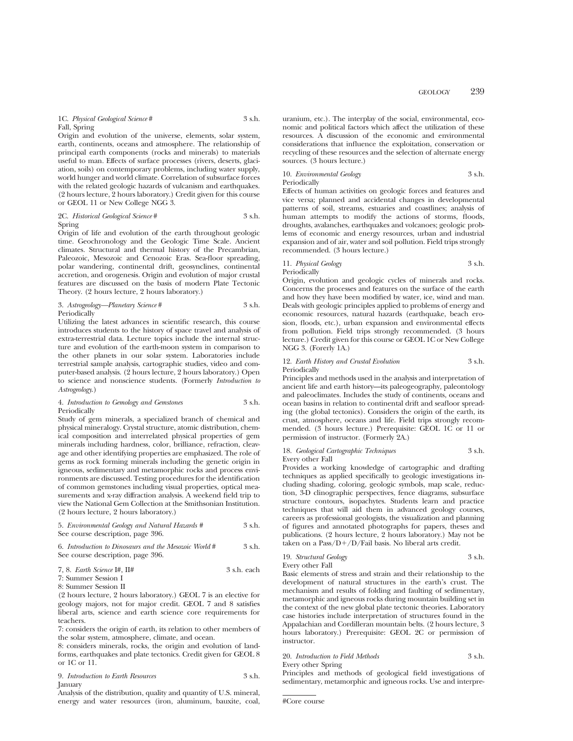1C. *Physical Geological Science* # 3 s.h. Fall, Spring

Origin and evolution of the universe, elements, solar system, earth, continents, oceans and atmosphere. The relationship of principal earth components (rocks and minerals) to materials useful to man. Effects of surface processes (rivers, deserts, glaciation, soils) on contemporary problems, including water supply, world hunger and world climate. Correlation of subsurface forces with the related geologic hazards of vulcanism and earthquakes. (2 hours lecture, 2 hours laboratory.) Credit given for this course or GEOL 11 or New College NGG 3.

2C. *Historical Geological Science* # 3 s.h. Spring

Origin of life and evolution of the earth throughout geologic time. Geochronology and the Geologic Time Scale. Ancient climates. Structural and thermal history of the Precambrian, Paleozoic, Mesozoic and Cenozoic Eras. Sea-floor spreading, polar wandering, continental drift, geosynclines, continental accretion, and orogenesis. Origin and evolution of major crustal features are discussed on the basis of modern Plate Tectonic Theory. (2 hours lecture, 2 hours laboratory.)

#### 3. *Astrogeology—Planetary Science* # 3 s.h. Periodically

Utilizing the latest advances in scientific research, this course introduces students to the history of space travel and analysis of extra-terrestrial data. Lecture topics include the internal structure and evolution of the earth-moon system in comparison to the other planets in our solar system. Laboratories include terrestrial sample analysis, cartographic studies, video and computer-based analysis. (2 hours lecture, 2 hours laboratory.) Open to science and nonscience students. (Formerly *Introduction to Astrogeology*.)

## 4. *Introduction to Gemology and Gemstones* 3 s.h. Periodically

Study of gem minerals, a specialized branch of chemical and physical mineralogy. Crystal structure, atomic distribution, chemical composition and interrelated physical properties of gem minerals including hardness, color, brilliance, refraction, cleavage and other identifying properties are emphasized. The role of gems as rock forming minerals including the genetic origin in igneous, sedimentary and metamorphic rocks and process environments are discussed. Testing procedures for the identification of common gemstones including visual properties, optical measurements and x-ray diffraction analysis. A weekend field trip to view the National Gem Collection at the Smithsonian Institution. (2 hours lecture, 2 hours laboratory.)

#### 5. *Environmental Geology and Natural Hazards* # 3 s.h. See course description, page 396.

# 6. *Introduction to Dinosaurs and the Mesozoic World* # 3 s.h. See course description, page 396.

|  | $7, 8$ . Earth Science I#, II# | 3 s.h. each |  |
|--|--------------------------------|-------------|--|
|  | 7: Summer Session I            |             |  |

8: Summer Session II

(2 hours lecture, 2 hours laboratory.) GEOL 7 is an elective for geology majors, not for major credit. GEOL 7 and 8 satisfies liberal arts, science and earth science core requirements for teachers.

7: considers the origin of earth, its relation to other members of the solar system, atmosphere, climate, and ocean.

8: considers minerals, rocks, the origin and evolution of landforms, earthquakes and plate tectonics. Credit given for GEOL 8 or 1C or 11.

9. *Introduction to Earth Resources* 3 s.h. January

Analysis of the distribution, quality and quantity of U.S. mineral, energy and water resources (iron, aluminum, bauxite, coal,

uranium, etc.). The interplay of the social, environmental, economic and political factors which affect the utilization of these resources. A discussion of the economic and environmental considerations that influence the exploitation, conservation or recycling of these resources and the selection of alternate energy sources. (3 hours lecture.)

#### 10. *Environmental Geology* 3 s.h. Periodically

Effects of human activities on geologic forces and features and vice versa; planned and accidental changes in developmental patterns of soil, streams, estuaries and coastlines; analysis of human attempts to modify the actions of storms, floods, droughts, avalanches, earthquakes and volcanoes; geologic problems of economic and energy resources, urban and industrial expansion and of air, water and soil pollution. Field trips strongly recommended. (3 hours lecture.)

# 11. *Physical Geology* 3 s.h. Periodically

Origin, evolution and geologic cycles of minerals and rocks. Concerns the processes and features on the surface of the earth and how they have been modified by water, ice, wind and man. Deals with geologic principles applied to problems of energy and economic resources, natural hazards (earthquake, beach erosion, floods, etc.), urban expansion and environmental effects from pollution. Field trips strongly recommended. (3 hours lecture.) Credit given for this course or GEOL 1C or New College NGG 3. (Forerly 1A.)

#### 12. *Earth History and Crustal Evolution* 3 s.h. Periodically

Principles and methods used in the analysis and interpretation of ancient life and earth history—its paleogeography, paleontology and paleoclimates. Includes the study of continents, oceans and ocean basins in relation to continental drift and seafloor spreading (the global tectonics). Considers the origin of the earth, its crust, atmosphere, oceans and life. Field trips strongly recommended. (3 hours lecture.) Prerequisite: GEOL 1C or 11 or permission of instructor. (Formerly 2A.)

### 18. *Geological Cartographic Techniques* 3 s.h. Every other Fall

Provides a working knowledge of cartographic and drafting techniques as applied specifically to geologic investigations including shading, coloring, geologic symbols, map scale, reduction, 3-D clinographic perspectives, fence diagrams, subsurface structure contours, isopachytes. Students learn and practice techniques that will aid them in advanced geology courses, careers as professional geologists, the visualization and planning of figures and annotated photographs for papers, theses and publications. (2 hours lecture, 2 hours laboratory.) May not be taken on a  $Pass/D+/D/fail$  basis. No liberal arts credit.

19. *Structural Geology* 3 s.h. Every other Fall

Basic elements of stress and strain and their relationship to the development of natural structures in the earth's crust. The mechanism and results of folding and faulting of sedimentary, metamorphic and igneous rocks during mountain building set in the context of the new global plate tectonic theories. Laboratory case histories include interpretation of structures found in the Appalachian and Cordilleran mountain belts. (2 hours lecture, 3 hours laboratory.) Prerequisite: GEOL 2C or permission of instructor.

# 20. *Introduction to Field Methods* 3 s.h. Every other Spring

Principles and methods of geological field investigations of sedimentary, metamorphic and igneous rocks. Use and interpre-

#Core course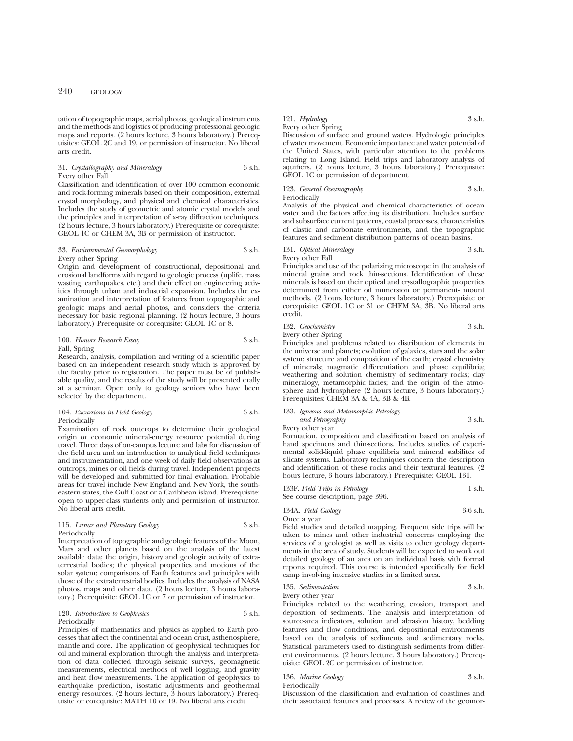tation of topographic maps, aerial photos, geological instruments and the methods and logistics of producing professional geologic maps and reports. (2 hours lecture, 3 hours laboratory.) Prerequisites: GEOL 2C and 19, or permission of instructor. No liberal arts credit.

# 31. *Crystallography and Mineralogy* 3 s.h. Every other Fall

Classification and identification of over 100 common economic and rock-forming minerals based on their composition, external crystal morphology, and physical and chemical characteristics. Includes the study of geometric and atomic crystal models and the principles and interpretation of x-ray diffraction techniques. (2 hours lecture, 3 hours laboratory.) Prerequisite or corequisite: GEOL 1C or CHEM 3A, 3B or permission of instructor.

# 33. *Environmental Geomorphology* 3 s.h. Every other Spring

Origin and development of constructional, depositional and erosional landforms with regard to geologic process (uplife, mass wasting, earthquakes, etc.) and their effect on engineering activities through urban and industrial expansion. Includes the examination and interpretation of features from topographic and geologic maps and aerial photos, and considers the criteria necessary for basic regional planning. (2 hours lecture, 3 hours laboratory.) Prerequisite or corequisite: GEOL 1C or 8.

#### 100. *Honors Research Essay* 3 s.h. Fall, Spring

Research, analysis, compilation and writing of a scientific paper based on an independent research study which is approved by the faculty prior to registration. The paper must be of publishable quality, and the results of the study will be presented orally at a seminar. Open only to geology seniors who have been selected by the department.

#### 104. *Excursions in Field Geology* 3 s.h. Periodically

Examination of rock outcrops to determine their geological origin or economic mineral-energy resource potential during travel. Three days of on-campus lecture and labs for discussion of the field area and an introduction to analytical field techniques and instrumentation, and one week of daily field observations at outcrops, mines or oil fields during travel. Independent projects will be developed and submitted for final evaluation. Probable areas for travel include New England and New York, the southeastern states, the Gulf Coast or a Caribbean island. Prerequisite: open to upper-class students only and permission of instructor. No liberal arts credit.

# 115. *Lunar and Planetary Geology* 3 s.h. Periodically

Interpretation of topographic and geologic features of the Moon, Mars and other planets based on the analysis of the latest available data; the origin, history and geologic activity of extraterrestrial bodies; the physical properties and motions of the solar system; comparisons of Earth features and principles with those of the extraterrestrial bodies. Includes the analysis of NASA photos, maps and other data. (2 hours lecture, 3 hours laboratory.) Prerequisite: GEOL 1C or 7 or permission of instructor.

#### 120. *Introduction to Geophysics* 3 s.h. Periodically

Principles of mathematics and physics as applied to Earth processes that affect the continental and ocean crust, asthenosphere, mantle and core. The application of geophysical techniques for oil and mineral exploration through the analysis and interpretation of data collected through seismic surveys, geomagnetic measurements, electrical methods of well logging, and gravity and heat flow measurements. The application of geophysics to earthquake prediction, isostatic adjustments and geothermal energy resources. (2 hours lecture, 3 hours laboratory.) Prerequisite or corequisite: MATH 10 or 19. No liberal arts credit.

# 121. *Hydrology* 3 s.h.

# Every other Spring

Discussion of surface and ground waters. Hydrologic principles of water movement. Economic importance and water potential of the United States, with particular attention to the problems relating to Long Island. Field trips and laboratory analysis of aquifiers. (2 hours lecture, 3 hours laboratory.) Prerequisite: GEOL 1C or permission of department.

# 123. *General Oceanography* 3 s.h.

Periodically

Analysis of the physical and chemical characteristics of ocean water and the factors affecting its distribution. Includes surface and subsurface current patterns, coastal processes, characteristics of clastic and carbonate environments, and the topographic features and sediment distribution patterns of ocean basins.

## 131. *Optical Mineralogy* 3 s.h. Every other Fall

Principles and use of the polarizing microscope in the analysis of mineral grains and rock thin-sections. Identification of these minerals is based on their optical and crystallographic properties determined from either oil immersion or permanent- mount methods. (2 hours lecture, 3 hours laboratory.) Prerequisite or corequisite: GEOL 1C or 31 or CHEM 3A, 3B. No liberal arts credit.

| 132. Geochemistry         | 3 s.h. |
|---------------------------|--------|
| <b>Every other Spring</b> |        |

Principles and problems related to distribution of elements in the universe and planets; evolution of galaxies, stars and the solar system; structure and composition of the earth; crystal chemistry of minerals; magmatic differentiation and phase equilibria; weathering and solution chemistry of sedimentary rocks; clay mineralogy, metamorphic facies; and the origin of the atmosphere and hydrosphere (2 hours lecture, 3 hours laboratory.) Prerequisites: CHEM 3A & 4A, 3B & 4B.

# 133. *Igneous and Metamorphic Petrology and Petrography* 3 s.h.

Every other year

Formation, composition and classification based on analysis of hand specimens and thin-sections. Includes studies of experimental solid-liquid phase equilibria and mineral stabilites of silicate systems. Laboratory techniques concern the description and identification of these rocks and their textural features. (2 hours lecture, 3 hours laboratory.) Prerequisite: GEOL 131.

| 133F. Field Trips in Petrology    | 1 s.h. |
|-----------------------------------|--------|
| See course description, page 396. |        |

134A. *Field Geology* 3-6 s.h.

Once a year

Field studies and detailed mapping. Frequent side trips will be taken to mines and other industrial concerns employing the services of a geologist as well as visits to other geology departments in the area of study. Students will be expected to work out detailed geology of an area on an individual basis with formal reports required. This course is intended specifically for field camp involving intensive studies in a limited area.

# 135. *Sedimentation* 3 s.h.

Every other year

Principles related to the weathering, erosion, transport and deposition of sediments. The analysis and interpretation of source-area indicators, solution and abrasion history, bedding features and flow conditions, and depositional environments based on the analysis of sediments and sedimentary rocks. Statistical parameters used to distinguish sediments from different environments. (2 hours lecture, 3 hours laboratory.) Prerequisite: GEOL 2C or permission of instructor.

| 136. Marine Geology | 3 s.h. |
|---------------------|--------|
| n · 1 · 11          |        |

Periodically

Discussion of the classification and evaluation of coastlines and their associated features and processes. A review of the geomor-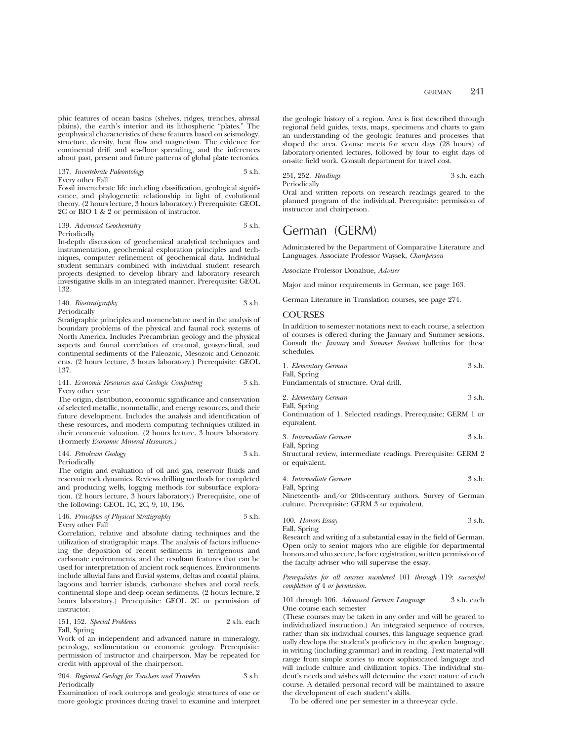phic features of ocean basins (shelves, ridges, trenches, abyssal plains), the earth's interior and its lithospheric "plates." The geophysical characteristics of these features based on seismology, structure, density, heat flow and magnetism. The evidence for continental drift and sea-floor spreading, and the inferences about past, present and future patterns of global plate tectonics.

## 137. *Invertebrate Paleontology* 3 s.h. Every other Fall

Fossil invertebrate life including classification, geological significance, and phylogenetic relationship in light of evolutional theory. (2 hours lecture, 3 hours laboratory.) Prerequisite: GEOL 2C or BIO 1 & 2 or permission of instructor.

#### 139. *Advanced Geochemistry* 3 s.h. Periodically

In-depth discussion of geochemical analytical techniques and instrumentation, geochemical exploration principles and techniques, computer refinement of geochemical data. Individual student seminars combined with individual student research projects designed to develop library and laboratory research investigative skills in an integrated manner. Prerequisite: GEOL 132.

| 140. Biostratigraphy | 3 s.h. |
|----------------------|--------|
| Periodically         |        |

Stratigraphic principles and nomenclature used in the analysis of boundary problems of the physical and faunal rock systems of North America. Includes Precambrian geology and the physical aspects and faunal correlation of cratonal, geosynclinal, and continental sediments of the Paleozoic, Mesozoic and Cenozoic eras. (2 hours lecture, 3 hours laboratory.) Prerequisite: GEOL 137.

#### 141. *Economic Resources and Geologic Computing* 3 s.h. Every other year

The origin, distribution, economic significance and conservation of selected metallic, nonmetallic, and energy resources, and their future development. Includes the analysis and identification of these resources, and modern computing techniques utilized in their economic valuation. (2 hours lecture, 3 hours laboratory. (Formerly *Economic Mineral Resources.)*

#### 144. *Petroleum Geology* 3 s.h. Periodically

The origin and evaluation of oil and gas, reservoir fluids and reservoir rock dynamics. Reviews drilling methods for completed and producing wells, logging methods for subsurface exploration. (2 hours lecture, 3 hours laboratory.) Prerequisite, one of the following: GEOL 1C, 2C, 9, 10, 136.

# 146. *Principles of Physical Stratigraphy* 3 s.h. Every other Fall

Correlation, relative and absolute dating techniques and the utilization of stratigraphic maps. The analysis of factors influencing the deposition of recent sediments in terrigenous and carbonate environments, and the resultant features that can be used for interpretation of ancient rock sequences. Environments include alluvial fans and fluvial systems, deltas and coastal plains, lagoons and barrier islands, carbonate shelves and coral reefs, continental slope and deep ocean sediments. (2 hours lecture, 2 hours laboratory.) Prerequisite: GEOL 2C or permission of instructor.

# 151, 152. *Special Problems* 2 s.h. each Fall, Spring

Work of an independent and advanced nature in mineralogy, petrology, sedimentation or economic geology. Prerequisite: permission of instructor and chairperson. May be repeated for credit with approval of the chairperson.

# 204. *Regional Geology for Teachers and Travelers* 3 s.h. Periodically

Examination of rock outcrops and geologic structures of one or more geologic provinces during travel to examine and interpret

the geologic history of a region. Area is first described through regional field guides, texts, maps, specimens and charts to gain an understanding of the geologic features and processes that shaped the area. Course meets for seven days (28 hours) of laboratory-oriented lectures, followed by four to eight days of on-site field work. Consult department for travel cost.

251, 252. *Readings* 3 s.h. each Periodically

Oral and written reports on research readings geared to the planned program of the individual. Prerequisite: permission of instructor and chairperson.

# German (GERM)

Administered by the Department of Comparative Literature and Languages. Associate Professor Waysek, *Chairperson*

Associate Professor Donahue, *Adviser*

Major and minor requirements in German, see page 163.

German Literature in Translation courses, see page 274.

# **COURSES**

In addition to semester notations next to each course, a selection of courses is offered during the January and Summer sessions. Consult the *January* and *Summer Sessions* bulletins for these schedules.

| 1. Elementary German                                          | $3 \,$ s.h. |
|---------------------------------------------------------------|-------------|
| Fall, Spring                                                  |             |
| Fundamentals of structure. Oral drill.                        |             |
| 2. Elementary German                                          | 3 s.h.      |
| Fall, Spring                                                  |             |
| Continuation of 1. Selected readings. Prerequisite: GERM 1 or |             |
| equivalent.                                                   |             |

| 3. Intermediate German | 3 s.h. |
|------------------------|--------|
| Fall, Spring           |        |

Structural review, intermediate readings. Prerequisite: GERM 2 or equivalent.

4. *Intermediate German* 3 s.h.

Fall, Spring Nineteenth- and/or 20th-century authors. Survey of German culture. Prerequisite: GERM 3 or equivalent.

| 100. Honors Essay | 3 s.h. |
|-------------------|--------|
| Fall, Spring      |        |

Research and writing of a substantial essay in the field of German. Open only to senior majors who are eligible for departmental honors and who secure, before registration, written permission of the faculty adviser who will supervise the essay.

*Prerequisites for all courses numbered* 101 *through* 119: *successful completion of* 4 *or permission.*

#### 101 through 106. *Advanced German Language* 3 s.h. each One course each semester

(These courses may be taken in any order and will be geared to individualized instruction.) An integrated sequence of courses, rather than six individual courses, this language sequence gradually develops the student's proficiency in the spoken language, in writing (including grammar) and in reading. Text material will range from simple stories to more sophisticated language and will include culture and civilization topics. The individual student's needs and wishes will determine the exact nature of each course. A detailed personal record will be maintained to assure the development of each student's skills.

To be offered one per semester in a three-year cycle.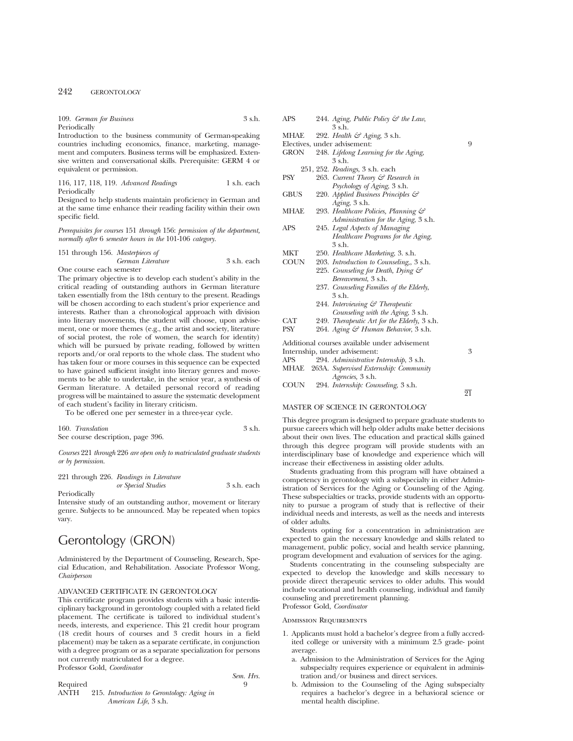| 109. German for Business | 3 s.h. |
|--------------------------|--------|
| Periodically             |        |

Introduction to the business community of German-speaking countries including economics, finance, marketing, management and computers. Business terms will be emphasized. Extensive written and conversational skills. Prerequisite: GERM 4 or equivalent or permission.

116, 117, 118, 119. *Advanced Readings* 1 s.h. each Periodically

Designed to help students maintain proficiency in German and at the same time enhance their reading facility within their own specific field.

*Prerequisites for courses* 151 *through* 156: *permission of the department, normally after* 6 *semester hours in the* 101-106 *category.*

#### 151 through 156. *Masterpieces of German Literature* 3 s.h. each One course each semester

The primary objective is to develop each student's ability in the critical reading of outstanding authors in German literature taken essentially from the 18th century to the present. Readings will be chosen according to each student's prior experience and interests. Rather than a chronological approach with division into literary movements, the student will choose, upon advisement, one or more themes (e.g., the artist and society, literature of social protest, the role of women, the search for identity) which will be pursued by private reading, followed by written reports and/or oral reports to the whole class. The student who has taken four or more courses in this sequence can be expected to have gained sufficient insight into literary genres and movements to be able to undertake, in the senior year, a synthesis of German literature. A detailed personal record of reading progress will be maintained to assure the systematic development of each student's facility in literary criticism.

To be offered one per semester in a three-year cycle.

| 160. Translation                  | 3 s.h. |
|-----------------------------------|--------|
| See course description, page 396. |        |

*Courses* 221 *through* 226 *are open only to matriculated graduate students or by permission.*

221 through 226. *Readings in Literature or Special Studies* 3 s.h. each

Periodically

Intensive study of an outstanding author, movement or literary genre. Subjects to be announced. May be repeated when topics vary.

# Gerontology (GRON)

Administered by the Department of Counseling, Research, Special Education, and Rehabilitation. Associate Professor Wong, *Chairperson*

# ADVANCED CERTIFICATE IN GERONTOLOGY

This certificate program provides students with a basic interdisciplinary background in gerontology coupled with a related field placement. The certificate is tailored to individual student's needs, interests, and experience. This 21 credit hour program (18 credit hours of courses and 3 credit hours in a field placement) may be taken as a separate certificate, in conjunction with a degree program or as a separate specialization for persons not currently matriculated for a degree. Professor Gold, *Coordinator*

|          |                                            | Sem. Hrs. |
|----------|--------------------------------------------|-----------|
| Required |                                            | Q         |
| ANTH     | 215. Introduction to Gerontology: Aging in |           |
|          | American Life, 3 s.h.                      |           |

| APS         | 244. Aging, Public Policy & the Law,          |   |
|-------------|-----------------------------------------------|---|
|             | 3 s.h.                                        |   |
| MHAE        | 292. Health $\mathcal{C}$ Aging, 3 s.h.       |   |
|             | Electives, under advisement:                  | 9 |
| GRON        | 248. Lifelong Learning for the Aging,         |   |
|             | 3 s.h.                                        |   |
|             | 251, 252. Readings, 3 s.h. each               |   |
| PSY         | 263. Current Theory & Research in             |   |
|             | Psychology of Aging, 3 s.h.                   |   |
| <b>GBUS</b> | 220. Applied Business Principles &            |   |
|             | Aging, 3 s.h.                                 |   |
| MHAE        | 293. Healthcare Policies, Planning &          |   |
|             | Administration for the Aging, 3 s.h.          |   |
| APS         | 245. Legal Aspects of Managing                |   |
|             | Healthcare Programs for the Aging,            |   |
|             | 3 s.h.                                        |   |
| MKT         | 250. Healthcare Marketing, 3. s.h.            |   |
| <b>COUN</b> | 203. Introduction to Counseling, 3 s.h.       |   |
|             | 225. Counseling for Death, Dying &            |   |
|             | <i>Bereavement</i> , 3 s.h.                   |   |
|             | 237. Counseling Families of the Elderly,      |   |
|             | $3$ s.h.                                      |   |
|             | 244. Interviewing & Therapeutic               |   |
|             | Counseling with the Aging, 3 s.h.             |   |
| CAT         | 249. Therapeutic Art for the Elderly, 3 s.h.  |   |
| PSY         | 264. Aging & Human Behavior, 3 s.h.           |   |
|             | Additional courses available under advisement |   |
|             | Internship, under advisement:                 | 3 |
| APS         | 294. Administrative Internship, 3 s.h.        |   |
| MHAE        | 263A. Supervised Externship: Community        |   |
|             | Agencies, 3 s.h.                              |   |

# COUN 294. *Internship: Counseling*, 3 s.h.

# MASTER OF SCIENCE IN GERONTOLOGY

This degree program is designed to prepare graduate students to pursue careers which will help older adults make better decisions about their own lives. The education and practical skills gained through this degree program will provide students with an interdisciplinary base of knowledge and experience which will increase their effectiveness in assisting older adults.

21

Students graduating from this program will have obtained a competency in gerontology with a subspecialty in either Administration of Services for the Aging or Counseling of the Aging. These subspecialties or tracks, provide students with an opportunity to pursue a program of study that is reflective of their individual needs and interests, as well as the needs and interests of older adults.

Students opting for a concentration in administration are expected to gain the necessary knowledge and skills related to management, public policy, social and health service planning, program development and evaluation of services for the aging.

Students concentrating in the counseling subspecialty are expected to develop the knowledge and skills necessary to provide direct therapeutic services to older adults. This would include vocational and health counseling, individual and family counseling and preretirement planning. Professor Gold, *Coordinator*

#### Admission Requirements

- 1. Applicants must hold a bachelor's degree from a fully accredited college or university with a minimum 2.5 grade- point average.
	- a. Admission to the Administration of Services for the Aging subspecialty requires experience or equivalent in administration and/or business and direct services.
	- b. Admission to the Counseling of the Aging subspecialty requires a bachelor's degree in a behavioral science or mental health discipline.